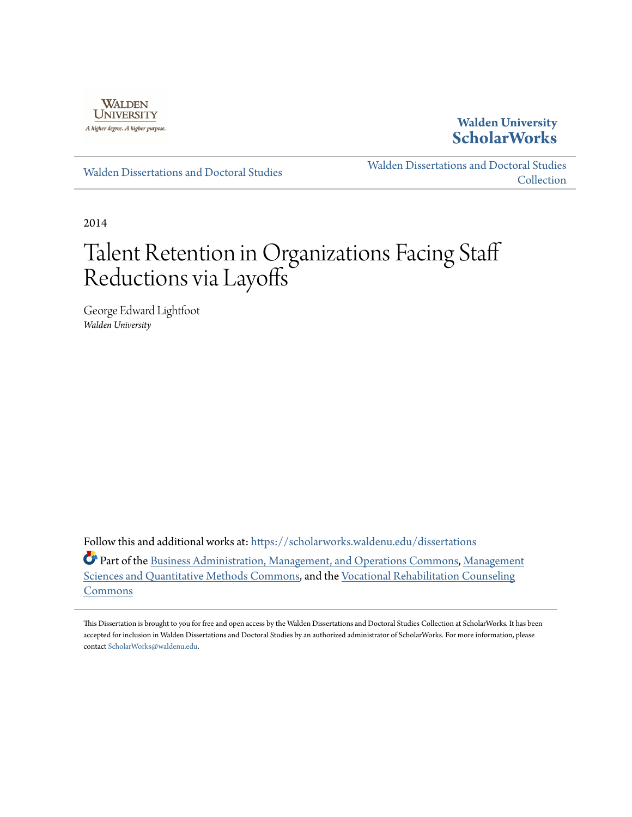

### **Walden University [ScholarWorks](https://scholarworks.waldenu.edu?utm_source=scholarworks.waldenu.edu%2Fdissertations%2F186&utm_medium=PDF&utm_campaign=PDFCoverPages)**

[Walden Dissertations and Doctoral Studies](https://scholarworks.waldenu.edu/dissertations?utm_source=scholarworks.waldenu.edu%2Fdissertations%2F186&utm_medium=PDF&utm_campaign=PDFCoverPages)

[Walden Dissertations and Doctoral Studies](https://scholarworks.waldenu.edu/dissanddoc?utm_source=scholarworks.waldenu.edu%2Fdissertations%2F186&utm_medium=PDF&utm_campaign=PDFCoverPages) **[Collection](https://scholarworks.waldenu.edu/dissanddoc?utm_source=scholarworks.waldenu.edu%2Fdissertations%2F186&utm_medium=PDF&utm_campaign=PDFCoverPages)** 

2014

# Talent Retention in Organizations Facing Staff Reductions via Layoffs

George Edward Lightfoot *Walden University*

Follow this and additional works at: [https://scholarworks.waldenu.edu/dissertations](https://scholarworks.waldenu.edu/dissertations?utm_source=scholarworks.waldenu.edu%2Fdissertations%2F186&utm_medium=PDF&utm_campaign=PDFCoverPages)

Part of the [Business Administration, Management, and Operations Commons](http://network.bepress.com/hgg/discipline/623?utm_source=scholarworks.waldenu.edu%2Fdissertations%2F186&utm_medium=PDF&utm_campaign=PDFCoverPages), [Management](http://network.bepress.com/hgg/discipline/637?utm_source=scholarworks.waldenu.edu%2Fdissertations%2F186&utm_medium=PDF&utm_campaign=PDFCoverPages) [Sciences and Quantitative Methods Commons](http://network.bepress.com/hgg/discipline/637?utm_source=scholarworks.waldenu.edu%2Fdissertations%2F186&utm_medium=PDF&utm_campaign=PDFCoverPages), and the [Vocational Rehabilitation Counseling](http://network.bepress.com/hgg/discipline/756?utm_source=scholarworks.waldenu.edu%2Fdissertations%2F186&utm_medium=PDF&utm_campaign=PDFCoverPages) [Commons](http://network.bepress.com/hgg/discipline/756?utm_source=scholarworks.waldenu.edu%2Fdissertations%2F186&utm_medium=PDF&utm_campaign=PDFCoverPages)

This Dissertation is brought to you for free and open access by the Walden Dissertations and Doctoral Studies Collection at ScholarWorks. It has been accepted for inclusion in Walden Dissertations and Doctoral Studies by an authorized administrator of ScholarWorks. For more information, please contact [ScholarWorks@waldenu.edu](mailto:ScholarWorks@waldenu.edu).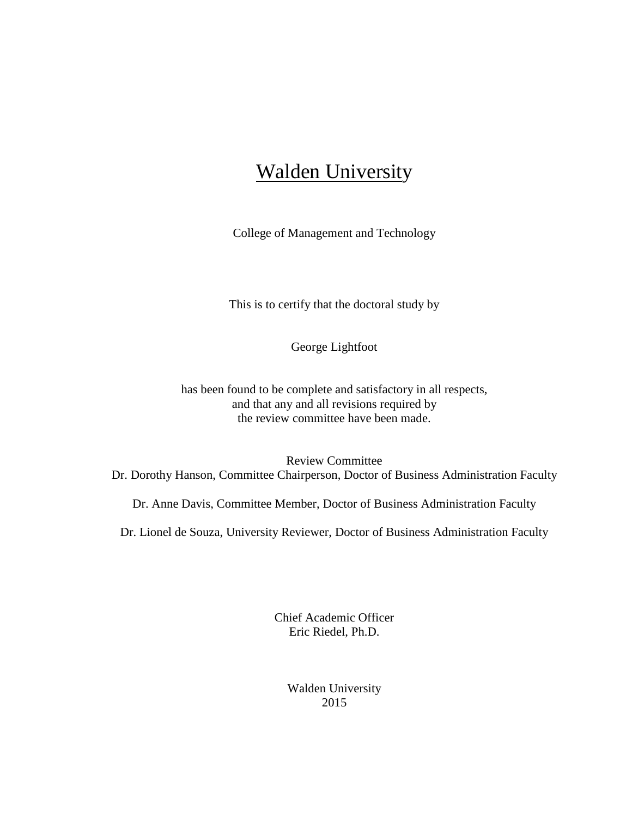## **Walden University**

College of Management and Technology

This is to certify that the doctoral study by

George Lightfoot

has been found to be complete and satisfactory in all respects, and that any and all revisions required by the review committee have been made.

Review Committee Dr. Dorothy Hanson, Committee Chairperson, Doctor of Business Administration Faculty

Dr. Anne Davis, Committee Member, Doctor of Business Administration Faculty

Dr. Lionel de Souza, University Reviewer, Doctor of Business Administration Faculty

Chief Academic Officer Eric Riedel, Ph.D.

> Walden University 2015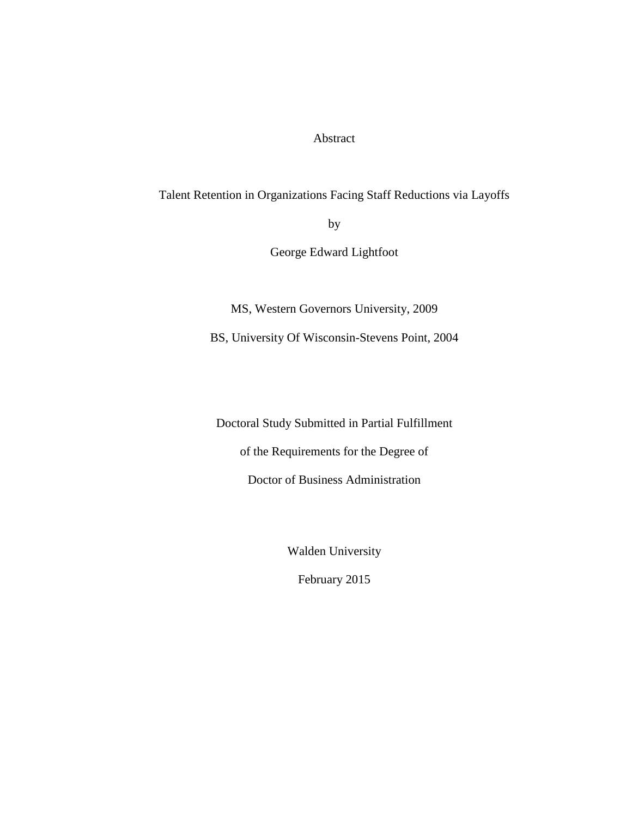Abstract

Talent Retention in Organizations Facing Staff Reductions via Layoffs

by

George Edward Lightfoot

MS, Western Governors University, 2009 BS, University Of Wisconsin-Stevens Point, 2004

Doctoral Study Submitted in Partial Fulfillment of the Requirements for the Degree of Doctor of Business Administration

Walden University

February 2015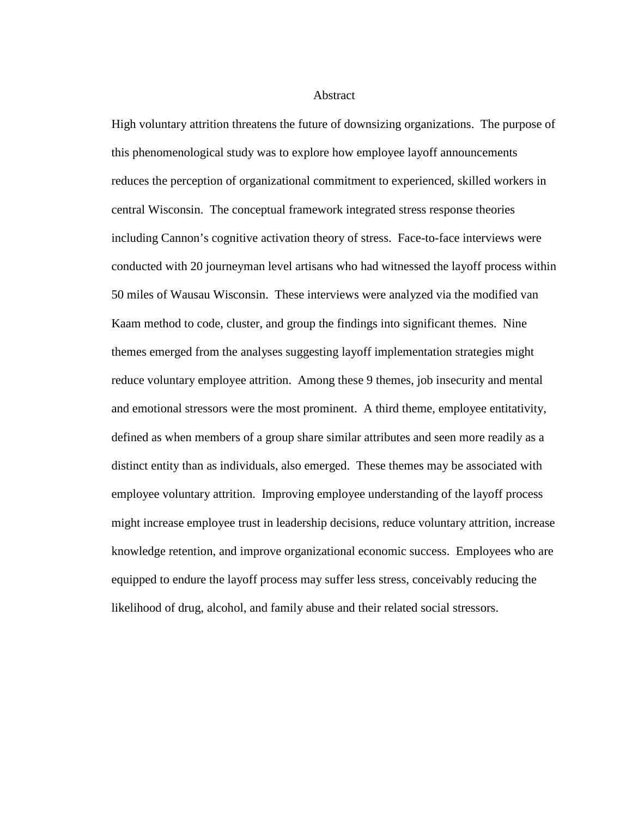Abstract

High voluntary attrition threatens the future of downsizing organizations. The purpose of this phenomenological study was to explore how employee layoff announcements reduces the perception of organizational commitment to experienced, skilled workers in central Wisconsin. The conceptual framework integrated stress response theories including Cannon's cognitive activation theory of stress. Face-to-face interviews were conducted with 20 journeyman level artisans who had witnessed the layoff process within 50 miles of Wausau Wisconsin. These interviews were analyzed via the modified van Kaam method to code, cluster, and group the findings into significant themes. Nine themes emerged from the analyses suggesting layoff implementation strategies might reduce voluntary employee attrition. Among these 9 themes, job insecurity and mental and emotional stressors were the most prominent. A third theme, employee entitativity, defined as when members of a group share similar attributes and seen more readily as a distinct entity than as individuals, also emerged. These themes may be associated with employee voluntary attrition. Improving employee understanding of the layoff process might increase employee trust in leadership decisions, reduce voluntary attrition, increase knowledge retention, and improve organizational economic success. Employees who are equipped to endure the layoff process may suffer less stress, conceivably reducing the likelihood of drug, alcohol, and family abuse and their related social stressors.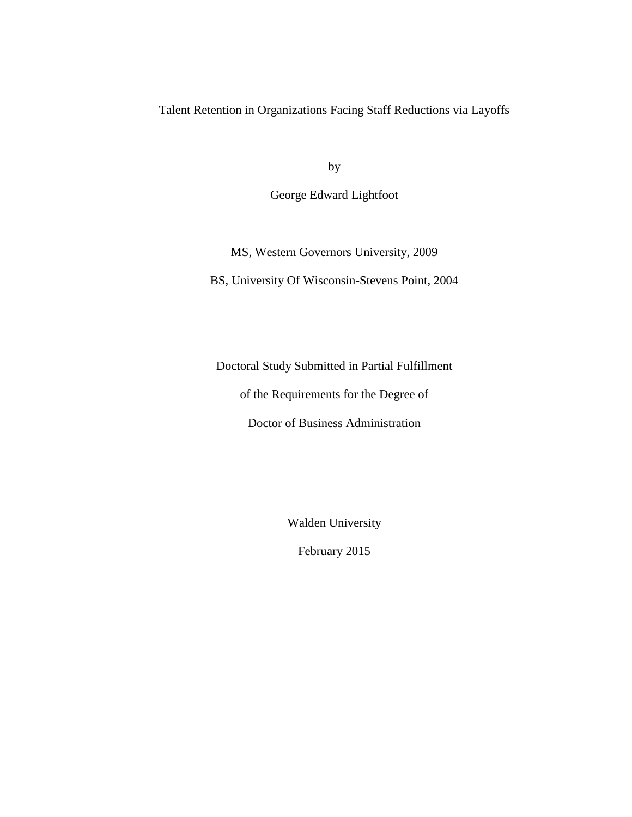Talent Retention in Organizations Facing Staff Reductions via Layoffs

by

George Edward Lightfoot

MS, Western Governors University, 2009 BS, University Of Wisconsin-Stevens Point, 2004

Doctoral Study Submitted in Partial Fulfillment

of the Requirements for the Degree of

Doctor of Business Administration

Walden University

February 2015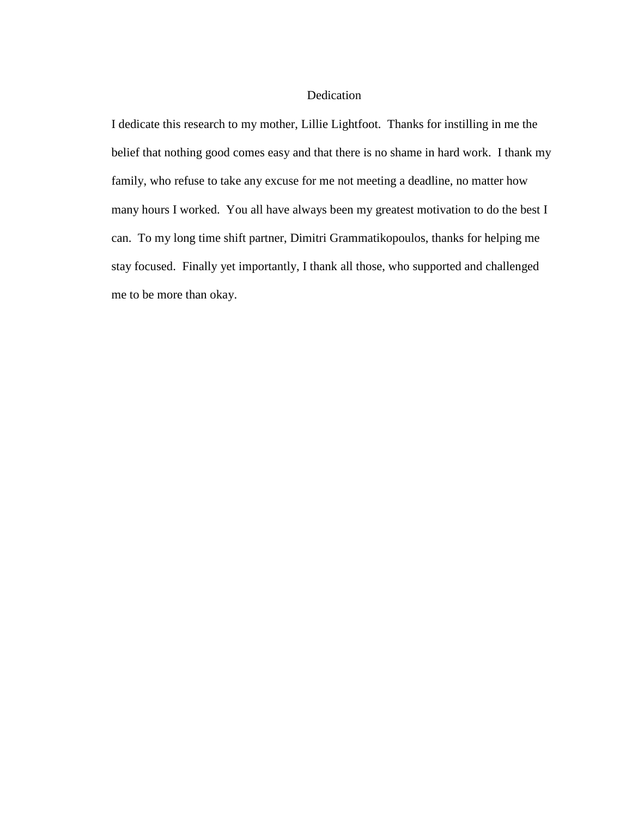#### Dedication

I dedicate this research to my mother, Lillie Lightfoot. Thanks for instilling in me the belief that nothing good comes easy and that there is no shame in hard work. I thank my family, who refuse to take any excuse for me not meeting a deadline, no matter how many hours I worked. You all have always been my greatest motivation to do the best I can. To my long time shift partner, Dimitri Grammatikopoulos, thanks for helping me stay focused. Finally yet importantly, I thank all those, who supported and challenged me to be more than okay.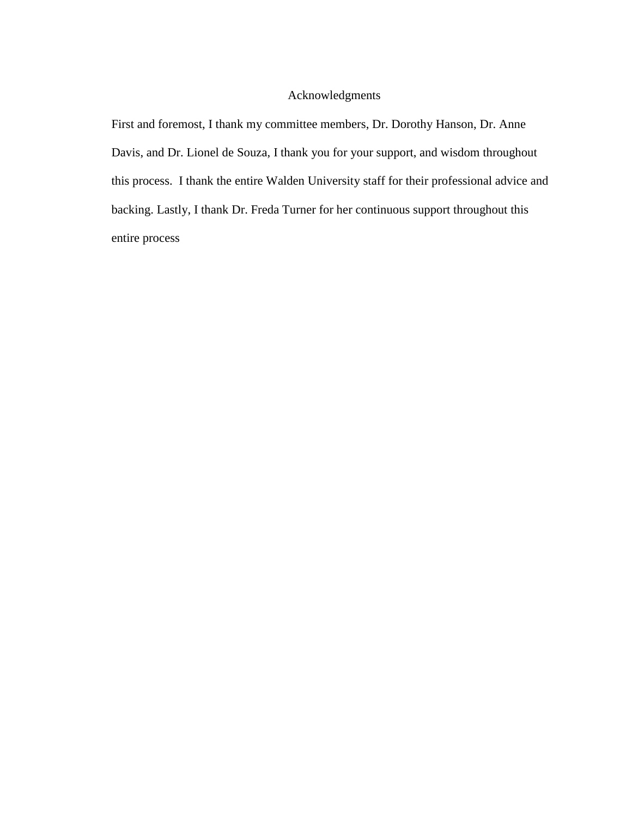#### Acknowledgments

First and foremost, I thank my committee members, Dr. Dorothy Hanson, Dr. Anne Davis, and Dr. Lionel de Souza, I thank you for your support, and wisdom throughout this process. I thank the entire Walden University staff for their professional advice and backing. Lastly, I thank Dr. Freda Turner for her continuous support throughout this entire process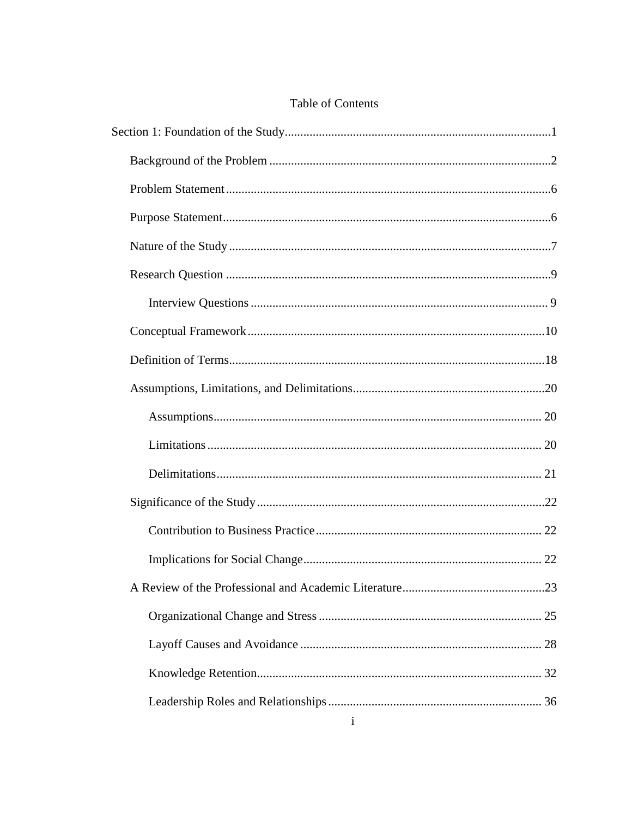| <b>Table of Contents</b> |  |
|--------------------------|--|
|--------------------------|--|

| $\mathbf{i}$ |
|--------------|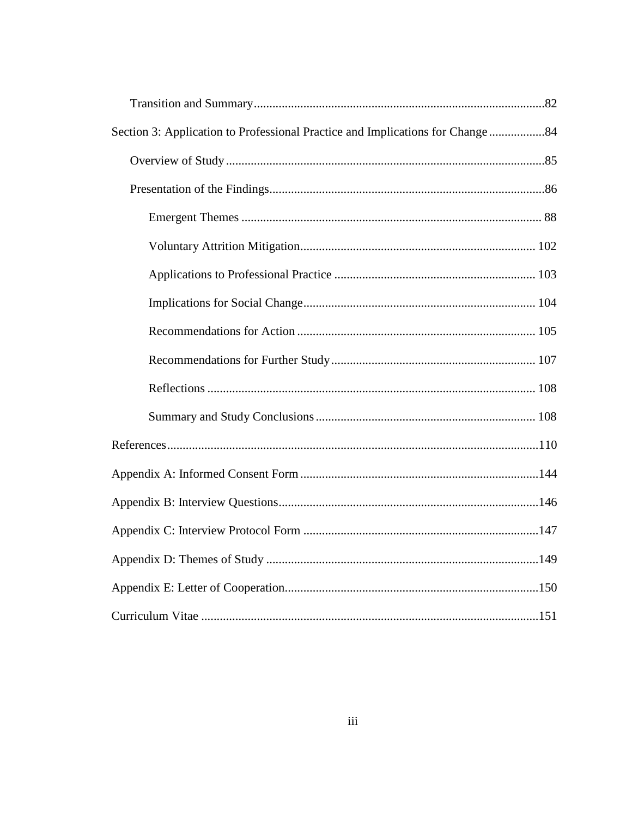| Section 3: Application to Professional Practice and Implications for Change 84 |
|--------------------------------------------------------------------------------|
|                                                                                |
|                                                                                |
|                                                                                |
|                                                                                |
|                                                                                |
|                                                                                |
|                                                                                |
|                                                                                |
|                                                                                |
|                                                                                |
|                                                                                |
|                                                                                |
|                                                                                |
|                                                                                |
|                                                                                |
|                                                                                |
|                                                                                |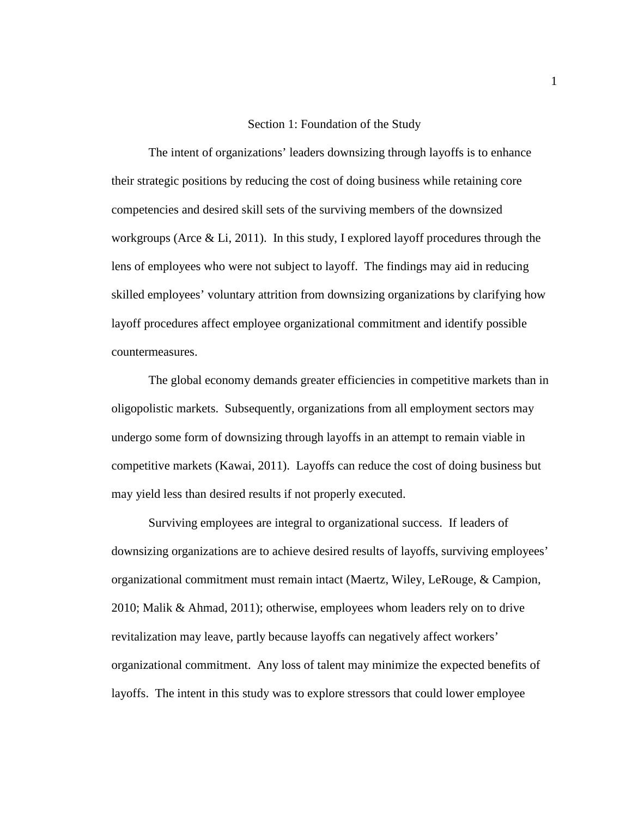#### Section 1: Foundation of the Study

The intent of organizations' leaders downsizing through layoffs is to enhance their strategic positions by reducing the cost of doing business while retaining core competencies and desired skill sets of the surviving members of the downsized workgroups (Arce & Li, 2011). In this study, I explored layoff procedures through the lens of employees who were not subject to layoff. The findings may aid in reducing skilled employees' voluntary attrition from downsizing organizations by clarifying how layoff procedures affect employee organizational commitment and identify possible countermeasures.

The global economy demands greater efficiencies in competitive markets than in oligopolistic markets. Subsequently, organizations from all employment sectors may undergo some form of downsizing through layoffs in an attempt to remain viable in competitive markets (Kawai, 2011). Layoffs can reduce the cost of doing business but may yield less than desired results if not properly executed.

Surviving employees are integral to organizational success. If leaders of downsizing organizations are to achieve desired results of layoffs, surviving employees' organizational commitment must remain intact (Maertz, Wiley, LeRouge, & Campion, 2010; Malik & Ahmad, 2011); otherwise, employees whom leaders rely on to drive revitalization may leave, partly because layoffs can negatively affect workers' organizational commitment. Any loss of talent may minimize the expected benefits of layoffs. The intent in this study was to explore stressors that could lower employee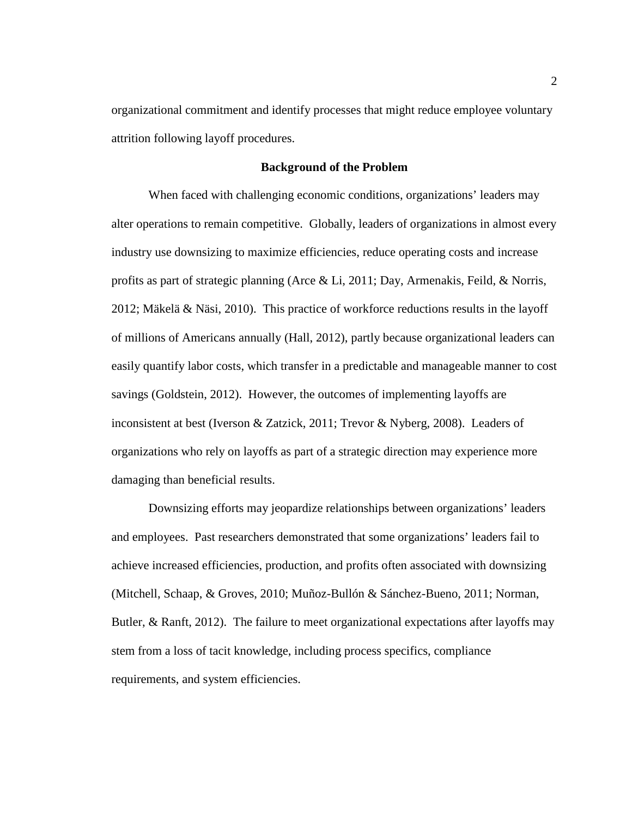organizational commitment and identify processes that might reduce employee voluntary attrition following layoff procedures.

#### **Background of the Problem**

When faced with challenging economic conditions, organizations' leaders may alter operations to remain competitive. Globally, leaders of organizations in almost every industry use downsizing to maximize efficiencies, reduce operating costs and increase profits as part of strategic planning (Arce & Li, 2011; Day, Armenakis, Feild, & Norris, 2012; Mäkelä & Näsi, 2010). This practice of workforce reductions results in the layoff of millions of Americans annually (Hall, 2012), partly because organizational leaders can easily quantify labor costs, which transfer in a predictable and manageable manner to cost savings (Goldstein, 2012). However, the outcomes of implementing layoffs are inconsistent at best (Iverson & Zatzick, 2011; Trevor & Nyberg, 2008). Leaders of organizations who rely on layoffs as part of a strategic direction may experience more damaging than beneficial results.

Downsizing efforts may jeopardize relationships between organizations' leaders and employees. Past researchers demonstrated that some organizations' leaders fail to achieve increased efficiencies, production, and profits often associated with downsizing (Mitchell, Schaap, & Groves, 2010; Muñoz-Bullón & Sánchez-Bueno, 2011; Norman, Butler, & Ranft, 2012). The failure to meet organizational expectations after layoffs may stem from a loss of tacit knowledge, including process specifics, compliance requirements, and system efficiencies.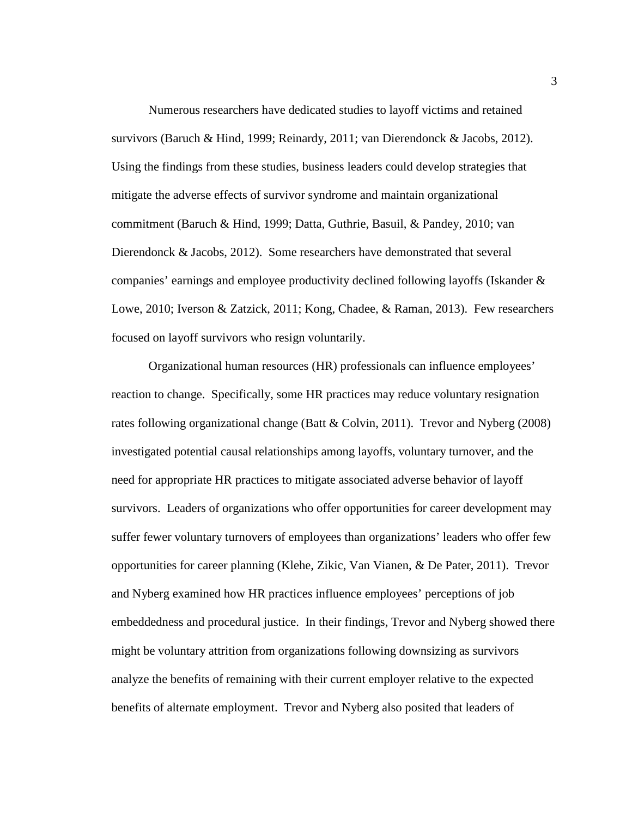Numerous researchers have dedicated studies to layoff victims and retained survivors (Baruch & Hind, 1999; Reinardy, 2011; van Dierendonck & Jacobs, 2012). Using the findings from these studies, business leaders could develop strategies that mitigate the adverse effects of survivor syndrome and maintain organizational commitment (Baruch & Hind, 1999; Datta, Guthrie, Basuil, & Pandey, 2010; van Dierendonck & Jacobs, 2012). Some researchers have demonstrated that several companies' earnings and employee productivity declined following layoffs (Iskander & Lowe, 2010; Iverson & Zatzick, 2011; Kong, Chadee, & Raman, 2013). Few researchers focused on layoff survivors who resign voluntarily.

Organizational human resources (HR) professionals can influence employees' reaction to change. Specifically, some HR practices may reduce voluntary resignation rates following organizational change (Batt & Colvin, 2011). Trevor and Nyberg (2008) investigated potential causal relationships among layoffs, voluntary turnover, and the need for appropriate HR practices to mitigate associated adverse behavior of layoff survivors. Leaders of organizations who offer opportunities for career development may suffer fewer voluntary turnovers of employees than organizations' leaders who offer few opportunities for career planning (Klehe, Zikic, Van Vianen, & De Pater, 2011). Trevor and Nyberg examined how HR practices influence employees' perceptions of job embeddedness and procedural justice. In their findings, Trevor and Nyberg showed there might be voluntary attrition from organizations following downsizing as survivors analyze the benefits of remaining with their current employer relative to the expected benefits of alternate employment. Trevor and Nyberg also posited that leaders of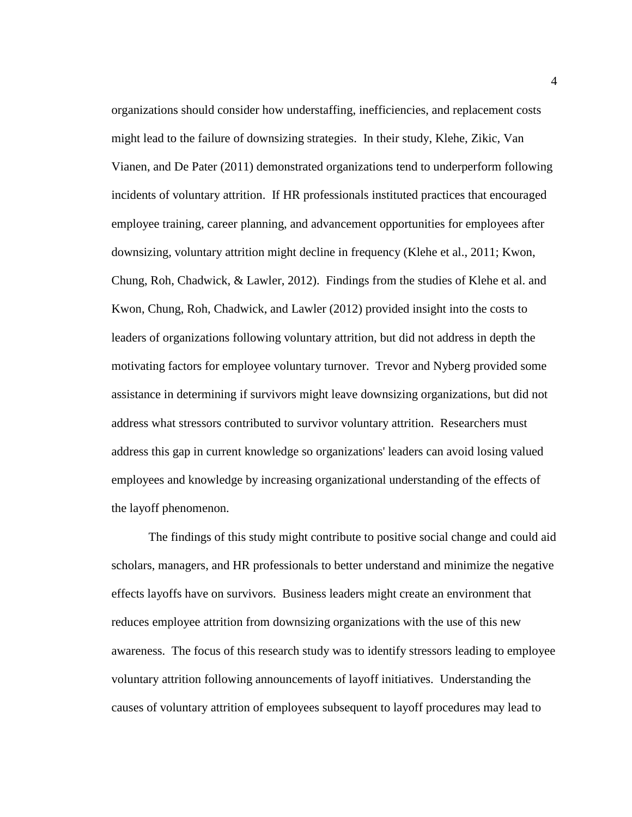organizations should consider how understaffing, inefficiencies, and replacement costs might lead to the failure of downsizing strategies. In their study, Klehe, Zikic, Van Vianen, and De Pater (2011) demonstrated organizations tend to underperform following incidents of voluntary attrition. If HR professionals instituted practices that encouraged employee training, career planning, and advancement opportunities for employees after downsizing, voluntary attrition might decline in frequency (Klehe et al., 2011; Kwon, Chung, Roh, Chadwick, & Lawler, 2012). Findings from the studies of Klehe et al. and Kwon, Chung, Roh, Chadwick, and Lawler (2012) provided insight into the costs to leaders of organizations following voluntary attrition, but did not address in depth the motivating factors for employee voluntary turnover. Trevor and Nyberg provided some assistance in determining if survivors might leave downsizing organizations, but did not address what stressors contributed to survivor voluntary attrition. Researchers must address this gap in current knowledge so organizations' leaders can avoid losing valued employees and knowledge by increasing organizational understanding of the effects of the layoff phenomenon.

The findings of this study might contribute to positive social change and could aid scholars, managers, and HR professionals to better understand and minimize the negative effects layoffs have on survivors. Business leaders might create an environment that reduces employee attrition from downsizing organizations with the use of this new awareness. The focus of this research study was to identify stressors leading to employee voluntary attrition following announcements of layoff initiatives. Understanding the causes of voluntary attrition of employees subsequent to layoff procedures may lead to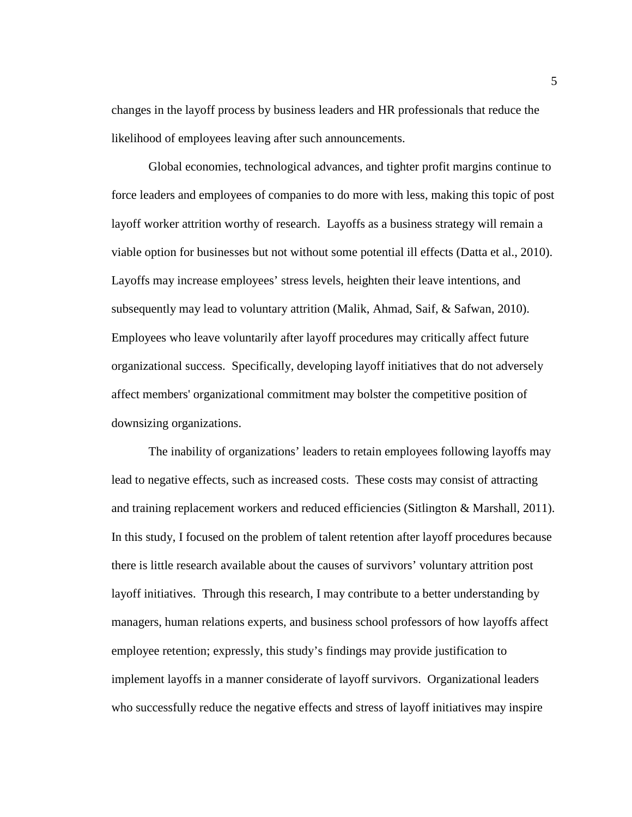changes in the layoff process by business leaders and HR professionals that reduce the likelihood of employees leaving after such announcements.

Global economies, technological advances, and tighter profit margins continue to force leaders and employees of companies to do more with less, making this topic of post layoff worker attrition worthy of research. Layoffs as a business strategy will remain a viable option for businesses but not without some potential ill effects (Datta et al., 2010). Layoffs may increase employees' stress levels, heighten their leave intentions, and subsequently may lead to voluntary attrition (Malik, Ahmad, Saif, & Safwan, 2010). Employees who leave voluntarily after layoff procedures may critically affect future organizational success. Specifically, developing layoff initiatives that do not adversely affect members' organizational commitment may bolster the competitive position of downsizing organizations.

The inability of organizations' leaders to retain employees following layoffs may lead to negative effects, such as increased costs. These costs may consist of attracting and training replacement workers and reduced efficiencies (Sitlington & Marshall, 2011). In this study, I focused on the problem of talent retention after layoff procedures because there is little research available about the causes of survivors' voluntary attrition post layoff initiatives. Through this research, I may contribute to a better understanding by managers, human relations experts, and business school professors of how layoffs affect employee retention; expressly, this study's findings may provide justification to implement layoffs in a manner considerate of layoff survivors. Organizational leaders who successfully reduce the negative effects and stress of layoff initiatives may inspire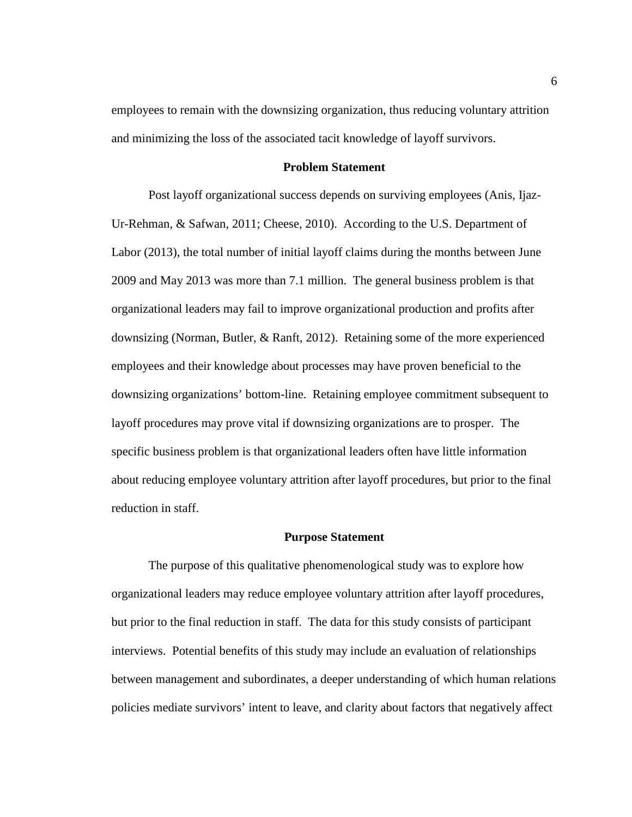employees to remain with the downsizing organization, thus reducing voluntary attrition and minimizing the loss of the associated tacit knowledge of layoff survivors.

#### **Problem Statement**

Post layoff organizational success depends on surviving employees (Anis, Ijaz-Ur-Rehman, & Safwan, 2011; Cheese, 2010). According to the U.S. Department of Labor (2013), the total number of initial layoff claims during the months between June 2009 and May 2013 was more than 7.1 million. The general business problem is that organizational leaders may fail to improve organizational production and profits after downsizing (Norman, Butler, & Ranft, 2012). Retaining some of the more experienced employees and their knowledge about processes may have proven beneficial to the downsizing organizations' bottom-line. Retaining employee commitment subsequent to layoff procedures may prove vital if downsizing organizations are to prosper. The specific business problem is that organizational leaders often have little information about reducing employee voluntary attrition after layoff procedures, but prior to the final reduction in staff.

#### **Purpose Statement**

The purpose of this qualitative phenomenological study was to explore how organizational leaders may reduce employee voluntary attrition after layoff procedures, but prior to the final reduction in staff. The data for this study consists of participant interviews. Potential benefits of this study may include an evaluation of relationships between management and subordinates, a deeper understanding of which human relations policies mediate survivors' intent to leave, and clarity about factors that negatively affect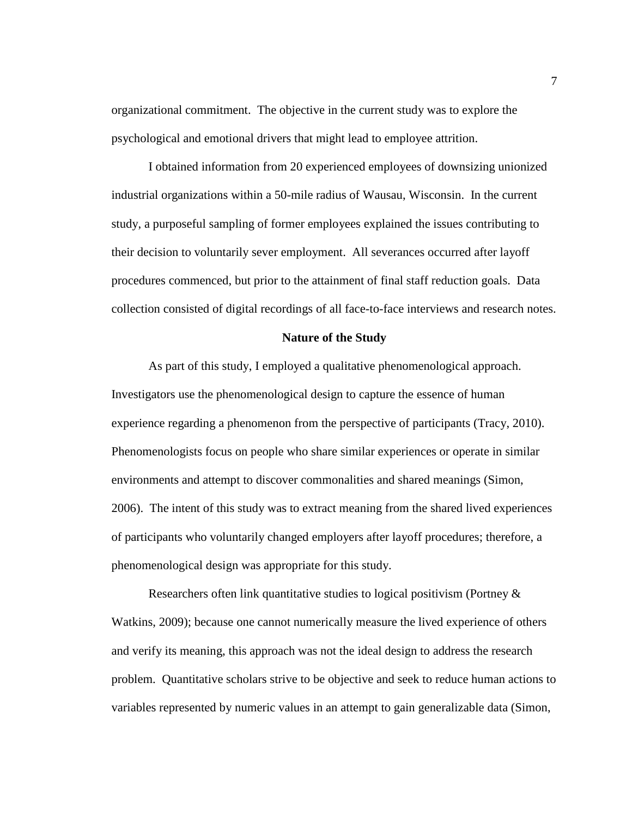organizational commitment. The objective in the current study was to explore the psychological and emotional drivers that might lead to employee attrition.

I obtained information from 20 experienced employees of downsizing unionized industrial organizations within a 50-mile radius of Wausau, Wisconsin. In the current study, a purposeful sampling of former employees explained the issues contributing to their decision to voluntarily sever employment. All severances occurred after layoff procedures commenced, but prior to the attainment of final staff reduction goals. Data collection consisted of digital recordings of all face-to-face interviews and research notes.

#### **Nature of the Study**

As part of this study, I employed a qualitative phenomenological approach. Investigators use the phenomenological design to capture the essence of human experience regarding a phenomenon from the perspective of participants (Tracy, 2010). Phenomenologists focus on people who share similar experiences or operate in similar environments and attempt to discover commonalities and shared meanings (Simon, 2006). The intent of this study was to extract meaning from the shared lived experiences of participants who voluntarily changed employers after layoff procedures; therefore, a phenomenological design was appropriate for this study.

Researchers often link quantitative studies to logical positivism (Portney & Watkins, 2009); because one cannot numerically measure the lived experience of others and verify its meaning, this approach was not the ideal design to address the research problem. Quantitative scholars strive to be objective and seek to reduce human actions to variables represented by numeric values in an attempt to gain generalizable data (Simon,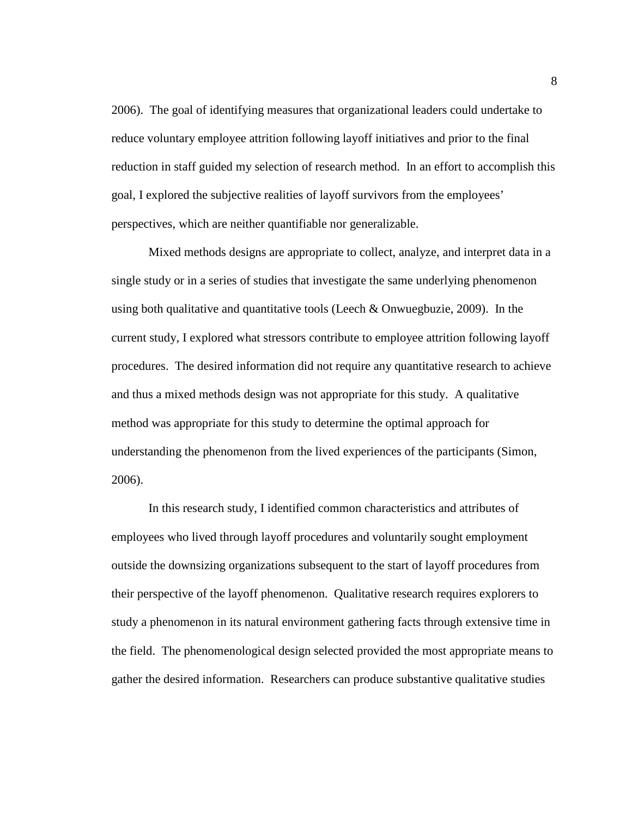2006). The goal of identifying measures that organizational leaders could undertake to reduce voluntary employee attrition following layoff initiatives and prior to the final reduction in staff guided my selection of research method. In an effort to accomplish this goal, I explored the subjective realities of layoff survivors from the employees' perspectives, which are neither quantifiable nor generalizable.

Mixed methods designs are appropriate to collect, analyze, and interpret data in a single study or in a series of studies that investigate the same underlying phenomenon using both qualitative and quantitative tools (Leech & Onwuegbuzie, 2009). In the current study, I explored what stressors contribute to employee attrition following layoff procedures. The desired information did not require any quantitative research to achieve and thus a mixed methods design was not appropriate for this study. A qualitative method was appropriate for this study to determine the optimal approach for understanding the phenomenon from the lived experiences of the participants (Simon, 2006).

In this research study, I identified common characteristics and attributes of employees who lived through layoff procedures and voluntarily sought employment outside the downsizing organizations subsequent to the start of layoff procedures from their perspective of the layoff phenomenon. Qualitative research requires explorers to study a phenomenon in its natural environment gathering facts through extensive time in the field. The phenomenological design selected provided the most appropriate means to gather the desired information. Researchers can produce substantive qualitative studies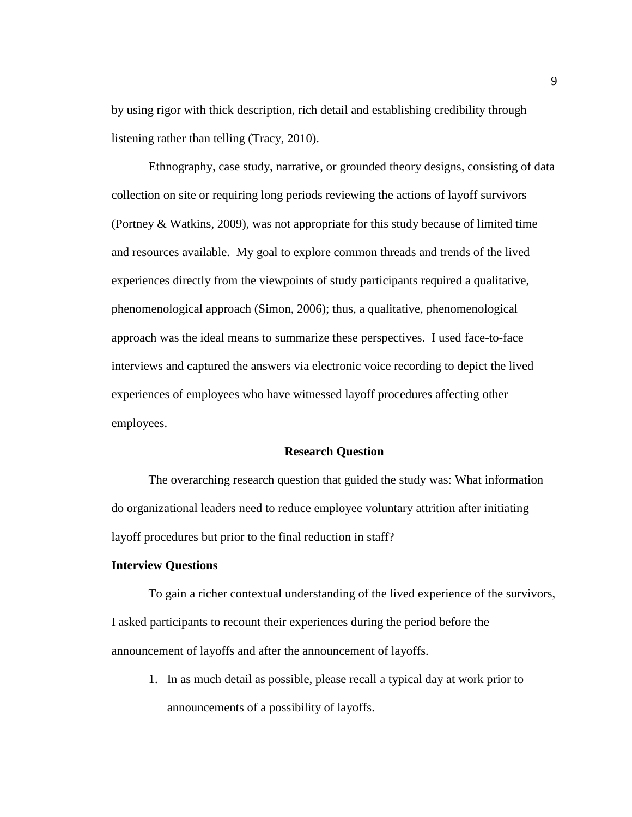by using rigor with thick description, rich detail and establishing credibility through listening rather than telling (Tracy, 2010).

Ethnography, case study, narrative, or grounded theory designs, consisting of data collection on site or requiring long periods reviewing the actions of layoff survivors (Portney & Watkins, 2009), was not appropriate for this study because of limited time and resources available. My goal to explore common threads and trends of the lived experiences directly from the viewpoints of study participants required a qualitative, phenomenological approach (Simon, 2006); thus, a qualitative, phenomenological approach was the ideal means to summarize these perspectives. I used face-to-face interviews and captured the answers via electronic voice recording to depict the lived experiences of employees who have witnessed layoff procedures affecting other employees.

#### **Research Question**

The overarching research question that guided the study was: What information do organizational leaders need to reduce employee voluntary attrition after initiating layoff procedures but prior to the final reduction in staff?

#### **Interview Questions**

To gain a richer contextual understanding of the lived experience of the survivors, I asked participants to recount their experiences during the period before the announcement of layoffs and after the announcement of layoffs.

1. In as much detail as possible, please recall a typical day at work prior to announcements of a possibility of layoffs.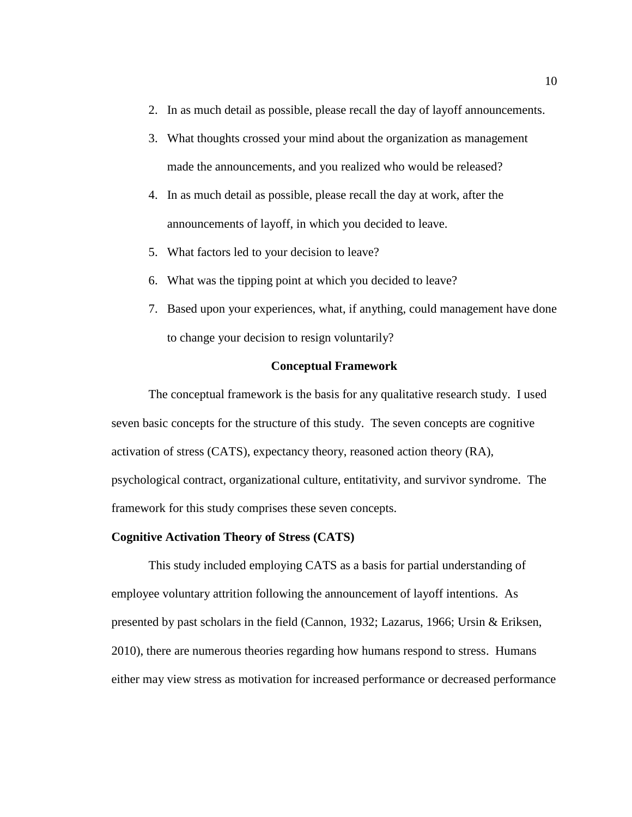- 2. In as much detail as possible, please recall the day of layoff announcements.
- 3. What thoughts crossed your mind about the organization as management made the announcements, and you realized who would be released?
- 4. In as much detail as possible, please recall the day at work, after the announcements of layoff, in which you decided to leave.
- 5. What factors led to your decision to leave?
- 6. What was the tipping point at which you decided to leave?
- 7. Based upon your experiences, what, if anything, could management have done to change your decision to resign voluntarily?

#### **Conceptual Framework**

The conceptual framework is the basis for any qualitative research study. I used seven basic concepts for the structure of this study. The seven concepts are cognitive activation of stress (CATS), expectancy theory, reasoned action theory (RA), psychological contract, organizational culture, entitativity, and survivor syndrome. The framework for this study comprises these seven concepts.

#### **Cognitive Activation Theory of Stress (CATS)**

This study included employing CATS as a basis for partial understanding of employee voluntary attrition following the announcement of layoff intentions. As presented by past scholars in the field (Cannon, 1932; Lazarus, 1966; Ursin & Eriksen, 2010), there are numerous theories regarding how humans respond to stress. Humans either may view stress as motivation for increased performance or decreased performance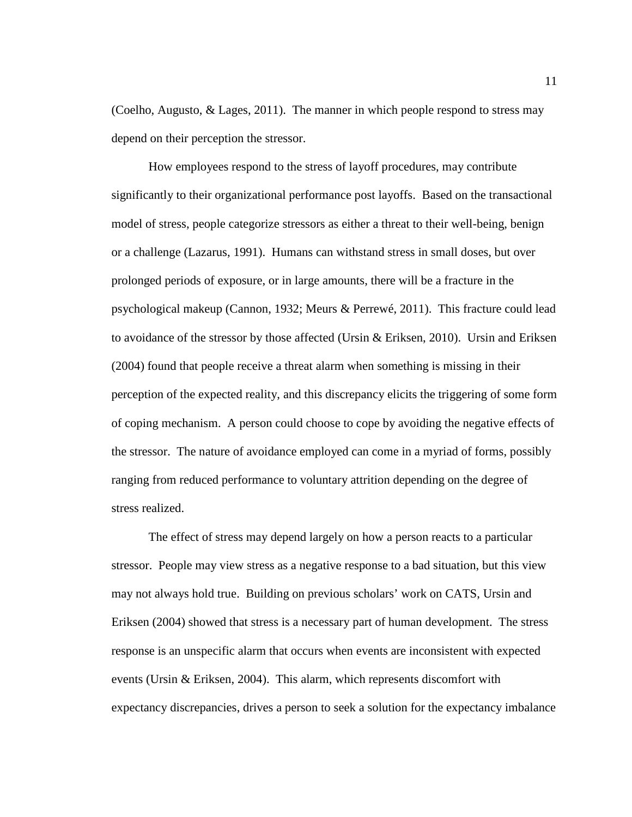(Coelho, Augusto, & Lages, 2011). The manner in which people respond to stress may depend on their perception the stressor.

How employees respond to the stress of layoff procedures, may contribute significantly to their organizational performance post layoffs. Based on the transactional model of stress, people categorize stressors as either a threat to their well-being, benign or a challenge (Lazarus, 1991). Humans can withstand stress in small doses, but over prolonged periods of exposure, or in large amounts, there will be a fracture in the psychological makeup (Cannon, 1932; Meurs & Perrewé, 2011). This fracture could lead to avoidance of the stressor by those affected (Ursin & Eriksen, 2010). Ursin and Eriksen (2004) found that people receive a threat alarm when something is missing in their perception of the expected reality, and this discrepancy elicits the triggering of some form of coping mechanism. A person could choose to cope by avoiding the negative effects of the stressor. The nature of avoidance employed can come in a myriad of forms, possibly ranging from reduced performance to voluntary attrition depending on the degree of stress realized.

The effect of stress may depend largely on how a person reacts to a particular stressor. People may view stress as a negative response to a bad situation, but this view may not always hold true. Building on previous scholars' work on CATS, Ursin and Eriksen (2004) showed that stress is a necessary part of human development. The stress response is an unspecific alarm that occurs when events are inconsistent with expected events (Ursin & Eriksen, 2004). This alarm, which represents discomfort with expectancy discrepancies, drives a person to seek a solution for the expectancy imbalance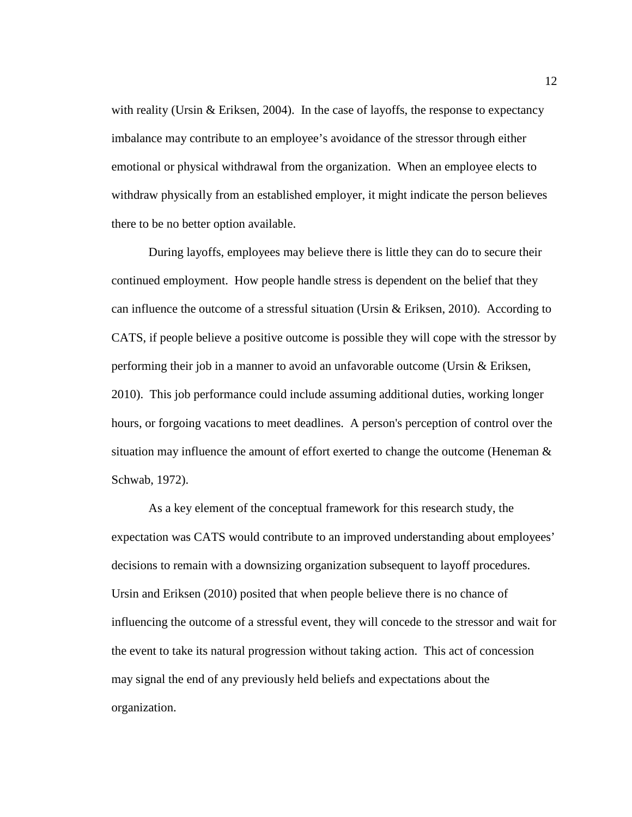with reality (Ursin & Eriksen, 2004). In the case of layoffs, the response to expectancy imbalance may contribute to an employee's avoidance of the stressor through either emotional or physical withdrawal from the organization. When an employee elects to withdraw physically from an established employer, it might indicate the person believes there to be no better option available.

During layoffs, employees may believe there is little they can do to secure their continued employment. How people handle stress is dependent on the belief that they can influence the outcome of a stressful situation (Ursin & Eriksen, 2010). According to CATS, if people believe a positive outcome is possible they will cope with the stressor by performing their job in a manner to avoid an unfavorable outcome (Ursin & Eriksen, 2010). This job performance could include assuming additional duties, working longer hours, or forgoing vacations to meet deadlines. A person's perception of control over the situation may influence the amount of effort exerted to change the outcome (Heneman  $\&$ Schwab, 1972).

As a key element of the conceptual framework for this research study, the expectation was CATS would contribute to an improved understanding about employees' decisions to remain with a downsizing organization subsequent to layoff procedures. Ursin and Eriksen (2010) posited that when people believe there is no chance of influencing the outcome of a stressful event, they will concede to the stressor and wait for the event to take its natural progression without taking action. This act of concession may signal the end of any previously held beliefs and expectations about the organization.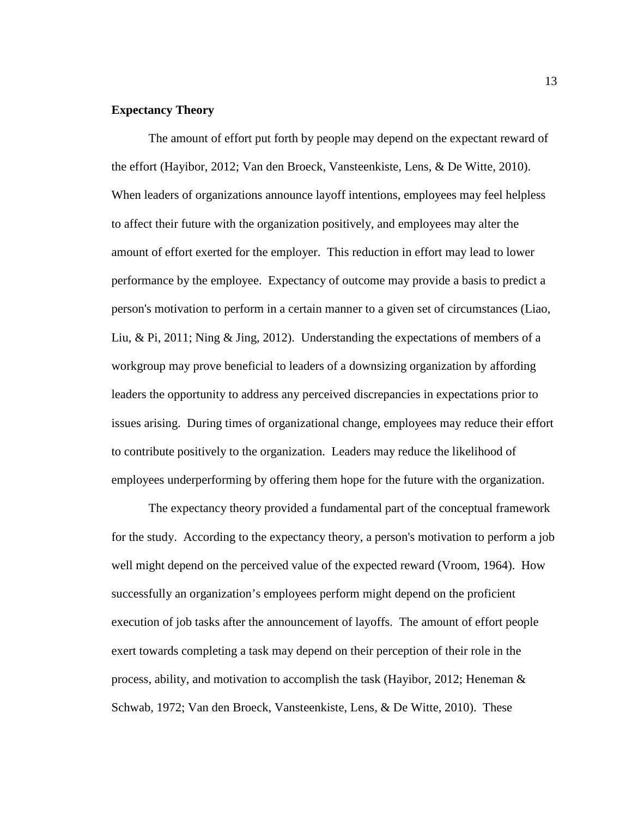#### **Expectancy Theory**

The amount of effort put forth by people may depend on the expectant reward of the effort (Hayibor, 2012; Van den Broeck, Vansteenkiste, Lens, & De Witte, 2010). When leaders of organizations announce layoff intentions, employees may feel helpless to affect their future with the organization positively, and employees may alter the amount of effort exerted for the employer. This reduction in effort may lead to lower performance by the employee. Expectancy of outcome may provide a basis to predict a person's motivation to perform in a certain manner to a given set of circumstances (Liao, Liu, & Pi, 2011; Ning & Jing, 2012). Understanding the expectations of members of a workgroup may prove beneficial to leaders of a downsizing organization by affording leaders the opportunity to address any perceived discrepancies in expectations prior to issues arising. During times of organizational change, employees may reduce their effort to contribute positively to the organization. Leaders may reduce the likelihood of employees underperforming by offering them hope for the future with the organization.

The expectancy theory provided a fundamental part of the conceptual framework for the study. According to the expectancy theory, a person's motivation to perform a job well might depend on the perceived value of the expected reward (Vroom, 1964). How successfully an organization's employees perform might depend on the proficient execution of job tasks after the announcement of layoffs. The amount of effort people exert towards completing a task may depend on their perception of their role in the process, ability, and motivation to accomplish the task (Hayibor, 2012; Heneman  $\&$ Schwab, 1972; Van den Broeck, Vansteenkiste, Lens, & De Witte, 2010). These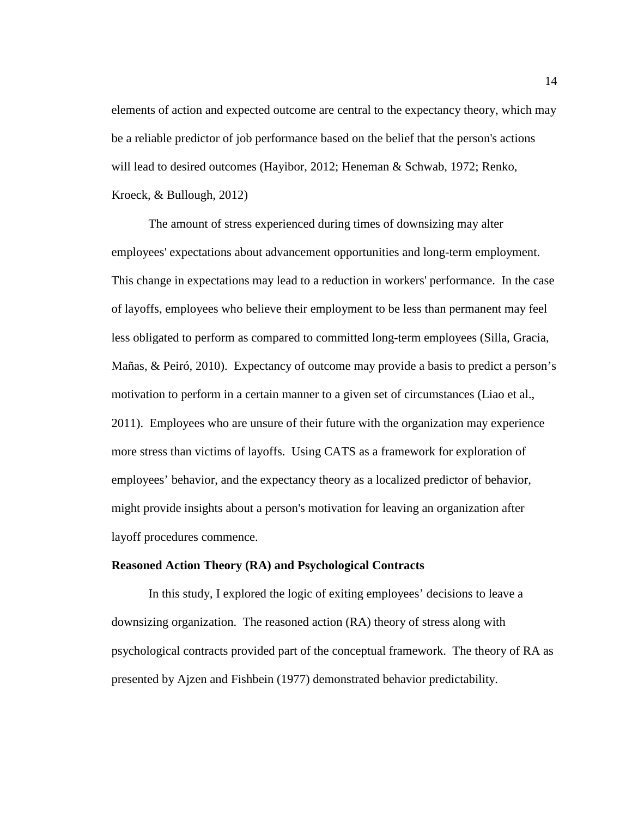elements of action and expected outcome are central to the expectancy theory, which may be a reliable predictor of job performance based on the belief that the person's actions will lead to desired outcomes (Hayibor, 2012; Heneman & Schwab, 1972; Renko, Kroeck, & Bullough, 2012)

The amount of stress experienced during times of downsizing may alter employees' expectations about advancement opportunities and long-term employment. This change in expectations may lead to a reduction in workers' performance. In the case of layoffs, employees who believe their employment to be less than permanent may feel less obligated to perform as compared to committed long-term employees (Silla, Gracia, Mañas, & Peiró, 2010). Expectancy of outcome may provide a basis to predict a person's motivation to perform in a certain manner to a given set of circumstances (Liao et al., 2011). Employees who are unsure of their future with the organization may experience more stress than victims of layoffs. Using CATS as a framework for exploration of employees' behavior, and the expectancy theory as a localized predictor of behavior, might provide insights about a person's motivation for leaving an organization after layoff procedures commence.

#### **Reasoned Action Theory (RA) and Psychological Contracts**

In this study, I explored the logic of exiting employees' decisions to leave a downsizing organization. The reasoned action (RA) theory of stress along with psychological contracts provided part of the conceptual framework. The theory of RA as presented by Ajzen and Fishbein (1977) demonstrated behavior predictability.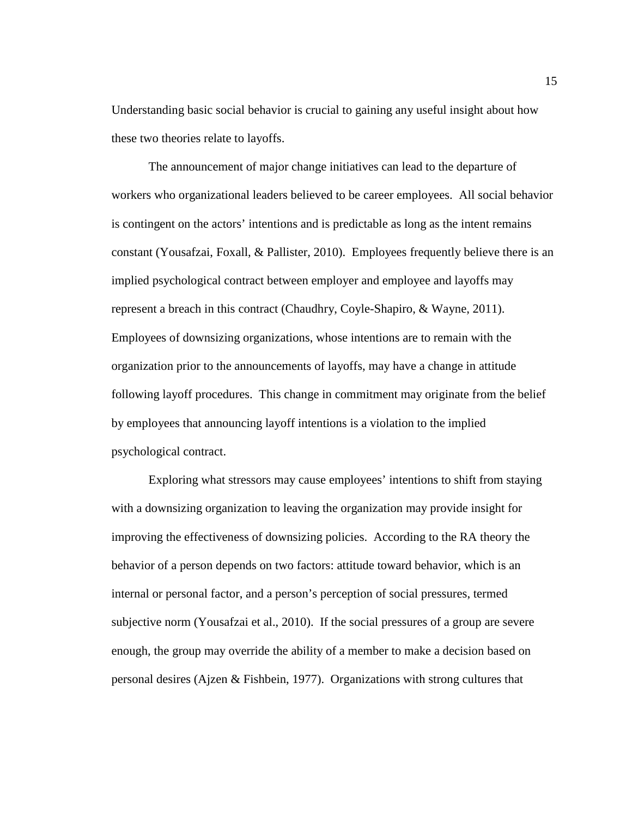Understanding basic social behavior is crucial to gaining any useful insight about how these two theories relate to layoffs.

The announcement of major change initiatives can lead to the departure of workers who organizational leaders believed to be career employees. All social behavior is contingent on the actors' intentions and is predictable as long as the intent remains constant (Yousafzai, Foxall, & Pallister, 2010). Employees frequently believe there is an implied psychological contract between employer and employee and layoffs may represent a breach in this contract (Chaudhry, Coyle-Shapiro, & Wayne, 2011). Employees of downsizing organizations, whose intentions are to remain with the organization prior to the announcements of layoffs, may have a change in attitude following layoff procedures. This change in commitment may originate from the belief by employees that announcing layoff intentions is a violation to the implied psychological contract.

Exploring what stressors may cause employees' intentions to shift from staying with a downsizing organization to leaving the organization may provide insight for improving the effectiveness of downsizing policies. According to the RA theory the behavior of a person depends on two factors: attitude toward behavior, which is an internal or personal factor, and a person's perception of social pressures, termed subjective norm (Yousafzai et al., 2010). If the social pressures of a group are severe enough, the group may override the ability of a member to make a decision based on personal desires (Ajzen & Fishbein, 1977). Organizations with strong cultures that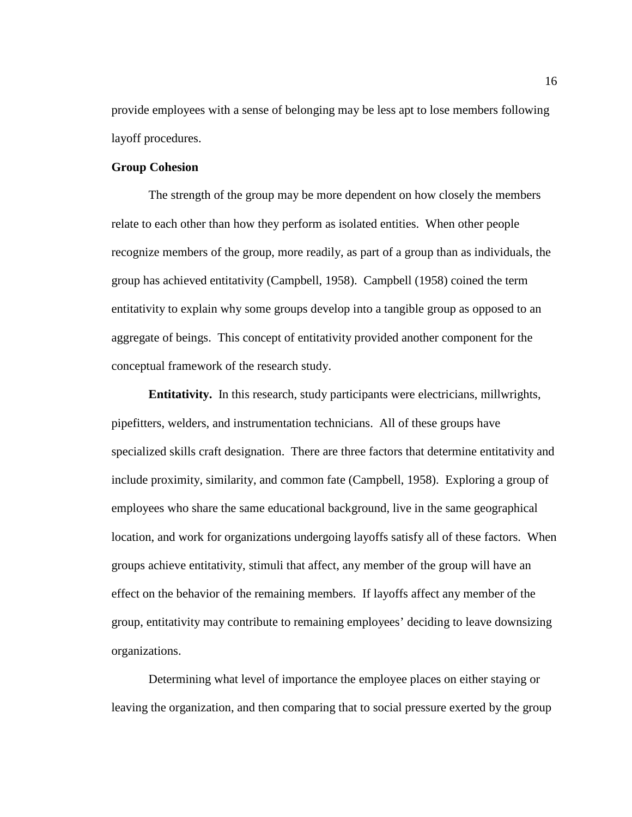provide employees with a sense of belonging may be less apt to lose members following layoff procedures.

#### **Group Cohesion**

The strength of the group may be more dependent on how closely the members relate to each other than how they perform as isolated entities. When other people recognize members of the group, more readily, as part of a group than as individuals, the group has achieved entitativity (Campbell, 1958). Campbell (1958) coined the term entitativity to explain why some groups develop into a tangible group as opposed to an aggregate of beings. This concept of entitativity provided another component for the conceptual framework of the research study.

**Entitativity.** In this research, study participants were electricians, millwrights, pipefitters, welders, and instrumentation technicians. All of these groups have specialized skills craft designation. There are three factors that determine entitativity and include proximity, similarity, and common fate (Campbell, 1958). Exploring a group of employees who share the same educational background, live in the same geographical location, and work for organizations undergoing layoffs satisfy all of these factors. When groups achieve entitativity, stimuli that affect, any member of the group will have an effect on the behavior of the remaining members. If layoffs affect any member of the group, entitativity may contribute to remaining employees' deciding to leave downsizing organizations.

Determining what level of importance the employee places on either staying or leaving the organization, and then comparing that to social pressure exerted by the group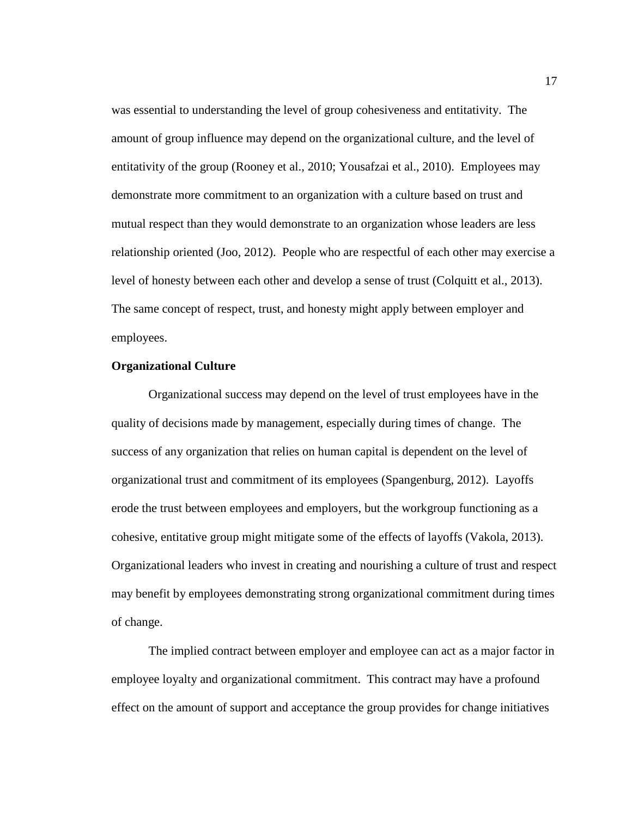was essential to understanding the level of group cohesiveness and entitativity. The amount of group influence may depend on the organizational culture, and the level of entitativity of the group (Rooney et al., 2010; Yousafzai et al., 2010). Employees may demonstrate more commitment to an organization with a culture based on trust and mutual respect than they would demonstrate to an organization whose leaders are less relationship oriented (Joo, 2012). People who are respectful of each other may exercise a level of honesty between each other and develop a sense of trust (Colquitt et al., 2013). The same concept of respect, trust, and honesty might apply between employer and employees.

#### **Organizational Culture**

Organizational success may depend on the level of trust employees have in the quality of decisions made by management, especially during times of change. The success of any organization that relies on human capital is dependent on the level of organizational trust and commitment of its employees (Spangenburg, 2012). Layoffs erode the trust between employees and employers, but the workgroup functioning as a cohesive, entitative group might mitigate some of the effects of layoffs (Vakola, 2013). Organizational leaders who invest in creating and nourishing a culture of trust and respect may benefit by employees demonstrating strong organizational commitment during times of change.

The implied contract between employer and employee can act as a major factor in employee loyalty and organizational commitment. This contract may have a profound effect on the amount of support and acceptance the group provides for change initiatives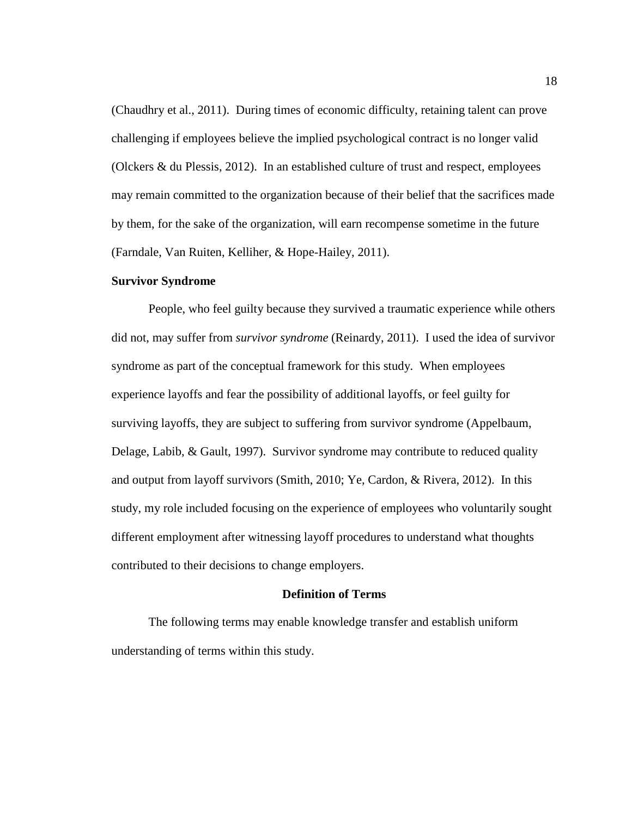(Chaudhry et al., 2011). During times of economic difficulty, retaining talent can prove challenging if employees believe the implied psychological contract is no longer valid (Olckers & du Plessis, 2012). In an established culture of trust and respect, employees may remain committed to the organization because of their belief that the sacrifices made by them, for the sake of the organization, will earn recompense sometime in the future (Farndale, Van Ruiten, Kelliher, & Hope-Hailey, 2011).

#### **Survivor Syndrome**

People, who feel guilty because they survived a traumatic experience while others did not, may suffer from *survivor syndrome* (Reinardy, 2011). I used the idea of survivor syndrome as part of the conceptual framework for this study. When employees experience layoffs and fear the possibility of additional layoffs, or feel guilty for surviving layoffs, they are subject to suffering from survivor syndrome (Appelbaum, Delage, Labib, & Gault, 1997). Survivor syndrome may contribute to reduced quality and output from layoff survivors (Smith, 2010; Ye, Cardon, & Rivera, 2012). In this study, my role included focusing on the experience of employees who voluntarily sought different employment after witnessing layoff procedures to understand what thoughts contributed to their decisions to change employers.

#### **Definition of Terms**

The following terms may enable knowledge transfer and establish uniform understanding of terms within this study.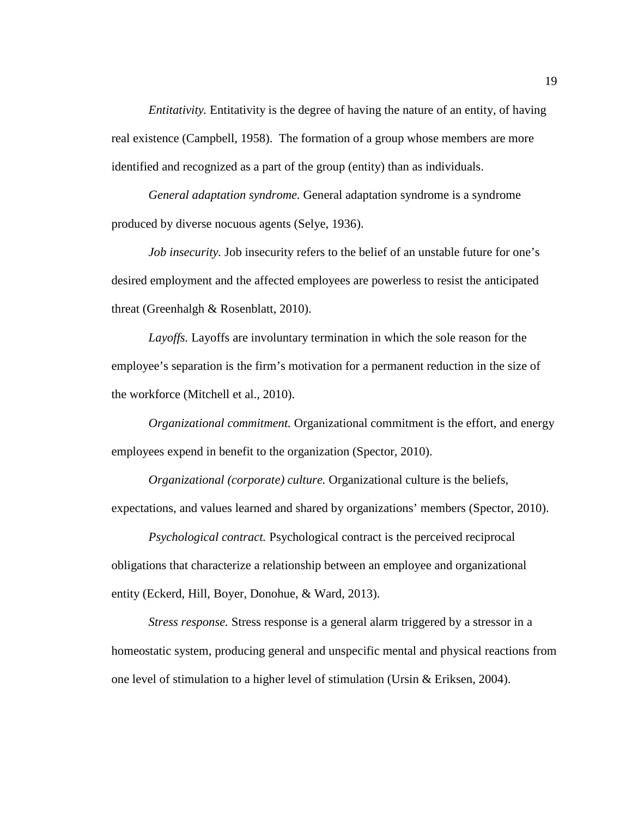*Entitativity.* Entitativity is the degree of having the nature of an entity, of having real existence (Campbell, 1958). The formation of a group whose members are more identified and recognized as a part of the group (entity) than as individuals.

*General adaptation syndrome.* General adaptation syndrome is a syndrome produced by diverse nocuous agents (Selye, 1936).

*Job insecurity.* Job insecurity refers to the belief of an unstable future for one's desired employment and the affected employees are powerless to resist the anticipated threat (Greenhalgh & Rosenblatt, 2010).

*Layoffs.* Layoffs are involuntary termination in which the sole reason for the employee's separation is the firm's motivation for a permanent reduction in the size of the workforce (Mitchell et al., 2010).

*Organizational commitment.* Organizational commitment is the effort, and energy employees expend in benefit to the organization (Spector, 2010).

*Organizational (corporate) culture.* Organizational culture is the beliefs, expectations, and values learned and shared by organizations' members (Spector, 2010).

*Psychological contract.* Psychological contract is the perceived reciprocal obligations that characterize a relationship between an employee and organizational entity (Eckerd, Hill, Boyer, Donohue, & Ward, 2013).

*Stress response.* Stress response is a general alarm triggered by a stressor in a homeostatic system, producing general and unspecific mental and physical reactions from one level of stimulation to a higher level of stimulation (Ursin  $&$  Eriksen, 2004).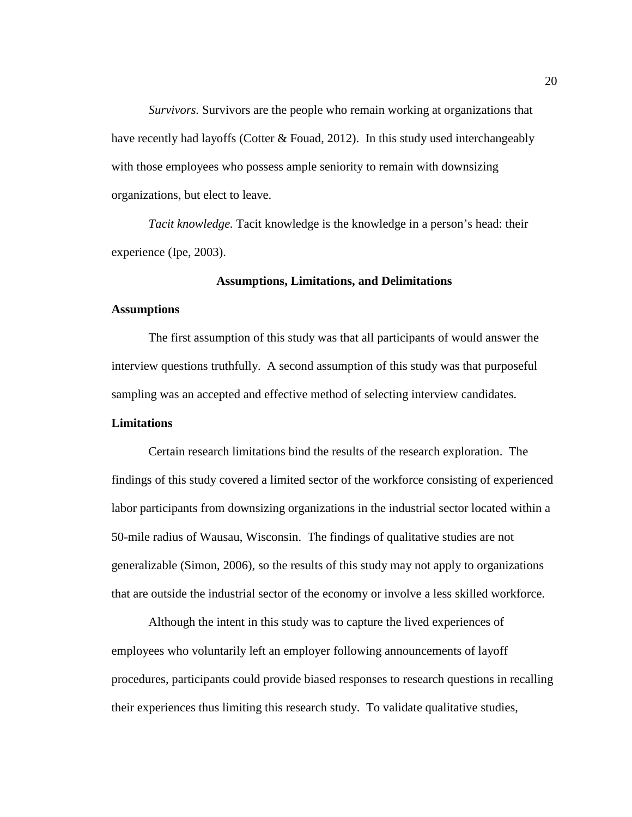*Survivors.* Survivors are the people who remain working at organizations that have recently had layoffs (Cotter & Fouad, 2012). In this study used interchangeably with those employees who possess ample seniority to remain with downsizing organizations, but elect to leave.

*Tacit knowledge.* Tacit knowledge is the knowledge in a person's head: their experience (Ipe, 2003).

#### **Assumptions, Limitations, and Delimitations**

#### **Assumptions**

The first assumption of this study was that all participants of would answer the interview questions truthfully. A second assumption of this study was that purposeful sampling was an accepted and effective method of selecting interview candidates.

#### **Limitations**

Certain research limitations bind the results of the research exploration. The findings of this study covered a limited sector of the workforce consisting of experienced labor participants from downsizing organizations in the industrial sector located within a 50-mile radius of Wausau, Wisconsin. The findings of qualitative studies are not generalizable (Simon, 2006), so the results of this study may not apply to organizations that are outside the industrial sector of the economy or involve a less skilled workforce.

Although the intent in this study was to capture the lived experiences of employees who voluntarily left an employer following announcements of layoff procedures, participants could provide biased responses to research questions in recalling their experiences thus limiting this research study. To validate qualitative studies,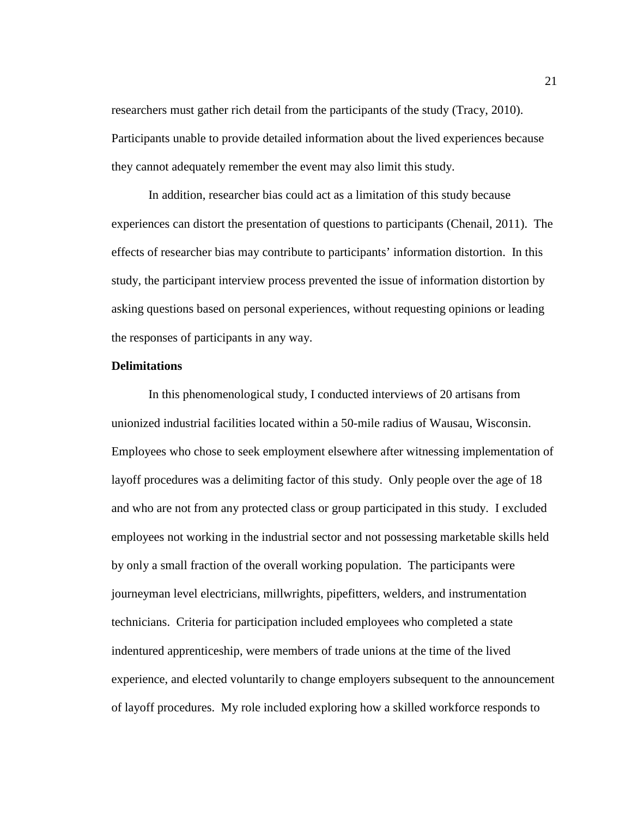researchers must gather rich detail from the participants of the study (Tracy, 2010). Participants unable to provide detailed information about the lived experiences because they cannot adequately remember the event may also limit this study.

In addition, researcher bias could act as a limitation of this study because experiences can distort the presentation of questions to participants (Chenail, 2011). The effects of researcher bias may contribute to participants' information distortion. In this study, the participant interview process prevented the issue of information distortion by asking questions based on personal experiences, without requesting opinions or leading the responses of participants in any way.

#### **Delimitations**

In this phenomenological study, I conducted interviews of 20 artisans from unionized industrial facilities located within a 50-mile radius of Wausau, Wisconsin. Employees who chose to seek employment elsewhere after witnessing implementation of layoff procedures was a delimiting factor of this study. Only people over the age of 18 and who are not from any protected class or group participated in this study. I excluded employees not working in the industrial sector and not possessing marketable skills held by only a small fraction of the overall working population. The participants were journeyman level electricians, millwrights, pipefitters, welders, and instrumentation technicians. Criteria for participation included employees who completed a state indentured apprenticeship, were members of trade unions at the time of the lived experience, and elected voluntarily to change employers subsequent to the announcement of layoff procedures. My role included exploring how a skilled workforce responds to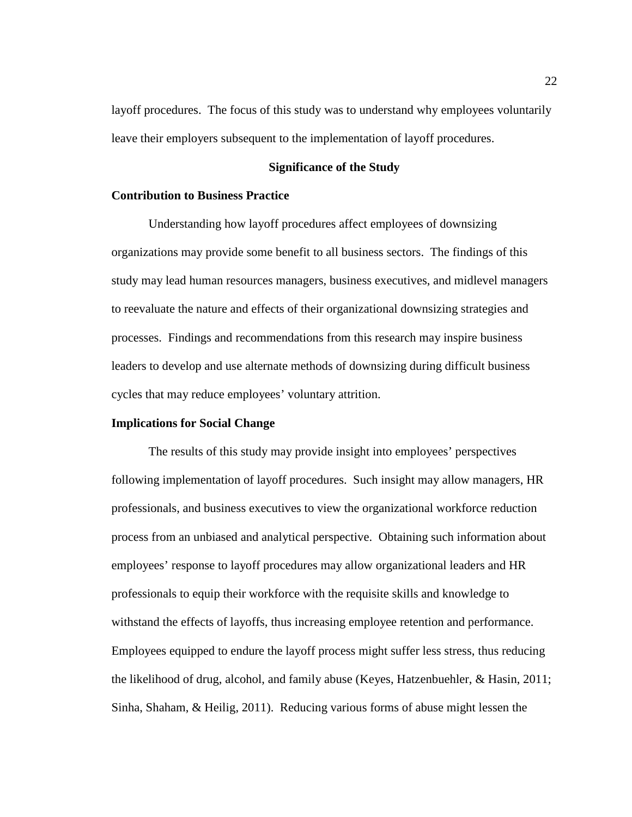layoff procedures. The focus of this study was to understand why employees voluntarily leave their employers subsequent to the implementation of layoff procedures.

#### **Significance of the Study**

#### **Contribution to Business Practice**

Understanding how layoff procedures affect employees of downsizing organizations may provide some benefit to all business sectors. The findings of this study may lead human resources managers, business executives, and midlevel managers to reevaluate the nature and effects of their organizational downsizing strategies and processes. Findings and recommendations from this research may inspire business leaders to develop and use alternate methods of downsizing during difficult business cycles that may reduce employees' voluntary attrition.

#### **Implications for Social Change**

The results of this study may provide insight into employees' perspectives following implementation of layoff procedures. Such insight may allow managers, HR professionals, and business executives to view the organizational workforce reduction process from an unbiased and analytical perspective. Obtaining such information about employees' response to layoff procedures may allow organizational leaders and HR professionals to equip their workforce with the requisite skills and knowledge to withstand the effects of layoffs, thus increasing employee retention and performance. Employees equipped to endure the layoff process might suffer less stress, thus reducing the likelihood of drug, alcohol, and family abuse (Keyes, Hatzenbuehler, & Hasin, 2011; Sinha, Shaham, & Heilig, 2011). Reducing various forms of abuse might lessen the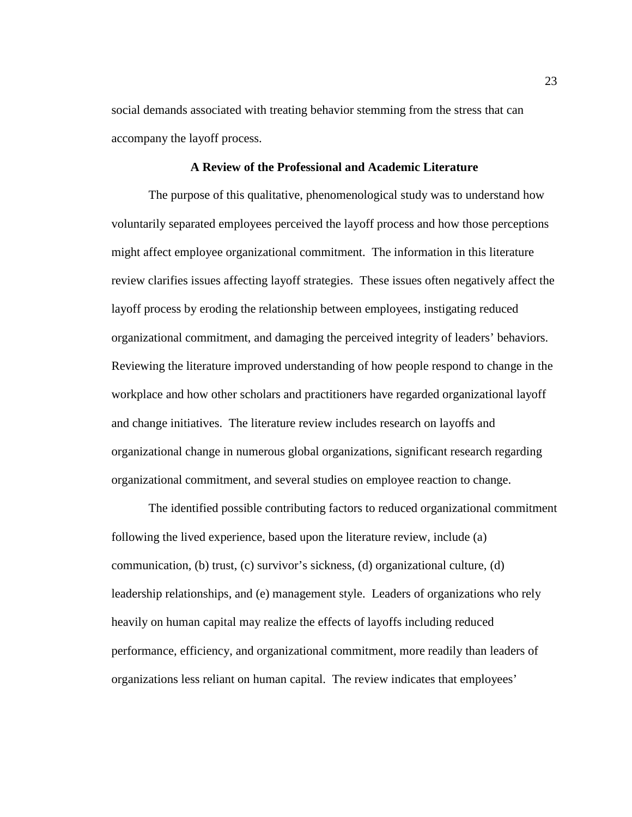social demands associated with treating behavior stemming from the stress that can accompany the layoff process.

#### **A Review of the Professional and Academic Literature**

The purpose of this qualitative, phenomenological study was to understand how voluntarily separated employees perceived the layoff process and how those perceptions might affect employee organizational commitment. The information in this literature review clarifies issues affecting layoff strategies. These issues often negatively affect the layoff process by eroding the relationship between employees, instigating reduced organizational commitment, and damaging the perceived integrity of leaders' behaviors. Reviewing the literature improved understanding of how people respond to change in the workplace and how other scholars and practitioners have regarded organizational layoff and change initiatives. The literature review includes research on layoffs and organizational change in numerous global organizations, significant research regarding organizational commitment, and several studies on employee reaction to change.

The identified possible contributing factors to reduced organizational commitment following the lived experience, based upon the literature review, include (a) communication, (b) trust, (c) survivor's sickness, (d) organizational culture, (d) leadership relationships, and (e) management style. Leaders of organizations who rely heavily on human capital may realize the effects of layoffs including reduced performance, efficiency, and organizational commitment, more readily than leaders of organizations less reliant on human capital. The review indicates that employees'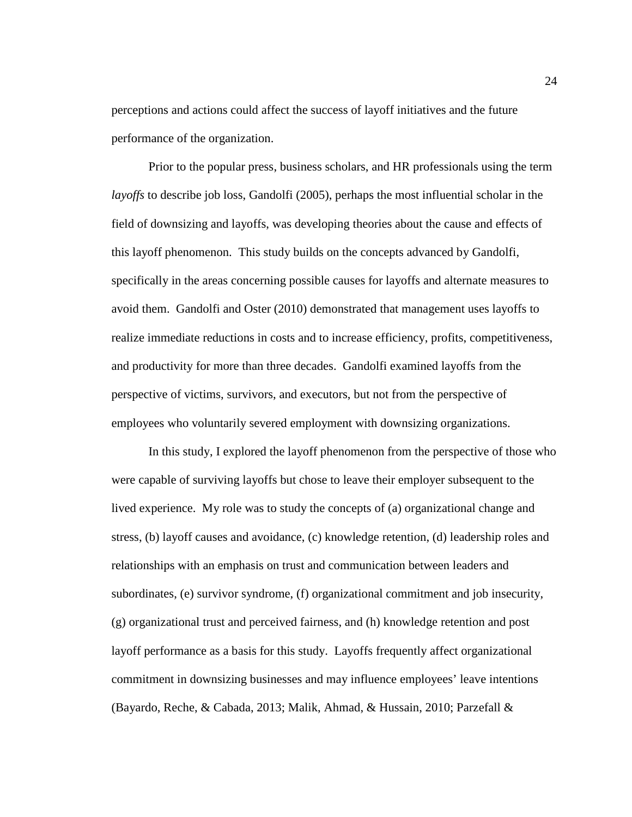perceptions and actions could affect the success of layoff initiatives and the future performance of the organization.

Prior to the popular press, business scholars, and HR professionals using the term *layoffs* to describe job loss, Gandolfi (2005), perhaps the most influential scholar in the field of downsizing and layoffs, was developing theories about the cause and effects of this layoff phenomenon. This study builds on the concepts advanced by Gandolfi, specifically in the areas concerning possible causes for layoffs and alternate measures to avoid them. Gandolfi and Oster (2010) demonstrated that management uses layoffs to realize immediate reductions in costs and to increase efficiency, profits, competitiveness, and productivity for more than three decades. Gandolfi examined layoffs from the perspective of victims, survivors, and executors, but not from the perspective of employees who voluntarily severed employment with downsizing organizations.

In this study, I explored the layoff phenomenon from the perspective of those who were capable of surviving layoffs but chose to leave their employer subsequent to the lived experience. My role was to study the concepts of (a) organizational change and stress, (b) layoff causes and avoidance, (c) knowledge retention, (d) leadership roles and relationships with an emphasis on trust and communication between leaders and subordinates, (e) survivor syndrome, (f) organizational commitment and job insecurity, (g) organizational trust and perceived fairness, and (h) knowledge retention and post layoff performance as a basis for this study. Layoffs frequently affect organizational commitment in downsizing businesses and may influence employees' leave intentions (Bayardo, Reche, & Cabada, 2013; Malik, Ahmad, & Hussain, 2010; Parzefall &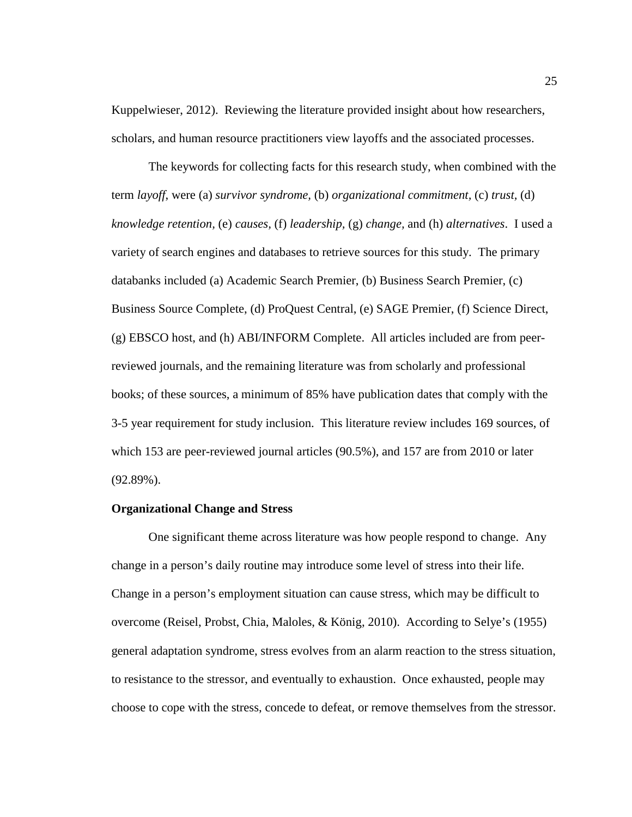Kuppelwieser, 2012). Reviewing the literature provided insight about how researchers, scholars, and human resource practitioners view layoffs and the associated processes.

The keywords for collecting facts for this research study, when combined with the term *layoff*, were (a) *survivor syndrome,* (b) *organizational commitment,* (c) *trust,* (d) *knowledge retention,* (e) *causes,* (f) *leadership,* (g) *change,* and (h) *alternatives*. I used a variety of search engines and databases to retrieve sources for this study. The primary databanks included (a) Academic Search Premier, (b) Business Search Premier, (c) Business Source Complete, (d) ProQuest Central, (e) SAGE Premier, (f) Science Direct, (g) EBSCO host, and (h) ABI/INFORM Complete. All articles included are from peerreviewed journals, and the remaining literature was from scholarly and professional books; of these sources, a minimum of 85% have publication dates that comply with the 3-5 year requirement for study inclusion. This literature review includes 169 sources, of which 153 are peer-reviewed journal articles (90.5%), and 157 are from 2010 or later (92.89%).

#### **Organizational Change and Stress**

One significant theme across literature was how people respond to change. Any change in a person's daily routine may introduce some level of stress into their life. Change in a person's employment situation can cause stress, which may be difficult to overcome (Reisel, Probst, Chia, Maloles, & König, 2010). According to Selye's (1955) general adaptation syndrome, stress evolves from an alarm reaction to the stress situation, to resistance to the stressor, and eventually to exhaustion. Once exhausted, people may choose to cope with the stress, concede to defeat, or remove themselves from the stressor.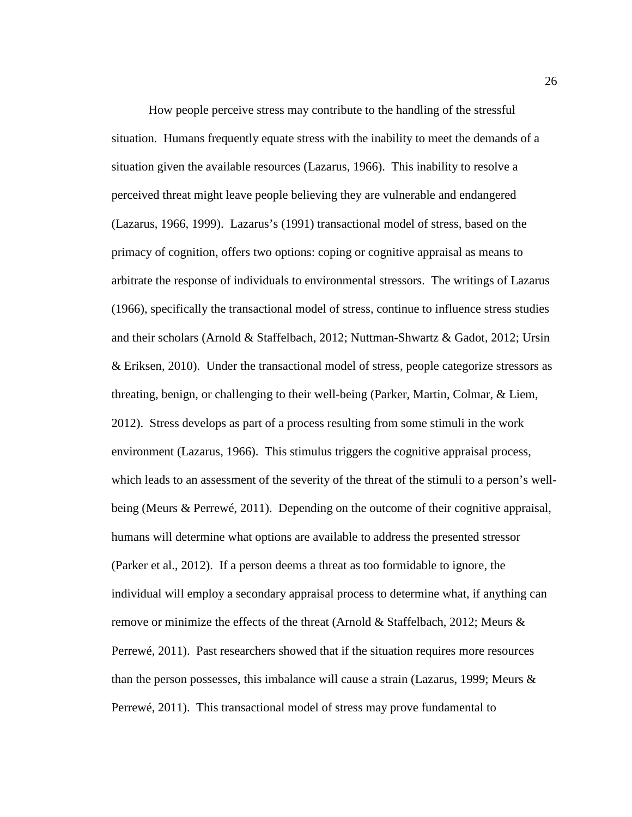How people perceive stress may contribute to the handling of the stressful situation. Humans frequently equate stress with the inability to meet the demands of a situation given the available resources (Lazarus, 1966). This inability to resolve a perceived threat might leave people believing they are vulnerable and endangered (Lazarus, 1966, 1999). Lazarus's (1991) transactional model of stress, based on the primacy of cognition, offers two options: coping or cognitive appraisal as means to arbitrate the response of individuals to environmental stressors. The writings of Lazarus (1966), specifically the transactional model of stress, continue to influence stress studies and their scholars (Arnold & Staffelbach, 2012; Nuttman-Shwartz & Gadot, 2012; Ursin & Eriksen, 2010). Under the transactional model of stress, people categorize stressors as threating, benign, or challenging to their well-being (Parker, Martin, Colmar, & Liem, 2012). Stress develops as part of a process resulting from some stimuli in the work environment (Lazarus, 1966). This stimulus triggers the cognitive appraisal process, which leads to an assessment of the severity of the threat of the stimuli to a person's wellbeing (Meurs & Perrewé, 2011). Depending on the outcome of their cognitive appraisal, humans will determine what options are available to address the presented stressor (Parker et al., 2012). If a person deems a threat as too formidable to ignore, the individual will employ a secondary appraisal process to determine what, if anything can remove or minimize the effects of the threat (Arnold & Staffelbach, 2012; Meurs & Perrewé, 2011). Past researchers showed that if the situation requires more resources than the person possesses, this imbalance will cause a strain (Lazarus, 1999; Meurs  $\&$ Perrewé, 2011). This transactional model of stress may prove fundamental to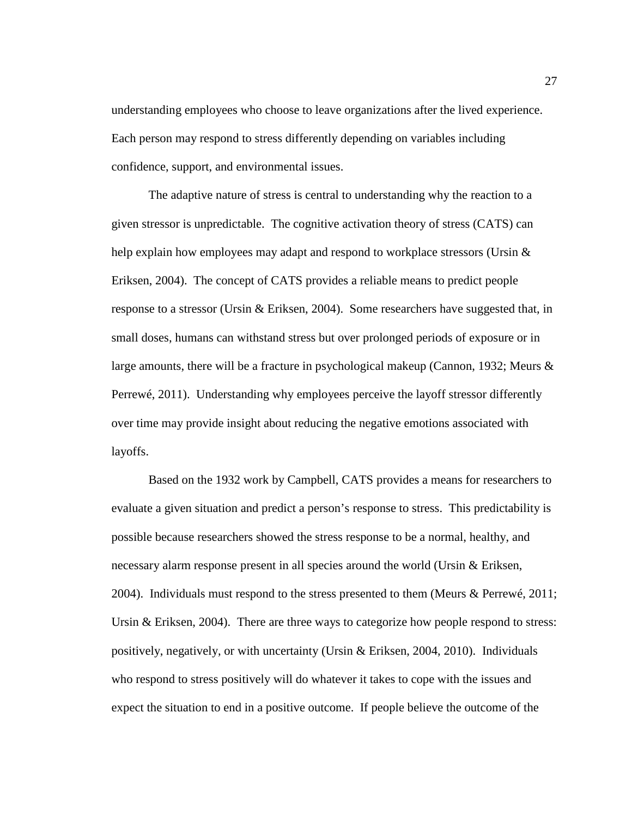understanding employees who choose to leave organizations after the lived experience. Each person may respond to stress differently depending on variables including confidence, support, and environmental issues.

The adaptive nature of stress is central to understanding why the reaction to a given stressor is unpredictable. The cognitive activation theory of stress (CATS) can help explain how employees may adapt and respond to workplace stressors (Ursin  $\&$ Eriksen, 2004). The concept of CATS provides a reliable means to predict people response to a stressor (Ursin & Eriksen, 2004). Some researchers have suggested that, in small doses, humans can withstand stress but over prolonged periods of exposure or in large amounts, there will be a fracture in psychological makeup (Cannon, 1932; Meurs & Perrewé, 2011). Understanding why employees perceive the layoff stressor differently over time may provide insight about reducing the negative emotions associated with layoffs.

Based on the 1932 work by Campbell, CATS provides a means for researchers to evaluate a given situation and predict a person's response to stress. This predictability is possible because researchers showed the stress response to be a normal, healthy, and necessary alarm response present in all species around the world (Ursin & Eriksen, 2004). Individuals must respond to the stress presented to them (Meurs & Perrewé, 2011; Ursin & Eriksen, 2004). There are three ways to categorize how people respond to stress: positively, negatively, or with uncertainty (Ursin & Eriksen, 2004, 2010). Individuals who respond to stress positively will do whatever it takes to cope with the issues and expect the situation to end in a positive outcome. If people believe the outcome of the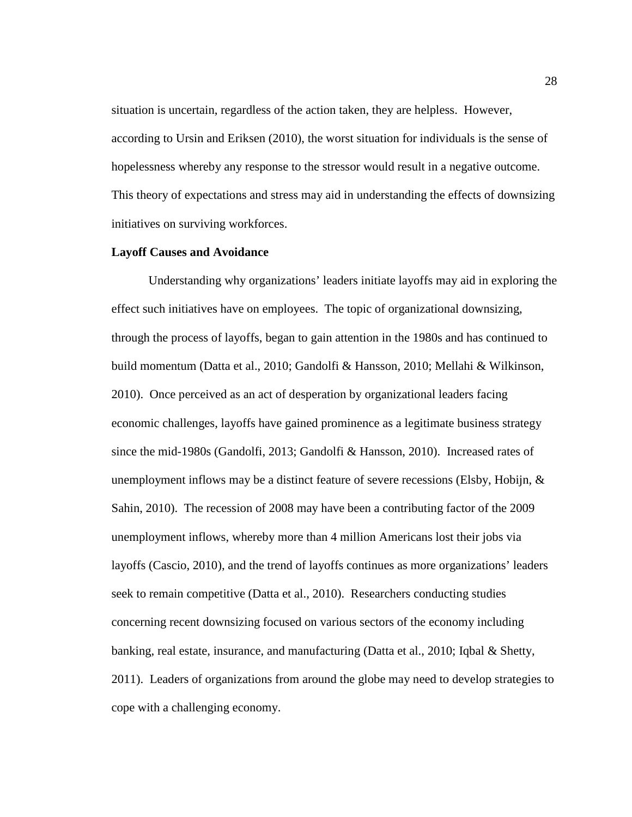situation is uncertain, regardless of the action taken, they are helpless. However, according to Ursin and Eriksen (2010), the worst situation for individuals is the sense of hopelessness whereby any response to the stressor would result in a negative outcome. This theory of expectations and stress may aid in understanding the effects of downsizing initiatives on surviving workforces.

# **Layoff Causes and Avoidance**

Understanding why organizations' leaders initiate layoffs may aid in exploring the effect such initiatives have on employees. The topic of organizational downsizing, through the process of layoffs, began to gain attention in the 1980s and has continued to build momentum (Datta et al., 2010; Gandolfi & Hansson, 2010; Mellahi & Wilkinson, 2010). Once perceived as an act of desperation by organizational leaders facing economic challenges, layoffs have gained prominence as a legitimate business strategy since the mid-1980s (Gandolfi, 2013; Gandolfi & Hansson, 2010). Increased rates of unemployment inflows may be a distinct feature of severe recessions (Elsby, Hobijn,  $\&$ Sahin, 2010). The recession of 2008 may have been a contributing factor of the 2009 unemployment inflows, whereby more than 4 million Americans lost their jobs via layoffs (Cascio, 2010), and the trend of layoffs continues as more organizations' leaders seek to remain competitive (Datta et al., 2010). Researchers conducting studies concerning recent downsizing focused on various sectors of the economy including banking, real estate, insurance, and manufacturing (Datta et al., 2010; Iqbal & Shetty, 2011). Leaders of organizations from around the globe may need to develop strategies to cope with a challenging economy.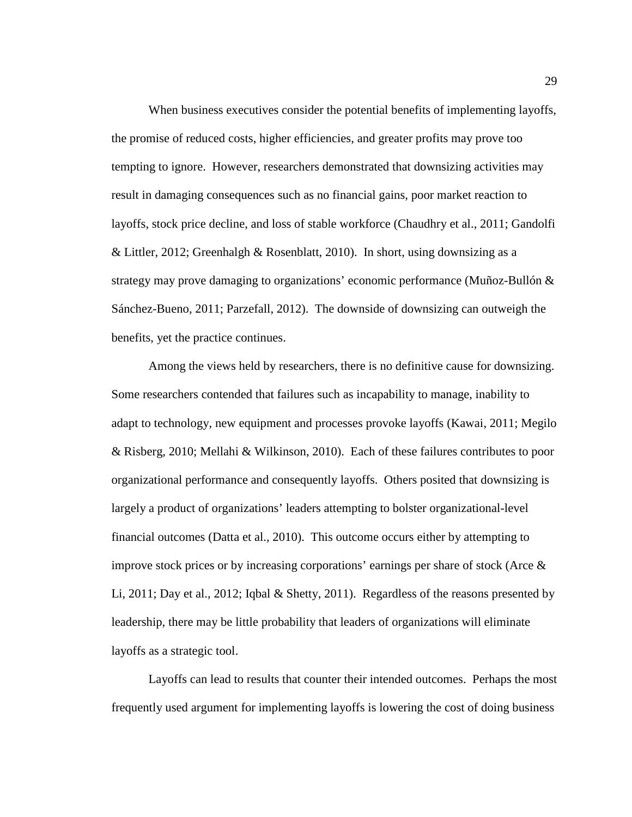When business executives consider the potential benefits of implementing layoffs, the promise of reduced costs, higher efficiencies, and greater profits may prove too tempting to ignore. However, researchers demonstrated that downsizing activities may result in damaging consequences such as no financial gains, poor market reaction to layoffs, stock price decline, and loss of stable workforce (Chaudhry et al., 2011; Gandolfi & Littler, 2012; Greenhalgh & Rosenblatt, 2010). In short, using downsizing as a strategy may prove damaging to organizations' economic performance (Muñoz-Bullón  $\&$ Sánchez-Bueno, 2011; Parzefall, 2012). The downside of downsizing can outweigh the benefits, yet the practice continues.

Among the views held by researchers, there is no definitive cause for downsizing. Some researchers contended that failures such as incapability to manage, inability to adapt to technology, new equipment and processes provoke layoffs (Kawai, 2011; Megilo & Risberg, 2010; Mellahi & Wilkinson, 2010). Each of these failures contributes to poor organizational performance and consequently layoffs. Others posited that downsizing is largely a product of organizations' leaders attempting to bolster organizational-level financial outcomes (Datta et al., 2010). This outcome occurs either by attempting to improve stock prices or by increasing corporations' earnings per share of stock (Arce  $\&$ Li, 2011; Day et al., 2012; Iqbal & Shetty, 2011). Regardless of the reasons presented by leadership, there may be little probability that leaders of organizations will eliminate layoffs as a strategic tool.

Layoffs can lead to results that counter their intended outcomes. Perhaps the most frequently used argument for implementing layoffs is lowering the cost of doing business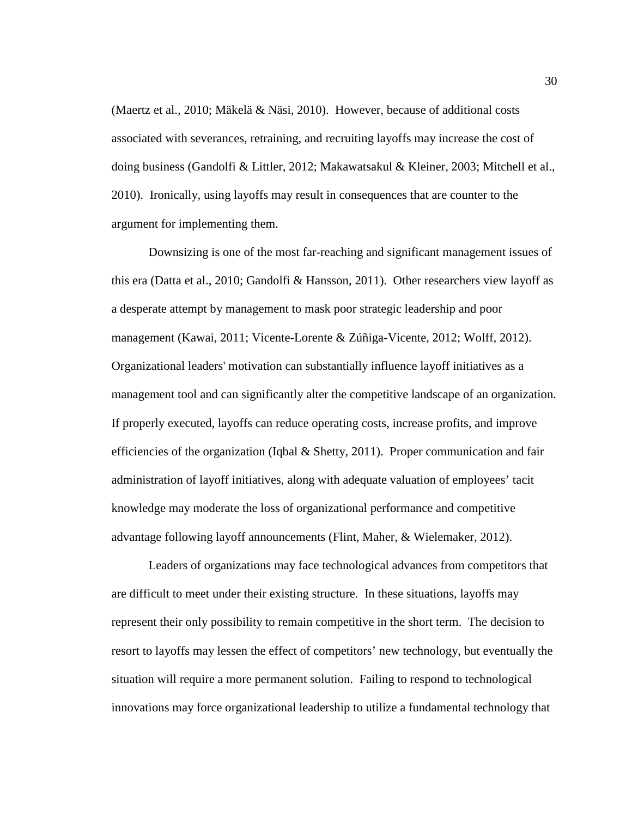(Maertz et al., 2010; Mäkelä & Näsi, 2010). However, because of additional costs associated with severances, retraining, and recruiting layoffs may increase the cost of doing business (Gandolfi & Littler, 2012; Makawatsakul & Kleiner, 2003; Mitchell et al., 2010). Ironically, using layoffs may result in consequences that are counter to the argument for implementing them.

Downsizing is one of the most far-reaching and significant management issues of this era (Datta et al., 2010; Gandolfi & Hansson, 2011). Other researchers view layoff as a desperate attempt by management to mask poor strategic leadership and poor management (Kawai, 2011; Vicente-Lorente & Zúñiga-Vicente, 2012; Wolff, 2012). Organizational leaders' motivation can substantially influence layoff initiatives as a management tool and can significantly alter the competitive landscape of an organization. If properly executed, layoffs can reduce operating costs, increase profits, and improve efficiencies of the organization (Iqbal  $\&$  Shetty, 2011). Proper communication and fair administration of layoff initiatives, along with adequate valuation of employees' tacit knowledge may moderate the loss of organizational performance and competitive advantage following layoff announcements (Flint, Maher, & Wielemaker, 2012).

Leaders of organizations may face technological advances from competitors that are difficult to meet under their existing structure. In these situations, layoffs may represent their only possibility to remain competitive in the short term. The decision to resort to layoffs may lessen the effect of competitors' new technology, but eventually the situation will require a more permanent solution. Failing to respond to technological innovations may force organizational leadership to utilize a fundamental technology that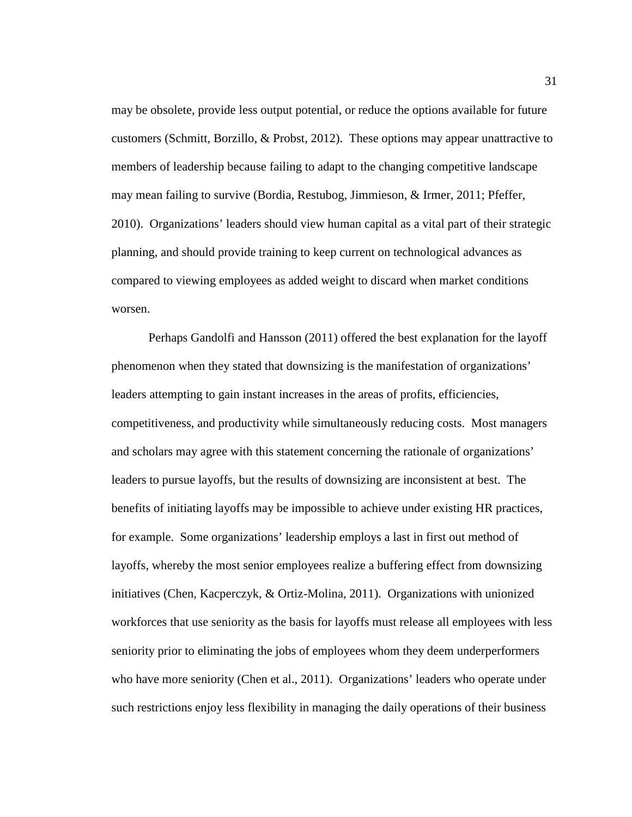may be obsolete, provide less output potential, or reduce the options available for future customers (Schmitt, Borzillo, & Probst, 2012). These options may appear unattractive to members of leadership because failing to adapt to the changing competitive landscape may mean failing to survive (Bordia, Restubog, Jimmieson, & Irmer, 2011; Pfeffer, 2010). Organizations' leaders should view human capital as a vital part of their strategic planning, and should provide training to keep current on technological advances as compared to viewing employees as added weight to discard when market conditions worsen.

Perhaps Gandolfi and Hansson (2011) offered the best explanation for the layoff phenomenon when they stated that downsizing is the manifestation of organizations' leaders attempting to gain instant increases in the areas of profits, efficiencies, competitiveness, and productivity while simultaneously reducing costs. Most managers and scholars may agree with this statement concerning the rationale of organizations' leaders to pursue layoffs, but the results of downsizing are inconsistent at best. The benefits of initiating layoffs may be impossible to achieve under existing HR practices, for example. Some organizations' leadership employs a last in first out method of layoffs, whereby the most senior employees realize a buffering effect from downsizing initiatives (Chen, Kacperczyk, & Ortiz-Molina, 2011). Organizations with unionized workforces that use seniority as the basis for layoffs must release all employees with less seniority prior to eliminating the jobs of employees whom they deem underperformers who have more seniority (Chen et al., 2011). Organizations' leaders who operate under such restrictions enjoy less flexibility in managing the daily operations of their business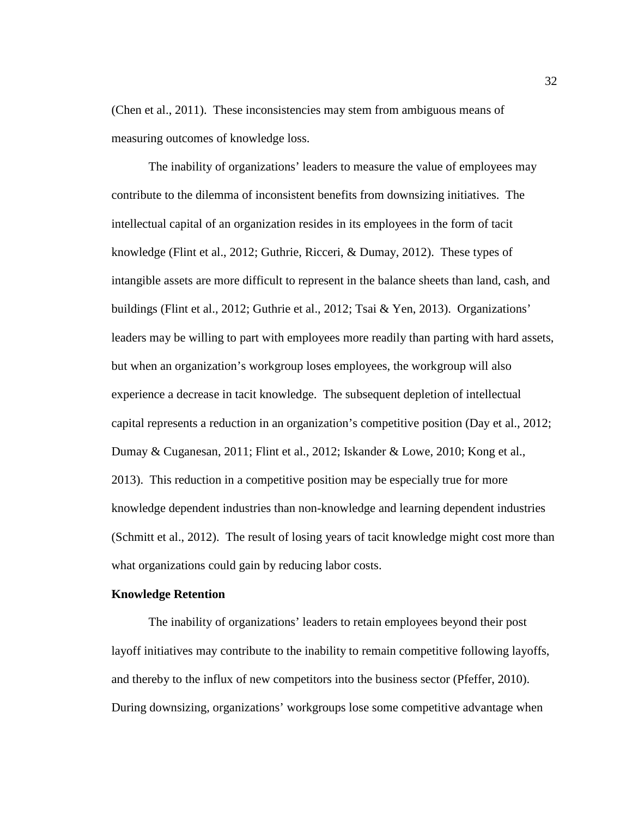(Chen et al., 2011). These inconsistencies may stem from ambiguous means of measuring outcomes of knowledge loss.

The inability of organizations' leaders to measure the value of employees may contribute to the dilemma of inconsistent benefits from downsizing initiatives. The intellectual capital of an organization resides in its employees in the form of tacit knowledge (Flint et al., 2012; Guthrie, Ricceri, & Dumay, 2012). These types of intangible assets are more difficult to represent in the balance sheets than land, cash, and buildings (Flint et al., 2012; Guthrie et al., 2012; Tsai & Yen, 2013). Organizations' leaders may be willing to part with employees more readily than parting with hard assets, but when an organization's workgroup loses employees, the workgroup will also experience a decrease in tacit knowledge. The subsequent depletion of intellectual capital represents a reduction in an organization's competitive position (Day et al., 2012; Dumay & Cuganesan, 2011; Flint et al., 2012; Iskander & Lowe, 2010; Kong et al., 2013). This reduction in a competitive position may be especially true for more knowledge dependent industries than non-knowledge and learning dependent industries (Schmitt et al., 2012). The result of losing years of tacit knowledge might cost more than what organizations could gain by reducing labor costs.

# **Knowledge Retention**

The inability of organizations' leaders to retain employees beyond their post layoff initiatives may contribute to the inability to remain competitive following layoffs, and thereby to the influx of new competitors into the business sector (Pfeffer, 2010). During downsizing, organizations' workgroups lose some competitive advantage when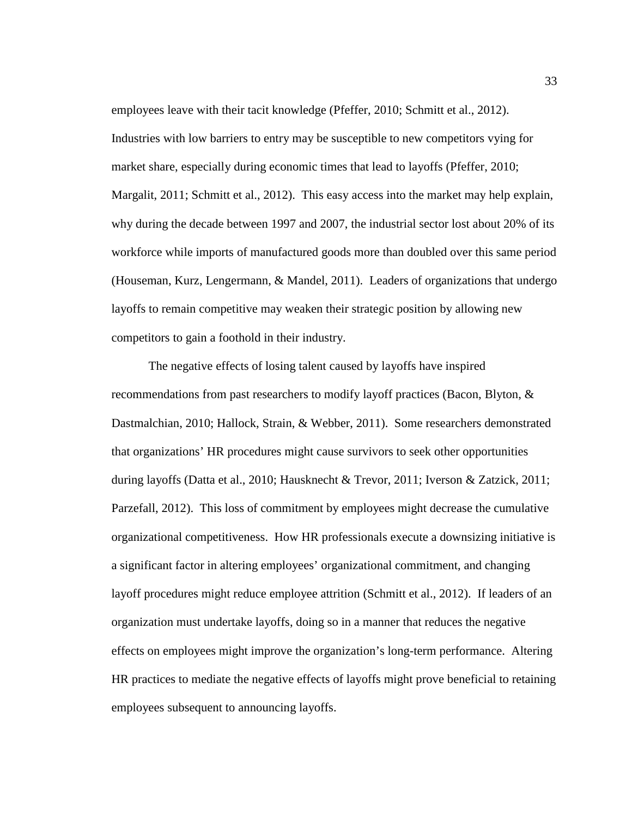employees leave with their tacit knowledge (Pfeffer, 2010; Schmitt et al., 2012). Industries with low barriers to entry may be susceptible to new competitors vying for market share, especially during economic times that lead to layoffs (Pfeffer, 2010; Margalit, 2011; Schmitt et al., 2012). This easy access into the market may help explain, why during the decade between 1997 and 2007, the industrial sector lost about 20% of its workforce while imports of manufactured goods more than doubled over this same period (Houseman, Kurz, Lengermann, & Mandel, 2011). Leaders of organizations that undergo layoffs to remain competitive may weaken their strategic position by allowing new competitors to gain a foothold in their industry.

The negative effects of losing talent caused by layoffs have inspired recommendations from past researchers to modify layoff practices (Bacon, Blyton, & Dastmalchian, 2010; Hallock, Strain, & Webber, 2011). Some researchers demonstrated that organizations' HR procedures might cause survivors to seek other opportunities during layoffs (Datta et al., 2010; Hausknecht & Trevor, 2011; Iverson & Zatzick, 2011; Parzefall, 2012). This loss of commitment by employees might decrease the cumulative organizational competitiveness. How HR professionals execute a downsizing initiative is a significant factor in altering employees' organizational commitment, and changing layoff procedures might reduce employee attrition (Schmitt et al., 2012). If leaders of an organization must undertake layoffs, doing so in a manner that reduces the negative effects on employees might improve the organization's long-term performance. Altering HR practices to mediate the negative effects of layoffs might prove beneficial to retaining employees subsequent to announcing layoffs.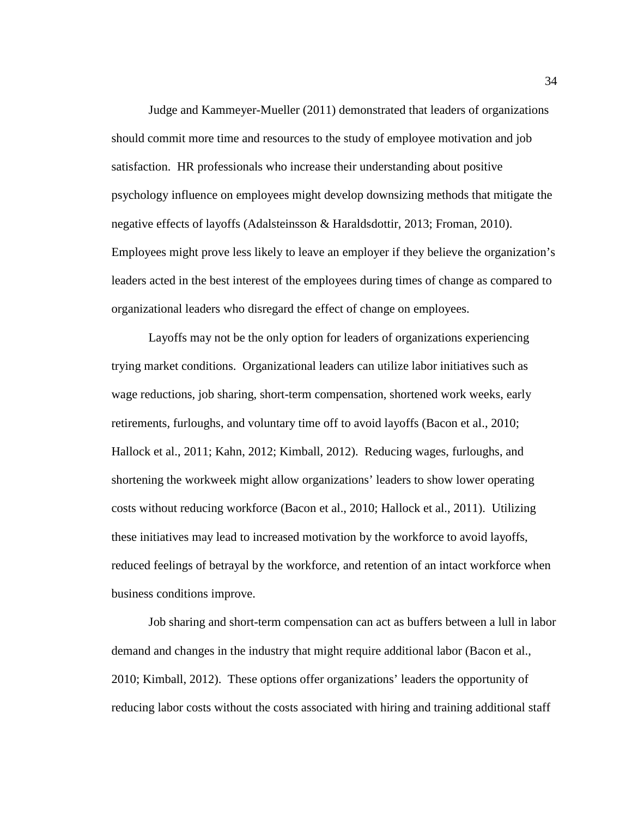Judge and Kammeyer-Mueller (2011) demonstrated that leaders of organizations should commit more time and resources to the study of employee motivation and job satisfaction. HR professionals who increase their understanding about positive psychology influence on employees might develop downsizing methods that mitigate the negative effects of layoffs (Adalsteinsson & Haraldsdottir, 2013; Froman, 2010). Employees might prove less likely to leave an employer if they believe the organization's leaders acted in the best interest of the employees during times of change as compared to organizational leaders who disregard the effect of change on employees.

Layoffs may not be the only option for leaders of organizations experiencing trying market conditions. Organizational leaders can utilize labor initiatives such as wage reductions, job sharing, short-term compensation, shortened work weeks, early retirements, furloughs, and voluntary time off to avoid layoffs (Bacon et al., 2010; Hallock et al., 2011; Kahn, 2012; Kimball, 2012). Reducing wages, furloughs, and shortening the workweek might allow organizations' leaders to show lower operating costs without reducing workforce (Bacon et al., 2010; Hallock et al., 2011). Utilizing these initiatives may lead to increased motivation by the workforce to avoid layoffs, reduced feelings of betrayal by the workforce, and retention of an intact workforce when business conditions improve.

Job sharing and short-term compensation can act as buffers between a lull in labor demand and changes in the industry that might require additional labor (Bacon et al., 2010; Kimball, 2012). These options offer organizations' leaders the opportunity of reducing labor costs without the costs associated with hiring and training additional staff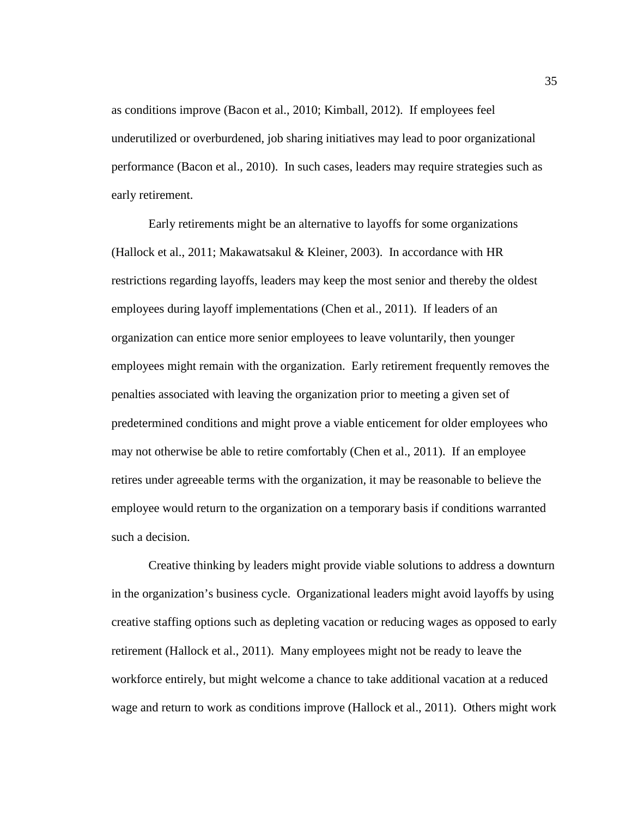as conditions improve (Bacon et al., 2010; Kimball, 2012). If employees feel underutilized or overburdened, job sharing initiatives may lead to poor organizational performance (Bacon et al., 2010). In such cases, leaders may require strategies such as early retirement.

Early retirements might be an alternative to layoffs for some organizations (Hallock et al., 2011; Makawatsakul & Kleiner, 2003). In accordance with HR restrictions regarding layoffs, leaders may keep the most senior and thereby the oldest employees during layoff implementations (Chen et al., 2011). If leaders of an organization can entice more senior employees to leave voluntarily, then younger employees might remain with the organization. Early retirement frequently removes the penalties associated with leaving the organization prior to meeting a given set of predetermined conditions and might prove a viable enticement for older employees who may not otherwise be able to retire comfortably (Chen et al., 2011). If an employee retires under agreeable terms with the organization, it may be reasonable to believe the employee would return to the organization on a temporary basis if conditions warranted such a decision.

Creative thinking by leaders might provide viable solutions to address a downturn in the organization's business cycle. Organizational leaders might avoid layoffs by using creative staffing options such as depleting vacation or reducing wages as opposed to early retirement (Hallock et al., 2011). Many employees might not be ready to leave the workforce entirely, but might welcome a chance to take additional vacation at a reduced wage and return to work as conditions improve (Hallock et al., 2011). Others might work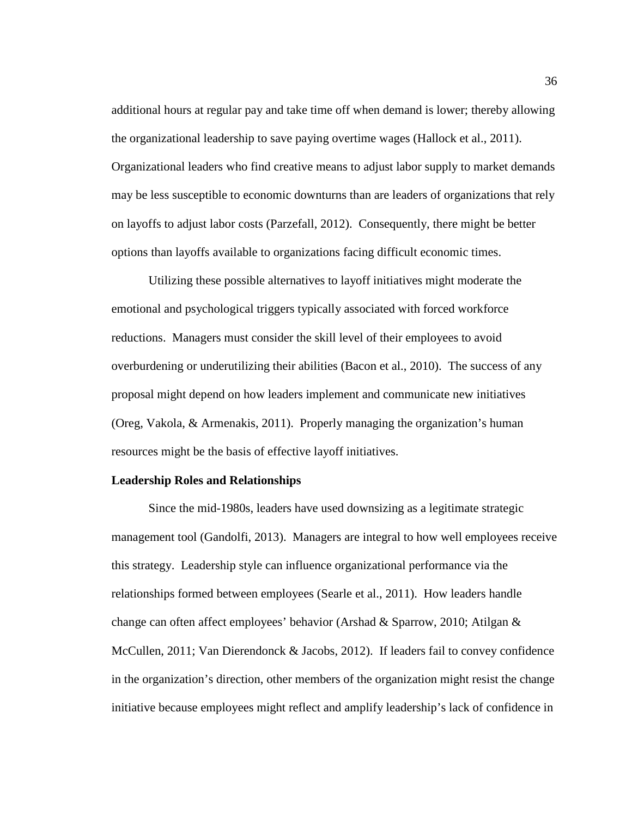additional hours at regular pay and take time off when demand is lower; thereby allowing the organizational leadership to save paying overtime wages (Hallock et al., 2011). Organizational leaders who find creative means to adjust labor supply to market demands may be less susceptible to economic downturns than are leaders of organizations that rely on layoffs to adjust labor costs (Parzefall, 2012). Consequently, there might be better options than layoffs available to organizations facing difficult economic times.

Utilizing these possible alternatives to layoff initiatives might moderate the emotional and psychological triggers typically associated with forced workforce reductions. Managers must consider the skill level of their employees to avoid overburdening or underutilizing their abilities (Bacon et al., 2010). The success of any proposal might depend on how leaders implement and communicate new initiatives (Oreg, Vakola, & Armenakis, 2011). Properly managing the organization's human resources might be the basis of effective layoff initiatives.

### **Leadership Roles and Relationships**

Since the mid-1980s, leaders have used downsizing as a legitimate strategic management tool (Gandolfi, 2013). Managers are integral to how well employees receive this strategy. Leadership style can influence organizational performance via the relationships formed between employees (Searle et al., 2011). How leaders handle change can often affect employees' behavior (Arshad & Sparrow, 2010; Atilgan & McCullen, 2011; Van Dierendonck & Jacobs, 2012). If leaders fail to convey confidence in the organization's direction, other members of the organization might resist the change initiative because employees might reflect and amplify leadership's lack of confidence in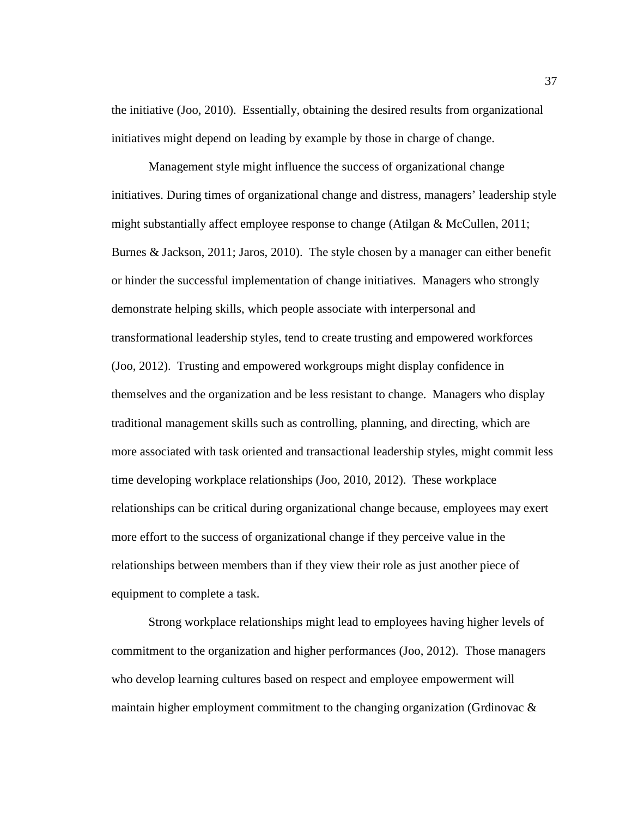the initiative (Joo, 2010). Essentially, obtaining the desired results from organizational initiatives might depend on leading by example by those in charge of change.

Management style might influence the success of organizational change initiatives. During times of organizational change and distress, managers' leadership style might substantially affect employee response to change (Atilgan & McCullen, 2011; Burnes & Jackson, 2011; Jaros, 2010). The style chosen by a manager can either benefit or hinder the successful implementation of change initiatives. Managers who strongly demonstrate helping skills, which people associate with interpersonal and transformational leadership styles, tend to create trusting and empowered workforces (Joo, 2012). Trusting and empowered workgroups might display confidence in themselves and the organization and be less resistant to change. Managers who display traditional management skills such as controlling, planning, and directing, which are more associated with task oriented and transactional leadership styles, might commit less time developing workplace relationships (Joo, 2010, 2012). These workplace relationships can be critical during organizational change because, employees may exert more effort to the success of organizational change if they perceive value in the relationships between members than if they view their role as just another piece of equipment to complete a task.

Strong workplace relationships might lead to employees having higher levels of commitment to the organization and higher performances (Joo, 2012). Those managers who develop learning cultures based on respect and employee empowerment will maintain higher employment commitment to the changing organization (Grdinovac &

37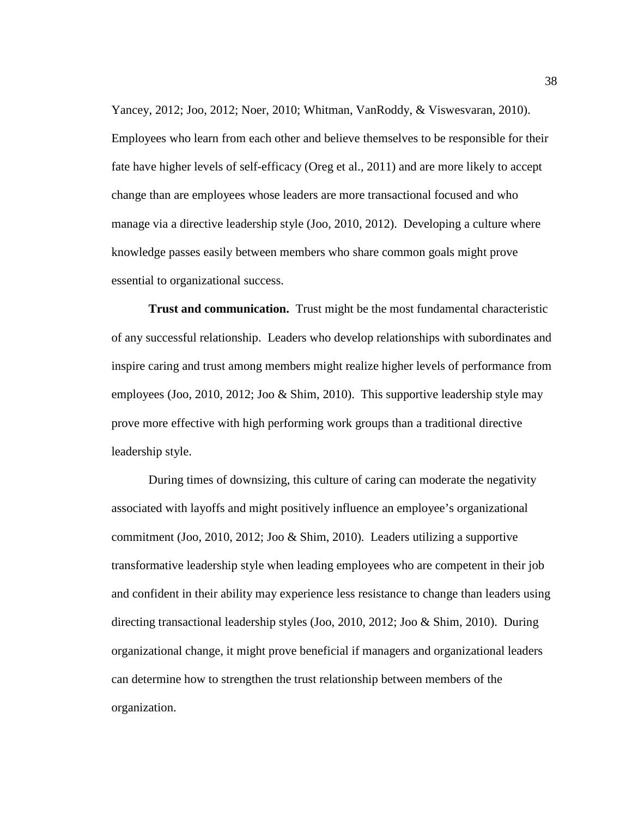Yancey, 2012; Joo, 2012; Noer, 2010; Whitman, VanRoddy, & Viswesvaran, 2010). Employees who learn from each other and believe themselves to be responsible for their fate have higher levels of self-efficacy (Oreg et al., 2011) and are more likely to accept change than are employees whose leaders are more transactional focused and who manage via a directive leadership style (Joo, 2010, 2012). Developing a culture where knowledge passes easily between members who share common goals might prove essential to organizational success.

**Trust and communication.** Trust might be the most fundamental characteristic of any successful relationship. Leaders who develop relationships with subordinates and inspire caring and trust among members might realize higher levels of performance from employees (Joo, 2010, 2012; Joo & Shim, 2010). This supportive leadership style may prove more effective with high performing work groups than a traditional directive leadership style.

During times of downsizing, this culture of caring can moderate the negativity associated with layoffs and might positively influence an employee's organizational commitment (Joo, 2010, 2012; Joo & Shim, 2010). Leaders utilizing a supportive transformative leadership style when leading employees who are competent in their job and confident in their ability may experience less resistance to change than leaders using directing transactional leadership styles (Joo, 2010, 2012; Joo & Shim, 2010). During organizational change, it might prove beneficial if managers and organizational leaders can determine how to strengthen the trust relationship between members of the organization.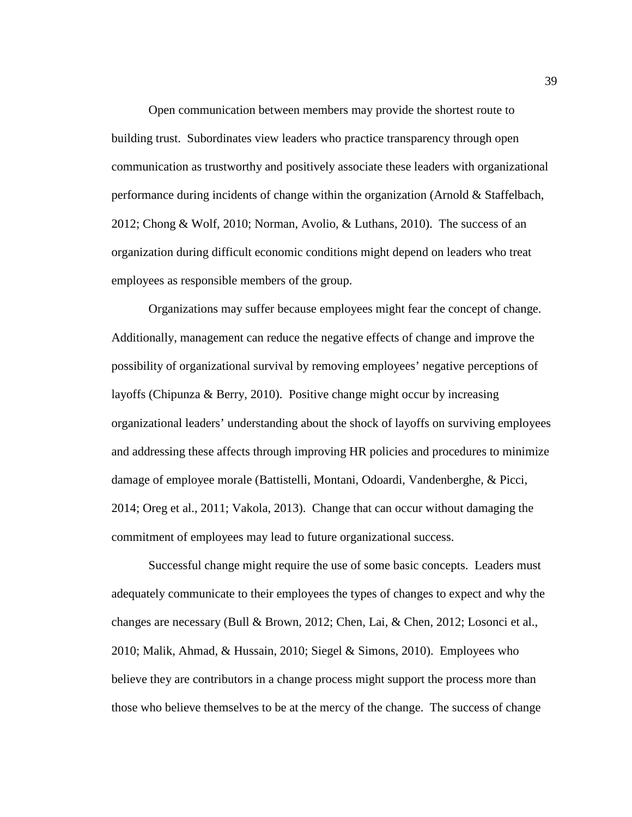Open communication between members may provide the shortest route to building trust. Subordinates view leaders who practice transparency through open communication as trustworthy and positively associate these leaders with organizational performance during incidents of change within the organization (Arnold & Staffelbach, 2012; Chong & Wolf, 2010; Norman, Avolio, & Luthans, 2010). The success of an organization during difficult economic conditions might depend on leaders who treat employees as responsible members of the group.

Organizations may suffer because employees might fear the concept of change. Additionally, management can reduce the negative effects of change and improve the possibility of organizational survival by removing employees' negative perceptions of layoffs (Chipunza & Berry, 2010). Positive change might occur by increasing organizational leaders' understanding about the shock of layoffs on surviving employees and addressing these affects through improving HR policies and procedures to minimize damage of employee morale (Battistelli, Montani, Odoardi, Vandenberghe, & Picci, 2014; Oreg et al., 2011; Vakola, 2013). Change that can occur without damaging the commitment of employees may lead to future organizational success.

Successful change might require the use of some basic concepts. Leaders must adequately communicate to their employees the types of changes to expect and why the changes are necessary (Bull & Brown, 2012; Chen, Lai, & Chen, 2012; Losonci et al., 2010; Malik, Ahmad, & Hussain, 2010; Siegel & Simons, 2010). Employees who believe they are contributors in a change process might support the process more than those who believe themselves to be at the mercy of the change. The success of change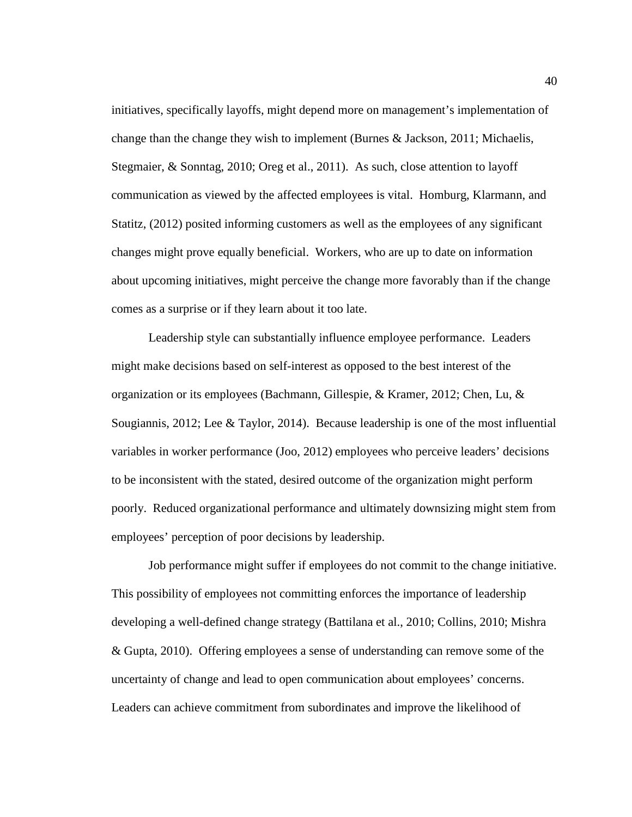initiatives, specifically layoffs, might depend more on management's implementation of change than the change they wish to implement (Burnes & Jackson, 2011; Michaelis, Stegmaier, & Sonntag, 2010; Oreg et al., 2011). As such, close attention to layoff communication as viewed by the affected employees is vital. Homburg, Klarmann, and Statitz, (2012) posited informing customers as well as the employees of any significant changes might prove equally beneficial. Workers, who are up to date on information about upcoming initiatives, might perceive the change more favorably than if the change comes as a surprise or if they learn about it too late.

Leadership style can substantially influence employee performance. Leaders might make decisions based on self-interest as opposed to the best interest of the organization or its employees (Bachmann, Gillespie, & Kramer, 2012; Chen, Lu, & Sougiannis, 2012; Lee & Taylor, 2014). Because leadership is one of the most influential variables in worker performance (Joo, 2012) employees who perceive leaders' decisions to be inconsistent with the stated, desired outcome of the organization might perform poorly. Reduced organizational performance and ultimately downsizing might stem from employees' perception of poor decisions by leadership.

Job performance might suffer if employees do not commit to the change initiative. This possibility of employees not committing enforces the importance of leadership developing a well-defined change strategy (Battilana et al., 2010; Collins, 2010; Mishra & Gupta, 2010). Offering employees a sense of understanding can remove some of the uncertainty of change and lead to open communication about employees' concerns. Leaders can achieve commitment from subordinates and improve the likelihood of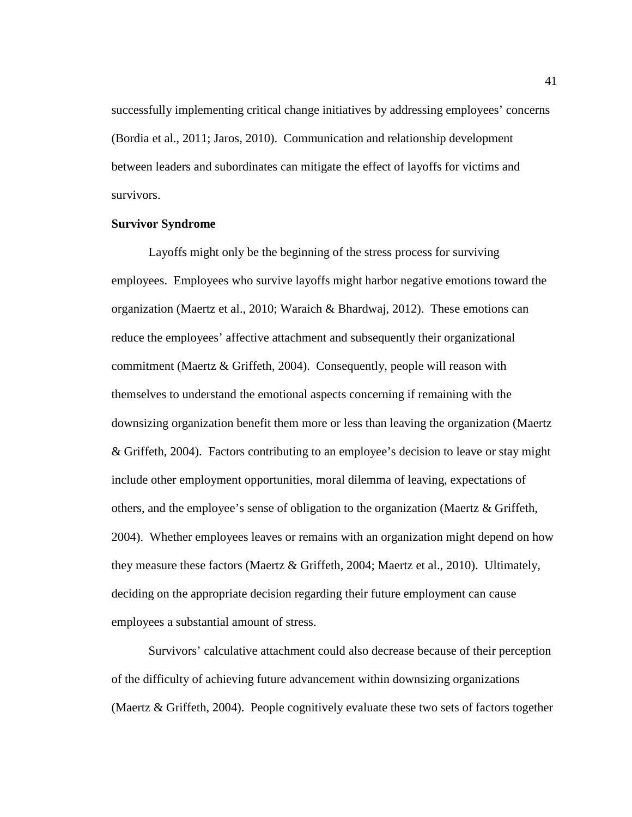successfully implementing critical change initiatives by addressing employees' concerns (Bordia et al., 2011; Jaros, 2010). Communication and relationship development between leaders and subordinates can mitigate the effect of layoffs for victims and survivors.

# **Survivor Syndrome**

Layoffs might only be the beginning of the stress process for surviving employees. Employees who survive layoffs might harbor negative emotions toward the organization (Maertz et al., 2010; Waraich & Bhardwaj, 2012). These emotions can reduce the employees' affective attachment and subsequently their organizational commitment (Maertz & Griffeth, 2004). Consequently, people will reason with themselves to understand the emotional aspects concerning if remaining with the downsizing organization benefit them more or less than leaving the organization (Maertz & Griffeth, 2004). Factors contributing to an employee's decision to leave or stay might include other employment opportunities, moral dilemma of leaving, expectations of others, and the employee's sense of obligation to the organization (Maertz & Griffeth, 2004). Whether employees leaves or remains with an organization might depend on how they measure these factors (Maertz & Griffeth, 2004; Maertz et al., 2010). Ultimately, deciding on the appropriate decision regarding their future employment can cause employees a substantial amount of stress.

Survivors' calculative attachment could also decrease because of their perception of the difficulty of achieving future advancement within downsizing organizations (Maertz & Griffeth, 2004). People cognitively evaluate these two sets of factors together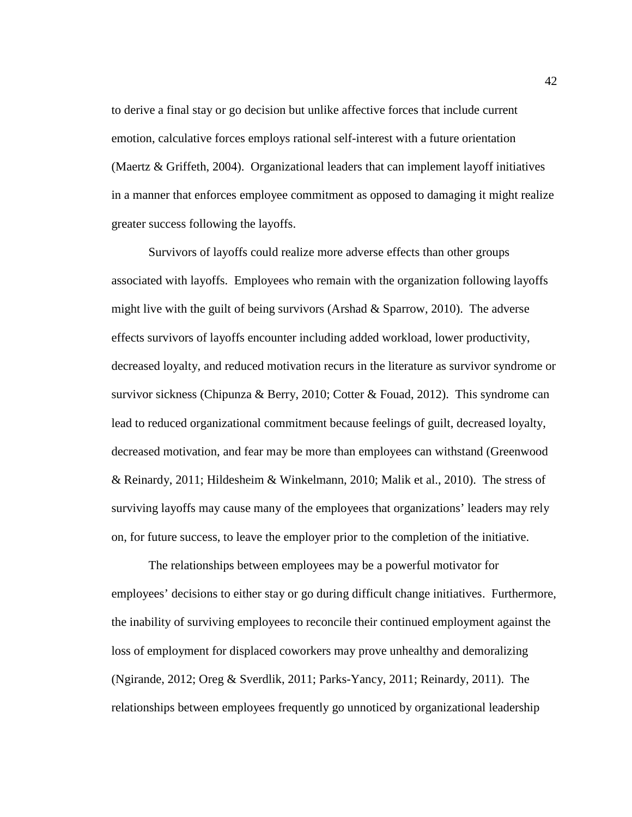to derive a final stay or go decision but unlike affective forces that include current emotion, calculative forces employs rational self-interest with a future orientation (Maertz & Griffeth, 2004). Organizational leaders that can implement layoff initiatives in a manner that enforces employee commitment as opposed to damaging it might realize greater success following the layoffs.

Survivors of layoffs could realize more adverse effects than other groups associated with layoffs. Employees who remain with the organization following layoffs might live with the guilt of being survivors (Arshad  $\&$  Sparrow, 2010). The adverse effects survivors of layoffs encounter including added workload, lower productivity, decreased loyalty, and reduced motivation recurs in the literature as survivor syndrome or survivor sickness (Chipunza & Berry, 2010; Cotter & Fouad, 2012). This syndrome can lead to reduced organizational commitment because feelings of guilt, decreased loyalty, decreased motivation, and fear may be more than employees can withstand (Greenwood & Reinardy, 2011; Hildesheim & Winkelmann, 2010; Malik et al., 2010). The stress of surviving layoffs may cause many of the employees that organizations' leaders may rely on, for future success, to leave the employer prior to the completion of the initiative.

The relationships between employees may be a powerful motivator for employees' decisions to either stay or go during difficult change initiatives. Furthermore, the inability of surviving employees to reconcile their continued employment against the loss of employment for displaced coworkers may prove unhealthy and demoralizing (Ngirande, 2012; Oreg & Sverdlik, 2011; Parks-Yancy, 2011; Reinardy, 2011). The relationships between employees frequently go unnoticed by organizational leadership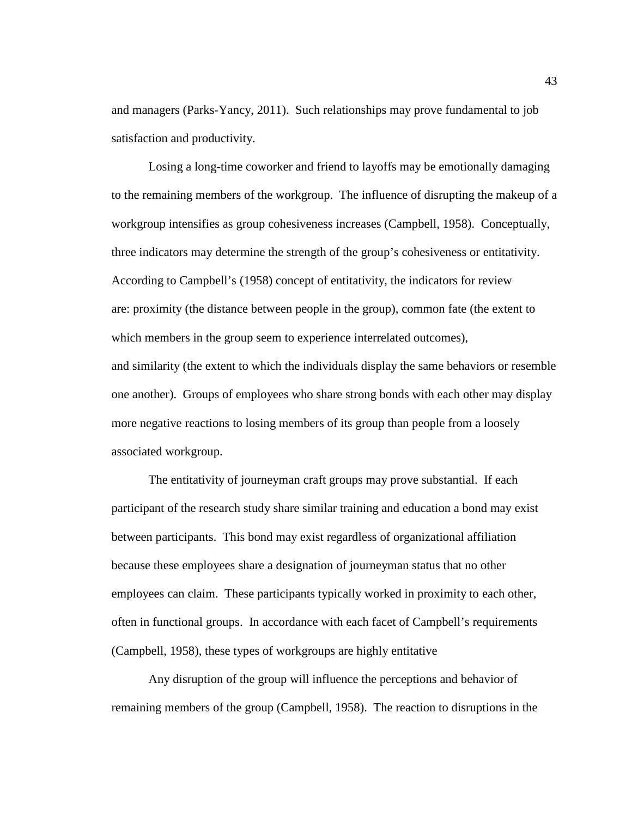and managers (Parks-Yancy, 2011). Such relationships may prove fundamental to job satisfaction and productivity.

Losing a long-time coworker and friend to layoffs may be emotionally damaging to the remaining members of the workgroup. The influence of disrupting the makeup of a workgroup intensifies as group cohesiveness increases (Campbell, 1958). Conceptually, three indicators may determine the strength of the group's cohesiveness or entitativity. According to Campbell's (1958) concept of entitativity, the indicators for review are: proximity (the distance between people in the group), common fate (the extent to which members in the group seem to experience interrelated outcomes), and similarity (the extent to which the individuals display the same behaviors or resemble one another). Groups of employees who share strong bonds with each other may display more negative reactions to losing members of its group than people from a loosely associated workgroup.

The entitativity of journeyman craft groups may prove substantial. If each participant of the research study share similar training and education a bond may exist between participants. This bond may exist regardless of organizational affiliation because these employees share a designation of journeyman status that no other employees can claim. These participants typically worked in proximity to each other, often in functional groups. In accordance with each facet of Campbell's requirements (Campbell, 1958), these types of workgroups are highly entitative

Any disruption of the group will influence the perceptions and behavior of remaining members of the group (Campbell, 1958). The reaction to disruptions in the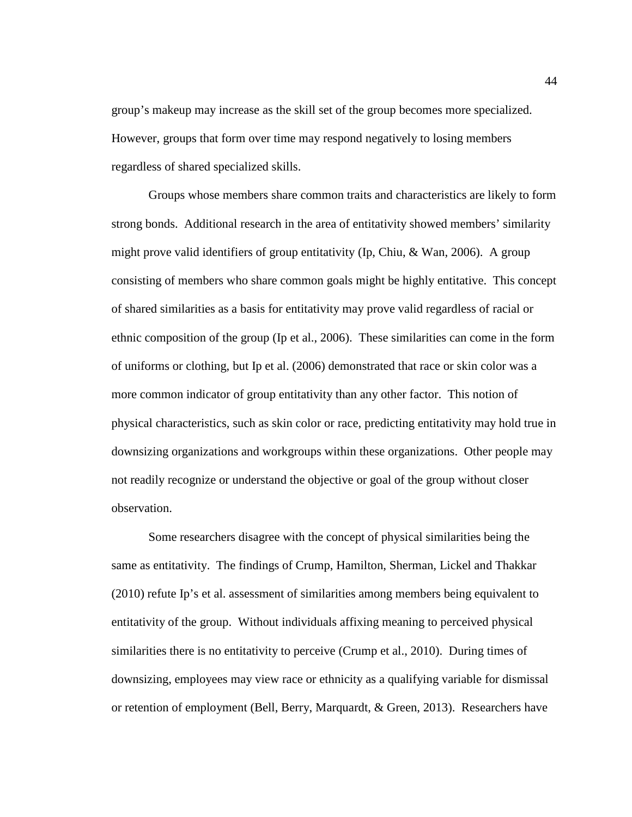group's makeup may increase as the skill set of the group becomes more specialized. However, groups that form over time may respond negatively to losing members regardless of shared specialized skills.

Groups whose members share common traits and characteristics are likely to form strong bonds. Additional research in the area of entitativity showed members' similarity might prove valid identifiers of group entitativity (Ip, Chiu, & Wan, 2006). A group consisting of members who share common goals might be highly entitative. This concept of shared similarities as a basis for entitativity may prove valid regardless of racial or ethnic composition of the group (Ip et al., 2006). These similarities can come in the form of uniforms or clothing, but Ip et al. (2006) demonstrated that race or skin color was a more common indicator of group entitativity than any other factor. This notion of physical characteristics, such as skin color or race, predicting entitativity may hold true in downsizing organizations and workgroups within these organizations. Other people may not readily recognize or understand the objective or goal of the group without closer observation.

Some researchers disagree with the concept of physical similarities being the same as entitativity. The findings of Crump, Hamilton, Sherman, Lickel and Thakkar (2010) refute Ip's et al. assessment of similarities among members being equivalent to entitativity of the group. Without individuals affixing meaning to perceived physical similarities there is no entitativity to perceive (Crump et al., 2010). During times of downsizing, employees may view race or ethnicity as a qualifying variable for dismissal or retention of employment (Bell, Berry, Marquardt, & Green, 2013). Researchers have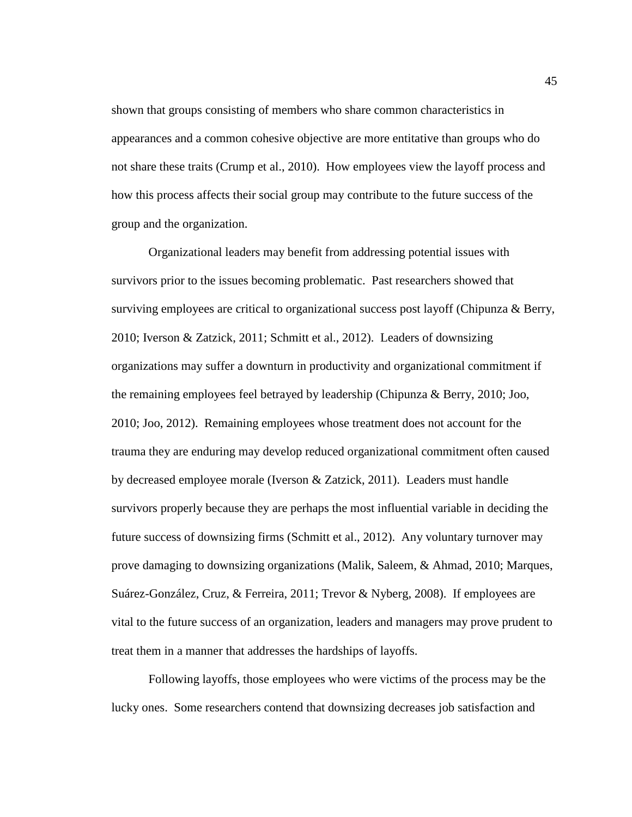shown that groups consisting of members who share common characteristics in appearances and a common cohesive objective are more entitative than groups who do not share these traits (Crump et al., 2010). How employees view the layoff process and how this process affects their social group may contribute to the future success of the group and the organization.

Organizational leaders may benefit from addressing potential issues with survivors prior to the issues becoming problematic. Past researchers showed that surviving employees are critical to organizational success post layoff (Chipunza & Berry, 2010; Iverson & Zatzick, 2011; Schmitt et al., 2012). Leaders of downsizing organizations may suffer a downturn in productivity and organizational commitment if the remaining employees feel betrayed by leadership (Chipunza & Berry, 2010; Joo, 2010; Joo, 2012). Remaining employees whose treatment does not account for the trauma they are enduring may develop reduced organizational commitment often caused by decreased employee morale (Iverson & Zatzick, 2011). Leaders must handle survivors properly because they are perhaps the most influential variable in deciding the future success of downsizing firms (Schmitt et al., 2012). Any voluntary turnover may prove damaging to downsizing organizations (Malik, Saleem, & Ahmad, 2010; Marques, Suárez-González, Cruz, & Ferreira, 2011; Trevor & Nyberg, 2008). If employees are vital to the future success of an organization, leaders and managers may prove prudent to treat them in a manner that addresses the hardships of layoffs.

Following layoffs, those employees who were victims of the process may be the lucky ones. Some researchers contend that downsizing decreases job satisfaction and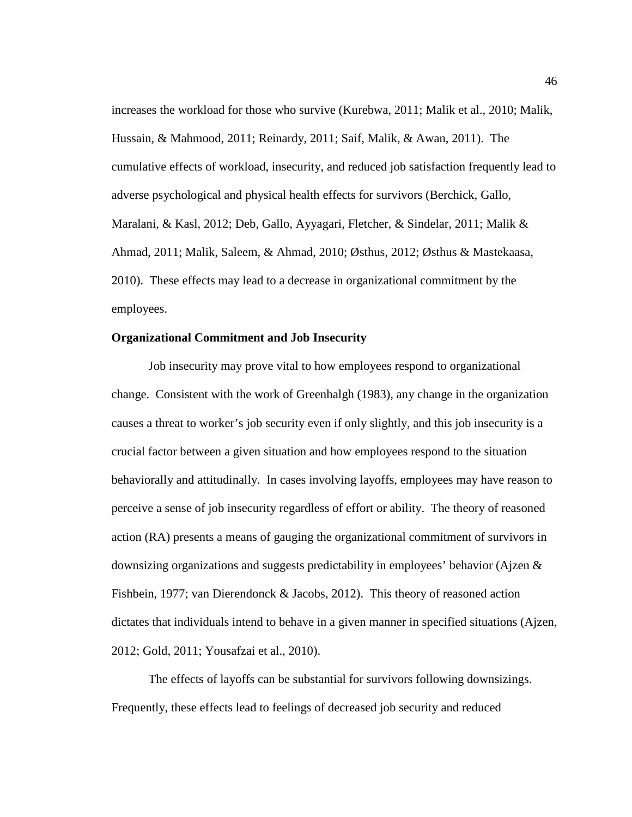increases the workload for those who survive (Kurebwa, 2011; Malik et al., 2010; Malik, Hussain, & Mahmood, 2011; Reinardy, 2011; Saif, Malik, & Awan, 2011). The cumulative effects of workload, insecurity, and reduced job satisfaction frequently lead to adverse psychological and physical health effects for survivors (Berchick, Gallo, Maralani, & Kasl, 2012; Deb, Gallo, Ayyagari, Fletcher, & Sindelar, 2011; Malik & Ahmad, 2011; Malik, Saleem, & Ahmad, 2010; Østhus, 2012; Østhus & Mastekaasa, 2010). These effects may lead to a decrease in organizational commitment by the employees.

# **Organizational Commitment and Job Insecurity**

Job insecurity may prove vital to how employees respond to organizational change. Consistent with the work of Greenhalgh (1983), any change in the organization causes a threat to worker's job security even if only slightly, and this job insecurity is a crucial factor between a given situation and how employees respond to the situation behaviorally and attitudinally. In cases involving layoffs, employees may have reason to perceive a sense of job insecurity regardless of effort or ability. The theory of reasoned action (RA) presents a means of gauging the organizational commitment of survivors in downsizing organizations and suggests predictability in employees' behavior (Ajzen  $\&$ Fishbein, 1977; van Dierendonck & Jacobs, 2012). This theory of reasoned action dictates that individuals intend to behave in a given manner in specified situations (Ajzen, 2012; Gold, 2011; Yousafzai et al., 2010).

The effects of layoffs can be substantial for survivors following downsizings. Frequently, these effects lead to feelings of decreased job security and reduced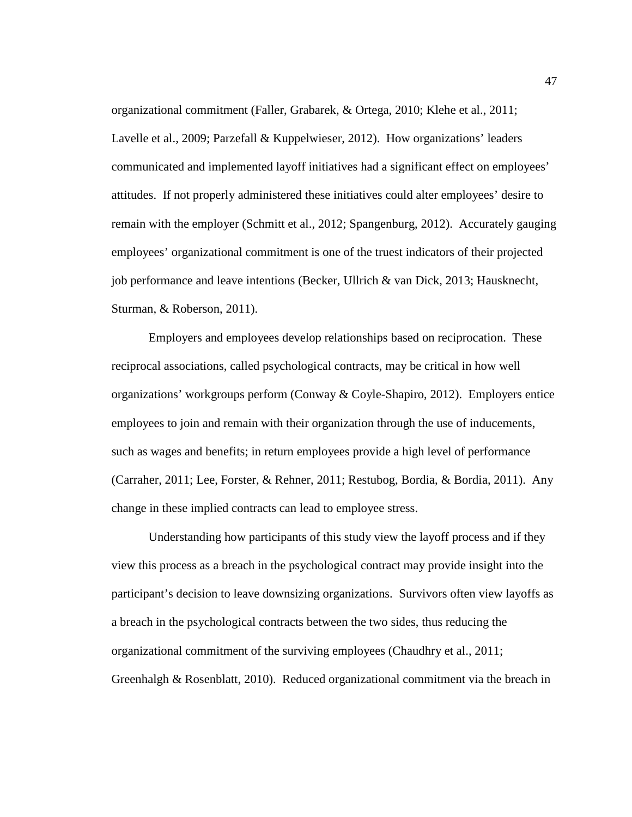organizational commitment (Faller, Grabarek, & Ortega, 2010; Klehe et al., 2011; Lavelle et al., 2009; Parzefall & Kuppelwieser, 2012). How organizations' leaders communicated and implemented layoff initiatives had a significant effect on employees' attitudes. If not properly administered these initiatives could alter employees' desire to remain with the employer (Schmitt et al., 2012; Spangenburg, 2012). Accurately gauging employees' organizational commitment is one of the truest indicators of their projected job performance and leave intentions (Becker, Ullrich & van Dick, 2013; Hausknecht, Sturman, & Roberson, 2011).

Employers and employees develop relationships based on reciprocation. These reciprocal associations, called psychological contracts, may be critical in how well organizations' workgroups perform (Conway & Coyle-Shapiro, 2012). Employers entice employees to join and remain with their organization through the use of inducements, such as wages and benefits; in return employees provide a high level of performance (Carraher, 2011; Lee, Forster, & Rehner, 2011; Restubog, Bordia, & Bordia, 2011). Any change in these implied contracts can lead to employee stress.

Understanding how participants of this study view the layoff process and if they view this process as a breach in the psychological contract may provide insight into the participant's decision to leave downsizing organizations. Survivors often view layoffs as a breach in the psychological contracts between the two sides, thus reducing the organizational commitment of the surviving employees (Chaudhry et al., 2011; Greenhalgh & Rosenblatt, 2010). Reduced organizational commitment via the breach in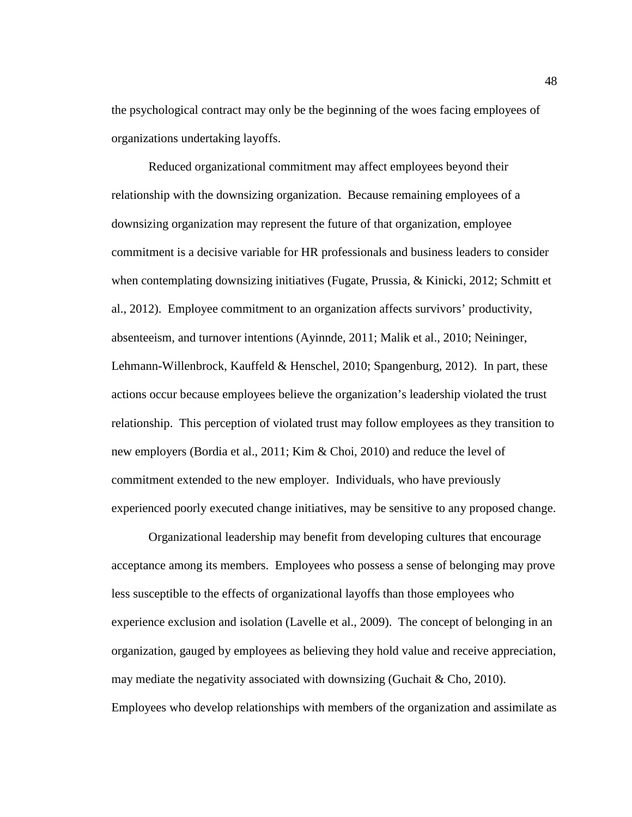the psychological contract may only be the beginning of the woes facing employees of organizations undertaking layoffs.

Reduced organizational commitment may affect employees beyond their relationship with the downsizing organization. Because remaining employees of a downsizing organization may represent the future of that organization, employee commitment is a decisive variable for HR professionals and business leaders to consider when contemplating downsizing initiatives (Fugate, Prussia, & Kinicki, 2012; Schmitt et al., 2012). Employee commitment to an organization affects survivors' productivity, absenteeism, and turnover intentions (Ayinnde, 2011; Malik et al., 2010; Neininger, Lehmann-Willenbrock, Kauffeld & Henschel, 2010; Spangenburg, 2012). In part, these actions occur because employees believe the organization's leadership violated the trust relationship. This perception of violated trust may follow employees as they transition to new employers (Bordia et al., 2011; Kim & Choi, 2010) and reduce the level of commitment extended to the new employer. Individuals, who have previously experienced poorly executed change initiatives, may be sensitive to any proposed change.

Organizational leadership may benefit from developing cultures that encourage acceptance among its members. Employees who possess a sense of belonging may prove less susceptible to the effects of organizational layoffs than those employees who experience exclusion and isolation (Lavelle et al., 2009). The concept of belonging in an organization, gauged by employees as believing they hold value and receive appreciation, may mediate the negativity associated with downsizing (Guchait & Cho, 2010). Employees who develop relationships with members of the organization and assimilate as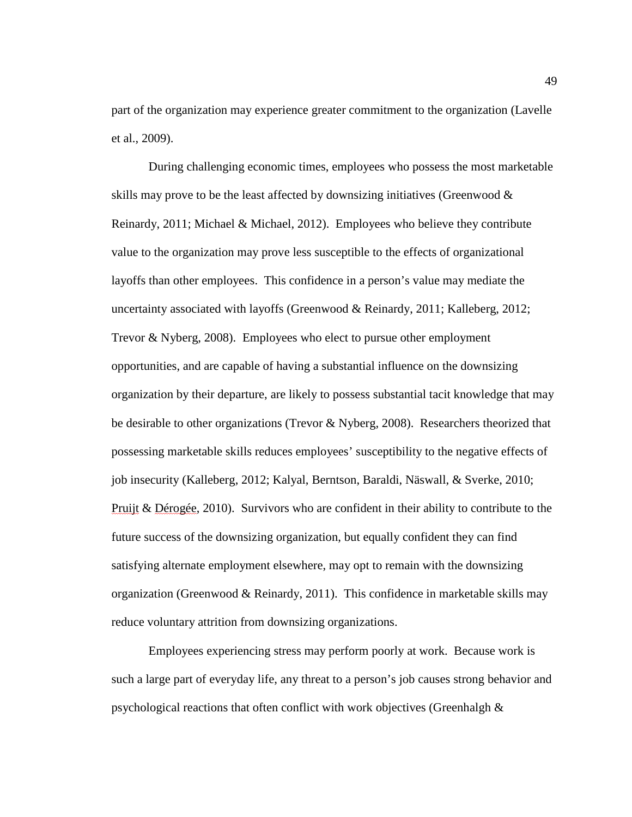part of the organization may experience greater commitment to the organization (Lavelle et al., 2009).

During challenging economic times, employees who possess the most marketable skills may prove to be the least affected by downsizing initiatives (Greenwood  $\&$ Reinardy, 2011; Michael & Michael, 2012). Employees who believe they contribute value to the organization may prove less susceptible to the effects of organizational layoffs than other employees. This confidence in a person's value may mediate the uncertainty associated with layoffs (Greenwood  $\&$  Reinardy, 2011; Kalleberg, 2012; Trevor & Nyberg, 2008). Employees who elect to pursue other employment opportunities, and are capable of having a substantial influence on the downsizing organization by their departure, are likely to possess substantial tacit knowledge that may be desirable to other organizations (Trevor & Nyberg, 2008). Researchers theorized that possessing marketable skills reduces employees' susceptibility to the negative effects of job insecurity (Kalleberg, 2012; Kalyal, Berntson, Baraldi, Näswall, & Sverke, 2010; Pruijt & Dérogée, 2010). Survivors who are confident in their ability to contribute to the future success of the downsizing organization, but equally confident they can find satisfying alternate employment elsewhere, may opt to remain with the downsizing organization (Greenwood & Reinardy, 2011). This confidence in marketable skills may reduce voluntary attrition from downsizing organizations.

Employees experiencing stress may perform poorly at work. Because work is such a large part of everyday life, any threat to a person's job causes strong behavior and psychological reactions that often conflict with work objectives (Greenhalgh &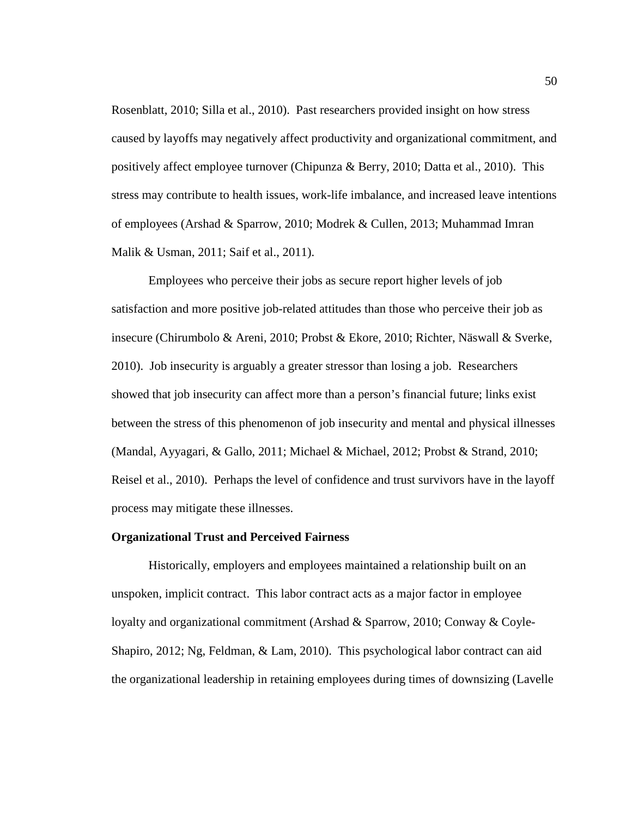Rosenblatt, 2010; Silla et al., 2010). Past researchers provided insight on how stress caused by layoffs may negatively affect productivity and organizational commitment, and positively affect employee turnover (Chipunza & Berry, 2010; Datta et al., 2010). This stress may contribute to health issues, work-life imbalance, and increased leave intentions of employees (Arshad & Sparrow, 2010; Modrek & Cullen, 2013; Muhammad Imran Malik & Usman, 2011; Saif et al., 2011).

Employees who perceive their jobs as secure report higher levels of job satisfaction and more positive job-related attitudes than those who perceive their job as insecure (Chirumbolo & Areni, 2010; Probst & Ekore, 2010; Richter, Näswall & Sverke, 2010). Job insecurity is arguably a greater stressor than losing a job. Researchers showed that job insecurity can affect more than a person's financial future; links exist between the stress of this phenomenon of job insecurity and mental and physical illnesses (Mandal, Ayyagari, & Gallo, 2011; Michael & Michael, 2012; Probst & Strand, 2010; Reisel et al., 2010). Perhaps the level of confidence and trust survivors have in the layoff process may mitigate these illnesses.

#### **Organizational Trust and Perceived Fairness**

Historically, employers and employees maintained a relationship built on an unspoken, implicit contract. This labor contract acts as a major factor in employee loyalty and organizational commitment (Arshad & Sparrow, 2010; Conway & Coyle-Shapiro, 2012; Ng, Feldman, & Lam, 2010). This psychological labor contract can aid the organizational leadership in retaining employees during times of downsizing (Lavelle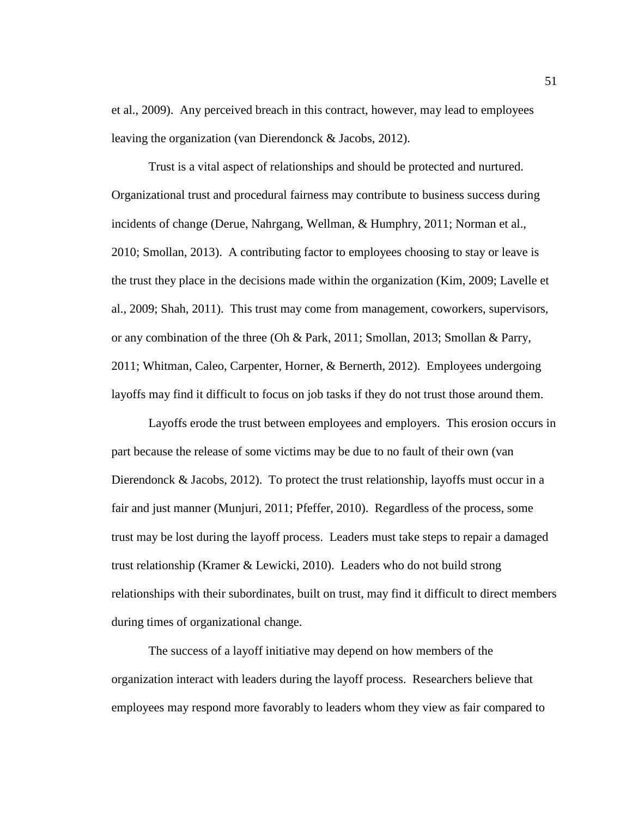et al., 2009). Any perceived breach in this contract, however, may lead to employees leaving the organization (van Dierendonck & Jacobs, 2012).

Trust is a vital aspect of relationships and should be protected and nurtured. Organizational trust and procedural fairness may contribute to business success during incidents of change (Derue, Nahrgang, Wellman, & Humphry, 2011; Norman et al., 2010; Smollan, 2013). A contributing factor to employees choosing to stay or leave is the trust they place in the decisions made within the organization (Kim, 2009; Lavelle et al., 2009; Shah, 2011). This trust may come from management, coworkers, supervisors, or any combination of the three (Oh & Park, 2011; Smollan, 2013; Smollan & Parry, 2011; Whitman, Caleo, Carpenter, Horner, & Bernerth, 2012). Employees undergoing layoffs may find it difficult to focus on job tasks if they do not trust those around them.

Layoffs erode the trust between employees and employers. This erosion occurs in part because the release of some victims may be due to no fault of their own (van Dierendonck & Jacobs, 2012). To protect the trust relationship, layoffs must occur in a fair and just manner (Munjuri, 2011; Pfeffer, 2010). Regardless of the process, some trust may be lost during the layoff process. Leaders must take steps to repair a damaged trust relationship (Kramer & Lewicki, 2010). Leaders who do not build strong relationships with their subordinates, built on trust, may find it difficult to direct members during times of organizational change.

The success of a layoff initiative may depend on how members of the organization interact with leaders during the layoff process. Researchers believe that employees may respond more favorably to leaders whom they view as fair compared to

51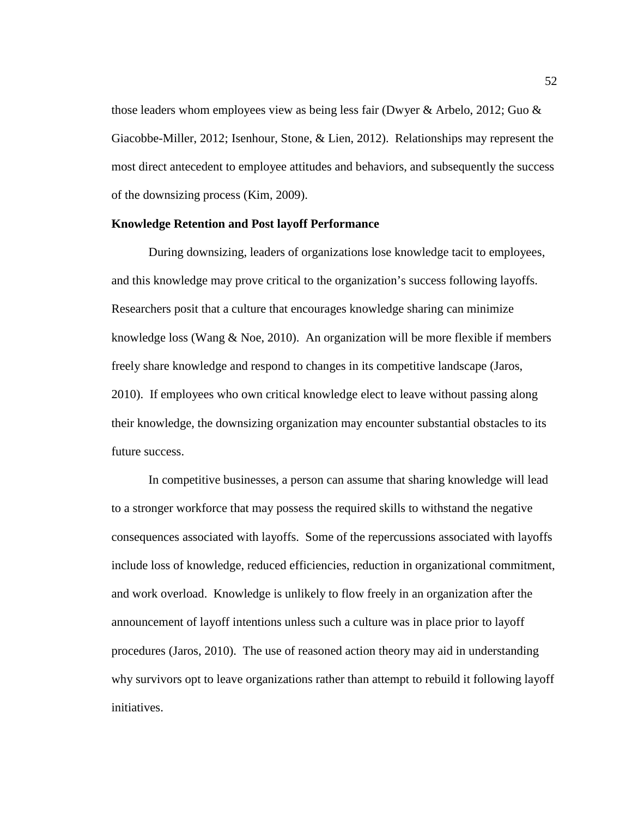those leaders whom employees view as being less fair (Dwyer & Arbelo, 2012; Guo & Giacobbe-Miller, 2012; Isenhour, Stone, & Lien, 2012). Relationships may represent the most direct antecedent to employee attitudes and behaviors, and subsequently the success of the downsizing process (Kim, 2009).

# **Knowledge Retention and Post layoff Performance**

During downsizing, leaders of organizations lose knowledge tacit to employees, and this knowledge may prove critical to the organization's success following layoffs. Researchers posit that a culture that encourages knowledge sharing can minimize knowledge loss (Wang  $\&$  Noe, 2010). An organization will be more flexible if members freely share knowledge and respond to changes in its competitive landscape (Jaros, 2010). If employees who own critical knowledge elect to leave without passing along their knowledge, the downsizing organization may encounter substantial obstacles to its future success.

In competitive businesses, a person can assume that sharing knowledge will lead to a stronger workforce that may possess the required skills to withstand the negative consequences associated with layoffs. Some of the repercussions associated with layoffs include loss of knowledge, reduced efficiencies, reduction in organizational commitment, and work overload. Knowledge is unlikely to flow freely in an organization after the announcement of layoff intentions unless such a culture was in place prior to layoff procedures (Jaros, 2010). The use of reasoned action theory may aid in understanding why survivors opt to leave organizations rather than attempt to rebuild it following layoff initiatives.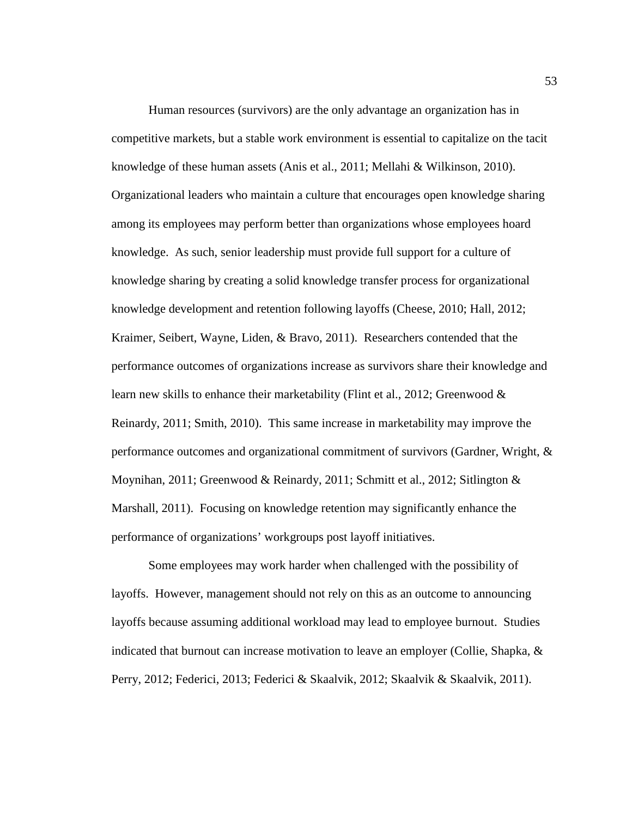Human resources (survivors) are the only advantage an organization has in competitive markets, but a stable work environment is essential to capitalize on the tacit knowledge of these human assets (Anis et al., 2011; Mellahi & Wilkinson, 2010). Organizational leaders who maintain a culture that encourages open knowledge sharing among its employees may perform better than organizations whose employees hoard knowledge. As such, senior leadership must provide full support for a culture of knowledge sharing by creating a solid knowledge transfer process for organizational knowledge development and retention following layoffs (Cheese, 2010; Hall, 2012; Kraimer, Seibert, Wayne, Liden, & Bravo, 2011). Researchers contended that the performance outcomes of organizations increase as survivors share their knowledge and learn new skills to enhance their marketability (Flint et al., 2012; Greenwood  $\&$ Reinardy, 2011; Smith, 2010). This same increase in marketability may improve the performance outcomes and organizational commitment of survivors (Gardner, Wright, & Moynihan, 2011; Greenwood & Reinardy, 2011; Schmitt et al., 2012; Sitlington & Marshall, 2011). Focusing on knowledge retention may significantly enhance the performance of organizations' workgroups post layoff initiatives.

Some employees may work harder when challenged with the possibility of layoffs. However, management should not rely on this as an outcome to announcing layoffs because assuming additional workload may lead to employee burnout. Studies indicated that burnout can increase motivation to leave an employer (Collie, Shapka, & Perry, 2012; Federici, 2013; Federici & Skaalvik, 2012; Skaalvik & Skaalvik, 2011).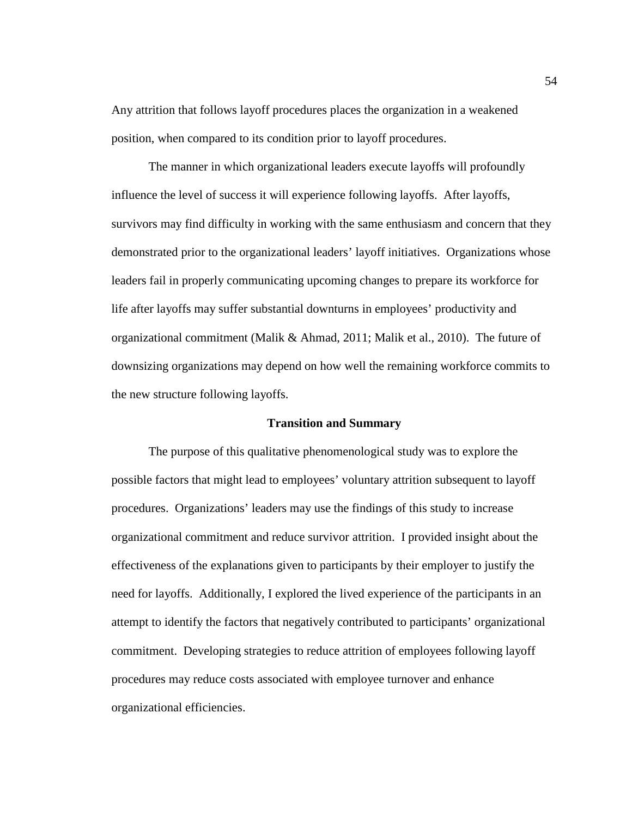Any attrition that follows layoff procedures places the organization in a weakened position, when compared to its condition prior to layoff procedures.

The manner in which organizational leaders execute layoffs will profoundly influence the level of success it will experience following layoffs. After layoffs, survivors may find difficulty in working with the same enthusiasm and concern that they demonstrated prior to the organizational leaders' layoff initiatives. Organizations whose leaders fail in properly communicating upcoming changes to prepare its workforce for life after layoffs may suffer substantial downturns in employees' productivity and organizational commitment (Malik & Ahmad, 2011; Malik et al., 2010). The future of downsizing organizations may depend on how well the remaining workforce commits to the new structure following layoffs.

## **Transition and Summary**

The purpose of this qualitative phenomenological study was to explore the possible factors that might lead to employees' voluntary attrition subsequent to layoff procedures. Organizations' leaders may use the findings of this study to increase organizational commitment and reduce survivor attrition. I provided insight about the effectiveness of the explanations given to participants by their employer to justify the need for layoffs. Additionally, I explored the lived experience of the participants in an attempt to identify the factors that negatively contributed to participants' organizational commitment. Developing strategies to reduce attrition of employees following layoff procedures may reduce costs associated with employee turnover and enhance organizational efficiencies.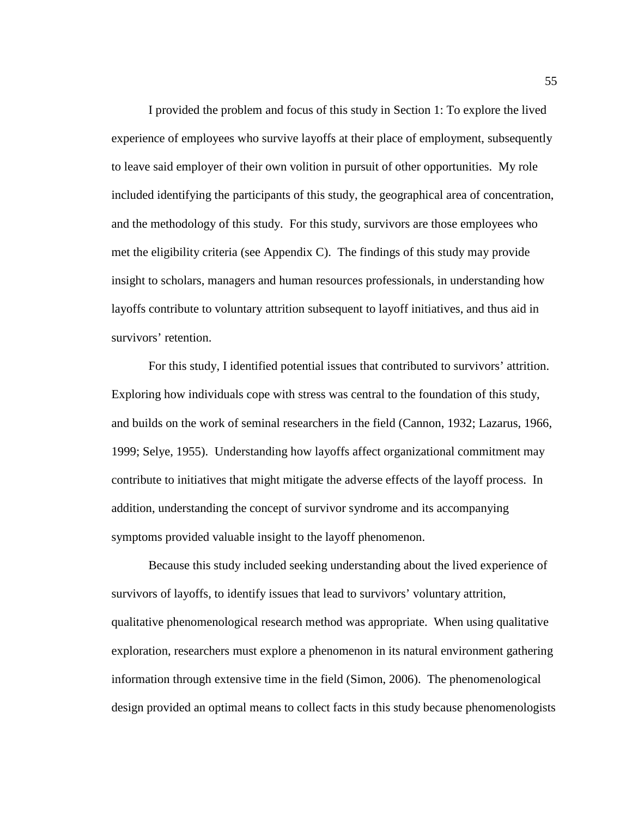I provided the problem and focus of this study in Section 1: To explore the lived experience of employees who survive layoffs at their place of employment, subsequently to leave said employer of their own volition in pursuit of other opportunities. My role included identifying the participants of this study, the geographical area of concentration, and the methodology of this study. For this study, survivors are those employees who met the eligibility criteria (see Appendix C). The findings of this study may provide insight to scholars, managers and human resources professionals, in understanding how layoffs contribute to voluntary attrition subsequent to layoff initiatives, and thus aid in survivors' retention.

For this study, I identified potential issues that contributed to survivors' attrition. Exploring how individuals cope with stress was central to the foundation of this study, and builds on the work of seminal researchers in the field (Cannon, 1932; Lazarus, 1966, 1999; Selye, 1955). Understanding how layoffs affect organizational commitment may contribute to initiatives that might mitigate the adverse effects of the layoff process. In addition, understanding the concept of survivor syndrome and its accompanying symptoms provided valuable insight to the layoff phenomenon.

Because this study included seeking understanding about the lived experience of survivors of layoffs, to identify issues that lead to survivors' voluntary attrition, qualitative phenomenological research method was appropriate. When using qualitative exploration, researchers must explore a phenomenon in its natural environment gathering information through extensive time in the field (Simon, 2006). The phenomenological design provided an optimal means to collect facts in this study because phenomenologists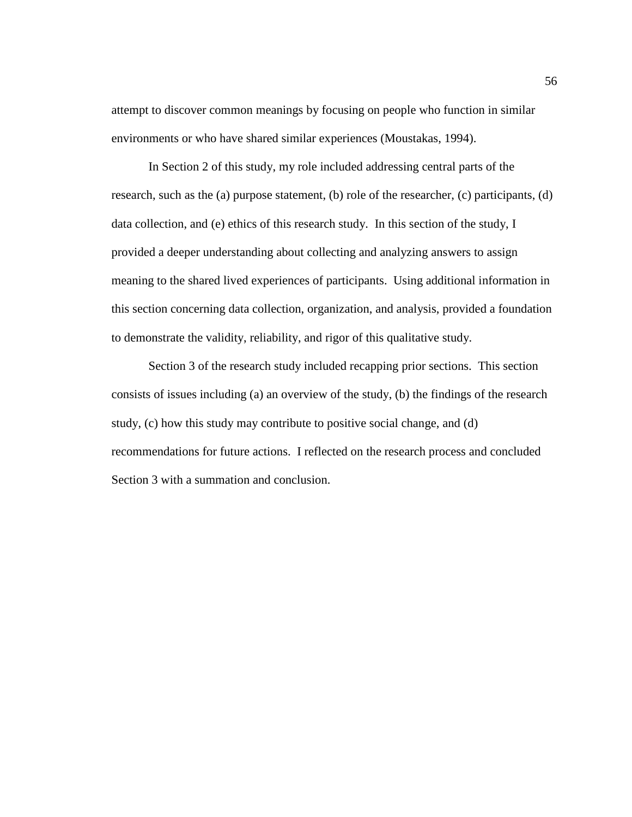attempt to discover common meanings by focusing on people who function in similar environments or who have shared similar experiences (Moustakas, 1994).

In Section 2 of this study, my role included addressing central parts of the research, such as the (a) purpose statement, (b) role of the researcher, (c) participants, (d) data collection, and (e) ethics of this research study. In this section of the study, I provided a deeper understanding about collecting and analyzing answers to assign meaning to the shared lived experiences of participants. Using additional information in this section concerning data collection, organization, and analysis, provided a foundation to demonstrate the validity, reliability, and rigor of this qualitative study.

Section 3 of the research study included recapping prior sections. This section consists of issues including (a) an overview of the study, (b) the findings of the research study, (c) how this study may contribute to positive social change, and (d) recommendations for future actions. I reflected on the research process and concluded Section 3 with a summation and conclusion.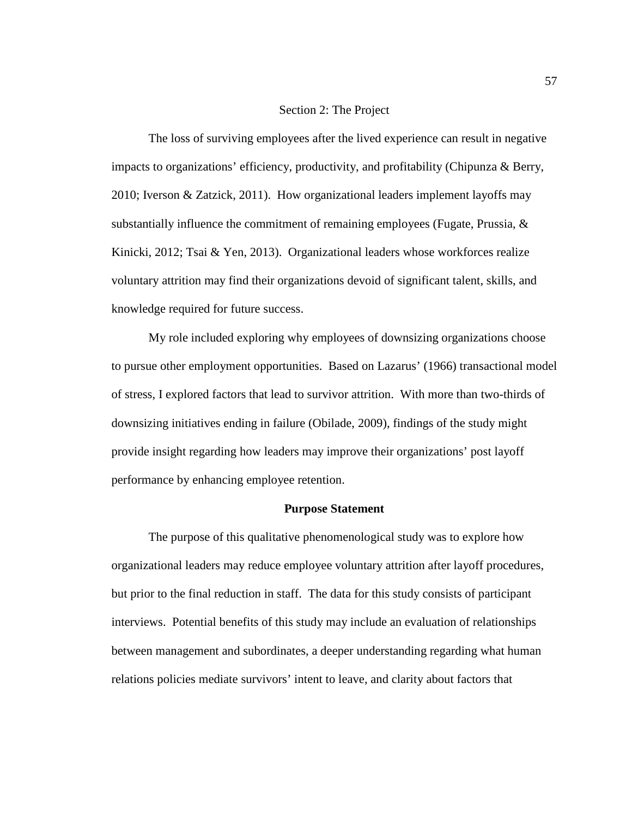# Section 2: The Project

The loss of surviving employees after the lived experience can result in negative impacts to organizations' efficiency, productivity, and profitability (Chipunza & Berry, 2010; Iverson & Zatzick, 2011). How organizational leaders implement layoffs may substantially influence the commitment of remaining employees (Fugate, Prussia,  $\&$ Kinicki, 2012; Tsai & Yen, 2013). Organizational leaders whose workforces realize voluntary attrition may find their organizations devoid of significant talent, skills, and knowledge required for future success.

My role included exploring why employees of downsizing organizations choose to pursue other employment opportunities. Based on Lazarus' (1966) transactional model of stress, I explored factors that lead to survivor attrition. With more than two-thirds of downsizing initiatives ending in failure (Obilade, 2009), findings of the study might provide insight regarding how leaders may improve their organizations' post layoff performance by enhancing employee retention.

#### **Purpose Statement**

The purpose of this qualitative phenomenological study was to explore how organizational leaders may reduce employee voluntary attrition after layoff procedures, but prior to the final reduction in staff. The data for this study consists of participant interviews. Potential benefits of this study may include an evaluation of relationships between management and subordinates, a deeper understanding regarding what human relations policies mediate survivors' intent to leave, and clarity about factors that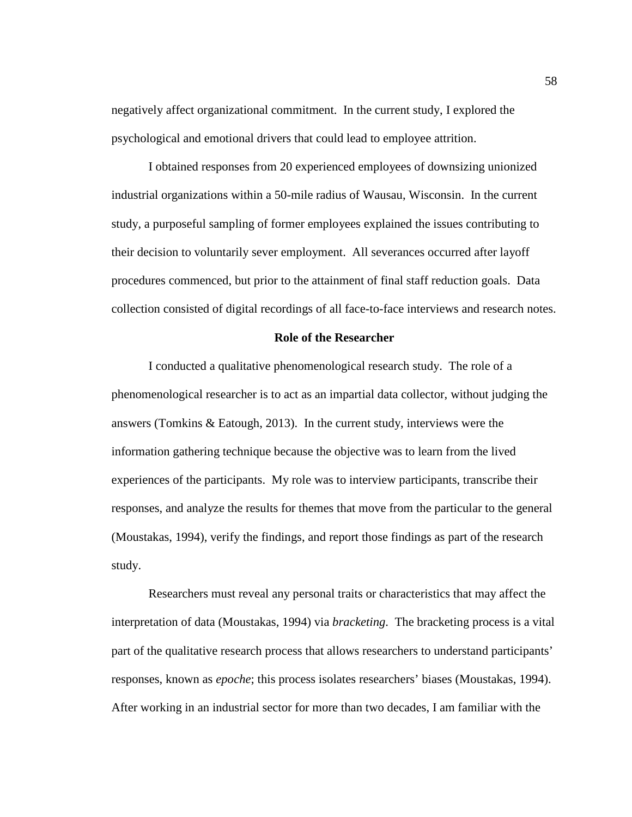negatively affect organizational commitment. In the current study, I explored the psychological and emotional drivers that could lead to employee attrition.

I obtained responses from 20 experienced employees of downsizing unionized industrial organizations within a 50-mile radius of Wausau, Wisconsin. In the current study, a purposeful sampling of former employees explained the issues contributing to their decision to voluntarily sever employment. All severances occurred after layoff procedures commenced, but prior to the attainment of final staff reduction goals. Data collection consisted of digital recordings of all face-to-face interviews and research notes.

# **Role of the Researcher**

I conducted a qualitative phenomenological research study. The role of a phenomenological researcher is to act as an impartial data collector, without judging the answers (Tomkins & Eatough, 2013). In the current study, interviews were the information gathering technique because the objective was to learn from the lived experiences of the participants. My role was to interview participants, transcribe their responses, and analyze the results for themes that move from the particular to the general (Moustakas, 1994), verify the findings, and report those findings as part of the research study.

Researchers must reveal any personal traits or characteristics that may affect the interpretation of data (Moustakas, 1994) via *bracketing*. The bracketing process is a vital part of the qualitative research process that allows researchers to understand participants' responses, known as *epoche*; this process isolates researchers' biases (Moustakas, 1994). After working in an industrial sector for more than two decades, I am familiar with the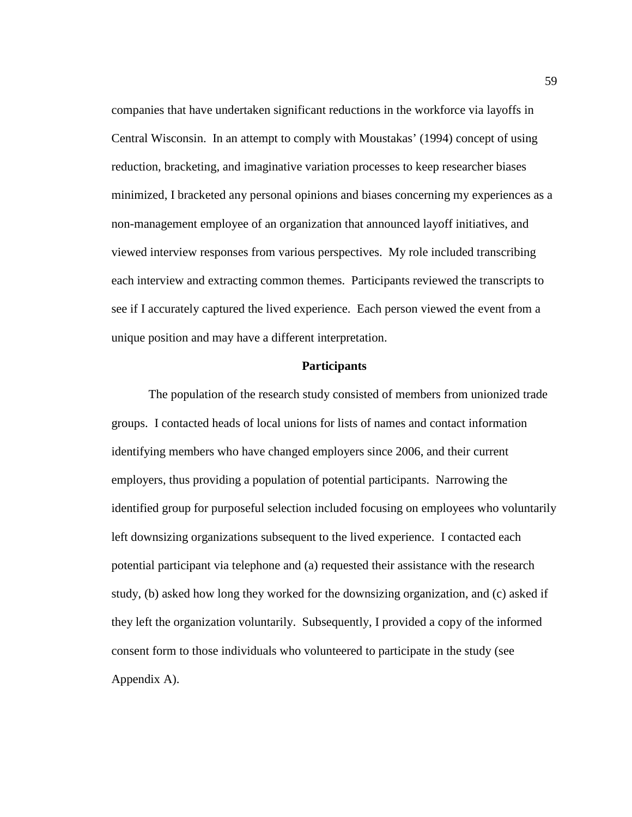companies that have undertaken significant reductions in the workforce via layoffs in Central Wisconsin. In an attempt to comply with Moustakas' (1994) concept of using reduction, bracketing, and imaginative variation processes to keep researcher biases minimized, I bracketed any personal opinions and biases concerning my experiences as a non-management employee of an organization that announced layoff initiatives, and viewed interview responses from various perspectives. My role included transcribing each interview and extracting common themes. Participants reviewed the transcripts to see if I accurately captured the lived experience. Each person viewed the event from a unique position and may have a different interpretation.

### **Participants**

The population of the research study consisted of members from unionized trade groups. I contacted heads of local unions for lists of names and contact information identifying members who have changed employers since 2006, and their current employers, thus providing a population of potential participants. Narrowing the identified group for purposeful selection included focusing on employees who voluntarily left downsizing organizations subsequent to the lived experience. I contacted each potential participant via telephone and (a) requested their assistance with the research study, (b) asked how long they worked for the downsizing organization, and (c) asked if they left the organization voluntarily. Subsequently, I provided a copy of the informed consent form to those individuals who volunteered to participate in the study (see Appendix A).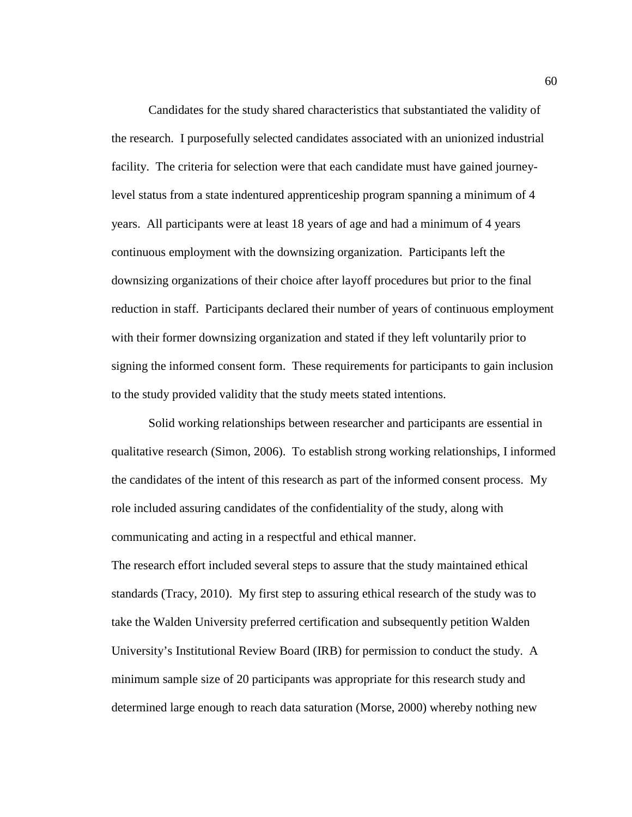Candidates for the study shared characteristics that substantiated the validity of the research. I purposefully selected candidates associated with an unionized industrial facility. The criteria for selection were that each candidate must have gained journeylevel status from a state indentured apprenticeship program spanning a minimum of 4 years. All participants were at least 18 years of age and had a minimum of 4 years continuous employment with the downsizing organization. Participants left the downsizing organizations of their choice after layoff procedures but prior to the final reduction in staff. Participants declared their number of years of continuous employment with their former downsizing organization and stated if they left voluntarily prior to signing the informed consent form. These requirements for participants to gain inclusion to the study provided validity that the study meets stated intentions.

Solid working relationships between researcher and participants are essential in qualitative research (Simon, 2006). To establish strong working relationships, I informed the candidates of the intent of this research as part of the informed consent process. My role included assuring candidates of the confidentiality of the study, along with communicating and acting in a respectful and ethical manner.

The research effort included several steps to assure that the study maintained ethical standards (Tracy, 2010). My first step to assuring ethical research of the study was to take the Walden University preferred certification and subsequently petition Walden University's Institutional Review Board (IRB) for permission to conduct the study. A minimum sample size of 20 participants was appropriate for this research study and determined large enough to reach data saturation (Morse, 2000) whereby nothing new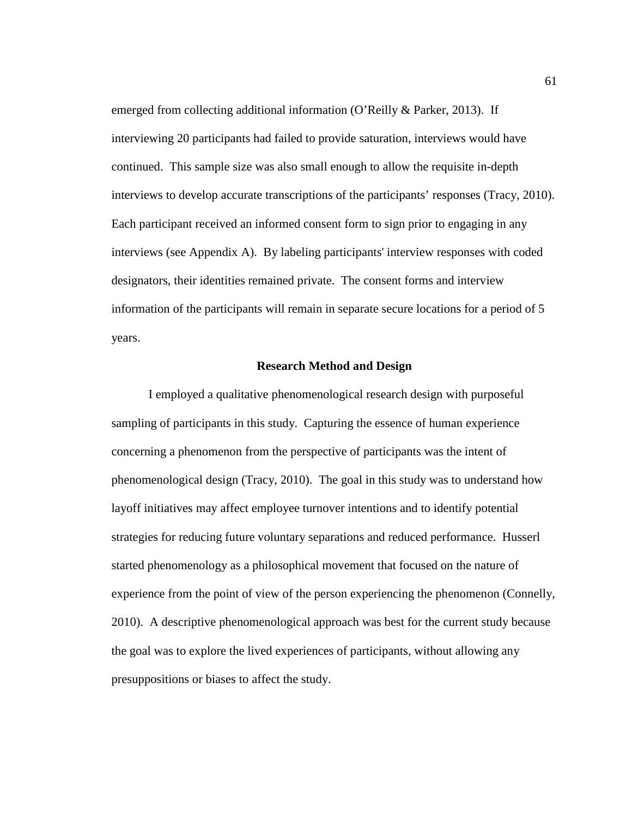emerged from collecting additional information (O'Reilly & Parker, 2013). If interviewing 20 participants had failed to provide saturation, interviews would have continued. This sample size was also small enough to allow the requisite in-depth interviews to develop accurate transcriptions of the participants' responses (Tracy, 2010). Each participant received an informed consent form to sign prior to engaging in any interviews (see Appendix A). By labeling participants' interview responses with coded designators, their identities remained private. The consent forms and interview information of the participants will remain in separate secure locations for a period of 5 years.

# **Research Method and Design**

I employed a qualitative phenomenological research design with purposeful sampling of participants in this study. Capturing the essence of human experience concerning a phenomenon from the perspective of participants was the intent of phenomenological design (Tracy, 2010). The goal in this study was to understand how layoff initiatives may affect employee turnover intentions and to identify potential strategies for reducing future voluntary separations and reduced performance. Husserl started phenomenology as a philosophical movement that focused on the nature of experience from the point of view of the person experiencing the phenomenon (Connelly, 2010). A descriptive phenomenological approach was best for the current study because the goal was to explore the lived experiences of participants, without allowing any presuppositions or biases to affect the study.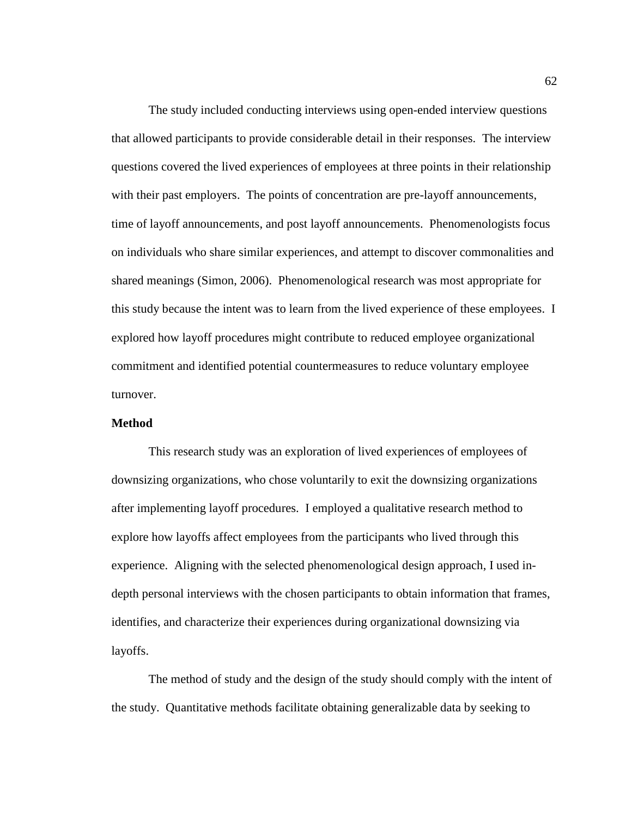The study included conducting interviews using open-ended interview questions that allowed participants to provide considerable detail in their responses. The interview questions covered the lived experiences of employees at three points in their relationship with their past employers. The points of concentration are pre-layoff announcements, time of layoff announcements, and post layoff announcements. Phenomenologists focus on individuals who share similar experiences, and attempt to discover commonalities and shared meanings (Simon, 2006). Phenomenological research was most appropriate for this study because the intent was to learn from the lived experience of these employees. I explored how layoff procedures might contribute to reduced employee organizational commitment and identified potential countermeasures to reduce voluntary employee turnover.

# **Method**

This research study was an exploration of lived experiences of employees of downsizing organizations, who chose voluntarily to exit the downsizing organizations after implementing layoff procedures. I employed a qualitative research method to explore how layoffs affect employees from the participants who lived through this experience. Aligning with the selected phenomenological design approach, I used indepth personal interviews with the chosen participants to obtain information that frames, identifies, and characterize their experiences during organizational downsizing via layoffs.

The method of study and the design of the study should comply with the intent of the study. Quantitative methods facilitate obtaining generalizable data by seeking to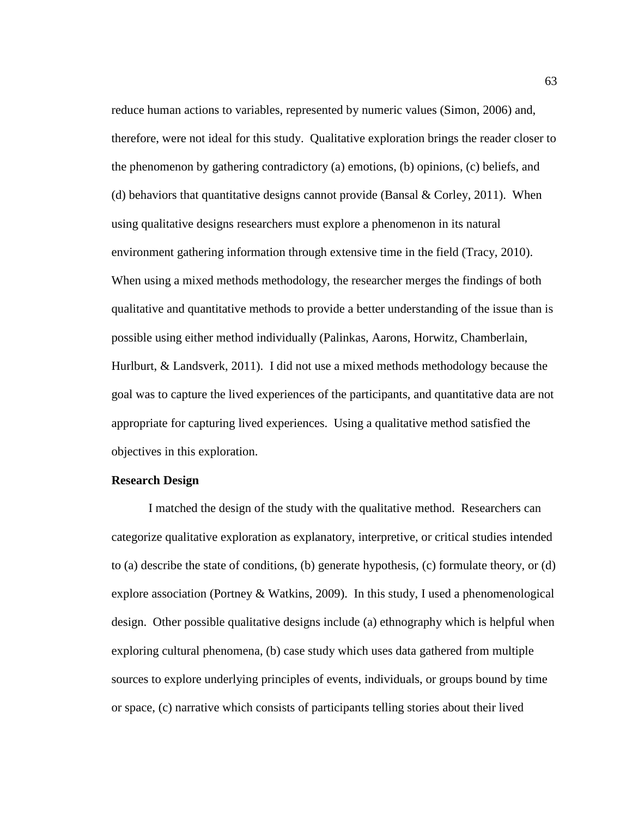reduce human actions to variables, represented by numeric values (Simon, 2006) and, therefore, were not ideal for this study. Qualitative exploration brings the reader closer to the phenomenon by gathering contradictory (a) emotions, (b) opinions, (c) beliefs, and (d) behaviors that quantitative designs cannot provide (Bansal & Corley, 2011). When using qualitative designs researchers must explore a phenomenon in its natural environment gathering information through extensive time in the field (Tracy, 2010). When using a mixed methods methodology, the researcher merges the findings of both qualitative and quantitative methods to provide a better understanding of the issue than is possible using either method individually (Palinkas, Aarons, Horwitz, Chamberlain, Hurlburt, & Landsverk, 2011). I did not use a mixed methods methodology because the goal was to capture the lived experiences of the participants, and quantitative data are not appropriate for capturing lived experiences. Using a qualitative method satisfied the objectives in this exploration.

## **Research Design**

I matched the design of the study with the qualitative method. Researchers can categorize qualitative exploration as explanatory, interpretive, or critical studies intended to (a) describe the state of conditions, (b) generate hypothesis, (c) formulate theory, or (d) explore association (Portney & Watkins, 2009). In this study, I used a phenomenological design. Other possible qualitative designs include (a) ethnography which is helpful when exploring cultural phenomena, (b) case study which uses data gathered from multiple sources to explore underlying principles of events, individuals, or groups bound by time or space, (c) narrative which consists of participants telling stories about their lived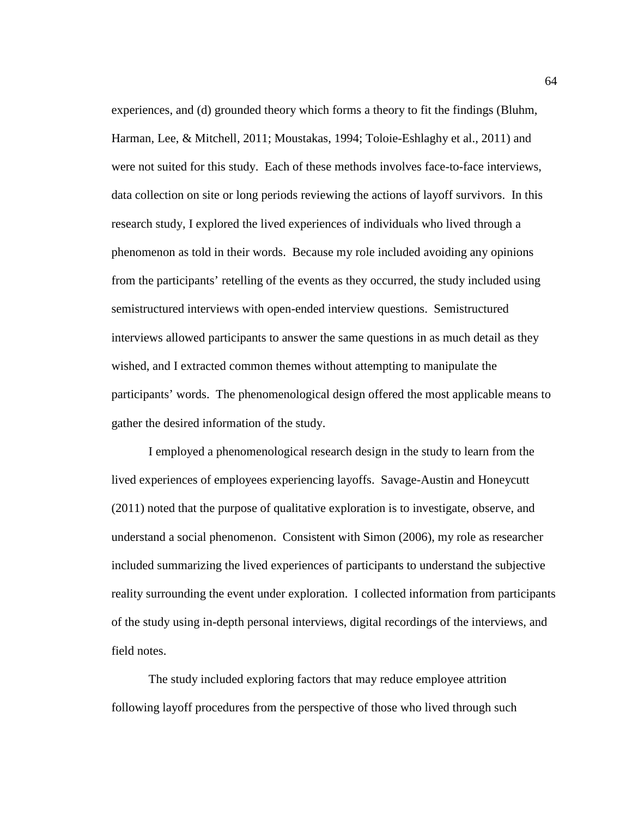experiences, and (d) grounded theory which forms a theory to fit the findings (Bluhm, Harman, Lee, & Mitchell, 2011; Moustakas, 1994; Toloie-Eshlaghy et al., 2011) and were not suited for this study. Each of these methods involves face-to-face interviews, data collection on site or long periods reviewing the actions of layoff survivors. In this research study, I explored the lived experiences of individuals who lived through a phenomenon as told in their words. Because my role included avoiding any opinions from the participants' retelling of the events as they occurred, the study included using semistructured interviews with open-ended interview questions. Semistructured interviews allowed participants to answer the same questions in as much detail as they wished, and I extracted common themes without attempting to manipulate the participants' words. The phenomenological design offered the most applicable means to gather the desired information of the study.

I employed a phenomenological research design in the study to learn from the lived experiences of employees experiencing layoffs. Savage-Austin and Honeycutt (2011) noted that the purpose of qualitative exploration is to investigate, observe, and understand a social phenomenon. Consistent with Simon (2006), my role as researcher included summarizing the lived experiences of participants to understand the subjective reality surrounding the event under exploration. I collected information from participants of the study using in-depth personal interviews, digital recordings of the interviews, and field notes.

The study included exploring factors that may reduce employee attrition following layoff procedures from the perspective of those who lived through such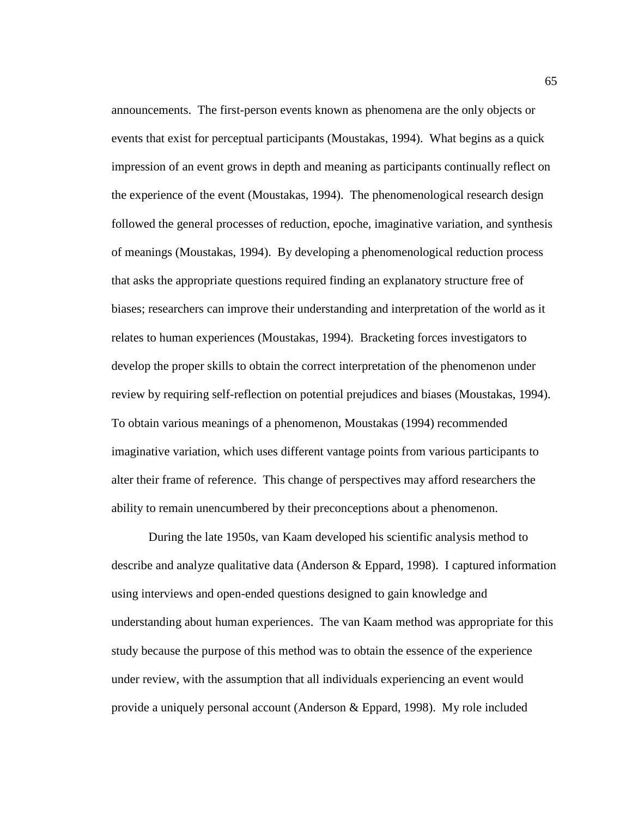announcements. The first-person events known as phenomena are the only objects or events that exist for perceptual participants (Moustakas, 1994). What begins as a quick impression of an event grows in depth and meaning as participants continually reflect on the experience of the event (Moustakas, 1994). The phenomenological research design followed the general processes of reduction, epoche, imaginative variation, and synthesis of meanings (Moustakas, 1994). By developing a phenomenological reduction process that asks the appropriate questions required finding an explanatory structure free of biases; researchers can improve their understanding and interpretation of the world as it relates to human experiences (Moustakas, 1994). Bracketing forces investigators to develop the proper skills to obtain the correct interpretation of the phenomenon under review by requiring self-reflection on potential prejudices and biases (Moustakas, 1994). To obtain various meanings of a phenomenon, Moustakas (1994) recommended imaginative variation, which uses different vantage points from various participants to alter their frame of reference. This change of perspectives may afford researchers the ability to remain unencumbered by their preconceptions about a phenomenon.

During the late 1950s, van Kaam developed his scientific analysis method to describe and analyze qualitative data (Anderson & Eppard, 1998). I captured information using interviews and open-ended questions designed to gain knowledge and understanding about human experiences. The van Kaam method was appropriate for this study because the purpose of this method was to obtain the essence of the experience under review, with the assumption that all individuals experiencing an event would provide a uniquely personal account (Anderson & Eppard, 1998). My role included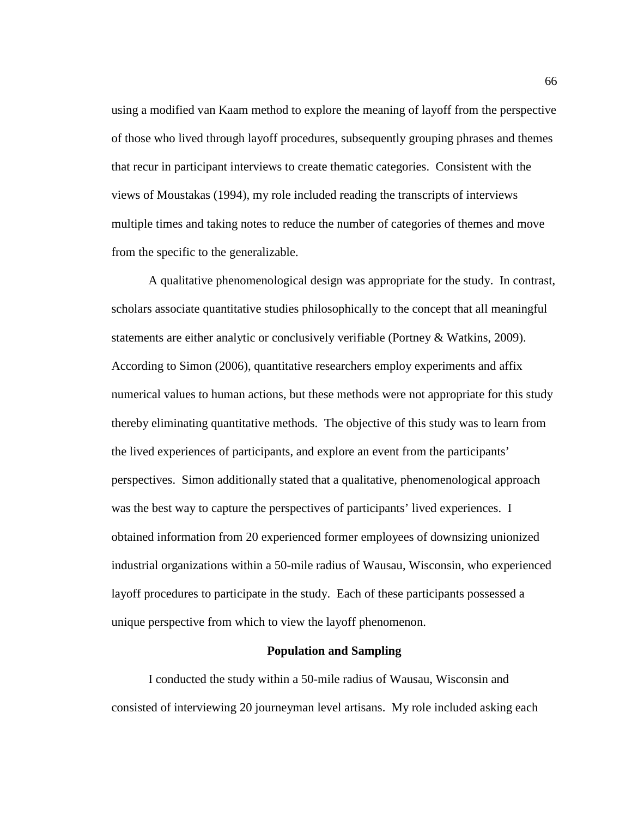using a modified van Kaam method to explore the meaning of layoff from the perspective of those who lived through layoff procedures, subsequently grouping phrases and themes that recur in participant interviews to create thematic categories. Consistent with the views of Moustakas (1994), my role included reading the transcripts of interviews multiple times and taking notes to reduce the number of categories of themes and move from the specific to the generalizable.

A qualitative phenomenological design was appropriate for the study. In contrast, scholars associate quantitative studies philosophically to the concept that all meaningful statements are either analytic or conclusively verifiable (Portney & Watkins, 2009). According to Simon (2006), quantitative researchers employ experiments and affix numerical values to human actions, but these methods were not appropriate for this study thereby eliminating quantitative methods. The objective of this study was to learn from the lived experiences of participants, and explore an event from the participants' perspectives. Simon additionally stated that a qualitative, phenomenological approach was the best way to capture the perspectives of participants' lived experiences. I obtained information from 20 experienced former employees of downsizing unionized industrial organizations within a 50-mile radius of Wausau, Wisconsin, who experienced layoff procedures to participate in the study. Each of these participants possessed a unique perspective from which to view the layoff phenomenon.

#### **Population and Sampling**

I conducted the study within a 50-mile radius of Wausau, Wisconsin and consisted of interviewing 20 journeyman level artisans. My role included asking each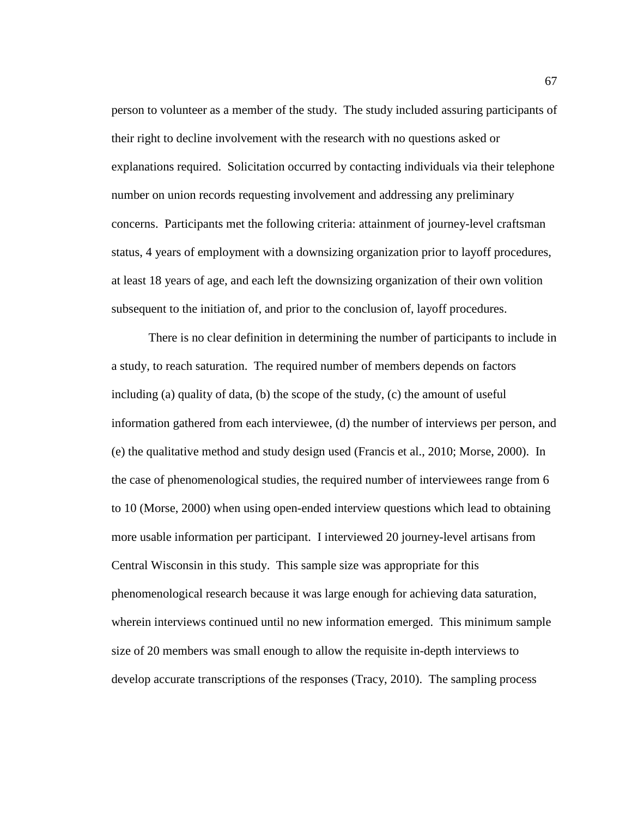person to volunteer as a member of the study. The study included assuring participants of their right to decline involvement with the research with no questions asked or explanations required. Solicitation occurred by contacting individuals via their telephone number on union records requesting involvement and addressing any preliminary concerns. Participants met the following criteria: attainment of journey-level craftsman status, 4 years of employment with a downsizing organization prior to layoff procedures, at least 18 years of age, and each left the downsizing organization of their own volition subsequent to the initiation of, and prior to the conclusion of, layoff procedures.

There is no clear definition in determining the number of participants to include in a study, to reach saturation. The required number of members depends on factors including (a) quality of data,  $(b)$  the scope of the study,  $(c)$  the amount of useful information gathered from each interviewee, (d) the number of interviews per person, and (e) the qualitative method and study design used (Francis et al., 2010; Morse, 2000). In the case of phenomenological studies, the required number of interviewees range from 6 to 10 (Morse, 2000) when using open-ended interview questions which lead to obtaining more usable information per participant. I interviewed 20 journey-level artisans from Central Wisconsin in this study. This sample size was appropriate for this phenomenological research because it was large enough for achieving data saturation, wherein interviews continued until no new information emerged. This minimum sample size of 20 members was small enough to allow the requisite in-depth interviews to develop accurate transcriptions of the responses (Tracy, 2010). The sampling process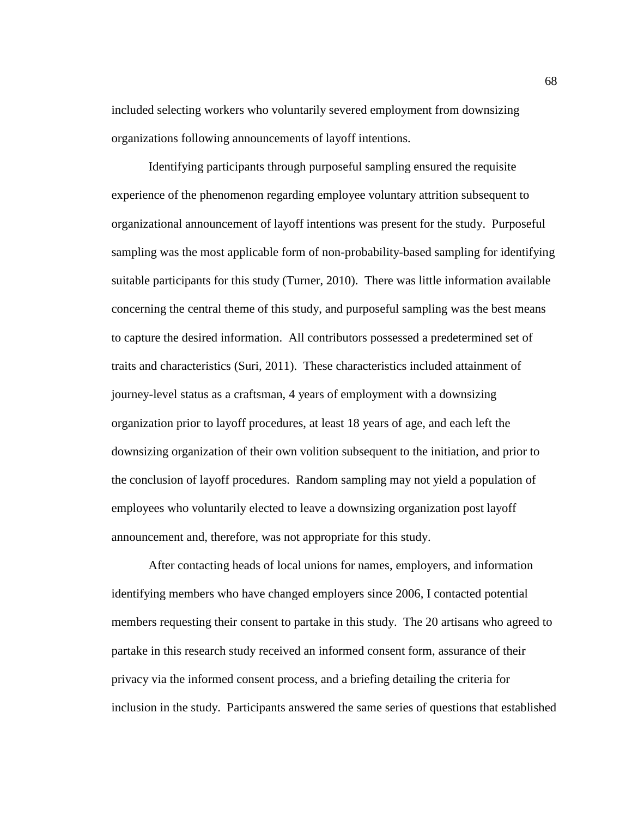included selecting workers who voluntarily severed employment from downsizing organizations following announcements of layoff intentions.

Identifying participants through purposeful sampling ensured the requisite experience of the phenomenon regarding employee voluntary attrition subsequent to organizational announcement of layoff intentions was present for the study. Purposeful sampling was the most applicable form of non-probability-based sampling for identifying suitable participants for this study (Turner, 2010). There was little information available concerning the central theme of this study, and purposeful sampling was the best means to capture the desired information. All contributors possessed a predetermined set of traits and characteristics (Suri, 2011). These characteristics included attainment of journey-level status as a craftsman, 4 years of employment with a downsizing organization prior to layoff procedures, at least 18 years of age, and each left the downsizing organization of their own volition subsequent to the initiation, and prior to the conclusion of layoff procedures. Random sampling may not yield a population of employees who voluntarily elected to leave a downsizing organization post layoff announcement and, therefore, was not appropriate for this study.

After contacting heads of local unions for names, employers, and information identifying members who have changed employers since 2006, I contacted potential members requesting their consent to partake in this study. The 20 artisans who agreed to partake in this research study received an informed consent form, assurance of their privacy via the informed consent process, and a briefing detailing the criteria for inclusion in the study. Participants answered the same series of questions that established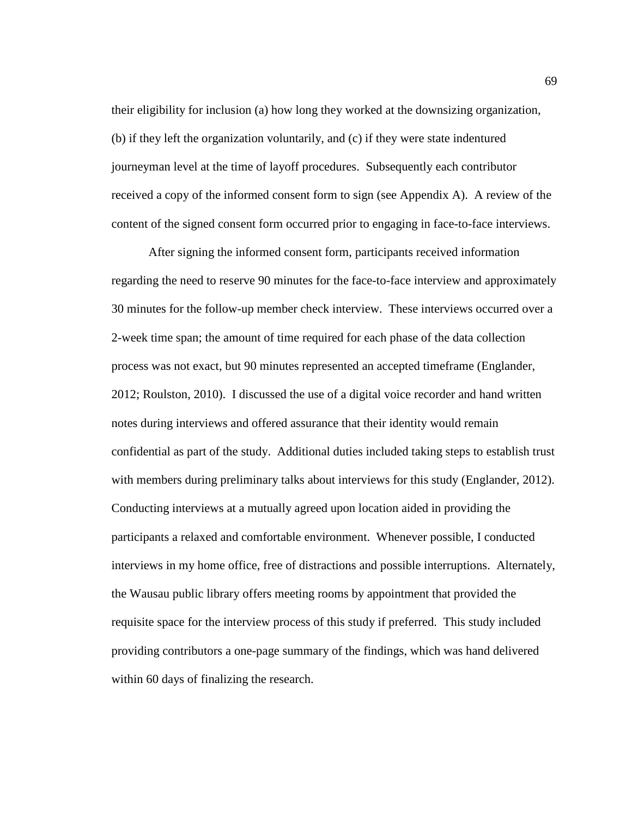their eligibility for inclusion (a) how long they worked at the downsizing organization, (b) if they left the organization voluntarily, and (c) if they were state indentured journeyman level at the time of layoff procedures. Subsequently each contributor received a copy of the informed consent form to sign (see Appendix A). A review of the content of the signed consent form occurred prior to engaging in face-to-face interviews.

After signing the informed consent form, participants received information regarding the need to reserve 90 minutes for the face-to-face interview and approximately 30 minutes for the follow-up member check interview. These interviews occurred over a 2-week time span; the amount of time required for each phase of the data collection process was not exact, but 90 minutes represented an accepted timeframe (Englander, 2012; Roulston, 2010). I discussed the use of a digital voice recorder and hand written notes during interviews and offered assurance that their identity would remain confidential as part of the study. Additional duties included taking steps to establish trust with members during preliminary talks about interviews for this study (Englander, 2012). Conducting interviews at a mutually agreed upon location aided in providing the participants a relaxed and comfortable environment. Whenever possible, I conducted interviews in my home office, free of distractions and possible interruptions. Alternately, the Wausau public library offers meeting rooms by appointment that provided the requisite space for the interview process of this study if preferred. This study included providing contributors a one-page summary of the findings, which was hand delivered within 60 days of finalizing the research.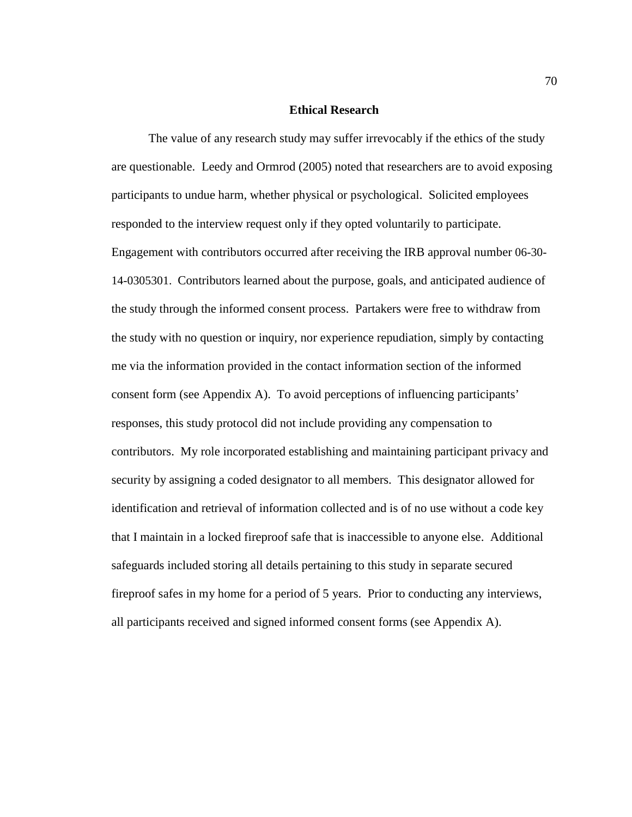# **Ethical Research**

The value of any research study may suffer irrevocably if the ethics of the study are questionable. Leedy and Ormrod (2005) noted that researchers are to avoid exposing participants to undue harm, whether physical or psychological. Solicited employees responded to the interview request only if they opted voluntarily to participate. Engagement with contributors occurred after receiving the IRB approval number 06-30- 14-0305301. Contributors learned about the purpose, goals, and anticipated audience of the study through the informed consent process. Partakers were free to withdraw from the study with no question or inquiry, nor experience repudiation, simply by contacting me via the information provided in the contact information section of the informed consent form (see Appendix A). To avoid perceptions of influencing participants' responses, this study protocol did not include providing any compensation to contributors. My role incorporated establishing and maintaining participant privacy and security by assigning a coded designator to all members. This designator allowed for identification and retrieval of information collected and is of no use without a code key that I maintain in a locked fireproof safe that is inaccessible to anyone else. Additional safeguards included storing all details pertaining to this study in separate secured fireproof safes in my home for a period of 5 years. Prior to conducting any interviews, all participants received and signed informed consent forms (see Appendix A).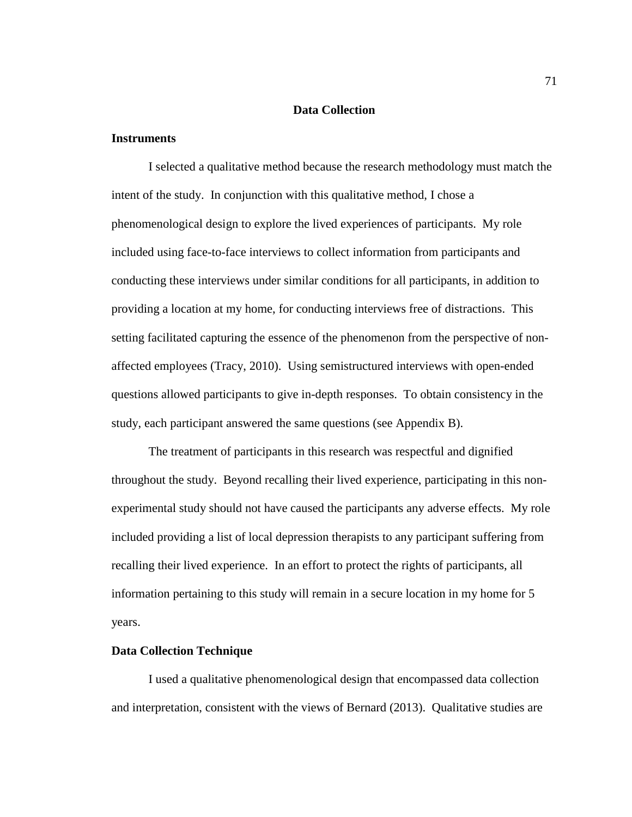## **Data Collection**

## **Instruments**

I selected a qualitative method because the research methodology must match the intent of the study. In conjunction with this qualitative method, I chose a phenomenological design to explore the lived experiences of participants. My role included using face-to-face interviews to collect information from participants and conducting these interviews under similar conditions for all participants, in addition to providing a location at my home, for conducting interviews free of distractions. This setting facilitated capturing the essence of the phenomenon from the perspective of nonaffected employees (Tracy, 2010). Using semistructured interviews with open-ended questions allowed participants to give in-depth responses. To obtain consistency in the study, each participant answered the same questions (see Appendix B).

The treatment of participants in this research was respectful and dignified throughout the study. Beyond recalling their lived experience, participating in this nonexperimental study should not have caused the participants any adverse effects. My role included providing a list of local depression therapists to any participant suffering from recalling their lived experience. In an effort to protect the rights of participants, all information pertaining to this study will remain in a secure location in my home for 5 years.

#### **Data Collection Technique**

I used a qualitative phenomenological design that encompassed data collection and interpretation, consistent with the views of Bernard (2013). Qualitative studies are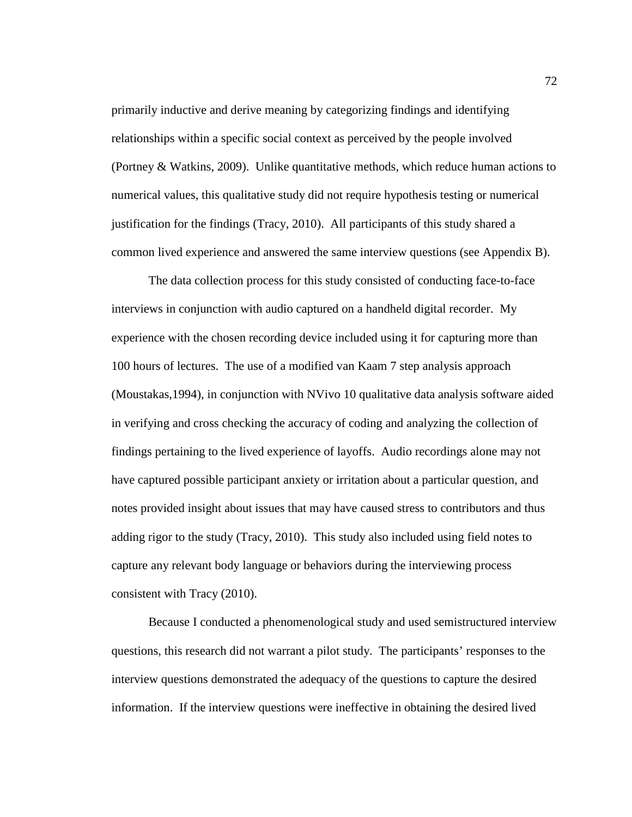primarily inductive and derive meaning by categorizing findings and identifying relationships within a specific social context as perceived by the people involved (Portney & Watkins, 2009). Unlike quantitative methods, which reduce human actions to numerical values, this qualitative study did not require hypothesis testing or numerical justification for the findings (Tracy, 2010). All participants of this study shared a common lived experience and answered the same interview questions (see Appendix B).

The data collection process for this study consisted of conducting face-to-face interviews in conjunction with audio captured on a handheld digital recorder. My experience with the chosen recording device included using it for capturing more than 100 hours of lectures. The use of a modified van Kaam 7 step analysis approach (Moustakas,1994), in conjunction with NVivo 10 qualitative data analysis software aided in verifying and cross checking the accuracy of coding and analyzing the collection of findings pertaining to the lived experience of layoffs. Audio recordings alone may not have captured possible participant anxiety or irritation about a particular question, and notes provided insight about issues that may have caused stress to contributors and thus adding rigor to the study (Tracy, 2010). This study also included using field notes to capture any relevant body language or behaviors during the interviewing process consistent with Tracy (2010).

Because I conducted a phenomenological study and used semistructured interview questions, this research did not warrant a pilot study. The participants' responses to the interview questions demonstrated the adequacy of the questions to capture the desired information. If the interview questions were ineffective in obtaining the desired lived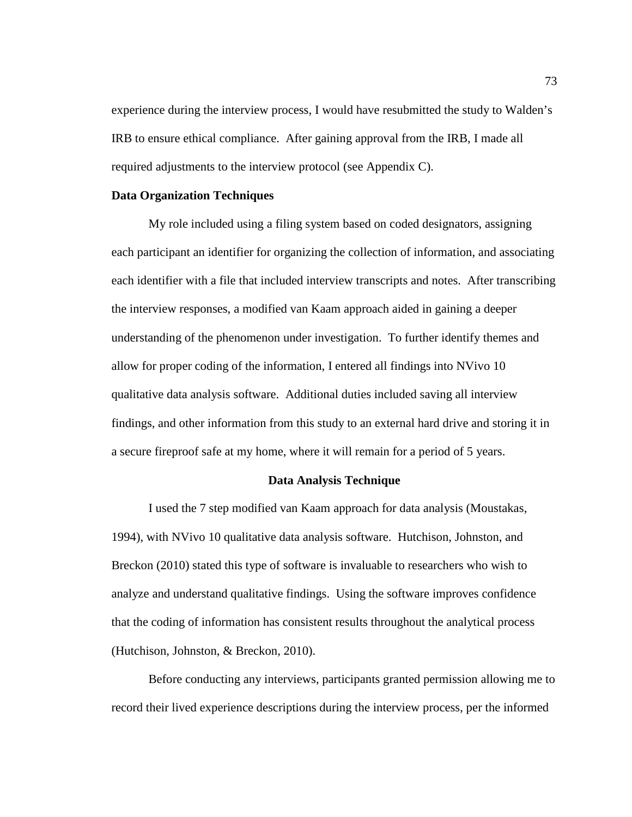experience during the interview process, I would have resubmitted the study to Walden's IRB to ensure ethical compliance. After gaining approval from the IRB, I made all required adjustments to the interview protocol (see Appendix C).

## **Data Organization Techniques**

My role included using a filing system based on coded designators, assigning each participant an identifier for organizing the collection of information, and associating each identifier with a file that included interview transcripts and notes. After transcribing the interview responses, a modified van Kaam approach aided in gaining a deeper understanding of the phenomenon under investigation. To further identify themes and allow for proper coding of the information, I entered all findings into NVivo 10 qualitative data analysis software. Additional duties included saving all interview findings, and other information from this study to an external hard drive and storing it in a secure fireproof safe at my home, where it will remain for a period of 5 years.

### **Data Analysis Technique**

I used the 7 step modified van Kaam approach for data analysis (Moustakas, 1994), with NVivo 10 qualitative data analysis software. Hutchison, Johnston, and Breckon (2010) stated this type of software is invaluable to researchers who wish to analyze and understand qualitative findings. Using the software improves confidence that the coding of information has consistent results throughout the analytical process (Hutchison, Johnston, & Breckon, 2010).

Before conducting any interviews, participants granted permission allowing me to record their lived experience descriptions during the interview process, per the informed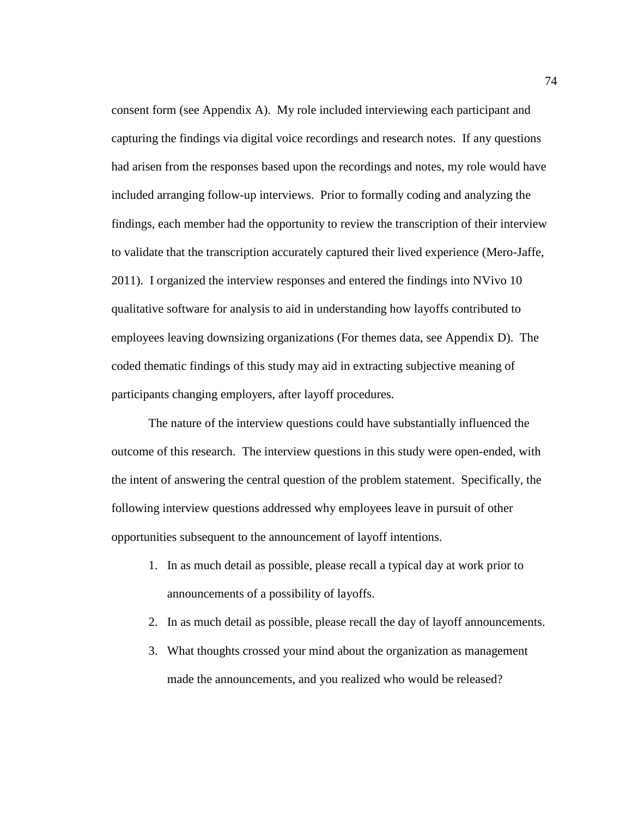consent form (see Appendix A). My role included interviewing each participant and capturing the findings via digital voice recordings and research notes. If any questions had arisen from the responses based upon the recordings and notes, my role would have included arranging follow-up interviews. Prior to formally coding and analyzing the findings, each member had the opportunity to review the transcription of their interview to validate that the transcription accurately captured their lived experience (Mero-Jaffe, 2011). I organized the interview responses and entered the findings into NVivo 10 qualitative software for analysis to aid in understanding how layoffs contributed to employees leaving downsizing organizations (For themes data, see Appendix D). The coded thematic findings of this study may aid in extracting subjective meaning of participants changing employers, after layoff procedures.

The nature of the interview questions could have substantially influenced the outcome of this research. The interview questions in this study were open-ended, with the intent of answering the central question of the problem statement. Specifically, the following interview questions addressed why employees leave in pursuit of other opportunities subsequent to the announcement of layoff intentions.

- 1. In as much detail as possible, please recall a typical day at work prior to announcements of a possibility of layoffs.
- 2. In as much detail as possible, please recall the day of layoff announcements.
- 3. What thoughts crossed your mind about the organization as management made the announcements, and you realized who would be released?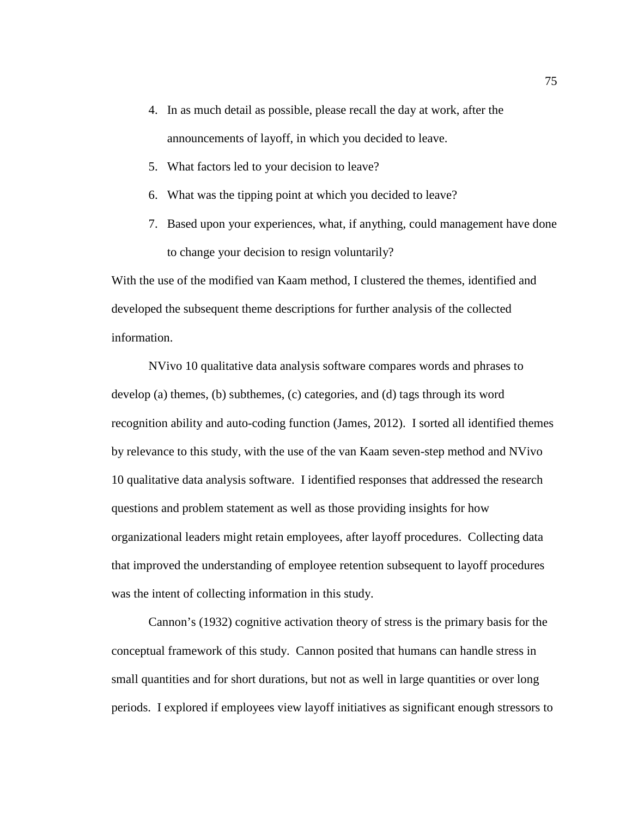- 4. In as much detail as possible, please recall the day at work, after the announcements of layoff, in which you decided to leave.
- 5. What factors led to your decision to leave?
- 6. What was the tipping point at which you decided to leave?
- 7. Based upon your experiences, what, if anything, could management have done to change your decision to resign voluntarily?

With the use of the modified van Kaam method, I clustered the themes, identified and developed the subsequent theme descriptions for further analysis of the collected information.

NVivo 10 qualitative data analysis software compares words and phrases to develop (a) themes, (b) subthemes, (c) categories, and (d) tags through its word recognition ability and auto-coding function (James, 2012). I sorted all identified themes by relevance to this study, with the use of the van Kaam seven-step method and NVivo 10 qualitative data analysis software. I identified responses that addressed the research questions and problem statement as well as those providing insights for how organizational leaders might retain employees, after layoff procedures. Collecting data that improved the understanding of employee retention subsequent to layoff procedures was the intent of collecting information in this study.

Cannon's (1932) cognitive activation theory of stress is the primary basis for the conceptual framework of this study. Cannon posited that humans can handle stress in small quantities and for short durations, but not as well in large quantities or over long periods. I explored if employees view layoff initiatives as significant enough stressors to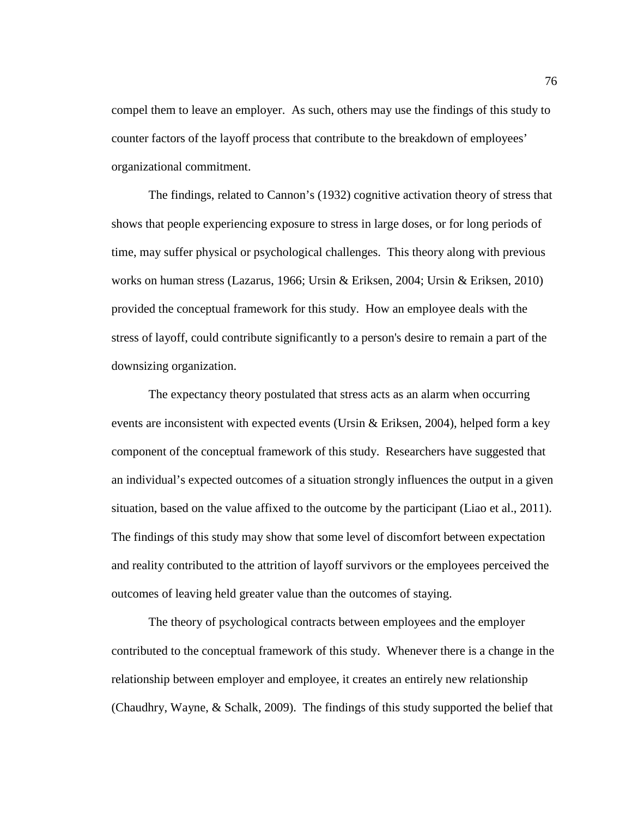compel them to leave an employer. As such, others may use the findings of this study to counter factors of the layoff process that contribute to the breakdown of employees' organizational commitment.

The findings, related to Cannon's (1932) cognitive activation theory of stress that shows that people experiencing exposure to stress in large doses, or for long periods of time, may suffer physical or psychological challenges. This theory along with previous works on human stress (Lazarus, 1966; Ursin & Eriksen, 2004; Ursin & Eriksen, 2010) provided the conceptual framework for this study. How an employee deals with the stress of layoff, could contribute significantly to a person's desire to remain a part of the downsizing organization.

The expectancy theory postulated that stress acts as an alarm when occurring events are inconsistent with expected events (Ursin & Eriksen, 2004), helped form a key component of the conceptual framework of this study. Researchers have suggested that an individual's expected outcomes of a situation strongly influences the output in a given situation, based on the value affixed to the outcome by the participant (Liao et al., 2011). The findings of this study may show that some level of discomfort between expectation and reality contributed to the attrition of layoff survivors or the employees perceived the outcomes of leaving held greater value than the outcomes of staying.

The theory of psychological contracts between employees and the employer contributed to the conceptual framework of this study. Whenever there is a change in the relationship between employer and employee, it creates an entirely new relationship (Chaudhry, Wayne, & Schalk, 2009). The findings of this study supported the belief that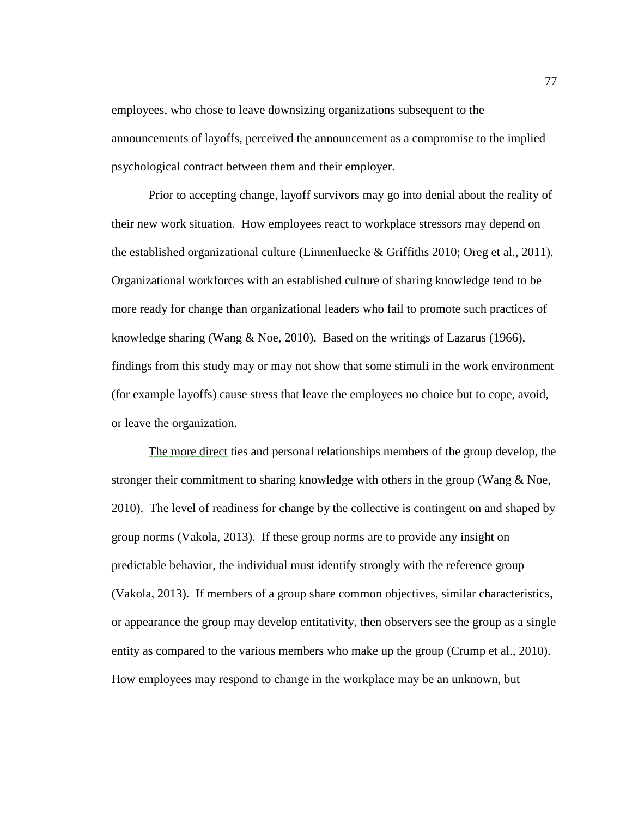employees, who chose to leave downsizing organizations subsequent to the announcements of layoffs, perceived the announcement as a compromise to the implied psychological contract between them and their employer.

Prior to accepting change, layoff survivors may go into denial about the reality of their new work situation. How employees react to workplace stressors may depend on the established organizational culture (Linnenluecke & Griffiths 2010; Oreg et al., 2011). Organizational workforces with an established culture of sharing knowledge tend to be more ready for change than organizational leaders who fail to promote such practices of knowledge sharing (Wang  $\&$  Noe, 2010). Based on the writings of Lazarus (1966), findings from this study may or may not show that some stimuli in the work environment (for example layoffs) cause stress that leave the employees no choice but to cope, avoid, or leave the organization.

The more direct ties and personal relationships members of the group develop, the stronger their commitment to sharing knowledge with others in the group (Wang & Noe, 2010). The level of readiness for change by the collective is contingent on and shaped by group norms (Vakola, 2013). If these group norms are to provide any insight on predictable behavior, the individual must identify strongly with the reference group (Vakola, 2013). If members of a group share common objectives, similar characteristics, or appearance the group may develop entitativity, then observers see the group as a single entity as compared to the various members who make up the group (Crump et al., 2010). How employees may respond to change in the workplace may be an unknown, but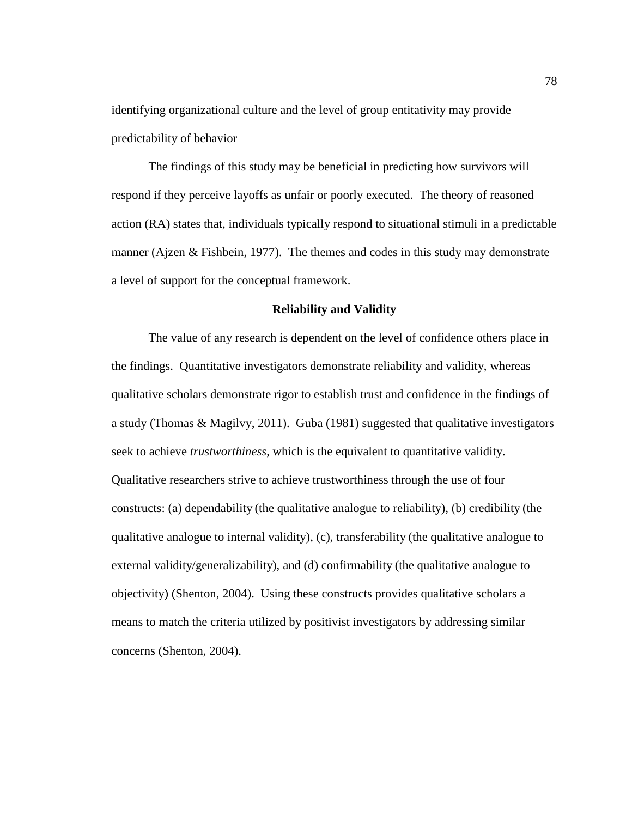identifying organizational culture and the level of group entitativity may provide predictability of behavior

The findings of this study may be beneficial in predicting how survivors will respond if they perceive layoffs as unfair or poorly executed. The theory of reasoned action (RA) states that, individuals typically respond to situational stimuli in a predictable manner (Ajzen & Fishbein, 1977). The themes and codes in this study may demonstrate a level of support for the conceptual framework.

### **Reliability and Validity**

The value of any research is dependent on the level of confidence others place in the findings. Quantitative investigators demonstrate reliability and validity, whereas qualitative scholars demonstrate rigor to establish trust and confidence in the findings of a study (Thomas & Magilvy, 2011). Guba (1981) suggested that qualitative investigators seek to achieve *trustworthiness*, which is the equivalent to quantitative validity. Qualitative researchers strive to achieve trustworthiness through the use of four constructs: (a) dependability (the qualitative analogue to reliability), (b) credibility (the qualitative analogue to internal validity), (c), transferability (the qualitative analogue to external validity/generalizability), and (d) confirmability (the qualitative analogue to objectivity) (Shenton, 2004). Using these constructs provides qualitative scholars a means to match the criteria utilized by positivist investigators by addressing similar concerns (Shenton, 2004).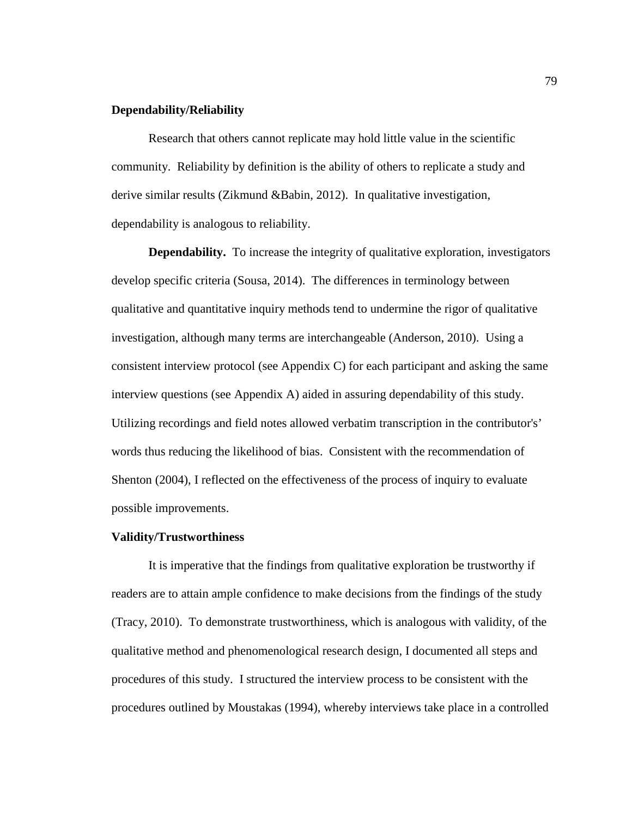# **Dependability/Reliability**

Research that others cannot replicate may hold little value in the scientific community. Reliability by definition is the ability of others to replicate a study and derive similar results (Zikmund &Babin, 2012). In qualitative investigation, dependability is analogous to reliability.

**Dependability.** To increase the integrity of qualitative exploration, investigators develop specific criteria (Sousa, 2014). The differences in terminology between qualitative and quantitative inquiry methods tend to undermine the rigor of qualitative investigation, although many terms are interchangeable (Anderson, 2010). Using a consistent interview protocol (see Appendix C) for each participant and asking the same interview questions (see Appendix A) aided in assuring dependability of this study. Utilizing recordings and field notes allowed verbatim transcription in the contributor's' words thus reducing the likelihood of bias. Consistent with the recommendation of Shenton (2004), I reflected on the effectiveness of the process of inquiry to evaluate possible improvements.

### **Validity/Trustworthiness**

It is imperative that the findings from qualitative exploration be trustworthy if readers are to attain ample confidence to make decisions from the findings of the study (Tracy, 2010). To demonstrate trustworthiness, which is analogous with validity, of the qualitative method and phenomenological research design, I documented all steps and procedures of this study. I structured the interview process to be consistent with the procedures outlined by Moustakas (1994), whereby interviews take place in a controlled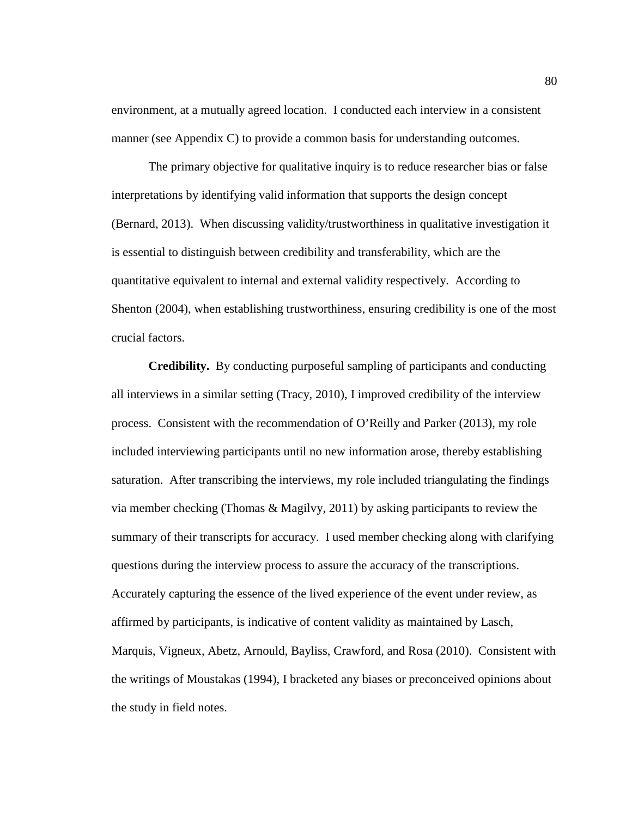environment, at a mutually agreed location. I conducted each interview in a consistent manner (see Appendix C) to provide a common basis for understanding outcomes.

The primary objective for qualitative inquiry is to reduce researcher bias or false interpretations by identifying valid information that supports the design concept (Bernard, 2013). When discussing validity/trustworthiness in qualitative investigation it is essential to distinguish between credibility and transferability, which are the quantitative equivalent to internal and external validity respectively. According to Shenton (2004), when establishing trustworthiness, ensuring credibility is one of the most crucial factors.

**Credibility.** By conducting purposeful sampling of participants and conducting all interviews in a similar setting (Tracy, 2010), I improved credibility of the interview process. Consistent with the recommendation of O'Reilly and Parker (2013), my role included interviewing participants until no new information arose, thereby establishing saturation. After transcribing the interviews, my role included triangulating the findings via member checking (Thomas & Magilvy, 2011) by asking participants to review the summary of their transcripts for accuracy. I used member checking along with clarifying questions during the interview process to assure the accuracy of the transcriptions. Accurately capturing the essence of the lived experience of the event under review, as affirmed by participants, is indicative of content validity as maintained by Lasch, Marquis, Vigneux, Abetz, Arnould, Bayliss, Crawford, and Rosa (2010). Consistent with the writings of Moustakas (1994), I bracketed any biases or preconceived opinions about the study in field notes.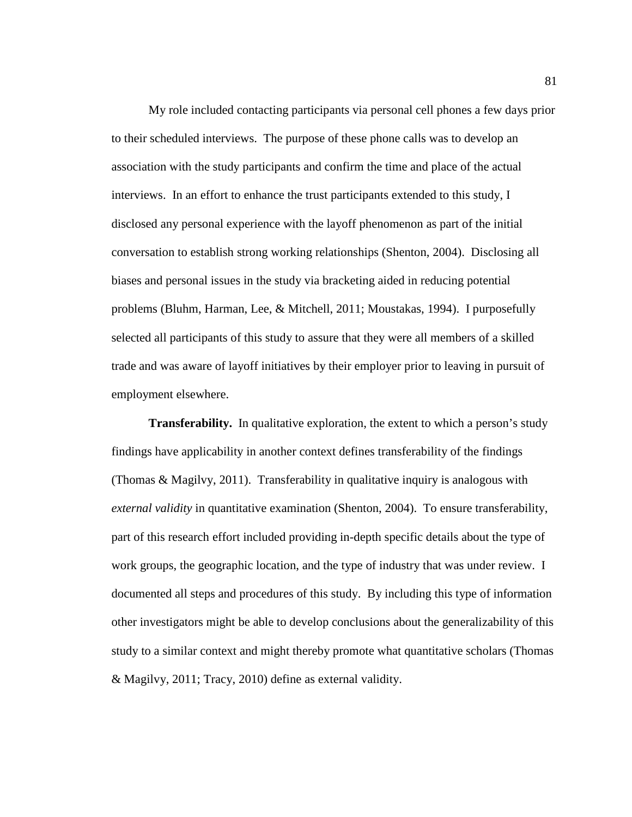My role included contacting participants via personal cell phones a few days prior to their scheduled interviews. The purpose of these phone calls was to develop an association with the study participants and confirm the time and place of the actual interviews. In an effort to enhance the trust participants extended to this study, I disclosed any personal experience with the layoff phenomenon as part of the initial conversation to establish strong working relationships (Shenton, 2004). Disclosing all biases and personal issues in the study via bracketing aided in reducing potential problems (Bluhm, Harman, Lee, & Mitchell, 2011; Moustakas, 1994). I purposefully selected all participants of this study to assure that they were all members of a skilled trade and was aware of layoff initiatives by their employer prior to leaving in pursuit of employment elsewhere.

**Transferability.** In qualitative exploration, the extent to which a person's study findings have applicability in another context defines transferability of the findings (Thomas & Magilvy, 2011). Transferability in qualitative inquiry is analogous with *external validity* in quantitative examination (Shenton, 2004). To ensure transferability, part of this research effort included providing in-depth specific details about the type of work groups, the geographic location, and the type of industry that was under review. I documented all steps and procedures of this study. By including this type of information other investigators might be able to develop conclusions about the generalizability of this study to a similar context and might thereby promote what quantitative scholars (Thomas & Magilvy, 2011; Tracy, 2010) define as external validity.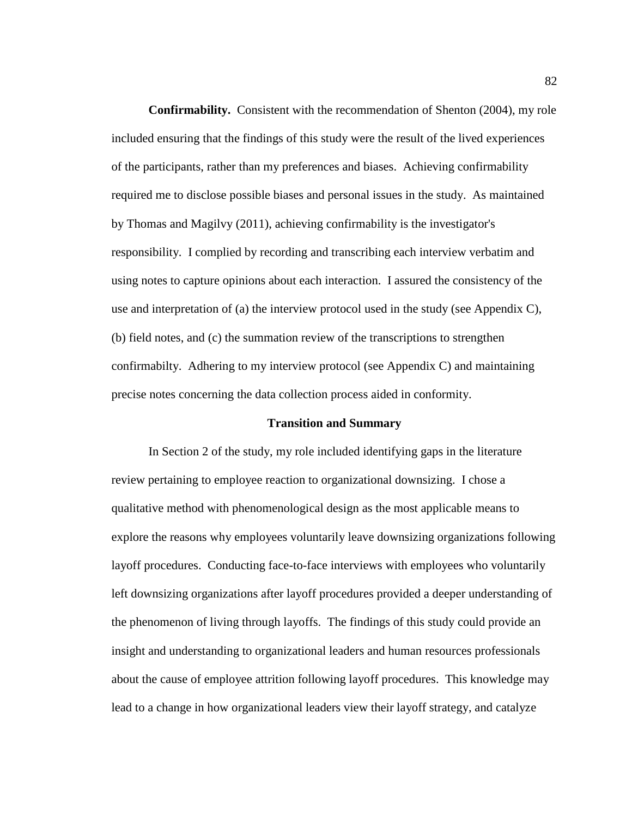**Confirmability.** Consistent with the recommendation of Shenton (2004), my role included ensuring that the findings of this study were the result of the lived experiences of the participants, rather than my preferences and biases. Achieving confirmability required me to disclose possible biases and personal issues in the study. As maintained by Thomas and Magilvy (2011), achieving confirmability is the investigator's responsibility. I complied by recording and transcribing each interview verbatim and using notes to capture opinions about each interaction. I assured the consistency of the use and interpretation of (a) the interview protocol used in the study (see Appendix C), (b) field notes, and (c) the summation review of the transcriptions to strengthen confirmabilty. Adhering to my interview protocol (see Appendix C) and maintaining precise notes concerning the data collection process aided in conformity.

### **Transition and Summary**

In Section 2 of the study, my role included identifying gaps in the literature review pertaining to employee reaction to organizational downsizing. I chose a qualitative method with phenomenological design as the most applicable means to explore the reasons why employees voluntarily leave downsizing organizations following layoff procedures. Conducting face-to-face interviews with employees who voluntarily left downsizing organizations after layoff procedures provided a deeper understanding of the phenomenon of living through layoffs. The findings of this study could provide an insight and understanding to organizational leaders and human resources professionals about the cause of employee attrition following layoff procedures. This knowledge may lead to a change in how organizational leaders view their layoff strategy, and catalyze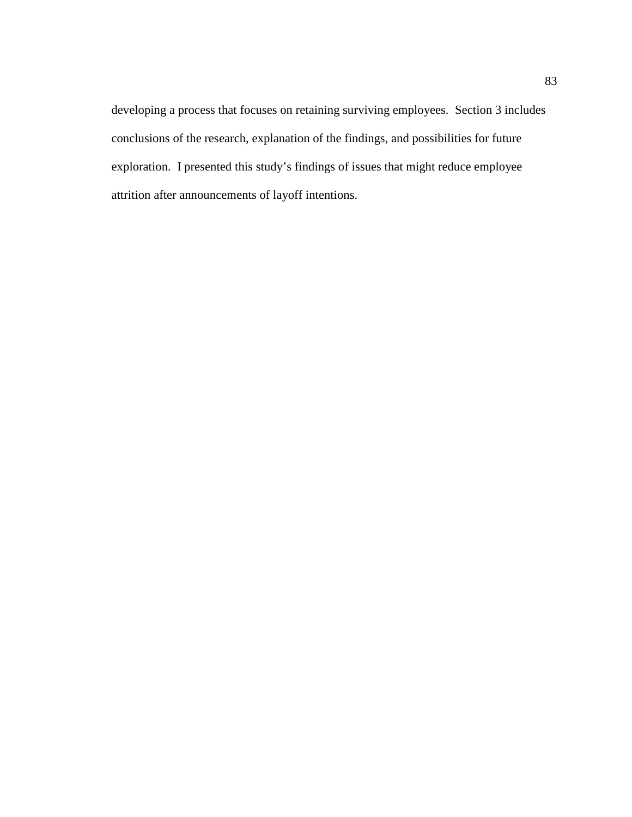developing a process that focuses on retaining surviving employees. Section 3 includes conclusions of the research, explanation of the findings, and possibilities for future exploration. I presented this study's findings of issues that might reduce employee attrition after announcements of layoff intentions.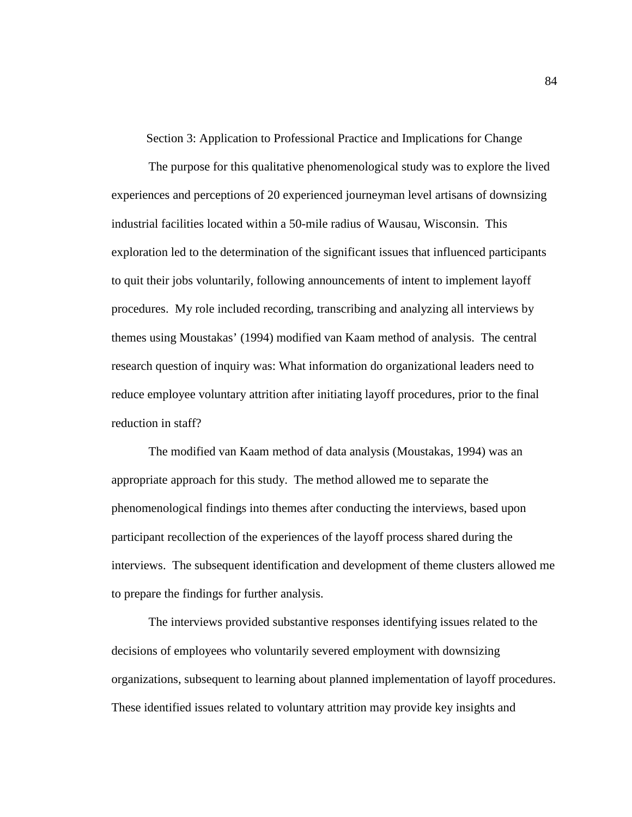Section 3: Application to Professional Practice and Implications for Change

The purpose for this qualitative phenomenological study was to explore the lived experiences and perceptions of 20 experienced journeyman level artisans of downsizing industrial facilities located within a 50-mile radius of Wausau, Wisconsin. This exploration led to the determination of the significant issues that influenced participants to quit their jobs voluntarily, following announcements of intent to implement layoff procedures. My role included recording, transcribing and analyzing all interviews by themes using Moustakas' (1994) modified van Kaam method of analysis. The central research question of inquiry was: What information do organizational leaders need to reduce employee voluntary attrition after initiating layoff procedures, prior to the final reduction in staff?

The modified van Kaam method of data analysis (Moustakas, 1994) was an appropriate approach for this study. The method allowed me to separate the phenomenological findings into themes after conducting the interviews, based upon participant recollection of the experiences of the layoff process shared during the interviews. The subsequent identification and development of theme clusters allowed me to prepare the findings for further analysis.

The interviews provided substantive responses identifying issues related to the decisions of employees who voluntarily severed employment with downsizing organizations, subsequent to learning about planned implementation of layoff procedures. These identified issues related to voluntary attrition may provide key insights and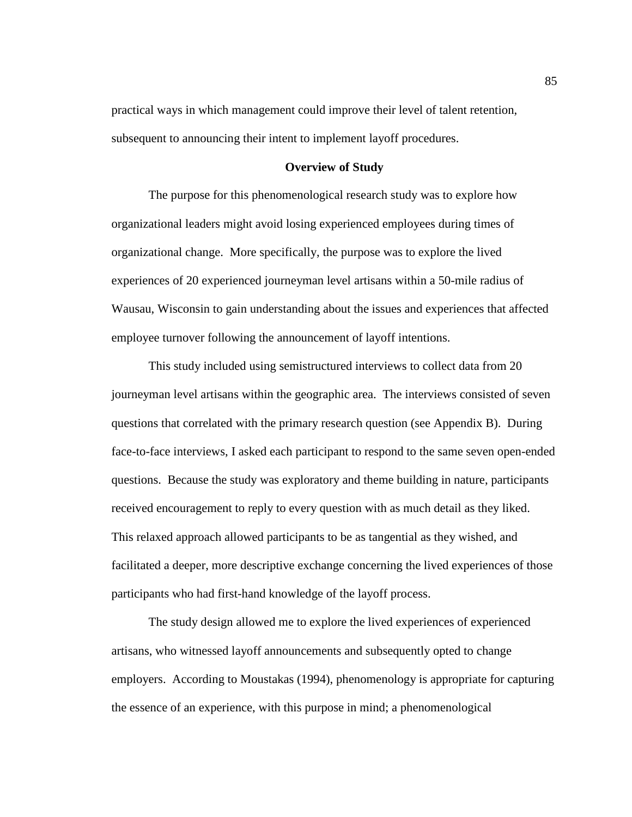practical ways in which management could improve their level of talent retention, subsequent to announcing their intent to implement layoff procedures.

## **Overview of Study**

The purpose for this phenomenological research study was to explore how organizational leaders might avoid losing experienced employees during times of organizational change. More specifically, the purpose was to explore the lived experiences of 20 experienced journeyman level artisans within a 50-mile radius of Wausau, Wisconsin to gain understanding about the issues and experiences that affected employee turnover following the announcement of layoff intentions.

This study included using semistructured interviews to collect data from 20 journeyman level artisans within the geographic area. The interviews consisted of seven questions that correlated with the primary research question (see Appendix B). During face-to-face interviews, I asked each participant to respond to the same seven open-ended questions. Because the study was exploratory and theme building in nature, participants received encouragement to reply to every question with as much detail as they liked. This relaxed approach allowed participants to be as tangential as they wished, and facilitated a deeper, more descriptive exchange concerning the lived experiences of those participants who had first-hand knowledge of the layoff process.

The study design allowed me to explore the lived experiences of experienced artisans, who witnessed layoff announcements and subsequently opted to change employers. According to Moustakas (1994), phenomenology is appropriate for capturing the essence of an experience, with this purpose in mind; a phenomenological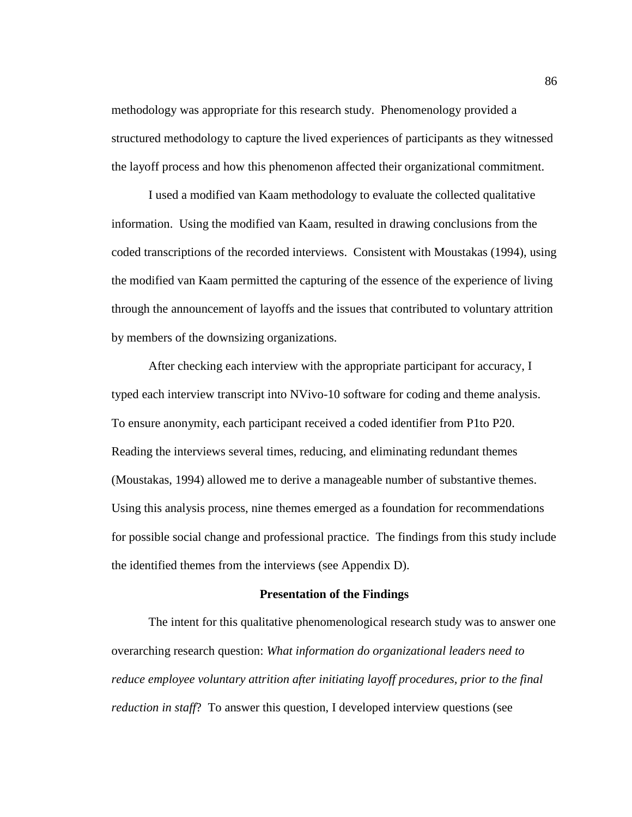methodology was appropriate for this research study. Phenomenology provided a structured methodology to capture the lived experiences of participants as they witnessed the layoff process and how this phenomenon affected their organizational commitment.

I used a modified van Kaam methodology to evaluate the collected qualitative information. Using the modified van Kaam, resulted in drawing conclusions from the coded transcriptions of the recorded interviews. Consistent with Moustakas (1994), using the modified van Kaam permitted the capturing of the essence of the experience of living through the announcement of layoffs and the issues that contributed to voluntary attrition by members of the downsizing organizations.

After checking each interview with the appropriate participant for accuracy, I typed each interview transcript into NVivo-10 software for coding and theme analysis. To ensure anonymity, each participant received a coded identifier from P1to P20. Reading the interviews several times, reducing, and eliminating redundant themes (Moustakas, 1994) allowed me to derive a manageable number of substantive themes. Using this analysis process, nine themes emerged as a foundation for recommendations for possible social change and professional practice. The findings from this study include the identified themes from the interviews (see Appendix D).

#### **Presentation of the Findings**

The intent for this qualitative phenomenological research study was to answer one overarching research question: *What information do organizational leaders need to reduce employee voluntary attrition after initiating layoff procedures, prior to the final reduction in staff*? To answer this question, I developed interview questions (see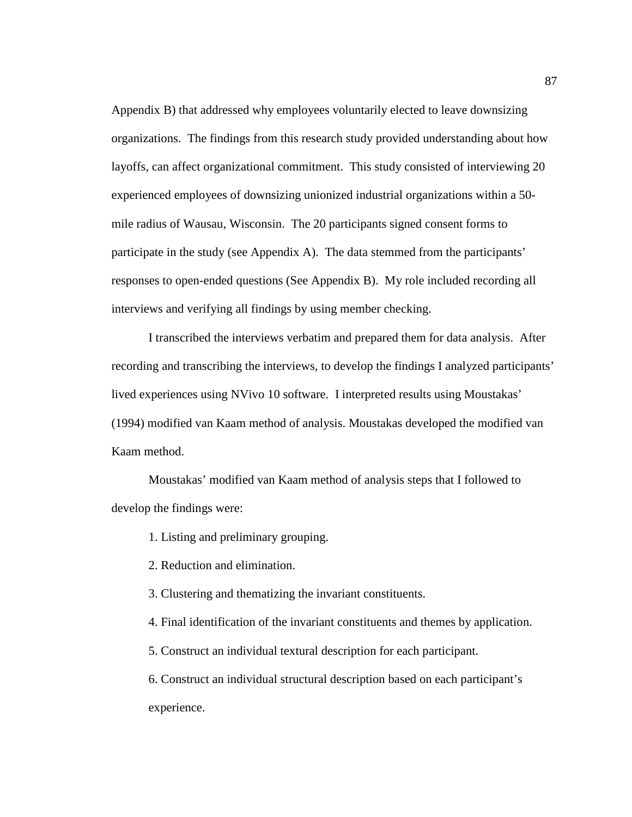Appendix B) that addressed why employees voluntarily elected to leave downsizing organizations. The findings from this research study provided understanding about how layoffs, can affect organizational commitment. This study consisted of interviewing 20 experienced employees of downsizing unionized industrial organizations within a 50 mile radius of Wausau, Wisconsin. The 20 participants signed consent forms to participate in the study (see Appendix A). The data stemmed from the participants' responses to open-ended questions (See Appendix B). My role included recording all interviews and verifying all findings by using member checking.

I transcribed the interviews verbatim and prepared them for data analysis. After recording and transcribing the interviews, to develop the findings I analyzed participants' lived experiences using NVivo 10 software. I interpreted results using Moustakas' (1994) modified van Kaam method of analysis. Moustakas developed the modified van Kaam method.

Moustakas' modified van Kaam method of analysis steps that I followed to develop the findings were:

1. Listing and preliminary grouping.

2. Reduction and elimination.

3. Clustering and thematizing the invariant constituents.

4. Final identification of the invariant constituents and themes by application.

5. Construct an individual textural description for each participant.

6. Construct an individual structural description based on each participant's experience.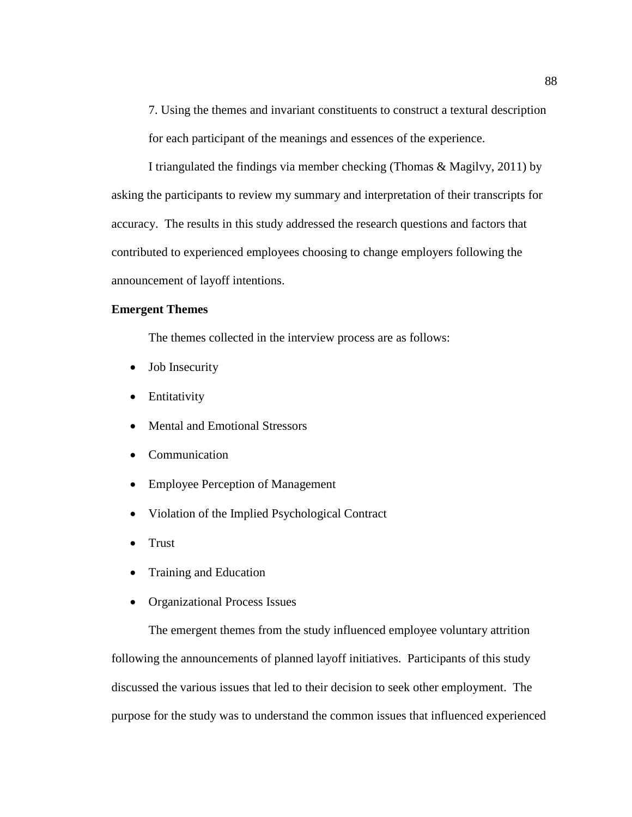7. Using the themes and invariant constituents to construct a textural description for each participant of the meanings and essences of the experience.

I triangulated the findings via member checking (Thomas & Magilvy, 2011) by asking the participants to review my summary and interpretation of their transcripts for accuracy. The results in this study addressed the research questions and factors that contributed to experienced employees choosing to change employers following the announcement of layoff intentions.

# **Emergent Themes**

The themes collected in the interview process are as follows:

- Job Insecurity
- Entitativity
- Mental and Emotional Stressors
- Communication
- Employee Perception of Management
- Violation of the Implied Psychological Contract
- Trust
- Training and Education
- Organizational Process Issues

The emergent themes from the study influenced employee voluntary attrition following the announcements of planned layoff initiatives. Participants of this study discussed the various issues that led to their decision to seek other employment. The purpose for the study was to understand the common issues that influenced experienced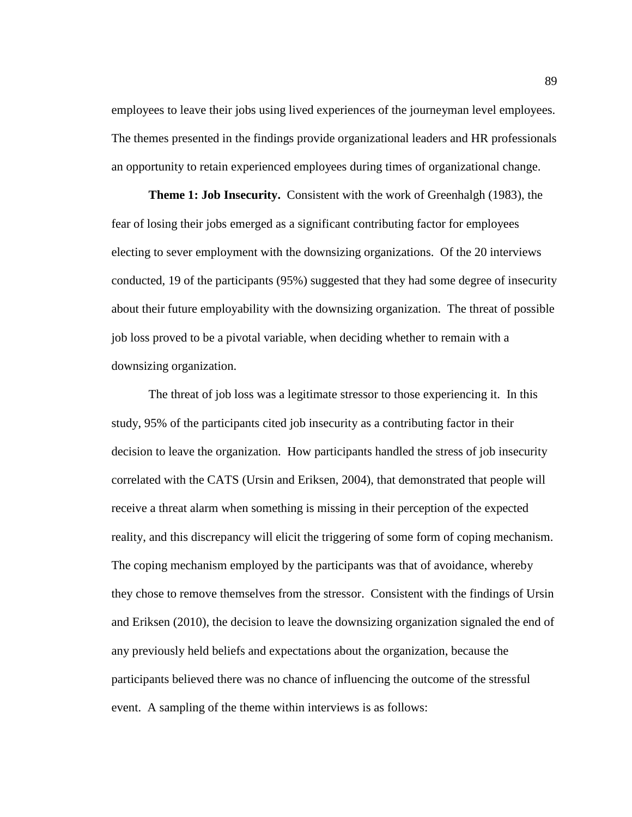employees to leave their jobs using lived experiences of the journeyman level employees. The themes presented in the findings provide organizational leaders and HR professionals an opportunity to retain experienced employees during times of organizational change.

**Theme 1: Job Insecurity.** Consistent with the work of Greenhalgh (1983), the fear of losing their jobs emerged as a significant contributing factor for employees electing to sever employment with the downsizing organizations. Of the 20 interviews conducted, 19 of the participants (95%) suggested that they had some degree of insecurity about their future employability with the downsizing organization. The threat of possible job loss proved to be a pivotal variable, when deciding whether to remain with a downsizing organization.

The threat of job loss was a legitimate stressor to those experiencing it. In this study, 95% of the participants cited job insecurity as a contributing factor in their decision to leave the organization. How participants handled the stress of job insecurity correlated with the CATS (Ursin and Eriksen, 2004), that demonstrated that people will receive a threat alarm when something is missing in their perception of the expected reality, and this discrepancy will elicit the triggering of some form of coping mechanism. The coping mechanism employed by the participants was that of avoidance, whereby they chose to remove themselves from the stressor. Consistent with the findings of Ursin and Eriksen (2010), the decision to leave the downsizing organization signaled the end of any previously held beliefs and expectations about the organization, because the participants believed there was no chance of influencing the outcome of the stressful event. A sampling of the theme within interviews is as follows: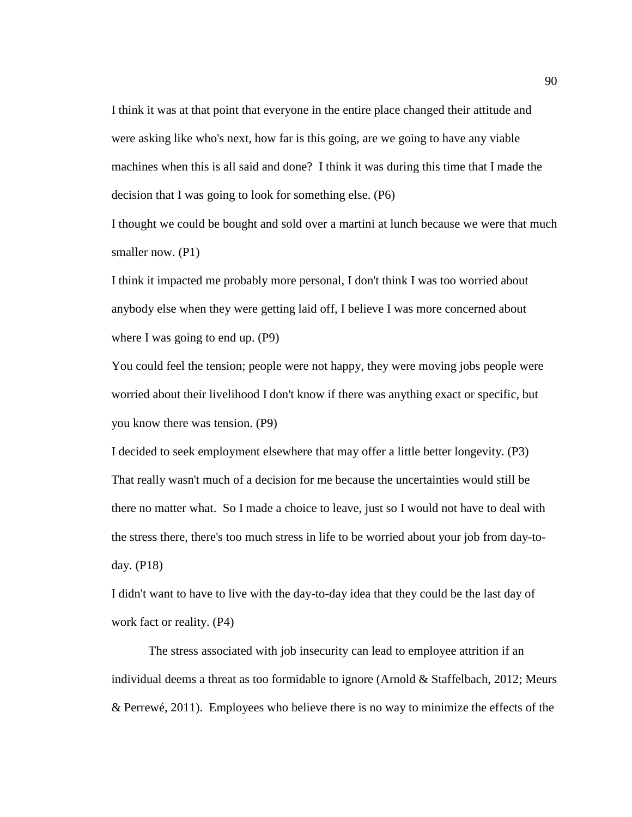I think it was at that point that everyone in the entire place changed their attitude and were asking like who's next, how far is this going, are we going to have any viable machines when this is all said and done? I think it was during this time that I made the decision that I was going to look for something else. (P6)

I thought we could be bought and sold over a martini at lunch because we were that much smaller now. (P1)

I think it impacted me probably more personal, I don't think I was too worried about anybody else when they were getting laid off, I believe I was more concerned about where I was going to end up. (P9)

You could feel the tension; people were not happy, they were moving jobs people were worried about their livelihood I don't know if there was anything exact or specific, but you know there was tension. (P9)

I decided to seek employment elsewhere that may offer a little better longevity. (P3) That really wasn't much of a decision for me because the uncertainties would still be there no matter what. So I made a choice to leave, just so I would not have to deal with the stress there, there's too much stress in life to be worried about your job from day-today. (P18)

I didn't want to have to live with the day-to-day idea that they could be the last day of work fact or reality. (P4)

The stress associated with job insecurity can lead to employee attrition if an individual deems a threat as too formidable to ignore (Arnold & Staffelbach, 2012; Meurs & Perrewé, 2011). Employees who believe there is no way to minimize the effects of the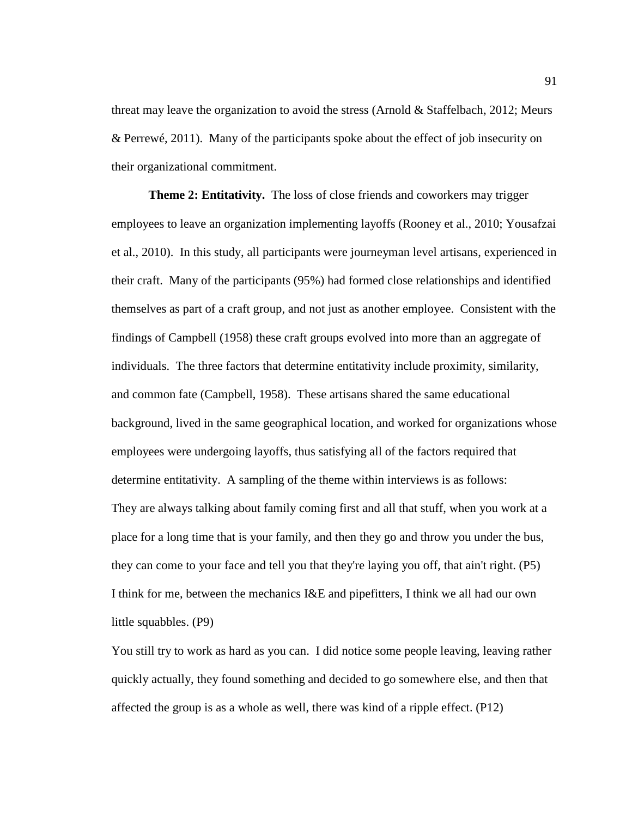threat may leave the organization to avoid the stress (Arnold & Staffelbach, 2012; Meurs & Perrewé, 2011). Many of the participants spoke about the effect of job insecurity on their organizational commitment.

**Theme 2: Entitativity.** The loss of close friends and coworkers may trigger employees to leave an organization implementing layoffs (Rooney et al., 2010; Yousafzai et al., 2010). In this study, all participants were journeyman level artisans, experienced in their craft. Many of the participants (95%) had formed close relationships and identified themselves as part of a craft group, and not just as another employee. Consistent with the findings of Campbell (1958) these craft groups evolved into more than an aggregate of individuals. The three factors that determine entitativity include proximity, similarity, and common fate (Campbell, 1958). These artisans shared the same educational background, lived in the same geographical location, and worked for organizations whose employees were undergoing layoffs, thus satisfying all of the factors required that determine entitativity. A sampling of the theme within interviews is as follows: They are always talking about family coming first and all that stuff, when you work at a place for a long time that is your family, and then they go and throw you under the bus, they can come to your face and tell you that they're laying you off, that ain't right. (P5) I think for me, between the mechanics I&E and pipefitters, I think we all had our own little squabbles. (P9)

You still try to work as hard as you can. I did notice some people leaving, leaving rather quickly actually, they found something and decided to go somewhere else, and then that affected the group is as a whole as well, there was kind of a ripple effect. (P12)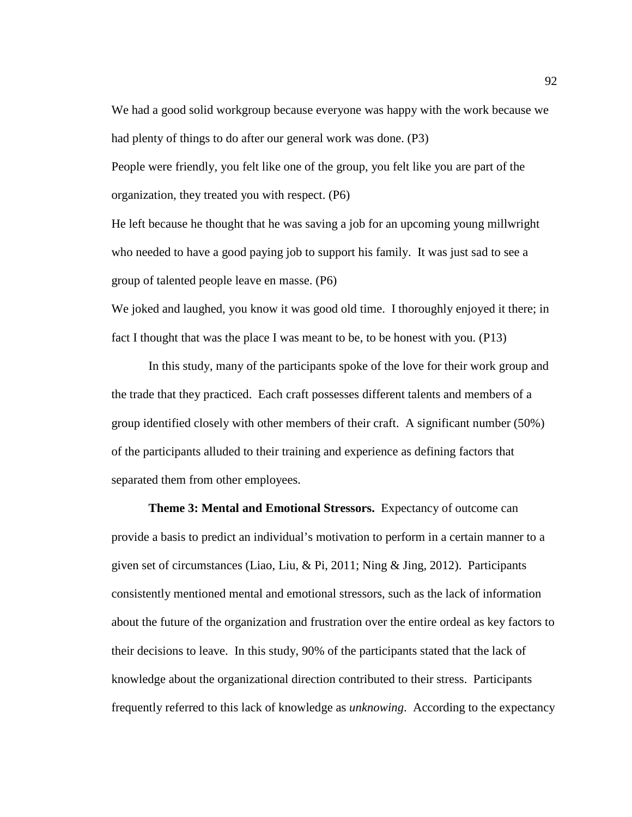We had a good solid workgroup because everyone was happy with the work because we had plenty of things to do after our general work was done. (P3)

People were friendly, you felt like one of the group, you felt like you are part of the organization, they treated you with respect. (P6)

He left because he thought that he was saving a job for an upcoming young millwright who needed to have a good paying job to support his family. It was just sad to see a group of talented people leave en masse. (P6)

We joked and laughed, you know it was good old time. I thoroughly enjoyed it there; in fact I thought that was the place I was meant to be, to be honest with you. (P13)

In this study, many of the participants spoke of the love for their work group and the trade that they practiced. Each craft possesses different talents and members of a group identified closely with other members of their craft. A significant number (50%) of the participants alluded to their training and experience as defining factors that separated them from other employees.

**Theme 3: Mental and Emotional Stressors.** Expectancy of outcome can provide a basis to predict an individual's motivation to perform in a certain manner to a given set of circumstances (Liao, Liu, & Pi, 2011; Ning & Jing, 2012). Participants consistently mentioned mental and emotional stressors, such as the lack of information about the future of the organization and frustration over the entire ordeal as key factors to their decisions to leave. In this study, 90% of the participants stated that the lack of knowledge about the organizational direction contributed to their stress. Participants frequently referred to this lack of knowledge as *unknowing*. According to the expectancy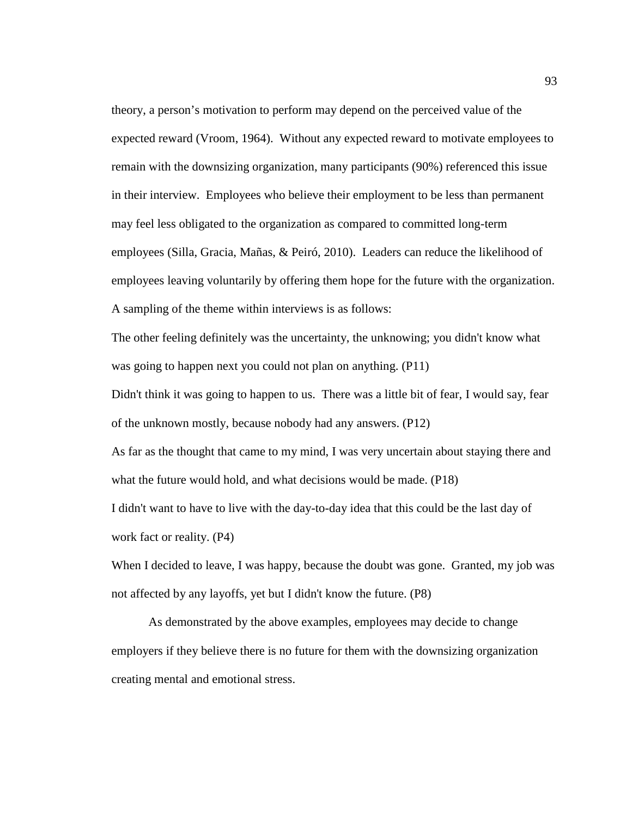theory, a person's motivation to perform may depend on the perceived value of the expected reward (Vroom, 1964). Without any expected reward to motivate employees to remain with the downsizing organization, many participants (90%) referenced this issue in their interview. Employees who believe their employment to be less than permanent may feel less obligated to the organization as compared to committed long-term employees (Silla, Gracia, Mañas, & Peiró, 2010). Leaders can reduce the likelihood of employees leaving voluntarily by offering them hope for the future with the organization. A sampling of the theme within interviews is as follows:

The other feeling definitely was the uncertainty, the unknowing; you didn't know what was going to happen next you could not plan on anything. (P11)

Didn't think it was going to happen to us. There was a little bit of fear, I would say, fear of the unknown mostly, because nobody had any answers. (P12)

As far as the thought that came to my mind, I was very uncertain about staying there and what the future would hold, and what decisions would be made. (P18)

I didn't want to have to live with the day-to-day idea that this could be the last day of work fact or reality. (P4)

When I decided to leave, I was happy, because the doubt was gone. Granted, my job was not affected by any layoffs, yet but I didn't know the future. (P8)

As demonstrated by the above examples, employees may decide to change employers if they believe there is no future for them with the downsizing organization creating mental and emotional stress.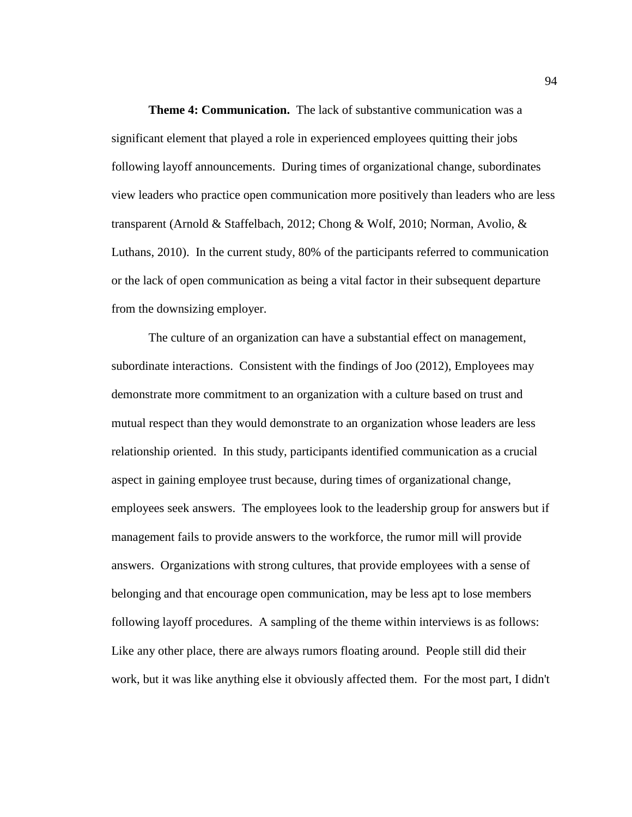**Theme 4: Communication.** The lack of substantive communication was a significant element that played a role in experienced employees quitting their jobs following layoff announcements. During times of organizational change, subordinates view leaders who practice open communication more positively than leaders who are less transparent (Arnold & Staffelbach, 2012; Chong & Wolf, 2010; Norman, Avolio, & Luthans, 2010). In the current study, 80% of the participants referred to communication or the lack of open communication as being a vital factor in their subsequent departure from the downsizing employer.

The culture of an organization can have a substantial effect on management, subordinate interactions. Consistent with the findings of Joo (2012), Employees may demonstrate more commitment to an organization with a culture based on trust and mutual respect than they would demonstrate to an organization whose leaders are less relationship oriented. In this study, participants identified communication as a crucial aspect in gaining employee trust because, during times of organizational change, employees seek answers. The employees look to the leadership group for answers but if management fails to provide answers to the workforce, the rumor mill will provide answers. Organizations with strong cultures, that provide employees with a sense of belonging and that encourage open communication, may be less apt to lose members following layoff procedures. A sampling of the theme within interviews is as follows: Like any other place, there are always rumors floating around. People still did their work, but it was like anything else it obviously affected them. For the most part, I didn't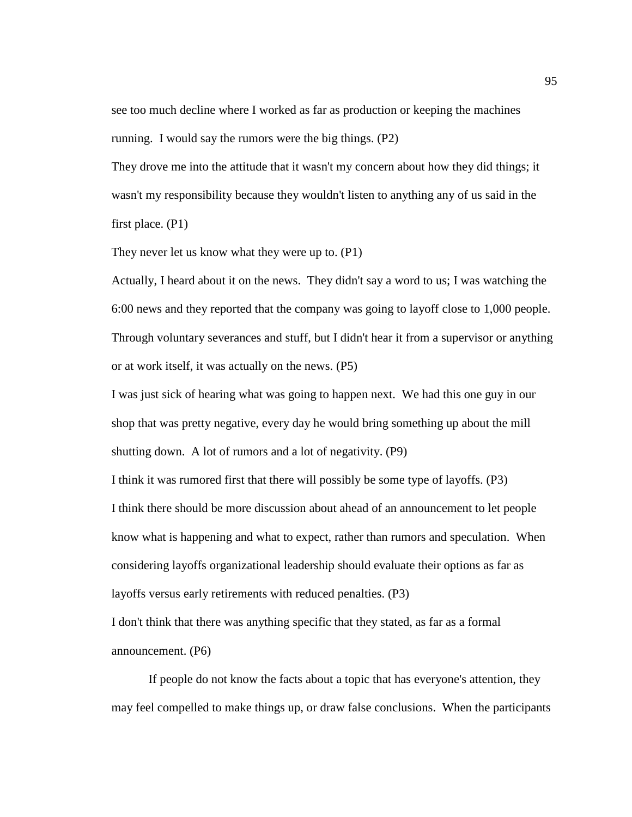see too much decline where I worked as far as production or keeping the machines running. I would say the rumors were the big things. (P2)

They drove me into the attitude that it wasn't my concern about how they did things; it wasn't my responsibility because they wouldn't listen to anything any of us said in the first place. (P1)

They never let us know what they were up to. (P1)

Actually, I heard about it on the news. They didn't say a word to us; I was watching the 6:00 news and they reported that the company was going to layoff close to 1,000 people. Through voluntary severances and stuff, but I didn't hear it from a supervisor or anything or at work itself, it was actually on the news. (P5)

I was just sick of hearing what was going to happen next. We had this one guy in our shop that was pretty negative, every day he would bring something up about the mill shutting down. A lot of rumors and a lot of negativity. (P9)

I think it was rumored first that there will possibly be some type of layoffs. (P3) I think there should be more discussion about ahead of an announcement to let people know what is happening and what to expect, rather than rumors and speculation. When considering layoffs organizational leadership should evaluate their options as far as layoffs versus early retirements with reduced penalties. (P3)

I don't think that there was anything specific that they stated, as far as a formal announcement. (P6)

If people do not know the facts about a topic that has everyone's attention, they may feel compelled to make things up, or draw false conclusions. When the participants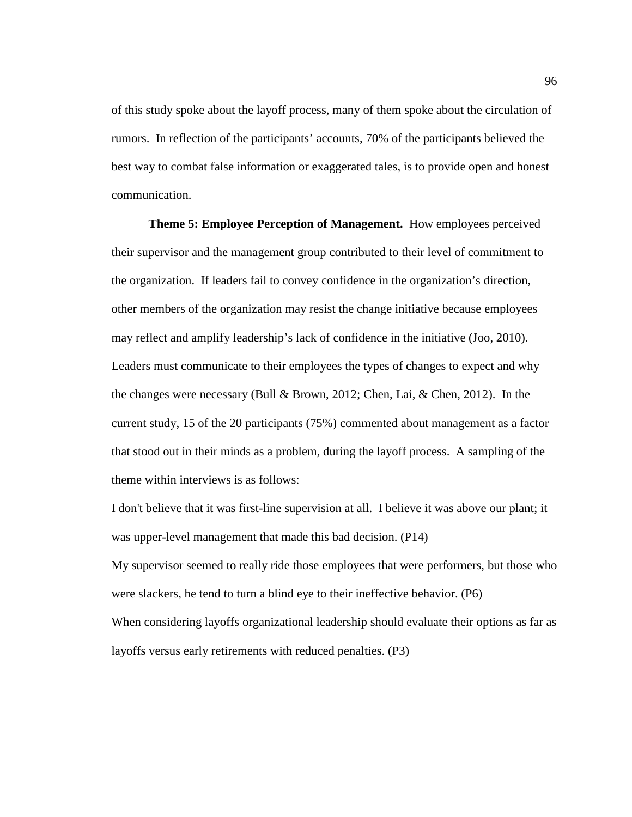of this study spoke about the layoff process, many of them spoke about the circulation of rumors. In reflection of the participants' accounts, 70% of the participants believed the best way to combat false information or exaggerated tales, is to provide open and honest communication.

**Theme 5: Employee Perception of Management.** How employees perceived their supervisor and the management group contributed to their level of commitment to the organization. If leaders fail to convey confidence in the organization's direction, other members of the organization may resist the change initiative because employees may reflect and amplify leadership's lack of confidence in the initiative (Joo, 2010). Leaders must communicate to their employees the types of changes to expect and why the changes were necessary (Bull & Brown, 2012; Chen, Lai, & Chen, 2012). In the current study, 15 of the 20 participants (75%) commented about management as a factor that stood out in their minds as a problem, during the layoff process. A sampling of the theme within interviews is as follows:

I don't believe that it was first-line supervision at all. I believe it was above our plant; it was upper-level management that made this bad decision. (P14)

My supervisor seemed to really ride those employees that were performers, but those who were slackers, he tend to turn a blind eye to their ineffective behavior. (P6) When considering layoffs organizational leadership should evaluate their options as far as layoffs versus early retirements with reduced penalties. (P3)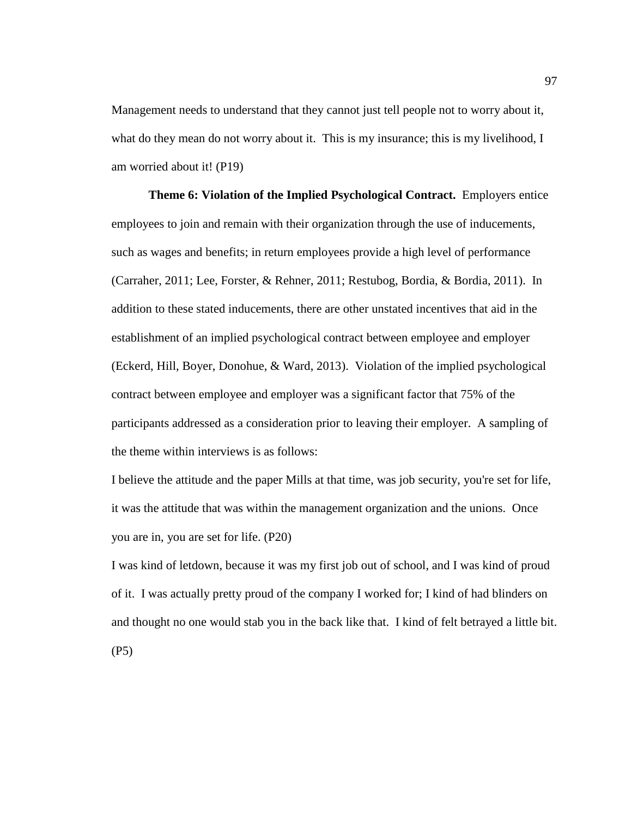Management needs to understand that they cannot just tell people not to worry about it, what do they mean do not worry about it. This is my insurance; this is my livelihood, I am worried about it! (P19)

**Theme 6: Violation of the Implied Psychological Contract.** Employers entice employees to join and remain with their organization through the use of inducements, such as wages and benefits; in return employees provide a high level of performance (Carraher, 2011; Lee, Forster, & Rehner, 2011; Restubog, Bordia, & Bordia, 2011). In addition to these stated inducements, there are other unstated incentives that aid in the establishment of an implied psychological contract between employee and employer (Eckerd, Hill, Boyer, Donohue, & Ward, 2013). Violation of the implied psychological contract between employee and employer was a significant factor that 75% of the participants addressed as a consideration prior to leaving their employer. A sampling of the theme within interviews is as follows:

I believe the attitude and the paper Mills at that time, was job security, you're set for life, it was the attitude that was within the management organization and the unions. Once you are in, you are set for life. (P20)

I was kind of letdown, because it was my first job out of school, and I was kind of proud of it. I was actually pretty proud of the company I worked for; I kind of had blinders on and thought no one would stab you in the back like that. I kind of felt betrayed a little bit. (P5)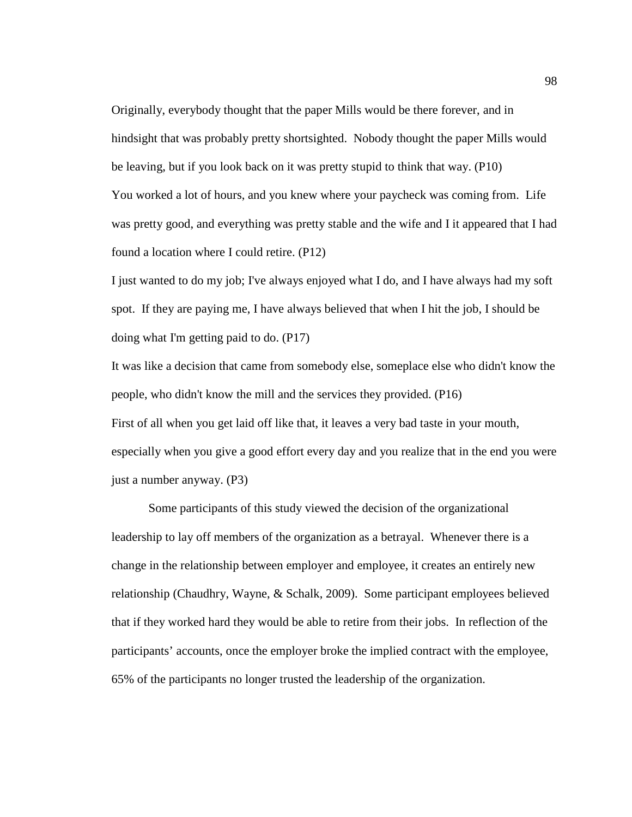Originally, everybody thought that the paper Mills would be there forever, and in hindsight that was probably pretty shortsighted. Nobody thought the paper Mills would be leaving, but if you look back on it was pretty stupid to think that way. (P10) You worked a lot of hours, and you knew where your paycheck was coming from. Life was pretty good, and everything was pretty stable and the wife and I it appeared that I had found a location where I could retire. (P12)

I just wanted to do my job; I've always enjoyed what I do, and I have always had my soft spot. If they are paying me, I have always believed that when I hit the job, I should be doing what I'm getting paid to do. (P17)

It was like a decision that came from somebody else, someplace else who didn't know the people, who didn't know the mill and the services they provided. (P16) First of all when you get laid off like that, it leaves a very bad taste in your mouth, especially when you give a good effort every day and you realize that in the end you were just a number anyway. (P3)

Some participants of this study viewed the decision of the organizational leadership to lay off members of the organization as a betrayal. Whenever there is a change in the relationship between employer and employee, it creates an entirely new relationship (Chaudhry, Wayne, & Schalk, 2009). Some participant employees believed that if they worked hard they would be able to retire from their jobs. In reflection of the participants' accounts, once the employer broke the implied contract with the employee, 65% of the participants no longer trusted the leadership of the organization.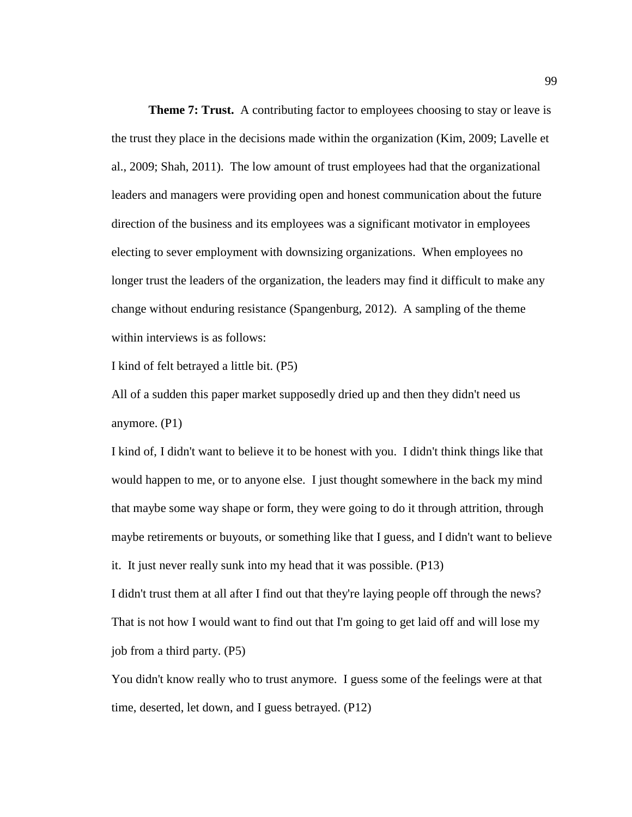**Theme 7: Trust.** A contributing factor to employees choosing to stay or leave is the trust they place in the decisions made within the organization (Kim, 2009; Lavelle et al., 2009; Shah, 2011). The low amount of trust employees had that the organizational leaders and managers were providing open and honest communication about the future direction of the business and its employees was a significant motivator in employees electing to sever employment with downsizing organizations. When employees no longer trust the leaders of the organization, the leaders may find it difficult to make any change without enduring resistance (Spangenburg, 2012). A sampling of the theme within interviews is as follows:

I kind of felt betrayed a little bit. (P5)

All of a sudden this paper market supposedly dried up and then they didn't need us anymore. (P1)

I kind of, I didn't want to believe it to be honest with you. I didn't think things like that would happen to me, or to anyone else. I just thought somewhere in the back my mind that maybe some way shape or form, they were going to do it through attrition, through maybe retirements or buyouts, or something like that I guess, and I didn't want to believe it. It just never really sunk into my head that it was possible. (P13)

I didn't trust them at all after I find out that they're laying people off through the news? That is not how I would want to find out that I'm going to get laid off and will lose my job from a third party. (P5)

You didn't know really who to trust anymore. I guess some of the feelings were at that time, deserted, let down, and I guess betrayed. (P12)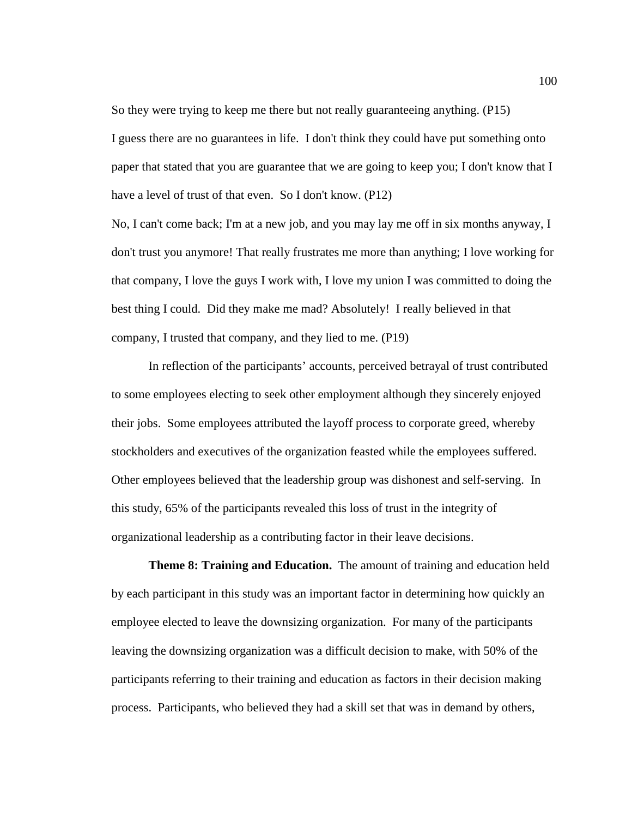So they were trying to keep me there but not really guaranteeing anything. (P15) I guess there are no guarantees in life. I don't think they could have put something onto paper that stated that you are guarantee that we are going to keep you; I don't know that I have a level of trust of that even. So I don't know. (P12)

No, I can't come back; I'm at a new job, and you may lay me off in six months anyway, I don't trust you anymore! That really frustrates me more than anything; I love working for that company, I love the guys I work with, I love my union I was committed to doing the best thing I could. Did they make me mad? Absolutely! I really believed in that company, I trusted that company, and they lied to me. (P19)

In reflection of the participants' accounts, perceived betrayal of trust contributed to some employees electing to seek other employment although they sincerely enjoyed their jobs. Some employees attributed the layoff process to corporate greed, whereby stockholders and executives of the organization feasted while the employees suffered. Other employees believed that the leadership group was dishonest and self-serving. In this study, 65% of the participants revealed this loss of trust in the integrity of organizational leadership as a contributing factor in their leave decisions.

**Theme 8: Training and Education.** The amount of training and education held by each participant in this study was an important factor in determining how quickly an employee elected to leave the downsizing organization. For many of the participants leaving the downsizing organization was a difficult decision to make, with 50% of the participants referring to their training and education as factors in their decision making process. Participants, who believed they had a skill set that was in demand by others,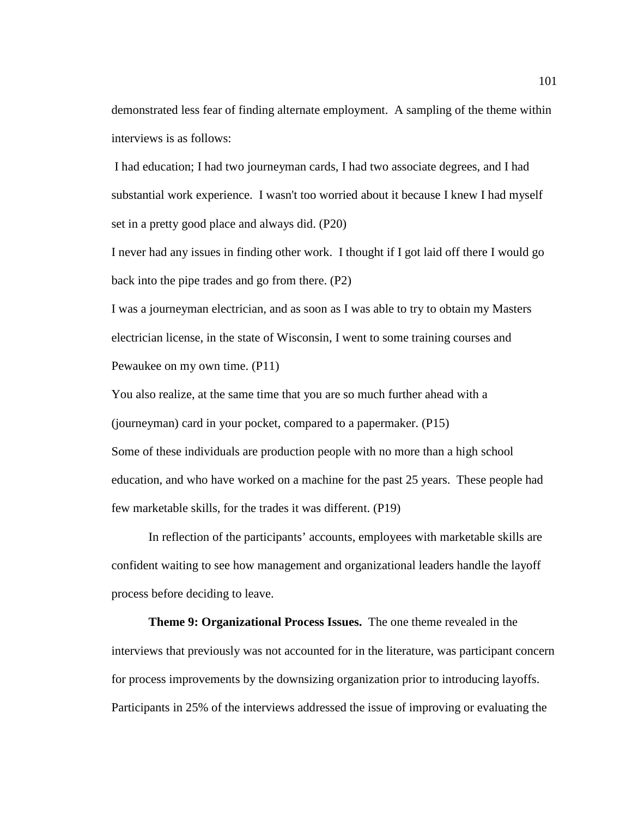demonstrated less fear of finding alternate employment. A sampling of the theme within interviews is as follows:

 I had education; I had two journeyman cards, I had two associate degrees, and I had substantial work experience. I wasn't too worried about it because I knew I had myself set in a pretty good place and always did. (P20)

I never had any issues in finding other work. I thought if I got laid off there I would go back into the pipe trades and go from there. (P2)

I was a journeyman electrician, and as soon as I was able to try to obtain my Masters electrician license, in the state of Wisconsin, I went to some training courses and Pewaukee on my own time. (P11)

You also realize, at the same time that you are so much further ahead with a (journeyman) card in your pocket, compared to a papermaker. (P15) Some of these individuals are production people with no more than a high school education, and who have worked on a machine for the past 25 years. These people had few marketable skills, for the trades it was different. (P19)

In reflection of the participants' accounts, employees with marketable skills are confident waiting to see how management and organizational leaders handle the layoff process before deciding to leave.

**Theme 9: Organizational Process Issues.** The one theme revealed in the interviews that previously was not accounted for in the literature, was participant concern for process improvements by the downsizing organization prior to introducing layoffs. Participants in 25% of the interviews addressed the issue of improving or evaluating the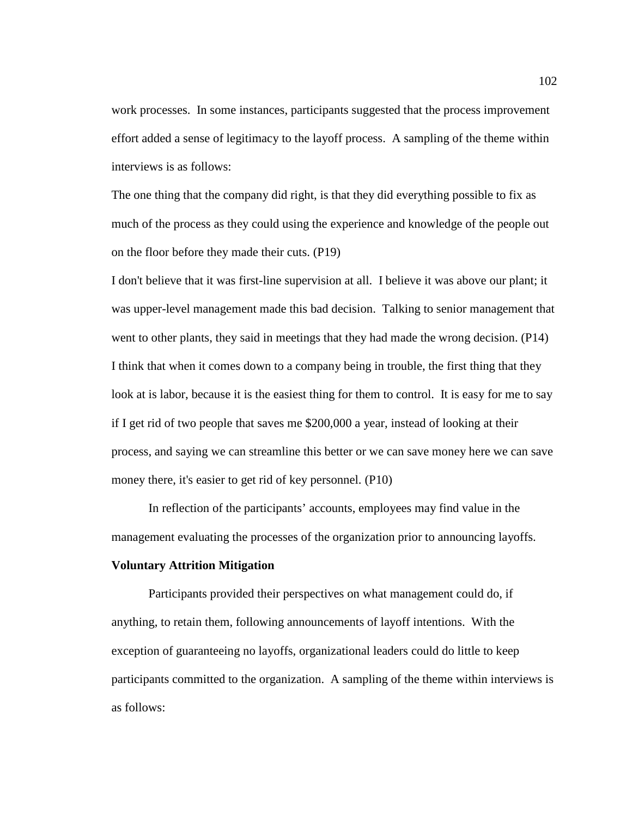work processes. In some instances, participants suggested that the process improvement effort added a sense of legitimacy to the layoff process. A sampling of the theme within interviews is as follows:

The one thing that the company did right, is that they did everything possible to fix as much of the process as they could using the experience and knowledge of the people out on the floor before they made their cuts. (P19)

I don't believe that it was first-line supervision at all. I believe it was above our plant; it was upper-level management made this bad decision. Talking to senior management that went to other plants, they said in meetings that they had made the wrong decision. (P14) I think that when it comes down to a company being in trouble, the first thing that they look at is labor, because it is the easiest thing for them to control. It is easy for me to say if I get rid of two people that saves me \$200,000 a year, instead of looking at their process, and saying we can streamline this better or we can save money here we can save money there, it's easier to get rid of key personnel. (P10)

In reflection of the participants' accounts, employees may find value in the management evaluating the processes of the organization prior to announcing layoffs.

### **Voluntary Attrition Mitigation**

Participants provided their perspectives on what management could do, if anything, to retain them, following announcements of layoff intentions. With the exception of guaranteeing no layoffs, organizational leaders could do little to keep participants committed to the organization. A sampling of the theme within interviews is as follows: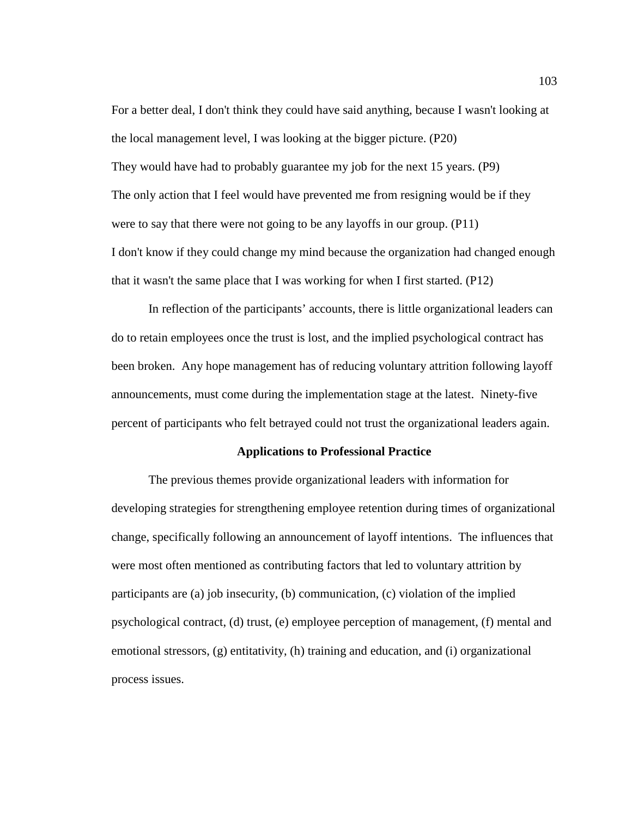For a better deal, I don't think they could have said anything, because I wasn't looking at the local management level, I was looking at the bigger picture. (P20) They would have had to probably guarantee my job for the next 15 years. (P9) The only action that I feel would have prevented me from resigning would be if they were to say that there were not going to be any layoffs in our group. (P11) I don't know if they could change my mind because the organization had changed enough that it wasn't the same place that I was working for when I first started. (P12)

In reflection of the participants' accounts, there is little organizational leaders can do to retain employees once the trust is lost, and the implied psychological contract has been broken. Any hope management has of reducing voluntary attrition following layoff announcements, must come during the implementation stage at the latest. Ninety-five percent of participants who felt betrayed could not trust the organizational leaders again.

# **Applications to Professional Practice**

The previous themes provide organizational leaders with information for developing strategies for strengthening employee retention during times of organizational change, specifically following an announcement of layoff intentions. The influences that were most often mentioned as contributing factors that led to voluntary attrition by participants are (a) job insecurity, (b) communication, (c) violation of the implied psychological contract, (d) trust, (e) employee perception of management, (f) mental and emotional stressors, (g) entitativity, (h) training and education, and (i) organizational process issues.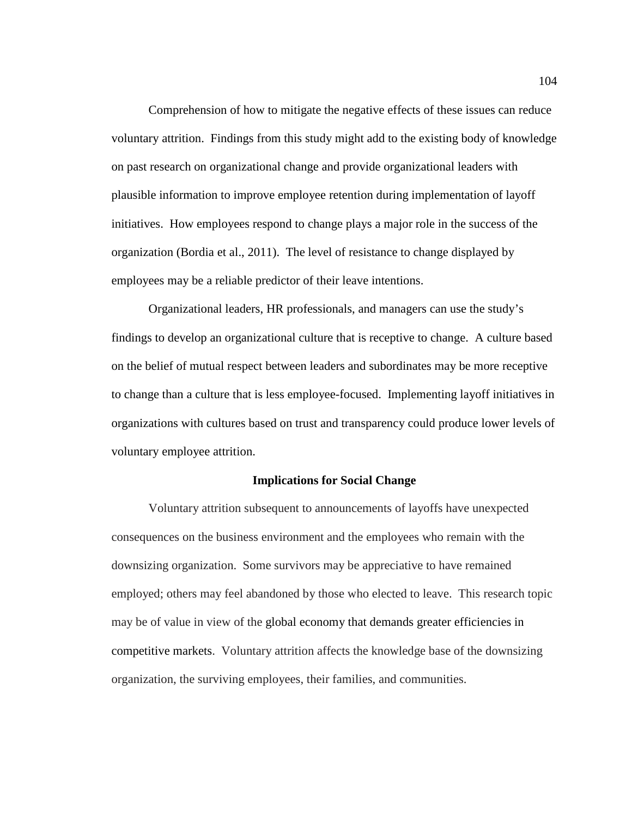Comprehension of how to mitigate the negative effects of these issues can reduce voluntary attrition. Findings from this study might add to the existing body of knowledge on past research on organizational change and provide organizational leaders with plausible information to improve employee retention during implementation of layoff initiatives. How employees respond to change plays a major role in the success of the organization (Bordia et al., 2011). The level of resistance to change displayed by employees may be a reliable predictor of their leave intentions.

Organizational leaders, HR professionals, and managers can use the study's findings to develop an organizational culture that is receptive to change. A culture based on the belief of mutual respect between leaders and subordinates may be more receptive to change than a culture that is less employee-focused. Implementing layoff initiatives in organizations with cultures based on trust and transparency could produce lower levels of voluntary employee attrition.

## **Implications for Social Change**

Voluntary attrition subsequent to announcements of layoffs have unexpected consequences on the business environment and the employees who remain with the downsizing organization. Some survivors may be appreciative to have remained employed; others may feel abandoned by those who elected to leave. This research topic may be of value in view of the global economy that demands greater efficiencies in competitive markets. Voluntary attrition affects the knowledge base of the downsizing organization, the surviving employees, their families, and communities.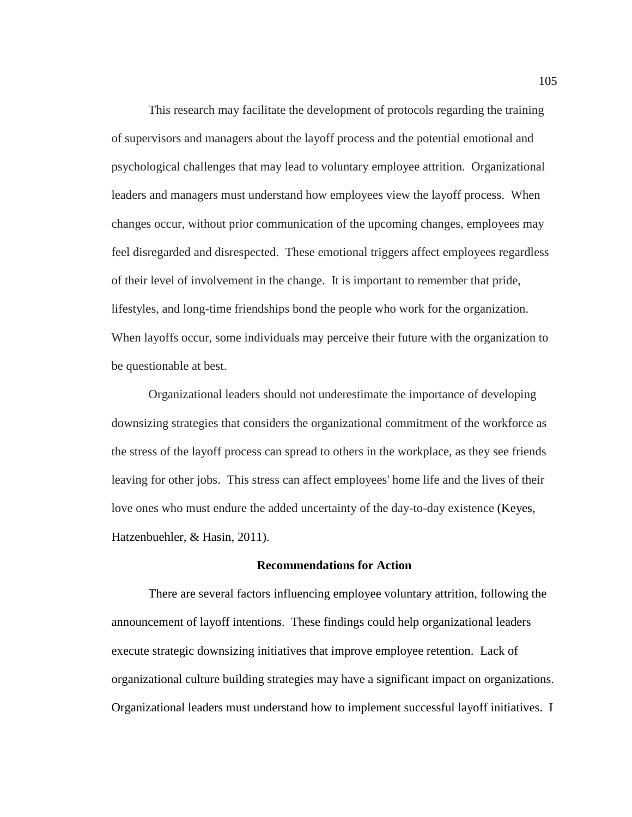This research may facilitate the development of protocols regarding the training of supervisors and managers about the layoff process and the potential emotional and psychological challenges that may lead to voluntary employee attrition. Organizational leaders and managers must understand how employees view the layoff process. When changes occur, without prior communication of the upcoming changes, employees may feel disregarded and disrespected. These emotional triggers affect employees regardless of their level of involvement in the change. It is important to remember that pride, lifestyles, and long-time friendships bond the people who work for the organization. When layoffs occur, some individuals may perceive their future with the organization to be questionable at best.

Organizational leaders should not underestimate the importance of developing downsizing strategies that considers the organizational commitment of the workforce as the stress of the layoff process can spread to others in the workplace, as they see friends leaving for other jobs. This stress can affect employees' home life and the lives of their love ones who must endure the added uncertainty of the day-to-day existence (Keyes, Hatzenbuehler, & Hasin, 2011).

### **Recommendations for Action**

There are several factors influencing employee voluntary attrition, following the announcement of layoff intentions. These findings could help organizational leaders execute strategic downsizing initiatives that improve employee retention. Lack of organizational culture building strategies may have a significant impact on organizations. Organizational leaders must understand how to implement successful layoff initiatives. I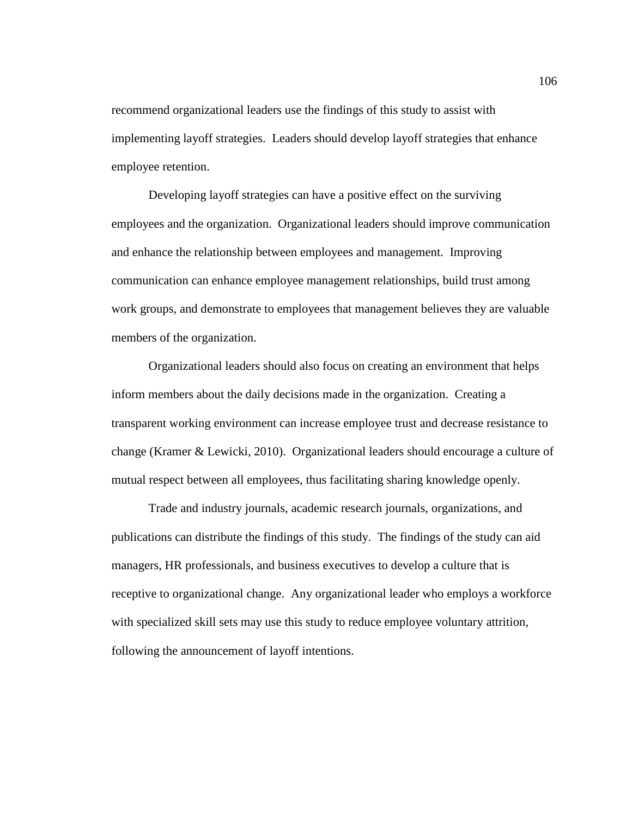recommend organizational leaders use the findings of this study to assist with implementing layoff strategies. Leaders should develop layoff strategies that enhance employee retention.

Developing layoff strategies can have a positive effect on the surviving employees and the organization. Organizational leaders should improve communication and enhance the relationship between employees and management. Improving communication can enhance employee management relationships, build trust among work groups, and demonstrate to employees that management believes they are valuable members of the organization.

Organizational leaders should also focus on creating an environment that helps inform members about the daily decisions made in the organization. Creating a transparent working environment can increase employee trust and decrease resistance to change (Kramer & Lewicki, 2010). Organizational leaders should encourage a culture of mutual respect between all employees, thus facilitating sharing knowledge openly.

Trade and industry journals, academic research journals, organizations, and publications can distribute the findings of this study. The findings of the study can aid managers, HR professionals, and business executives to develop a culture that is receptive to organizational change. Any organizational leader who employs a workforce with specialized skill sets may use this study to reduce employee voluntary attrition, following the announcement of layoff intentions.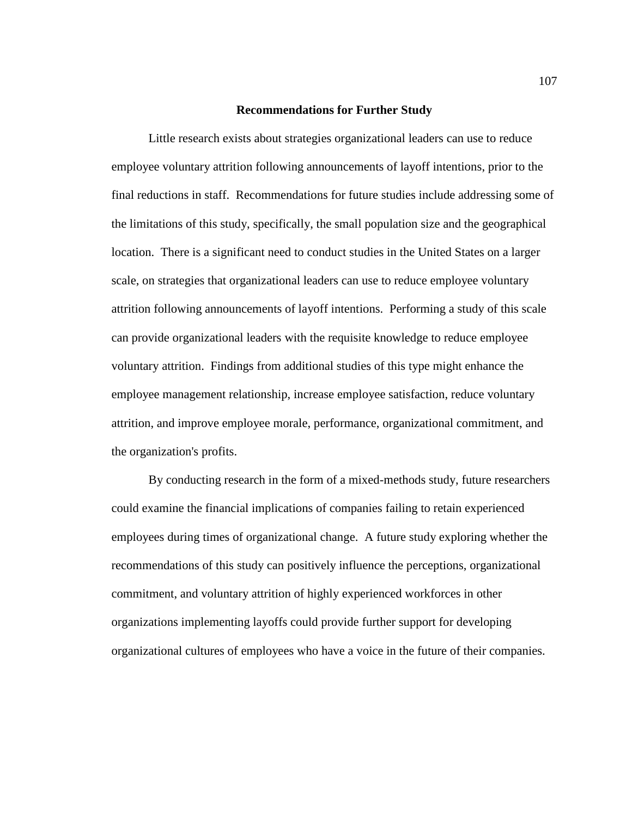## **Recommendations for Further Study**

Little research exists about strategies organizational leaders can use to reduce employee voluntary attrition following announcements of layoff intentions, prior to the final reductions in staff. Recommendations for future studies include addressing some of the limitations of this study, specifically, the small population size and the geographical location. There is a significant need to conduct studies in the United States on a larger scale, on strategies that organizational leaders can use to reduce employee voluntary attrition following announcements of layoff intentions. Performing a study of this scale can provide organizational leaders with the requisite knowledge to reduce employee voluntary attrition. Findings from additional studies of this type might enhance the employee management relationship, increase employee satisfaction, reduce voluntary attrition, and improve employee morale, performance, organizational commitment, and the organization's profits.

By conducting research in the form of a mixed-methods study, future researchers could examine the financial implications of companies failing to retain experienced employees during times of organizational change. A future study exploring whether the recommendations of this study can positively influence the perceptions, organizational commitment, and voluntary attrition of highly experienced workforces in other organizations implementing layoffs could provide further support for developing organizational cultures of employees who have a voice in the future of their companies.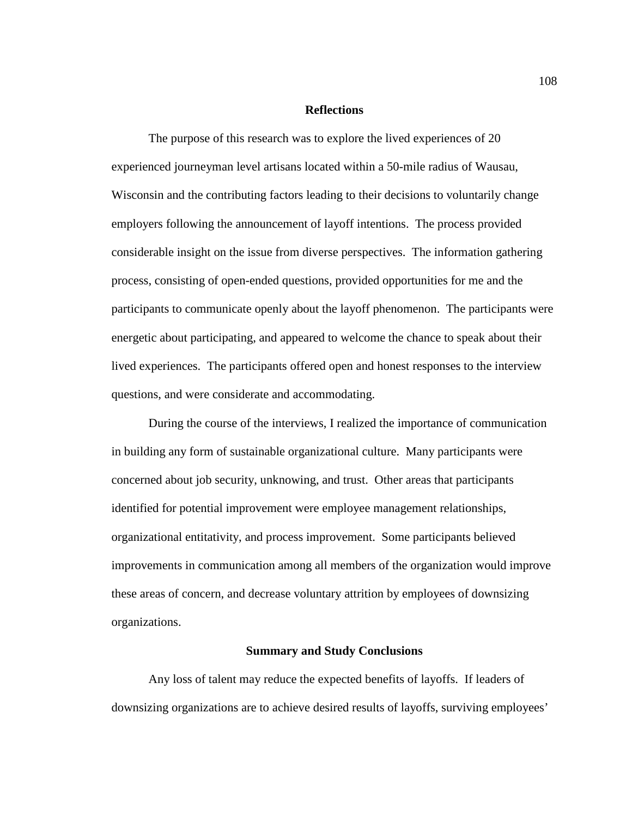### **Reflections**

The purpose of this research was to explore the lived experiences of 20 experienced journeyman level artisans located within a 50-mile radius of Wausau, Wisconsin and the contributing factors leading to their decisions to voluntarily change employers following the announcement of layoff intentions. The process provided considerable insight on the issue from diverse perspectives. The information gathering process, consisting of open-ended questions, provided opportunities for me and the participants to communicate openly about the layoff phenomenon. The participants were energetic about participating, and appeared to welcome the chance to speak about their lived experiences. The participants offered open and honest responses to the interview questions, and were considerate and accommodating.

During the course of the interviews, I realized the importance of communication in building any form of sustainable organizational culture. Many participants were concerned about job security, unknowing, and trust. Other areas that participants identified for potential improvement were employee management relationships, organizational entitativity, and process improvement. Some participants believed improvements in communication among all members of the organization would improve these areas of concern, and decrease voluntary attrition by employees of downsizing organizations.

#### **Summary and Study Conclusions**

Any loss of talent may reduce the expected benefits of layoffs. If leaders of downsizing organizations are to achieve desired results of layoffs, surviving employees'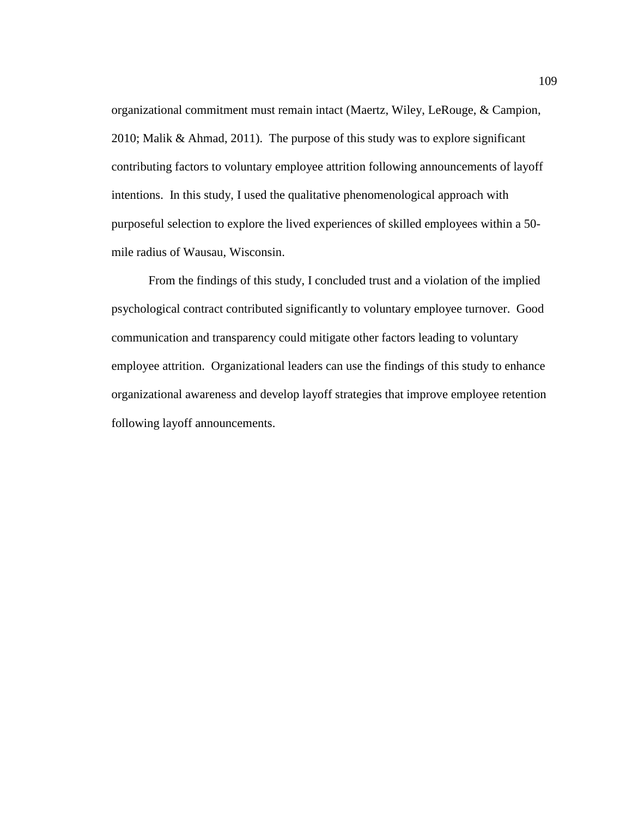organizational commitment must remain intact (Maertz, Wiley, LeRouge, & Campion, 2010; Malik & Ahmad, 2011). The purpose of this study was to explore significant contributing factors to voluntary employee attrition following announcements of layoff intentions. In this study, I used the qualitative phenomenological approach with purposeful selection to explore the lived experiences of skilled employees within a 50 mile radius of Wausau, Wisconsin.

From the findings of this study, I concluded trust and a violation of the implied psychological contract contributed significantly to voluntary employee turnover. Good communication and transparency could mitigate other factors leading to voluntary employee attrition. Organizational leaders can use the findings of this study to enhance organizational awareness and develop layoff strategies that improve employee retention following layoff announcements.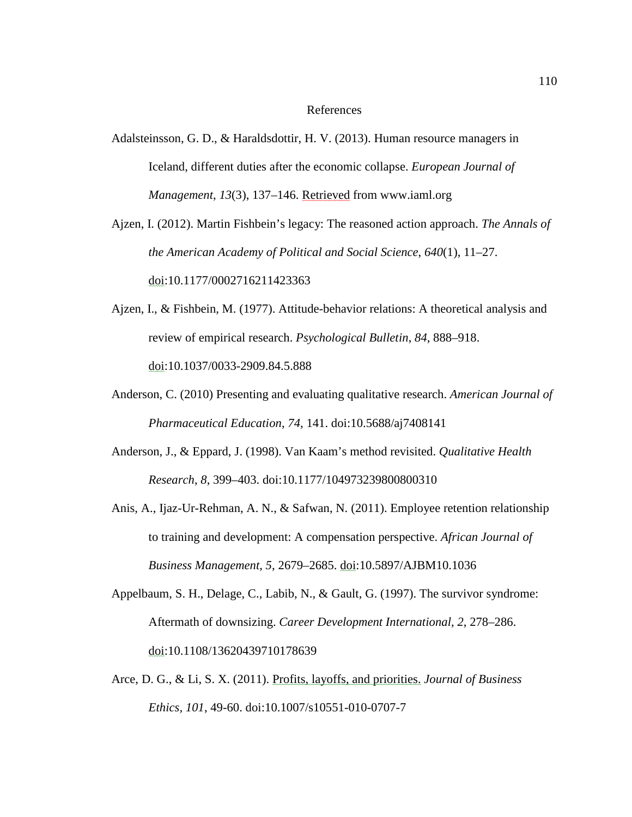## References

Adalsteinsson, G. D., & Haraldsdottir, H. V. (2013). Human resource managers in Iceland, different duties after the economic collapse. *European Journal of Management*, *13*(3), 137–146. Retrieved from www.iaml.org

Ajzen, I. (2012). Martin Fishbein's legacy: The reasoned action approach. *The Annals of the American Academy of Political and Social Science*, *640*(1), 11–27. doi:10.1177/0002716211423363

Ajzen, I., & Fishbein, M. (1977). Attitude-behavior relations: A theoretical analysis and review of empirical research. *Psychological Bulletin*, *84*, 888–918. doi:10.1037/0033-2909.84.5.888

- Anderson, C. (2010) Presenting and evaluating qualitative research. *American Journal of Pharmaceutical Education*, *74*, 141. doi:10.5688/aj7408141
- Anderson, J., & Eppard, J. (1998). Van Kaam's method revisited. *Qualitative Health Research*, *8*, 399–403. doi:10.1177/104973239800800310
- Anis, A., Ijaz-Ur-Rehman, A. N., & Safwan, N. (2011). Employee retention relationship to training and development: A compensation perspective. *African Journal of Business Management*, *5*, 2679–2685. doi:10.5897/AJBM10.1036
- Appelbaum, S. H., Delage, C., Labib, N., & Gault, G. (1997). The survivor syndrome: Aftermath of downsizing. *Career Development International*, *2*, 278–286. doi:10.1108/13620439710178639
- Arce, D. G., & Li, S. X. (2011). Profits, layoffs, and priorities. *Journal of Business Ethics, 101*, 49-60. doi:10.1007/s10551-010-0707-7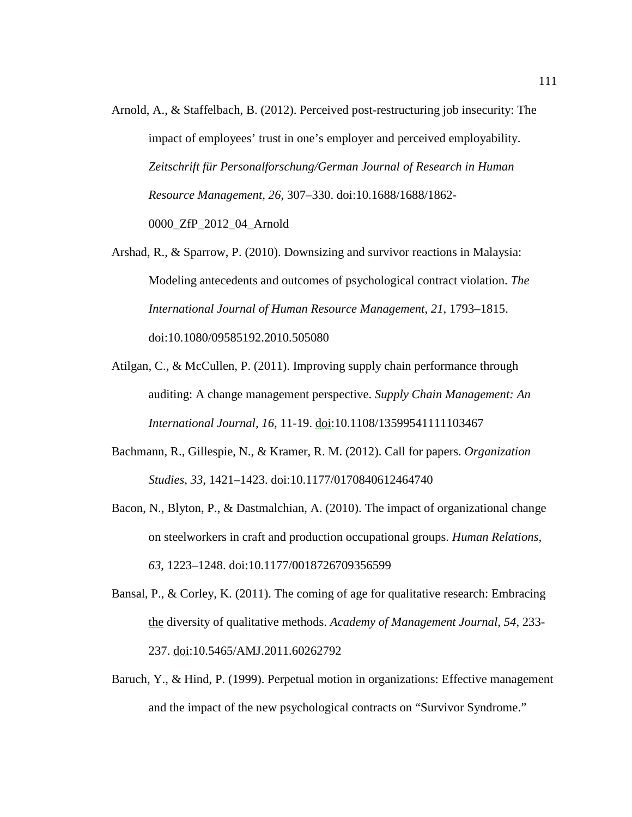- Arnold, A., & Staffelbach, B. (2012). Perceived post-restructuring job insecurity: The impact of employees' trust in one's employer and perceived employability. *Zeitschrift für Personalforschung/German Journal of Research in Human Resource Management*, *26*, 307–330. doi:10.1688/1688/1862- 0000\_ZfP\_2012\_04\_Arnold
- Arshad, R., & Sparrow, P. (2010). Downsizing and survivor reactions in Malaysia: Modeling antecedents and outcomes of psychological contract violation. *The International Journal of Human Resource Management*, *21*, 1793–1815. doi:10.1080/09585192.2010.505080
- Atilgan, C., & McCullen, P. (2011). Improving supply chain performance through auditing: A change management perspective. *Supply Chain Management: An International Journal, 16*, 11-19. doi:10.1108/13599541111103467
- Bachmann, R., Gillespie, N., & Kramer, R. M. (2012). Call for papers. *Organization Studies*, *33*, 1421–1423. doi:10.1177/0170840612464740
- Bacon, N., Blyton, P., & Dastmalchian, A. (2010). The impact of organizational change on steelworkers in craft and production occupational groups. *Human Relations*, *63*, 1223–1248. doi:10.1177/0018726709356599
- Bansal, P., & Corley, K. (2011). The coming of age for qualitative research: Embracing the diversity of qualitative methods. *Academy of Management Journal*, *54*, 233- 237. doi:10.5465/AMJ.2011.60262792
- Baruch, Y., & Hind, P. (1999). Perpetual motion in organizations: Effective management and the impact of the new psychological contracts on "Survivor Syndrome."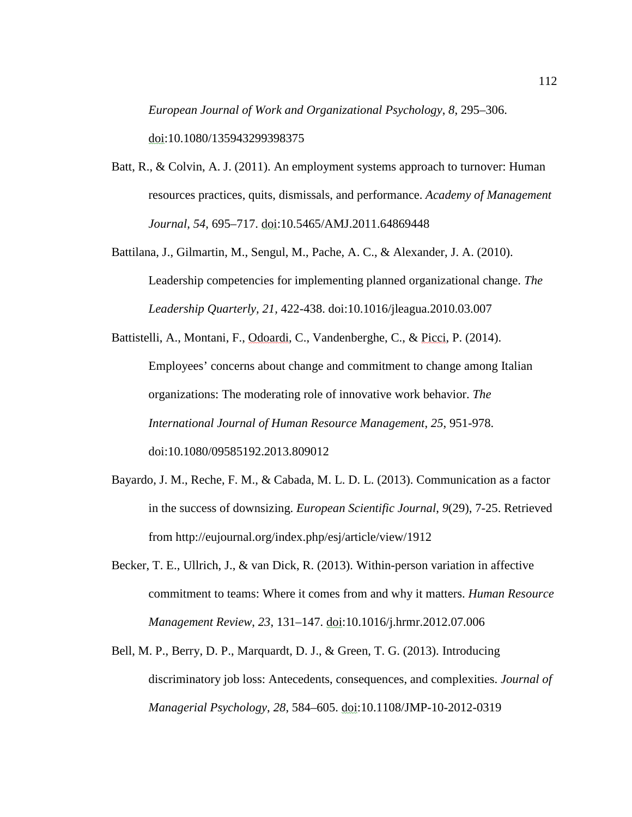*European Journal of Work and Organizational Psychology*, *8*, 295–306. doi:10.1080/135943299398375

- Batt, R., & Colvin, A. J. (2011). An employment systems approach to turnover: Human resources practices, quits, dismissals, and performance. *Academy of Management Journal*, *54*, 695–717. doi:10.5465/AMJ.2011.64869448
- Battilana, J., Gilmartin, M., Sengul, M., Pache, A. C., & Alexander, J. A. (2010). Leadership competencies for implementing planned organizational change. *The Leadership Quarterly, 21,* 422-438. doi:10.1016/jleagua.2010.03.007
- Battistelli, A., Montani, F., Odoardi, C., Vandenberghe, C., & Picci, P. (2014). Employees' concerns about change and commitment to change among Italian organizations: The moderating role of innovative work behavior. *The International Journal of Human Resource Management*, *25*, 951-978. doi:10.1080/09585192.2013.809012
- Bayardo, J. M., Reche, F. M., & Cabada, M. L. D. L. (2013). Communication as a factor in the success of downsizing. *European Scientific Journal*, *9*(29), 7-25. Retrieved from http://eujournal.org/index.php/esj/article/view/1912
- Becker, T. E., Ullrich, J., & van Dick, R. (2013). Within-person variation in affective commitment to teams: Where it comes from and why it matters. *Human Resource Management Review*, *23*, 131–147. doi:10.1016/j.hrmr.2012.07.006
- Bell, M. P., Berry, D. P., Marquardt, D. J., & Green, T. G. (2013). Introducing discriminatory job loss: Antecedents, consequences, and complexities. *Journal of Managerial Psychology*, *28*, 584–605. doi:10.1108/JMP-10-2012-0319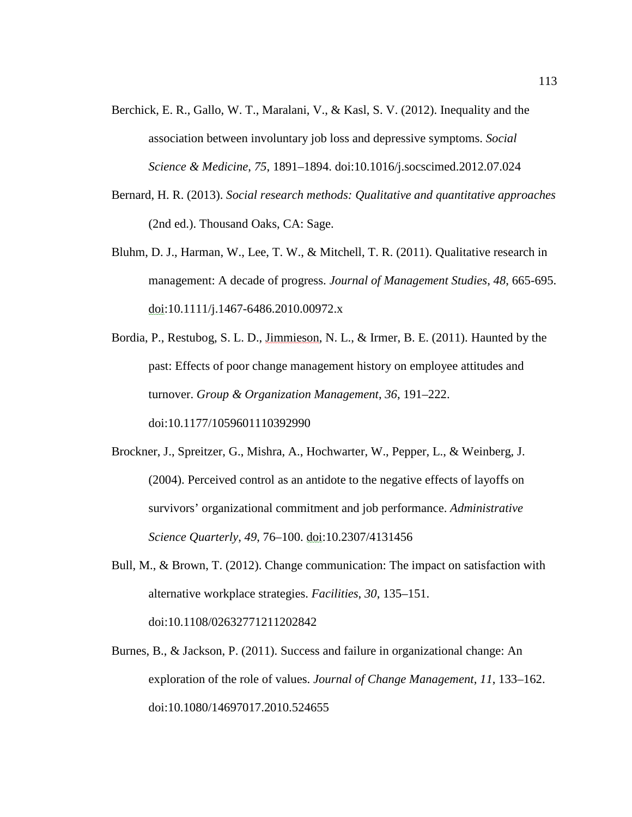- Berchick, E. R., Gallo, W. T., Maralani, V., & Kasl, S. V. (2012). Inequality and the association between involuntary job loss and depressive symptoms. *Social Science & Medicine*, *75*, 1891–1894. doi:10.1016/j.socscimed.2012.07.024
- Bernard, H. R. (2013). *Social research methods: Qualitative and quantitative approaches* (2nd ed.). Thousand Oaks, CA: Sage.
- Bluhm, D. J., Harman, W., Lee, T. W., & Mitchell, T. R. (2011). Qualitative research in management: A decade of progress. *Journal of Management Studies*, *48*, 665-695.  $\text{d}$ oi:10.1111/j.1467-6486.2010.00972.x
- Bordia, P., Restubog, S. L. D., Jimmieson, N. L., & Irmer, B. E. (2011). Haunted by the past: Effects of poor change management history on employee attitudes and turnover. *Group & Organization Management*, *36*, 191–222. doi:10.1177/1059601110392990
- Brockner, J., Spreitzer, G., Mishra, A., Hochwarter, W., Pepper, L., & Weinberg, J. (2004). Perceived control as an antidote to the negative effects of layoffs on survivors' organizational commitment and job performance. *Administrative Science Quarterly*, *49*, 76–100. doi:10.2307/4131456
- Bull, M., & Brown, T. (2012). Change communication: The impact on satisfaction with alternative workplace strategies. *Facilities*, *30*, 135–151. doi:10.1108/02632771211202842
- Burnes, B., & Jackson, P. (2011). Success and failure in organizational change: An exploration of the role of values. *Journal of Change Management*, *11*, 133–162. doi:10.1080/14697017.2010.524655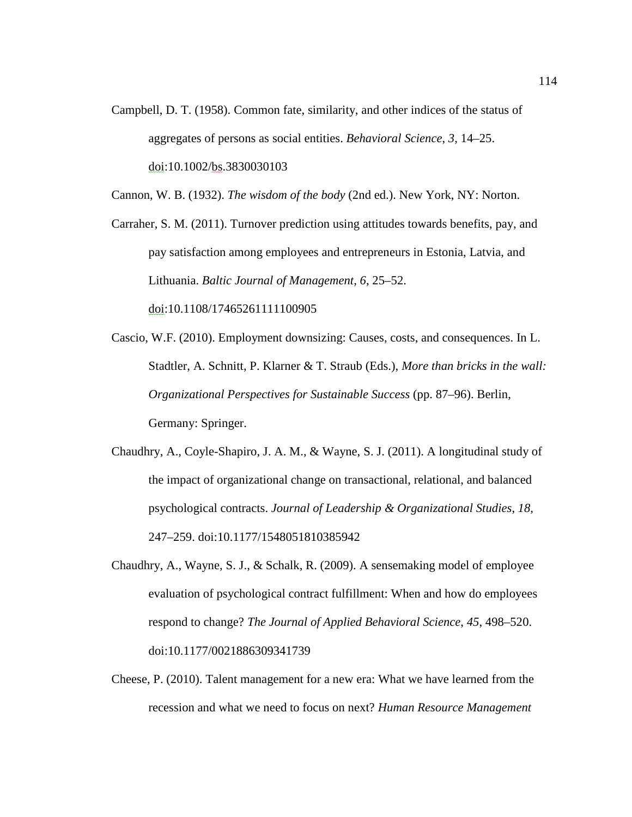Campbell, D. T. (1958). Common fate, similarity, and other indices of the status of aggregates of persons as social entities. *Behavioral Science*, *3*, 14–25. doi:10.1002/bs.3830030103

Cannon, W. B. (1932). *The wisdom of the body* (2nd ed.). New York, NY: Norton.

Carraher, S. M. (2011). Turnover prediction using attitudes towards benefits, pay, and pay satisfaction among employees and entrepreneurs in Estonia, Latvia, and Lithuania. *Baltic Journal of Management*, *6*, 25–52. doi:10.1108/17465261111100905

- Cascio, W.F. (2010). Employment downsizing: Causes, costs, and consequences. In L. Stadtler, A. Schnitt, P. Klarner & T. Straub (Eds.), *More than bricks in the wall: Organizational Perspectives for Sustainable Success* (pp. 87–96). Berlin, Germany: Springer.
- Chaudhry, A., Coyle-Shapiro, J. A. M., & Wayne, S. J. (2011). A longitudinal study of the impact of organizational change on transactional, relational, and balanced psychological contracts. *Journal of Leadership & Organizational Studies*, *18*, 247–259. doi:10.1177/1548051810385942
- Chaudhry, A., Wayne, S. J., & Schalk, R. (2009). A sensemaking model of employee evaluation of psychological contract fulfillment: When and how do employees respond to change? *The Journal of Applied Behavioral Science*, *45*, 498–520. doi:10.1177/0021886309341739
- Cheese, P. (2010). Talent management for a new era: What we have learned from the recession and what we need to focus on next? *Human Resource Management*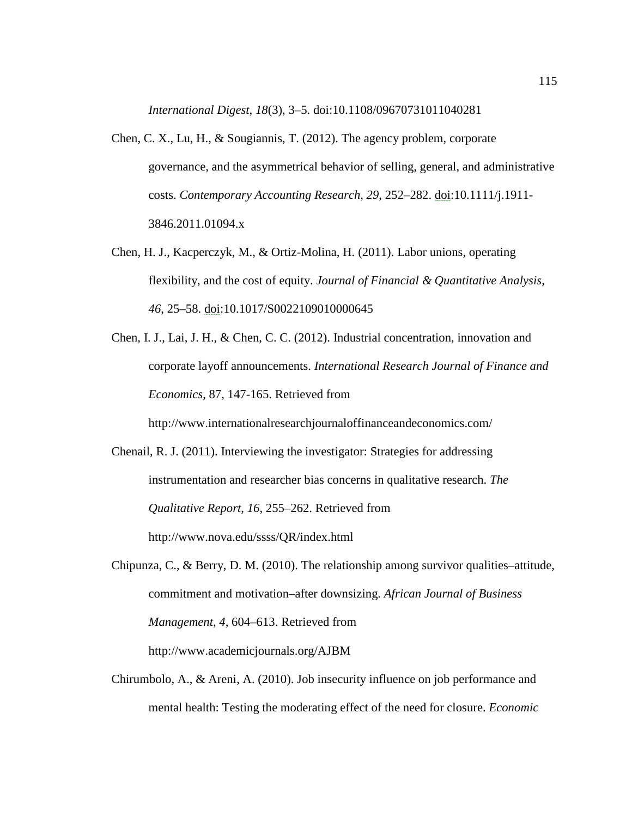*International Digest*, *18*(3), 3–5. doi:10.1108/09670731011040281

- Chen, C. X., Lu, H., & Sougiannis, T. (2012). The agency problem, corporate governance, and the asymmetrical behavior of selling, general, and administrative costs. *Contemporary Accounting Research*, *29*, 252–282. doi:10.1111/j.1911- 3846.2011.01094.x
- Chen, H. J., Kacperczyk, M., & Ortiz-Molina, H. (2011). Labor unions, operating flexibility, and the cost of equity. *Journal of Financial & Quantitative Analysis*, *46*, 25–58. doi:10.1017/S0022109010000645
- Chen, I. J., Lai, J. H., & Chen, C. C. (2012). Industrial concentration, innovation and corporate layoff announcements. *International Research Journal of Finance and Economics*, 87, 147-165. Retrieved from

http://www.internationalresearchjournaloffinanceandeconomics.com/

- Chenail, R. J. (2011). Interviewing the investigator: Strategies for addressing instrumentation and researcher bias concerns in qualitative research. *The Qualitative Report*, *16*, 255–262. Retrieved from http://www.nova.edu/ssss/QR/index.html
- Chipunza, C., & Berry, D. M. (2010). The relationship among survivor qualities–attitude, commitment and motivation–after downsizing. *African Journal of Business Management*, *4*, 604–613. Retrieved from http://www.academicjournals.org/AJBM
- Chirumbolo, A., & Areni, A. (2010). Job insecurity influence on job performance and mental health: Testing the moderating effect of the need for closure. *Economic*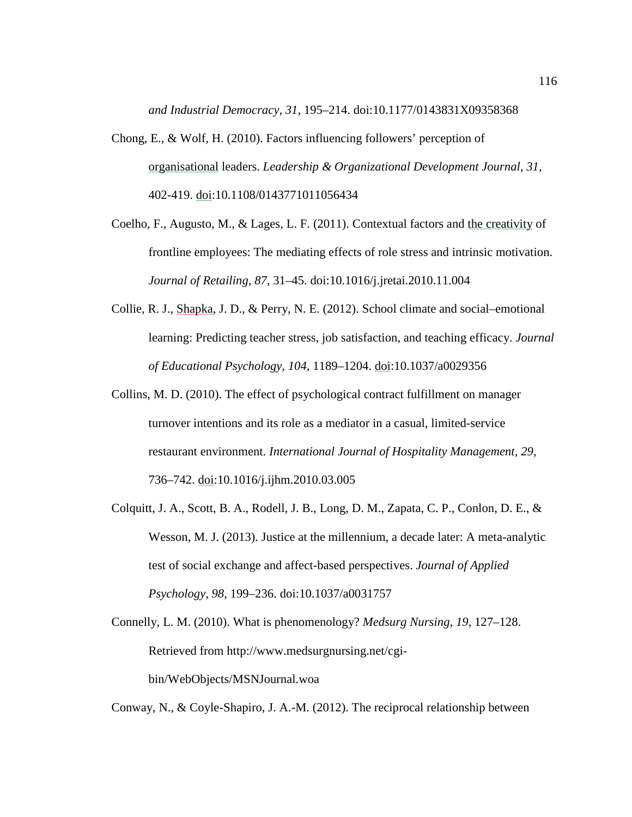*and Industrial Democracy*, *31*, 195–214. doi:10.1177/0143831X09358368

- Chong, E., & Wolf, H. (2010). Factors influencing followers' perception of organisational leaders. *Leadership & Organizational Development Journal, 31*, 402-419. doi:10.1108/0143771011056434
- Coelho, F., Augusto, M., & Lages, L. F. (2011). Contextual factors and the creativity of frontline employees: The mediating effects of role stress and intrinsic motivation. *Journal of Retailing*, *87*, 31–45. doi:10.1016/j.jretai.2010.11.004
- Collie, R. J., Shapka, J. D., & Perry, N. E. (2012). School climate and social–emotional learning: Predicting teacher stress, job satisfaction, and teaching efficacy. *Journal of Educational Psychology*, *104*, 1189–1204. doi:10.1037/a0029356
- Collins, M. D. (2010). The effect of psychological contract fulfillment on manager turnover intentions and its role as a mediator in a casual, limited-service restaurant environment. *International Journal of Hospitality Management*, *29*, 736–742. doi:10.1016/j.ijhm.2010.03.005
- Colquitt, J. A., Scott, B. A., Rodell, J. B., Long, D. M., Zapata, C. P., Conlon, D. E., & Wesson, M. J. (2013). Justice at the millennium, a decade later: A meta-analytic test of social exchange and affect-based perspectives. *Journal of Applied Psychology*, *98*, 199–236. doi:10.1037/a0031757
- Connelly, L. M. (2010). What is phenomenology? *Medsurg Nursing*, *19*, 127–128. Retrieved from http://www.medsurgnursing.net/cgibin/WebObjects/MSNJournal.woa

Conway, N., & Coyle-Shapiro, J. A.-M. (2012). The reciprocal relationship between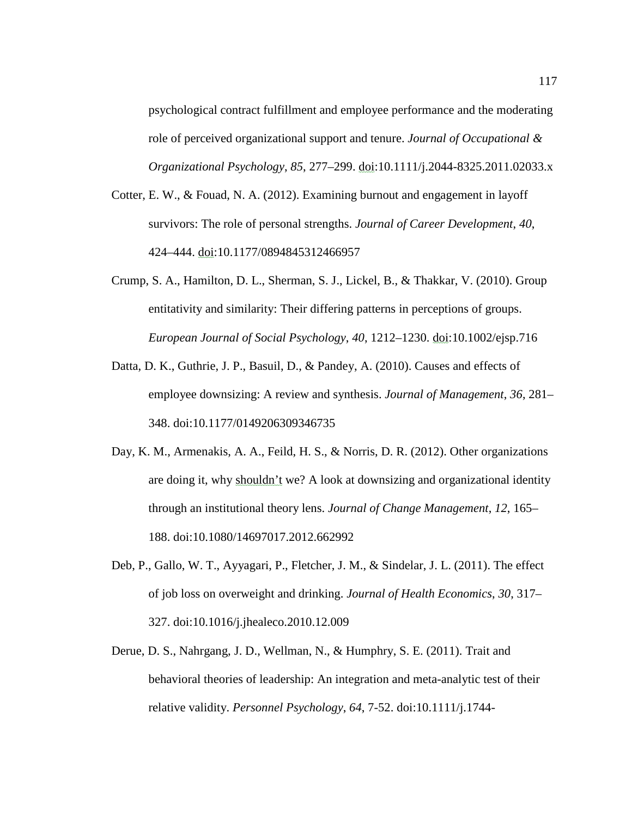psychological contract fulfillment and employee performance and the moderating role of perceived organizational support and tenure. *Journal of Occupational & Organizational Psychology*, *85*, 277–299. doi:10.1111/j.2044-8325.2011.02033.x

- Cotter, E. W., & Fouad, N. A. (2012). Examining burnout and engagement in layoff survivors: The role of personal strengths. *Journal of Career Development*, *40*, 424–444. doi:10.1177/0894845312466957
- Crump, S. A., Hamilton, D. L., Sherman, S. J., Lickel, B., & Thakkar, V. (2010). Group entitativity and similarity: Their differing patterns in perceptions of groups. *European Journal of Social Psychology*, *40*, 1212–1230. doi:10.1002/ejsp.716
- Datta, D. K., Guthrie, J. P., Basuil, D., & Pandey, A. (2010). Causes and effects of employee downsizing: A review and synthesis. *Journal of Management*, *36*, 281– 348. doi:10.1177/0149206309346735
- Day, K. M., Armenakis, A. A., Feild, H. S., & Norris, D. R. (2012). Other organizations are doing it, why shouldn't we? A look at downsizing and organizational identity through an institutional theory lens. *Journal of Change Management*, *12*, 165– 188. doi:10.1080/14697017.2012.662992
- Deb, P., Gallo, W. T., Ayyagari, P., Fletcher, J. M., & Sindelar, J. L. (2011). The effect of job loss on overweight and drinking. *Journal of Health Economics*, *30*, 317– 327. doi:10.1016/j.jhealeco.2010.12.009
- Derue, D. S., Nahrgang, J. D., Wellman, N., & Humphry, S. E. (2011). Trait and behavioral theories of leadership: An integration and meta-analytic test of their relative validity. *Personnel Psychology*, *64*, 7-52. doi:10.1111/j.1744-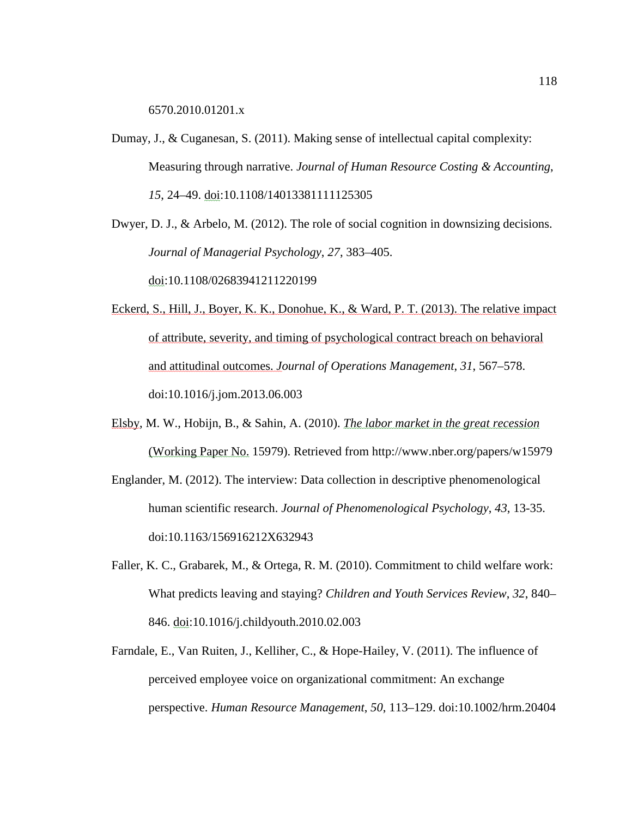6570.2010.01201.x

- Dumay, J., & Cuganesan, S. (2011). Making sense of intellectual capital complexity: Measuring through narrative. *Journal of Human Resource Costing & Accounting*, *15*, 24–49. doi:10.1108/14013381111125305
- Dwyer, D. J., & Arbelo, M. (2012). The role of social cognition in downsizing decisions. *Journal of Managerial Psychology*, *27*, 383–405.

doi:10.1108/02683941211220199

- Eckerd, S., Hill, J., Boyer, K. K., Donohue, K., & Ward, P. T. (2013). The relative impact of attribute, severity, and timing of psychological contract breach on behavioral and attitudinal outcomes. *Journal of Operations Management*, *31*, 567–578. doi:10.1016/j.jom.2013.06.003
- Elsby, M. W., Hobijn, B., & Sahin, A. (2010). *The labor market in the great recession* (Working Paper No. 15979). Retrieved from http://www.nber.org/papers/w15979
- Englander, M. (2012). The interview: Data collection in descriptive phenomenological human scientific research. *Journal of Phenomenological Psychology*, *43*, 13-35. doi:10.1163/156916212X632943
- Faller, K. C., Grabarek, M., & Ortega, R. M. (2010). Commitment to child welfare work: What predicts leaving and staying? *Children and Youth Services Review*, *32*, 840– 846. doi:10.1016/j.childyouth.2010.02.003
- Farndale, E., Van Ruiten, J., Kelliher, C., & Hope-Hailey, V. (2011). The influence of perceived employee voice on organizational commitment: An exchange perspective. *Human Resource Management*, *50*, 113–129. doi:10.1002/hrm.20404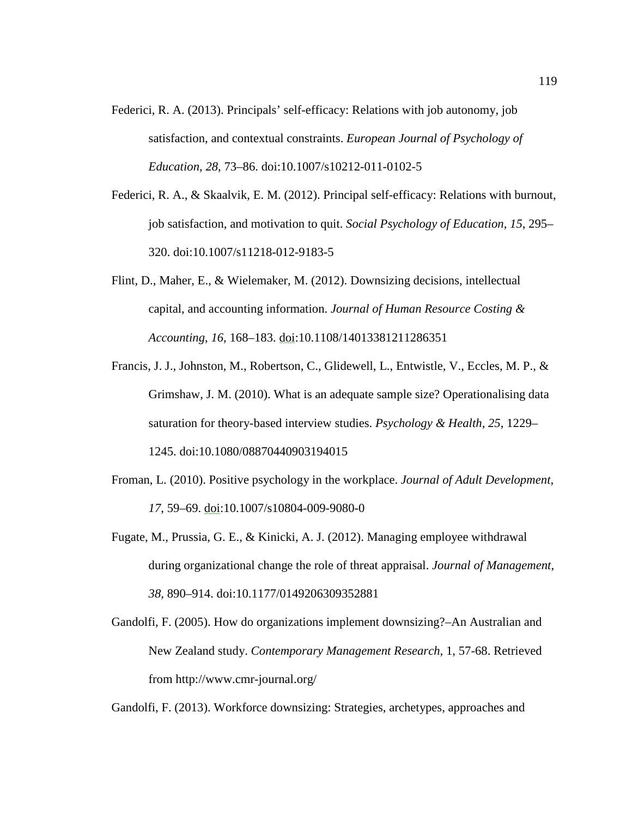- Federici, R. A. (2013). Principals' self-efficacy: Relations with job autonomy, job satisfaction, and contextual constraints. *European Journal of Psychology of Education*, *28*, 73–86. doi:10.1007/s10212-011-0102-5
- Federici, R. A., & Skaalvik, E. M. (2012). Principal self-efficacy: Relations with burnout, job satisfaction, and motivation to quit. *Social Psychology of Education*, *15*, 295– 320. doi:10.1007/s11218-012-9183-5
- Flint, D., Maher, E., & Wielemaker, M. (2012). Downsizing decisions, intellectual capital, and accounting information. *Journal of Human Resource Costing & Accounting*, *16*, 168–183. doi:10.1108/14013381211286351
- Francis, J. J., Johnston, M., Robertson, C., Glidewell, L., Entwistle, V., Eccles, M. P., & Grimshaw, J. M. (2010). What is an adequate sample size? Operationalising data saturation for theory-based interview studies. *Psychology & Health*, *25*, 1229– 1245. doi:10.1080/08870440903194015
- Froman, L. (2010). Positive psychology in the workplace. *Journal of Adult Development*, *17*, 59–69. doi:10.1007/s10804-009-9080-0
- Fugate, M., Prussia, G. E., & Kinicki, A. J. (2012). Managing employee withdrawal during organizational change the role of threat appraisal. *Journal of Management*, *38*, 890–914. doi:10.1177/0149206309352881
- Gandolfi, F. (2005). How do organizations implement downsizing?–An Australian and New Zealand study. *Contemporary Management Research*, 1, 57-68. Retrieved from http://www.cmr-journal.org/

Gandolfi, F. (2013). Workforce downsizing: Strategies, archetypes, approaches and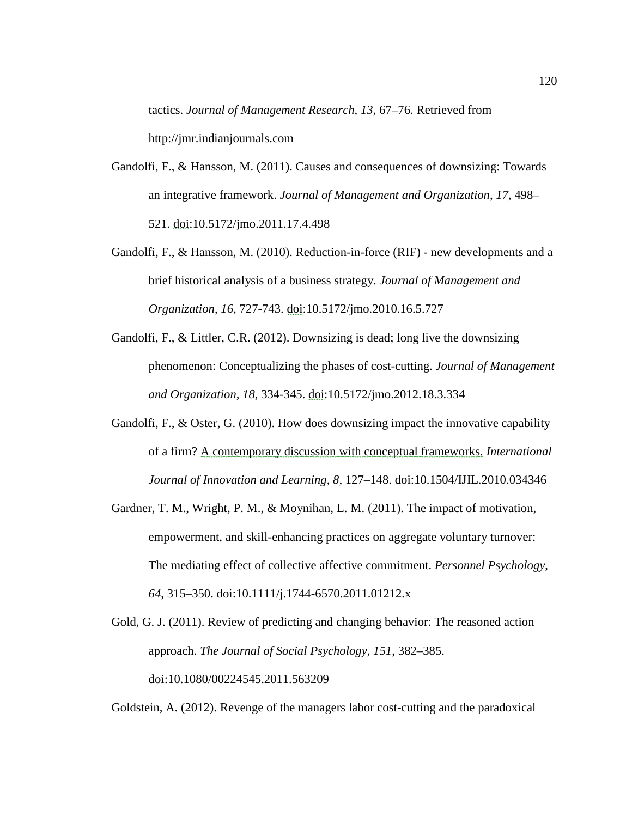tactics. *Journal of Management Research, 13*, 67–76. Retrieved from http://jmr.indianjournals.com

- Gandolfi, F., & Hansson, M. (2011). Causes and consequences of downsizing: Towards an integrative framework. *Journal of Management and Organization*, *17*, 498– 521. doi:10.5172/jmo.2011.17.4.498
- Gandolfi, F., & Hansson, M. (2010). Reduction-in-force (RIF) new developments and a brief historical analysis of a business strategy. *Journal of Management and Organization*, *16*, 727-743. doi:10.5172/jmo.2010.16.5.727
- Gandolfi, F., & Littler, C.R. (2012). Downsizing is dead; long live the downsizing phenomenon: Conceptualizing the phases of cost-cutting. *Journal of Management and Organization*, *18*, 334-345. doi:10.5172/jmo.2012.18.3.334
- Gandolfi, F., & Oster, G. (2010). How does downsizing impact the innovative capability of a firm? A contemporary discussion with conceptual frameworks. *International Journal of Innovation and Learning*, *8*, 127–148. doi:10.1504/IJIL.2010.034346
- Gardner, T. M., Wright, P. M., & Moynihan, L. M. (2011). The impact of motivation, empowerment, and skill-enhancing practices on aggregate voluntary turnover: The mediating effect of collective affective commitment. *Personnel Psychology*, *64*, 315–350. doi:10.1111/j.1744-6570.2011.01212.x
- Gold, G. J. (2011). Review of predicting and changing behavior: The reasoned action approach. *The Journal of Social Psychology*, *151*, 382–385. doi:10.1080/00224545.2011.563209

Goldstein, A. (2012). Revenge of the managers labor cost-cutting and the paradoxical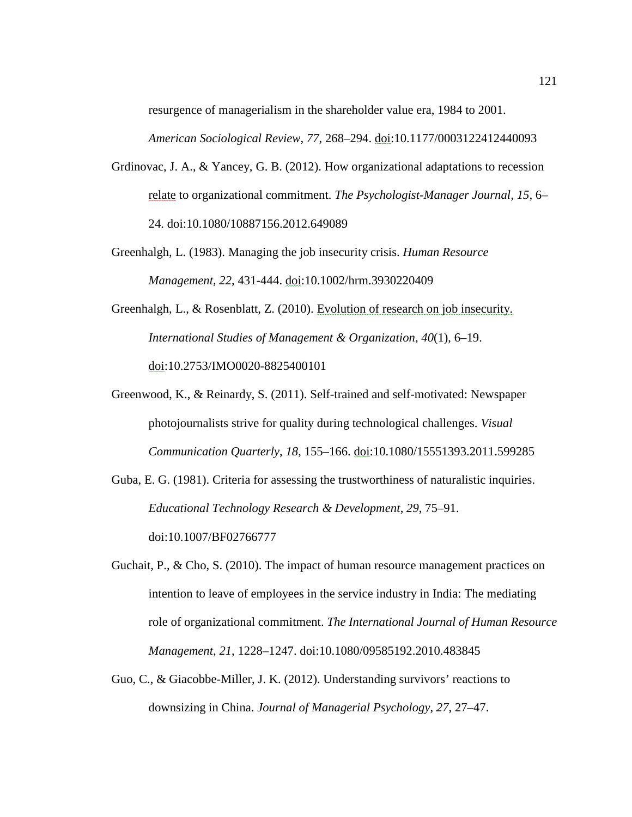resurgence of managerialism in the shareholder value era, 1984 to 2001. *American Sociological Review*, *77*, 268–294. doi:10.1177/0003122412440093

- Grdinovac, J. A., & Yancey, G. B. (2012). How organizational adaptations to recession relate to organizational commitment. *The Psychologist-Manager Journal, 15*, 6– 24. doi:10.1080/10887156.2012.649089
- Greenhalgh, L. (1983). Managing the job insecurity crisis. *Human Resource Management, 22*, 431-444. doi:10.1002/hrm.3930220409
- Greenhalgh, L., & Rosenblatt, Z. (2010). Evolution of research on job insecurity. *International Studies of Management & Organization*, *40*(1), 6–19. doi:10.2753/IMO0020-8825400101
- Greenwood, K., & Reinardy, S. (2011). Self-trained and self-motivated: Newspaper photojournalists strive for quality during technological challenges. *Visual Communication Quarterly*, *18*, 155–166. doi:10.1080/15551393.2011.599285
- Guba, E. G. (1981). Criteria for assessing the trustworthiness of naturalistic inquiries. *Educational Technology Research & Development*, *29*, 75–91. doi:10.1007/BF02766777
- Guchait, P., & Cho, S. (2010). The impact of human resource management practices on intention to leave of employees in the service industry in India: The mediating role of organizational commitment. *The International Journal of Human Resource Management*, *21*, 1228–1247. doi:10.1080/09585192.2010.483845
- Guo, C., & Giacobbe-Miller, J. K. (2012). Understanding survivors' reactions to downsizing in China. *Journal of Managerial Psychology*, *27*, 27–47.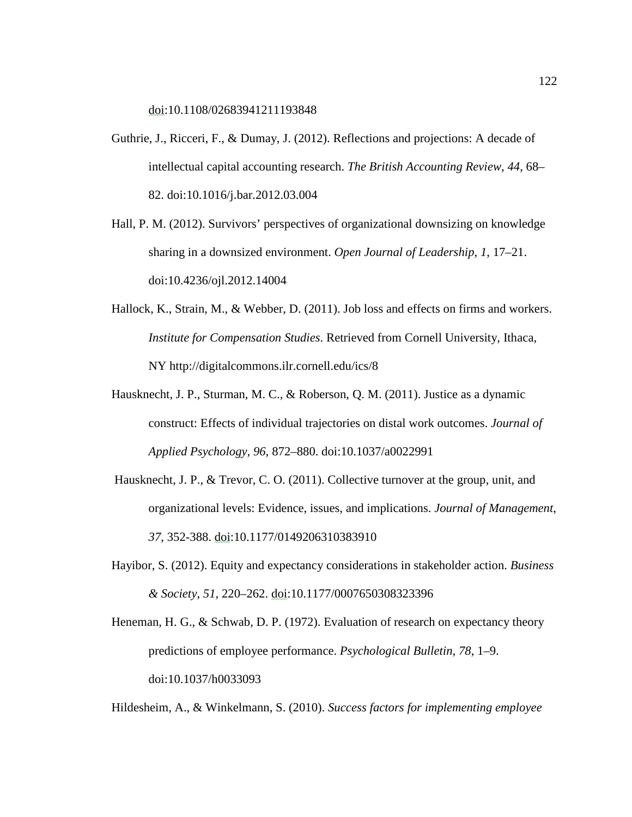doi:10.1108/02683941211193848

- Guthrie, J., Ricceri, F., & Dumay, J. (2012). Reflections and projections: A decade of intellectual capital accounting research. *The British Accounting Review*, *44*, 68– 82. doi:10.1016/j.bar.2012.03.004
- Hall, P. M. (2012). Survivors' perspectives of organizational downsizing on knowledge sharing in a downsized environment. *Open Journal of Leadership*, *1*, 17–21. doi:10.4236/ojl.2012.14004
- Hallock, K., Strain, M., & Webber, D. (2011). Job loss and effects on firms and workers. *Institute for Compensation Studies*. Retrieved from Cornell University, Ithaca, NY http://digitalcommons.ilr.cornell.edu/ics/8
- Hausknecht, J. P., Sturman, M. C., & Roberson, Q. M. (2011). Justice as a dynamic construct: Effects of individual trajectories on distal work outcomes. *Journal of Applied Psychology*, *96*, 872–880. doi:10.1037/a0022991
- Hausknecht, J. P., & Trevor, C. O. (2011). Collective turnover at the group, unit, and organizational levels: Evidence, issues, and implications. *Journal of Management*, *37*, 352-388. doi:10.1177/0149206310383910
- Hayibor, S. (2012). Equity and expectancy considerations in stakeholder action. *Business & Society*, *51*, 220–262. doi:10.1177/0007650308323396
- Heneman, H. G., & Schwab, D. P. (1972). Evaluation of research on expectancy theory predictions of employee performance. *Psychological Bulletin*, *78*, 1–9. doi:10.1037/h0033093

Hildesheim, A., & Winkelmann, S. (2010). *Success factors for implementing employee*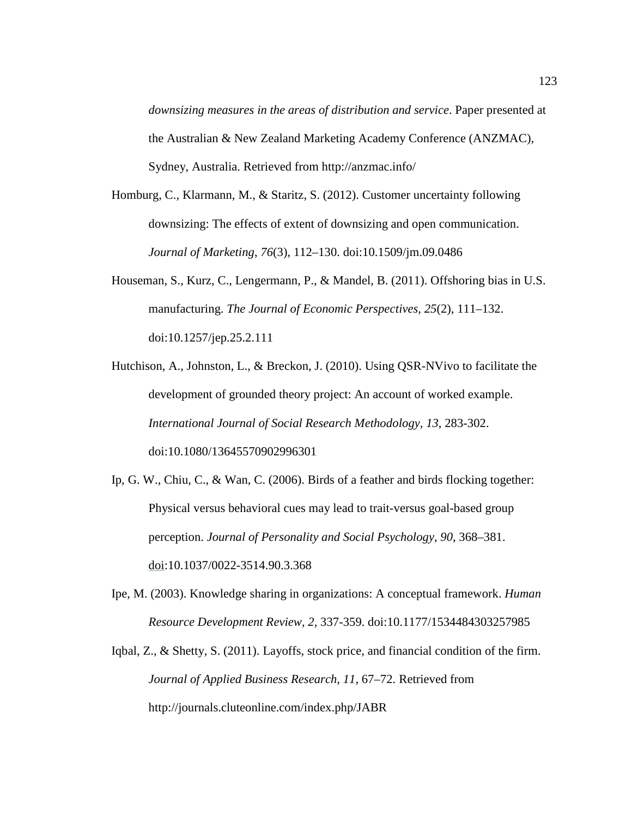*downsizing measures in the areas of distribution and service*. Paper presented at the Australian & New Zealand Marketing Academy Conference (ANZMAC), Sydney, Australia. Retrieved from http://anzmac.info/

- Homburg, C., Klarmann, M., & Staritz, S. (2012). Customer uncertainty following downsizing: The effects of extent of downsizing and open communication. *Journal of Marketing*, *76*(3), 112–130. doi:10.1509/jm.09.0486
- Houseman, S., Kurz, C., Lengermann, P., & Mandel, B. (2011). Offshoring bias in U.S. manufacturing. *The Journal of Economic Perspectives, 25*(2), 111–132. doi:10.1257/jep.25.2.111
- Hutchison, A., Johnston, L., & Breckon, J. (2010). Using QSR-NVivo to facilitate the development of grounded theory project: An account of worked example. *International Journal of Social Research Methodology, 13*, 283-302. doi:10.1080/13645570902996301
- Ip, G. W., Chiu, C., & Wan, C. (2006). Birds of a feather and birds flocking together: Physical versus behavioral cues may lead to trait-versus goal-based group perception. *Journal of Personality and Social Psychology*, *90*, 368–381. doi:10.1037/0022-3514.90.3.368
- Ipe, M. (2003). Knowledge sharing in organizations: A conceptual framework. *Human Resource Development Review, 2,* 337-359. doi:10.1177/1534484303257985
- Iqbal, Z., & Shetty, S. (2011). Layoffs, stock price, and financial condition of the firm. *Journal of Applied Business Research*, *11*, 67–72. Retrieved from http://journals.cluteonline.com/index.php/JABR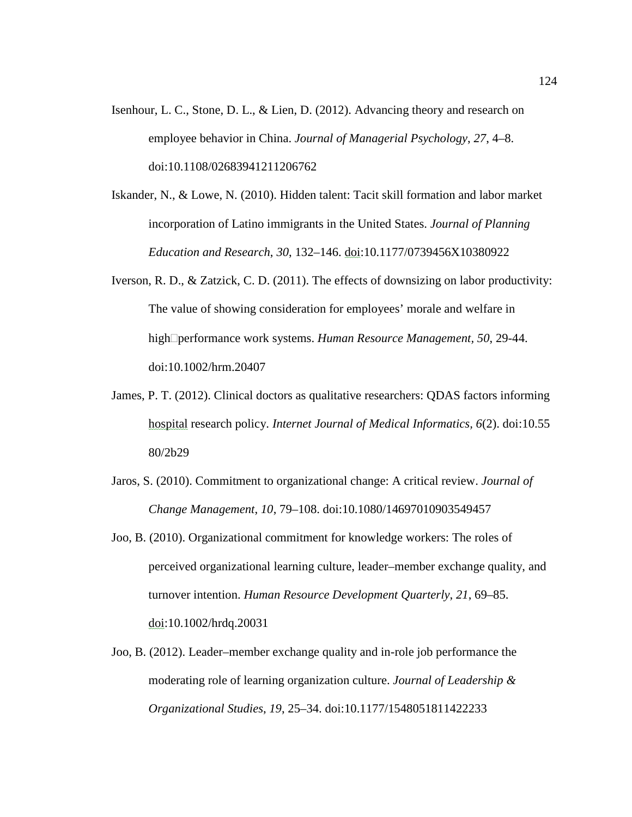- Isenhour, L. C., Stone, D. L., & Lien, D. (2012). Advancing theory and research on employee behavior in China. *Journal of Managerial Psychology*, *27*, 4–8. doi:10.1108/02683941211206762
- Iskander, N., & Lowe, N. (2010). Hidden talent: Tacit skill formation and labor market incorporation of Latino immigrants in the United States. *Journal of Planning Education and Research*, *30*, 132–146. doi:10.1177/0739456X10380922
- Iverson, R. D., & Zatzick, C. D. (2011). The effects of downsizing on labor productivity: The value of showing consideration for employees' morale and welfare in high performance work systems. *Human Resource Management, 50*, 29-44. doi:10.1002/hrm.20407
- James, P. T. (2012). Clinical doctors as qualitative researchers: QDAS factors informing hospital research policy. *Internet Journal of Medical Informatics, 6*(2). doi:10.55 80/2b29
- Jaros, S. (2010). Commitment to organizational change: A critical review. *Journal of Change Management*, *10*, 79–108. doi:10.1080/14697010903549457
- Joo, B. (2010). Organizational commitment for knowledge workers: The roles of perceived organizational learning culture, leader–member exchange quality, and turnover intention. *Human Resource Development Quarterly*, *21*, 69–85. doi:10.1002/hrdq.20031
- Joo, B. (2012). Leader–member exchange quality and in-role job performance the moderating role of learning organization culture. *Journal of Leadership & Organizational Studies*, *19*, 25–34. doi:10.1177/1548051811422233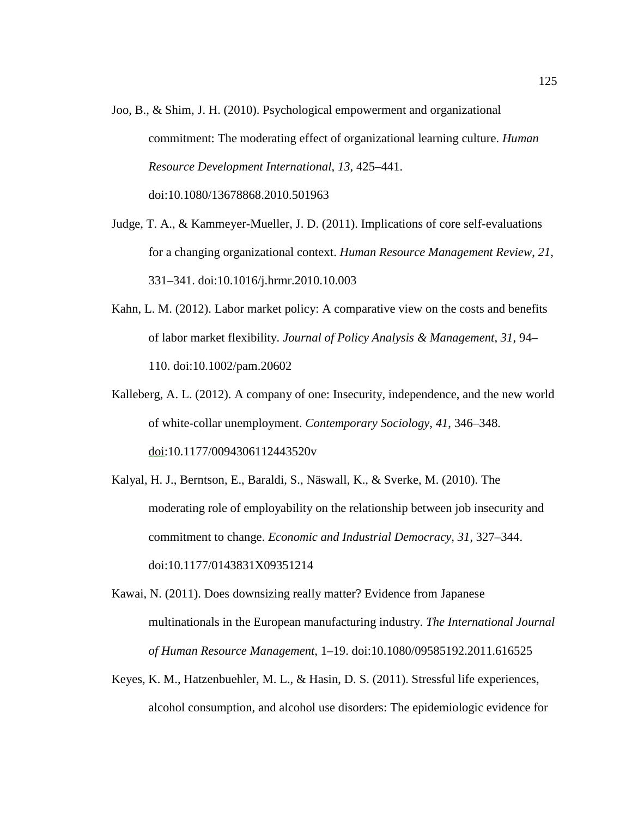- Joo, B., & Shim, J. H. (2010). Psychological empowerment and organizational commitment: The moderating effect of organizational learning culture. *Human Resource Development International*, *13*, 425–441. doi:10.1080/13678868.2010.501963
- Judge, T. A., & Kammeyer-Mueller, J. D. (2011). Implications of core self-evaluations for a changing organizational context. *Human Resource Management Review*, *21*, 331–341. doi:10.1016/j.hrmr.2010.10.003
- Kahn, L. M. (2012). Labor market policy: A comparative view on the costs and benefits of labor market flexibility. *Journal of Policy Analysis & Management*, *31*, 94– 110. doi:10.1002/pam.20602
- Kalleberg, A. L. (2012). A company of one: Insecurity, independence, and the new world of white-collar unemployment. *Contemporary Sociology*, *41*, 346–348. doi:10.1177/0094306112443520v
- Kalyal, H. J., Berntson, E., Baraldi, S., Näswall, K., & Sverke, M. (2010). The moderating role of employability on the relationship between job insecurity and commitment to change. *Economic and Industrial Democracy*, *31*, 327–344. doi:10.1177/0143831X09351214
- Kawai, N. (2011). Does downsizing really matter? Evidence from Japanese multinationals in the European manufacturing industry. *The International Journal of Human Resource Management*, 1–19. doi:10.1080/09585192.2011.616525
- Keyes, K. M., Hatzenbuehler, M. L., & Hasin, D. S. (2011). Stressful life experiences, alcohol consumption, and alcohol use disorders: The epidemiologic evidence for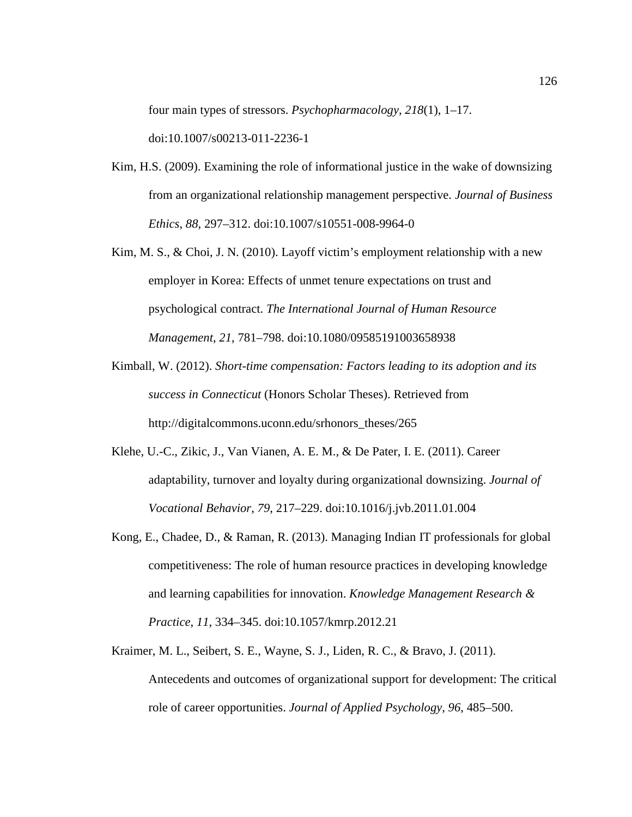four main types of stressors. *Psychopharmacology*, *218*(1), 1–17.

doi:10.1007/s00213-011-2236-1

- Kim, H.S. (2009). Examining the role of informational justice in the wake of downsizing from an organizational relationship management perspective. *Journal of Business Ethics*, *88*, 297–312. doi:10.1007/s10551-008-9964-0
- Kim, M. S., & Choi, J. N. (2010). Layoff victim's employment relationship with a new employer in Korea: Effects of unmet tenure expectations on trust and psychological contract. *The International Journal of Human Resource Management*, *21*, 781–798. doi:10.1080/09585191003658938
- Kimball, W. (2012). *Short-time compensation: Factors leading to its adoption and its success in Connecticut* (Honors Scholar Theses). Retrieved from http://digitalcommons.uconn.edu/srhonors\_theses/265
- Klehe, U.-C., Zikic, J., Van Vianen, A. E. M., & De Pater, I. E. (2011). Career adaptability, turnover and loyalty during organizational downsizing. *Journal of Vocational Behavior*, *79*, 217–229. doi:10.1016/j.jvb.2011.01.004
- Kong, E., Chadee, D., & Raman, R. (2013). Managing Indian IT professionals for global competitiveness: The role of human resource practices in developing knowledge and learning capabilities for innovation. *Knowledge Management Research & Practice*, *11*, 334–345. doi:10.1057/kmrp.2012.21
- Kraimer, M. L., Seibert, S. E., Wayne, S. J., Liden, R. C., & Bravo, J. (2011). Antecedents and outcomes of organizational support for development: The critical role of career opportunities. *Journal of Applied Psychology*, *96*, 485–500.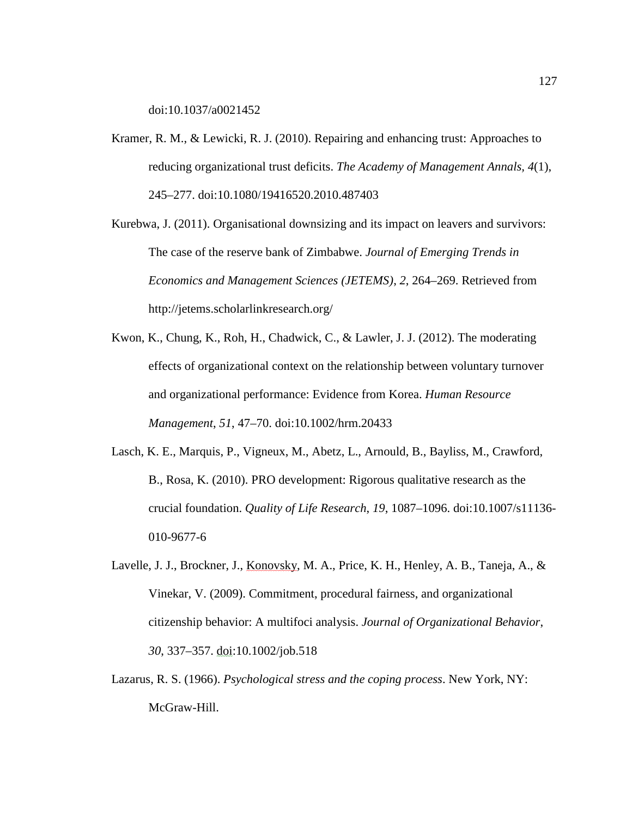doi:10.1037/a0021452

- Kramer, R. M., & Lewicki, R. J. (2010). Repairing and enhancing trust: Approaches to reducing organizational trust deficits. *The Academy of Management Annals, 4*(1), 245–277. doi:10.1080/19416520.2010.487403
- Kurebwa, J. (2011). Organisational downsizing and its impact on leavers and survivors: The case of the reserve bank of Zimbabwe. *Journal of Emerging Trends in Economics and Management Sciences (JETEMS)*, *2*, 264–269. Retrieved from http://jetems.scholarlinkresearch.org/
- Kwon, K., Chung, K., Roh, H., Chadwick, C., & Lawler, J. J. (2012). The moderating effects of organizational context on the relationship between voluntary turnover and organizational performance: Evidence from Korea. *Human Resource Management*, *51*, 47–70. doi:10.1002/hrm.20433
- Lasch, K. E., Marquis, P., Vigneux, M., Abetz, L., Arnould, B., Bayliss, M., Crawford, B., Rosa, K. (2010). PRO development: Rigorous qualitative research as the crucial foundation. *Quality of Life Research*, *19*, 1087–1096. doi:10.1007/s11136- 010-9677-6
- Lavelle, J. J., Brockner, J., Konovsky, M. A., Price, K. H., Henley, A. B., Taneja, A., & Vinekar, V. (2009). Commitment, procedural fairness, and organizational citizenship behavior: A multifoci analysis. *Journal of Organizational Behavior*, *30*, 337–357. doi:10.1002/job.518
- Lazarus, R. S. (1966). *Psychological stress and the coping process*. New York, NY: McGraw-Hill.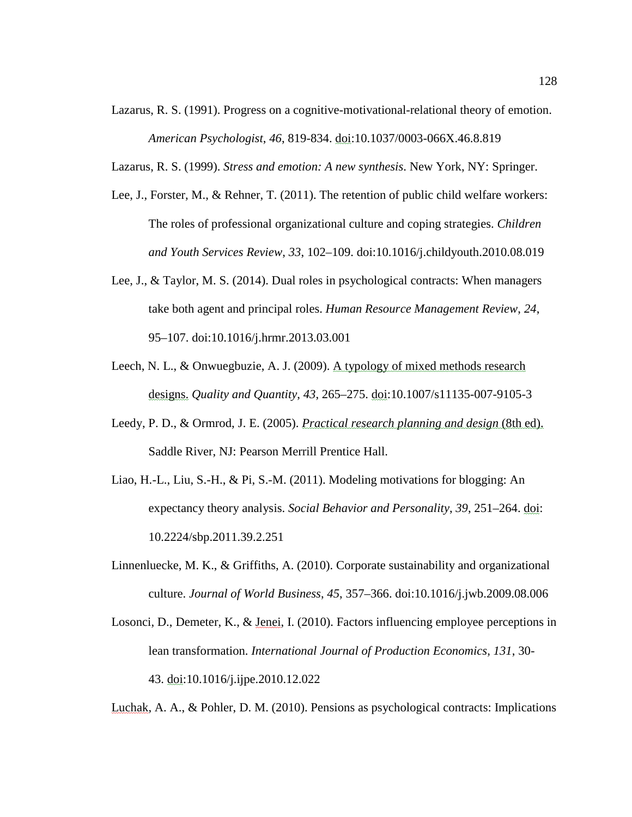- Lazarus, R. S. (1991). Progress on a cognitive-motivational-relational theory of emotion. *American Psychologist*, *46*, 819-834. doi:10.1037/0003-066X.46.8.819
- Lazarus, R. S. (1999). *Stress and emotion: A new synthesis*. New York, NY: Springer.
- Lee, J., Forster, M., & Rehner, T. (2011). The retention of public child welfare workers: The roles of professional organizational culture and coping strategies. *Children and Youth Services Review*, *33*, 102–109. doi:10.1016/j.childyouth.2010.08.019
- Lee, J., & Taylor, M. S. (2014). Dual roles in psychological contracts: When managers take both agent and principal roles. *Human Resource Management Review*, *24*, 95–107. doi:10.1016/j.hrmr.2013.03.001
- Leech, N. L., & Onwuegbuzie, A. J. (2009). A typology of mixed methods research designs. *Quality and Quantity*, *43*, 265–275. doi:10.1007/s11135-007-9105-3
- Leedy, P. D., & Ormrod, J. E. (2005). *Practical research planning and design* (8th ed). Saddle River, NJ: Pearson Merrill Prentice Hall.
- Liao, H.-L., Liu, S.-H., & Pi, S.-M. (2011). Modeling motivations for blogging: An expectancy theory analysis. *Social Behavior and Personality*, *39*, 251–264. doi: 10.2224/sbp.2011.39.2.251
- Linnenluecke, M. K., & Griffiths, A. (2010). Corporate sustainability and organizational culture. *Journal of World Business*, *45*, 357–366. doi:10.1016/j.jwb.2009.08.006
- Losonci, D., Demeter, K., & Jenei, I. (2010). Factors influencing employee perceptions in lean transformation. *International Journal of Production Economics, 131*, 30- 43. doi:10.1016/j.ijpe.2010.12.022

Luchak, A. A., & Pohler, D. M. (2010). Pensions as psychological contracts: Implications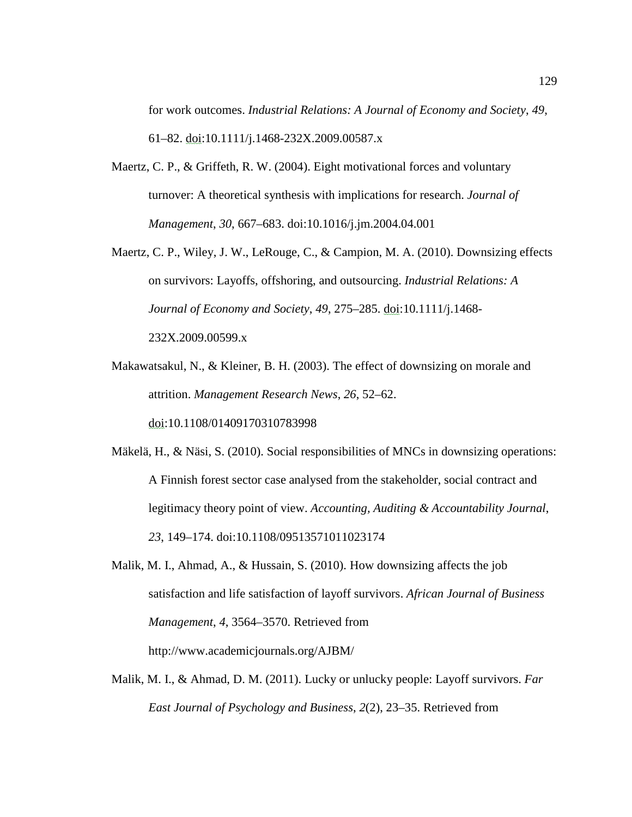for work outcomes. *Industrial Relations: A Journal of Economy and Society*, *49*, 61–82. doi:10.1111/j.1468-232X.2009.00587.x

- Maertz, C. P., & Griffeth, R. W. (2004). Eight motivational forces and voluntary turnover: A theoretical synthesis with implications for research. *Journal of Management*, *30*, 667–683. doi:10.1016/j.jm.2004.04.001
- Maertz, C. P., Wiley, J. W., LeRouge, C., & Campion, M. A. (2010). Downsizing effects on survivors: Layoffs, offshoring, and outsourcing. *Industrial Relations: A Journal of Economy and Society*, *49*, 275–285. doi:10.1111/j.1468- 232X.2009.00599.x
- Makawatsakul, N., & Kleiner, B. H. (2003). The effect of downsizing on morale and attrition. *Management Research News*, *26*, 52–62. doi:10.1108/01409170310783998
- Mäkelä, H., & Näsi, S. (2010). Social responsibilities of MNCs in downsizing operations: A Finnish forest sector case analysed from the stakeholder, social contract and legitimacy theory point of view. *Accounting, Auditing & Accountability Journal*, *23*, 149–174. doi:10.1108/09513571011023174
- Malik, M. I., Ahmad, A., & Hussain, S. (2010). How downsizing affects the job satisfaction and life satisfaction of layoff survivors. *African Journal of Business Management*, *4*, 3564–3570. Retrieved from http://www.academicjournals.org/AJBM/
- Malik, M. I., & Ahmad, D. M. (2011). Lucky or unlucky people: Layoff survivors. *Far East Journal of Psychology and Business*, *2*(2), 23–35. Retrieved from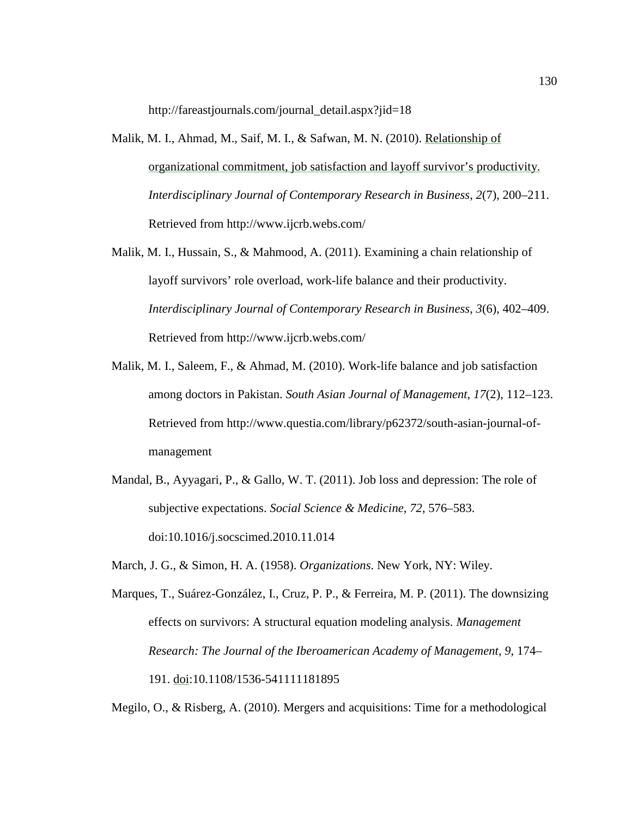http://fareastjournals.com/journal\_detail.aspx?jid=18

- Malik, M. I., Ahmad, M., Saif, M. I., & Safwan, M. N. (2010). Relationship of organizational commitment, job satisfaction and layoff survivor's productivity. *Interdisciplinary Journal of Contemporary Research in Business*, *2*(7), 200–211. Retrieved from http://www.ijcrb.webs.com/
- Malik, M. I., Hussain, S., & Mahmood, A. (2011). Examining a chain relationship of layoff survivors' role overload, work-life balance and their productivity. *Interdisciplinary Journal of Contemporary Research in Business*, *3*(6), 402–409. Retrieved from http://www.ijcrb.webs.com/
- Malik, M. I., Saleem, F., & Ahmad, M. (2010). Work-life balance and job satisfaction among doctors in Pakistan. *South Asian Journal of Management*, *17*(2), 112–123. Retrieved from http://www.questia.com/library/p62372/south-asian-journal-ofmanagement
- Mandal, B., Ayyagari, P., & Gallo, W. T. (2011). Job loss and depression: The role of subjective expectations. *Social Science & Medicine*, *72*, 576–583. doi:10.1016/j.socscimed.2010.11.014
- March, J. G., & Simon, H. A. (1958). *Organizations*. New York, NY: Wiley.
- Marques, T., Suárez-González, I., Cruz, P. P., & Ferreira, M. P. (2011). The downsizing effects on survivors: A structural equation modeling analysis. *Management Research: The Journal of the Iberoamerican Academy of Management*, *9*, 174– 191. doi:10.1108/1536-541111181895

Megilo, O., & Risberg, A. (2010). Mergers and acquisitions: Time for a methodological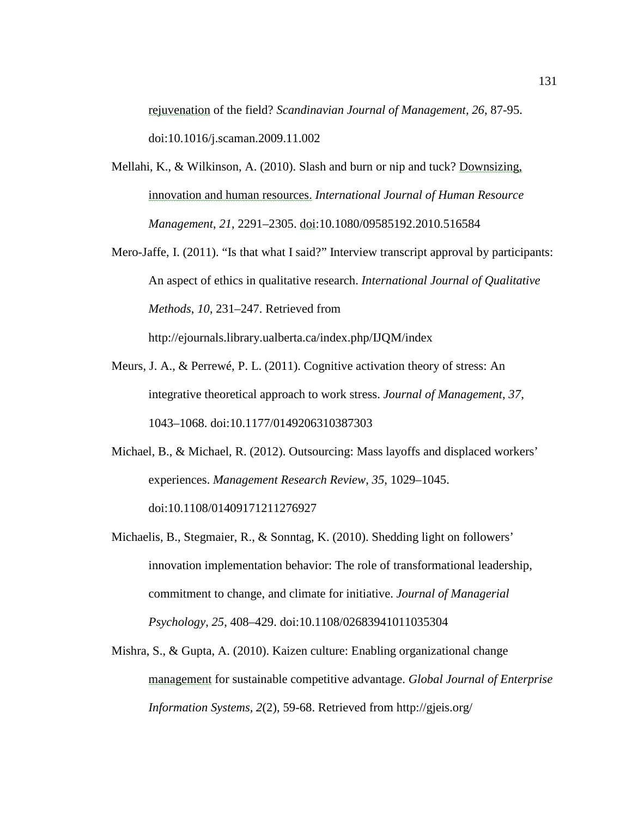rejuvenation of the field? *Scandinavian Journal of Management, 26*, 87-95. doi:10.1016/j.scaman.2009.11.002

- Mellahi, K., & Wilkinson, A. (2010). Slash and burn or nip and tuck? Downsizing, innovation and human resources. *International Journal of Human Resource Management*, *21*, 2291–2305. doi:10.1080/09585192.2010.516584
- Mero-Jaffe, I. (2011). "Is that what I said?" Interview transcript approval by participants: An aspect of ethics in qualitative research. *International Journal of Qualitative Methods*, *10*, 231–247. Retrieved from

http://ejournals.library.ualberta.ca/index.php/IJQM/index

- Meurs, J. A., & Perrewé, P. L. (2011). Cognitive activation theory of stress: An integrative theoretical approach to work stress. *Journal of Management*, *37*, 1043–1068. doi:10.1177/0149206310387303
- Michael, B., & Michael, R. (2012). Outsourcing: Mass layoffs and displaced workers' experiences. *Management Research Review*, *35*, 1029–1045. doi:10.1108/01409171211276927
- Michaelis, B., Stegmaier, R., & Sonntag, K. (2010). Shedding light on followers' innovation implementation behavior: The role of transformational leadership, commitment to change, and climate for initiative. *Journal of Managerial Psychology*, *25*, 408–429. doi:10.1108/02683941011035304
- Mishra, S., & Gupta, A. (2010). Kaizen culture: Enabling organizational change management for sustainable competitive advantage. *Global Journal of Enterprise Information Systems, 2*(2), 59-68. Retrieved from http://gjeis.org/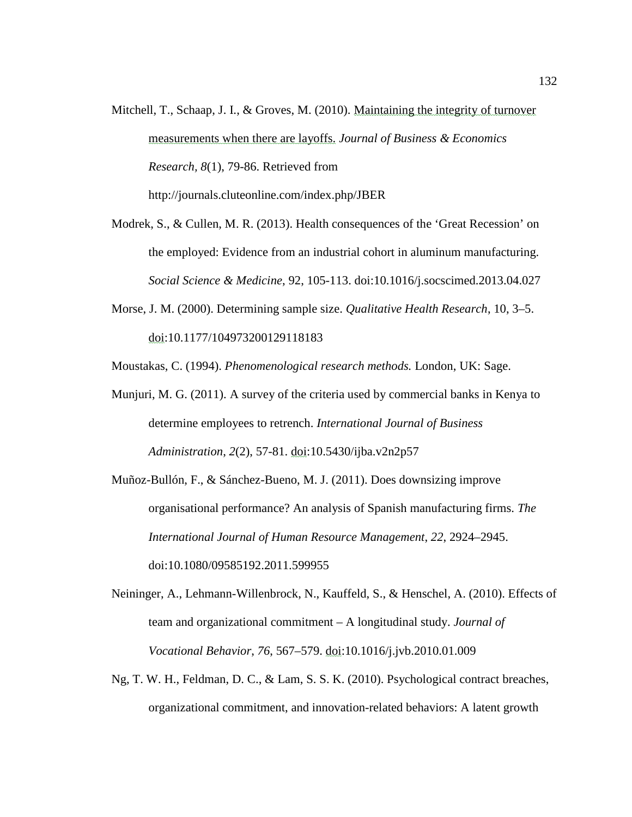- Mitchell, T., Schaap, J. I., & Groves, M. (2010). Maintaining the integrity of turnover measurements when there are layoffs. *Journal of Business & Economics Research, 8*(1), 79-86. Retrieved from http://journals.cluteonline.com/index.php/JBER
- Modrek, S., & Cullen, M. R. (2013). Health consequences of the 'Great Recession' on the employed: Evidence from an industrial cohort in aluminum manufacturing. *Social Science & Medicine*, 92, 105-113. doi:10.1016/j.socscimed.2013.04.027
- Morse, J. M. (2000). Determining sample size. *Qualitative Health Research*, 10, 3–5. doi:10.1177/104973200129118183

Moustakas, C. (1994). *Phenomenological research methods.* London, UK: Sage.

- Munjuri, M. G. (2011). A survey of the criteria used by commercial banks in Kenya to determine employees to retrench. *International Journal of Business Administration*, *2*(2), 57-81. doi:10.5430/ijba.v2n2p57
- Muñoz-Bullón, F., & Sánchez-Bueno, M. J. (2011). Does downsizing improve organisational performance? An analysis of Spanish manufacturing firms. *The International Journal of Human Resource Management*, *22*, 2924–2945. doi:10.1080/09585192.2011.599955
- Neininger, A., Lehmann-Willenbrock, N., Kauffeld, S., & Henschel, A. (2010). Effects of team and organizational commitment – A longitudinal study. *Journal of Vocational Behavior*, *76*, 567–579. doi:10.1016/j.jvb.2010.01.009
- Ng, T. W. H., Feldman, D. C., & Lam, S. S. K. (2010). Psychological contract breaches, organizational commitment, and innovation-related behaviors: A latent growth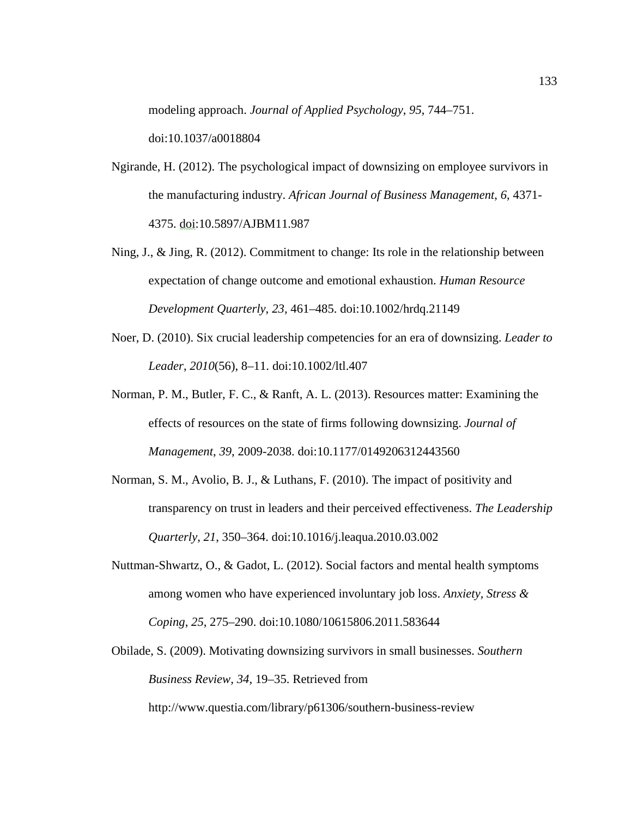modeling approach. *Journal of Applied Psychology*, *95*, 744–751. doi:10.1037/a0018804

- Ngirande, H. (2012). The psychological impact of downsizing on employee survivors in the manufacturing industry. *African Journal of Business Management*, *6*, 4371- 4375. doi:10.5897/AJBM11.987
- Ning, J., & Jing, R. (2012). Commitment to change: Its role in the relationship between expectation of change outcome and emotional exhaustion. *Human Resource Development Quarterly*, *23*, 461–485. doi:10.1002/hrdq.21149
- Noer, D. (2010). Six crucial leadership competencies for an era of downsizing. *Leader to Leader*, *2010*(56), 8–11. doi:10.1002/ltl.407
- Norman, P. M., Butler, F. C., & Ranft, A. L. (2013). Resources matter: Examining the effects of resources on the state of firms following downsizing. *Journal of Management*, *39*, 2009-2038. doi:10.1177/0149206312443560
- Norman, S. M., Avolio, B. J., & Luthans, F. (2010). The impact of positivity and transparency on trust in leaders and their perceived effectiveness. *The Leadership Quarterly*, *21*, 350–364. doi:10.1016/j.leaqua.2010.03.002
- Nuttman-Shwartz, O., & Gadot, L. (2012). Social factors and mental health symptoms among women who have experienced involuntary job loss. *Anxiety, Stress & Coping*, *25*, 275–290. doi:10.1080/10615806.2011.583644
- Obilade, S. (2009). Motivating downsizing survivors in small businesses. *Southern Business Review, 34*, 19–35. Retrieved from http://www.questia.com/library/p61306/southern-business-review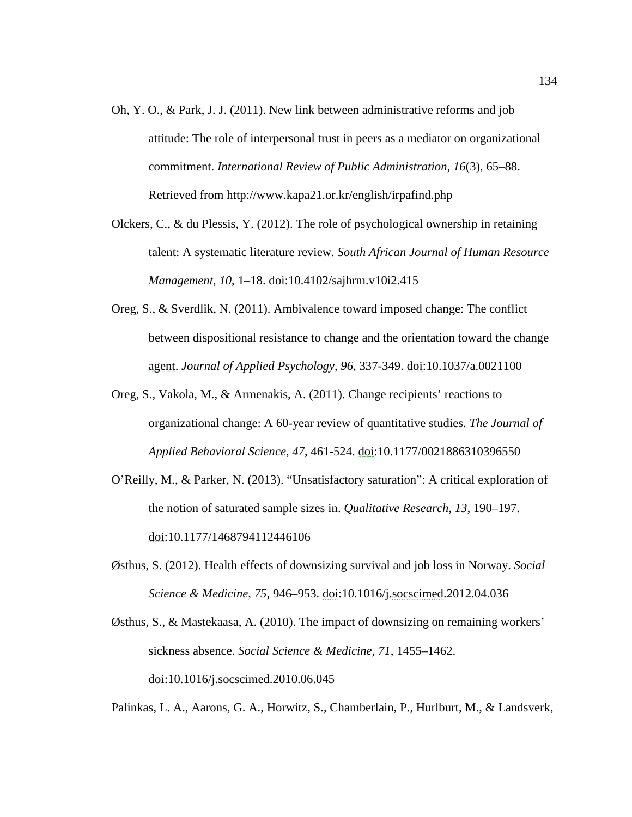- Oh, Y. O., & Park, J. J. (2011). New link between administrative reforms and job attitude: The role of interpersonal trust in peers as a mediator on organizational commitment. *International Review of Public Administration*, *16*(3), 65–88. Retrieved from http://www.kapa21.or.kr/english/irpafind.php
- Olckers, C., & du Plessis, Y. (2012). The role of psychological ownership in retaining talent: A systematic literature review. *South African Journal of Human Resource Management*, *10*, 1–18. doi:10.4102/sajhrm.v10i2.415
- Oreg, S., & Sverdlik, N. (2011). Ambivalence toward imposed change: The conflict between dispositional resistance to change and the orientation toward the change agent. *Journal of Applied Psychology, 96*, 337-349. doi:10.1037/a.0021100
- Oreg, S., Vakola, M., & Armenakis, A. (2011). Change recipients' reactions to organizational change: A 60-year review of quantitative studies. *The Journal of Applied Behavioral Science*, *47*, 461-524. doi:10.1177/0021886310396550
- O'Reilly, M., & Parker, N. (2013). "Unsatisfactory saturation": A critical exploration of the notion of saturated sample sizes in. *Qualitative Research*, *13*, 190–197. doi:10.1177/1468794112446106
- Østhus, S. (2012). Health effects of downsizing survival and job loss in Norway. *Social Science & Medicine*, *75*, 946–953. doi:10.1016/j.socscimed.2012.04.036
- Østhus, S., & Mastekaasa, A. (2010). The impact of downsizing on remaining workers' sickness absence. *Social Science & Medicine*, *71*, 1455–1462. doi:10.1016/j.socscimed.2010.06.045

Palinkas, L. A., Aarons, G. A., Horwitz, S., Chamberlain, P., Hurlburt, M., & Landsverk,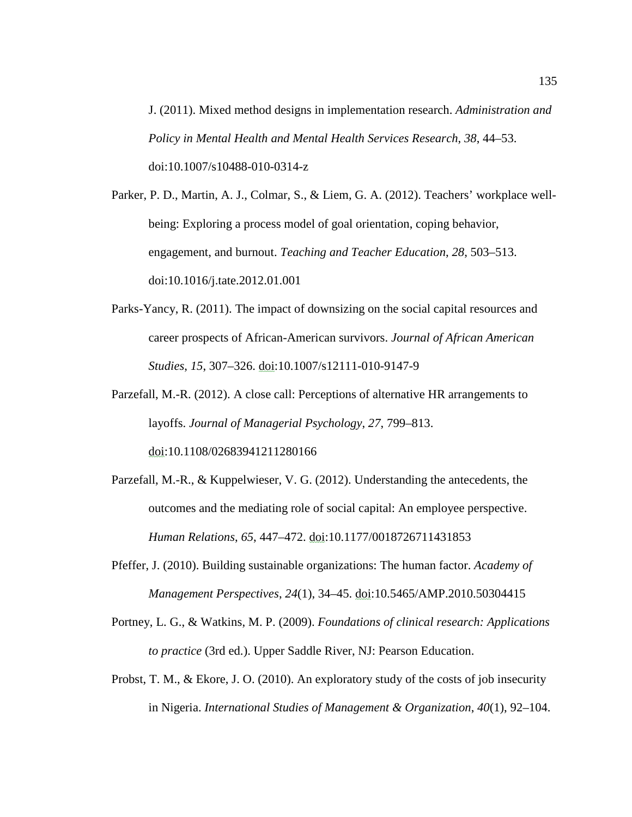J. (2011). Mixed method designs in implementation research. *Administration and Policy in Mental Health and Mental Health Services Research*, *38*, 44–53. doi:10.1007/s10488-010-0314-z

Parker, P. D., Martin, A. J., Colmar, S., & Liem, G. A. (2012). Teachers' workplace wellbeing: Exploring a process model of goal orientation, coping behavior, engagement, and burnout. *Teaching and Teacher Education*, *28*, 503–513. doi:10.1016/j.tate.2012.01.001

Parks-Yancy, R. (2011). The impact of downsizing on the social capital resources and career prospects of African-American survivors. *Journal of African American Studies*, *15*, 307–326. doi:10.1007/s12111-010-9147-9

Parzefall, M.-R. (2012). A close call: Perceptions of alternative HR arrangements to layoffs. *Journal of Managerial Psychology*, *27*, 799–813. doi:10.1108/02683941211280166

- Parzefall, M.-R., & Kuppelwieser, V. G. (2012). Understanding the antecedents, the outcomes and the mediating role of social capital: An employee perspective. *Human Relations*, *65*, 447–472. doi:10.1177/0018726711431853
- Pfeffer, J. (2010). Building sustainable organizations: The human factor. *Academy of Management Perspectives*, *24*(1), 34–45. doi:10.5465/AMP.2010.50304415
- Portney, L. G., & Watkins, M. P. (2009). *Foundations of clinical research: Applications to practice* (3rd ed.). Upper Saddle River, NJ: Pearson Education.
- Probst, T. M., & Ekore, J. O. (2010). An exploratory study of the costs of job insecurity in Nigeria. *International Studies of Management & Organization*, *40*(1), 92–104.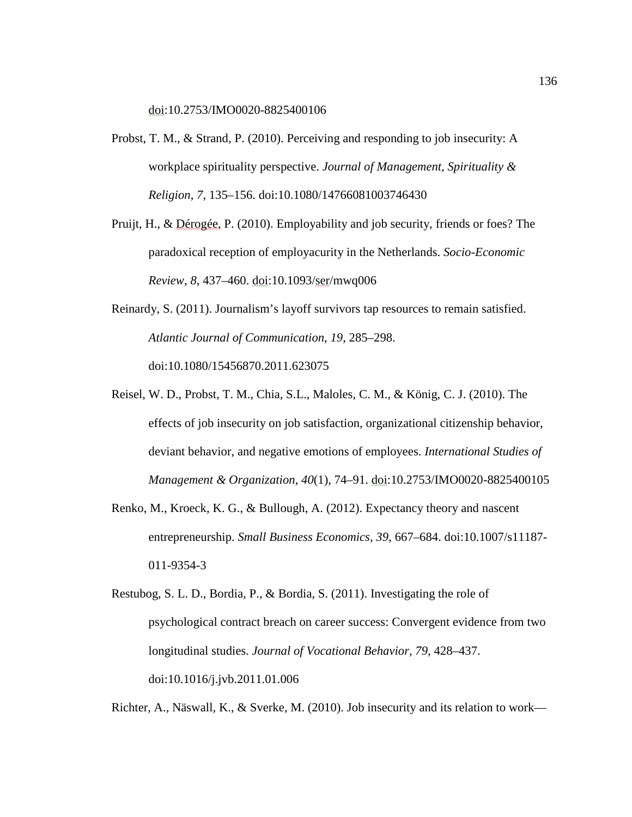doi:10.2753/IMO0020-8825400106

- Probst, T. M., & Strand, P. (2010). Perceiving and responding to job insecurity: A workplace spirituality perspective. *Journal of Management, Spirituality & Religion*, *7*, 135–156. doi:10.1080/14766081003746430
- Pruijt, H., & Dérogée, P. (2010). Employability and job security, friends or foes? The paradoxical reception of employacurity in the Netherlands. *Socio-Economic Review*, *8*, 437–460. doi:10.1093/ser/mwq006
- Reinardy, S. (2011). Journalism's layoff survivors tap resources to remain satisfied. *Atlantic Journal of Communication*, *19*, 285–298. doi:10.1080/15456870.2011.623075
- Reisel, W. D., Probst, T. M., Chia, S.L., Maloles, C. M., & König, C. J. (2010). The effects of job insecurity on job satisfaction, organizational citizenship behavior, deviant behavior, and negative emotions of employees. *International Studies of Management & Organization*, *40*(1), 74–91. doi:10.2753/IMO0020-8825400105
- Renko, M., Kroeck, K. G., & Bullough, A. (2012). Expectancy theory and nascent entrepreneurship. *Small Business Economics*, *39*, 667–684. doi:10.1007/s11187- 011-9354-3
- Restubog, S. L. D., Bordia, P., & Bordia, S. (2011). Investigating the role of psychological contract breach on career success: Convergent evidence from two longitudinal studies. *Journal of Vocational Behavior*, *79*, 428–437. doi:10.1016/j.jvb.2011.01.006

Richter, A., Näswall, K., & Sverke, M. (2010). Job insecurity and its relation to work—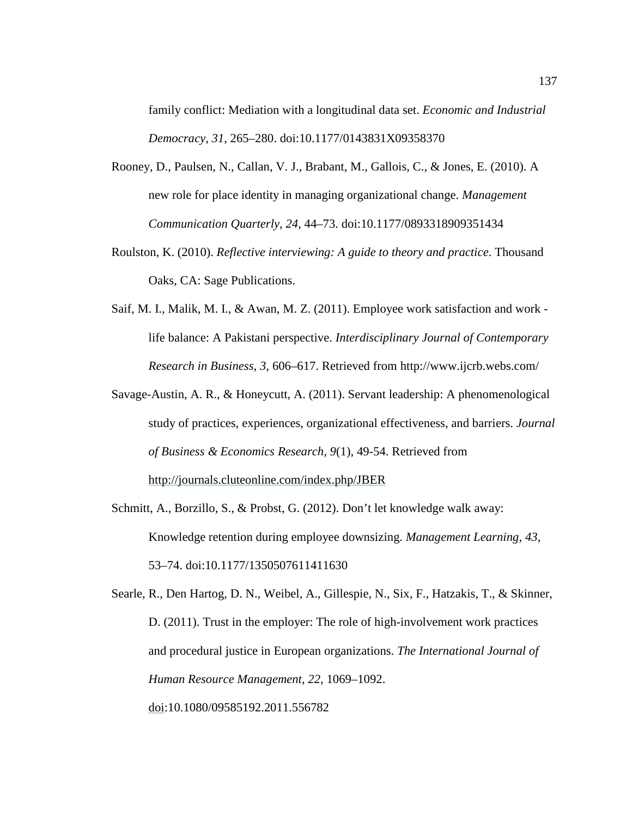family conflict: Mediation with a longitudinal data set. *Economic and Industrial Democracy*, *31*, 265–280. doi:10.1177/0143831X09358370

- Rooney, D., Paulsen, N., Callan, V. J., Brabant, M., Gallois, C., & Jones, E. (2010). A new role for place identity in managing organizational change. *Management Communication Quarterly*, *24*, 44–73. doi:10.1177/0893318909351434
- Roulston, K. (2010). *Reflective interviewing: A guide to theory and practice*. Thousand Oaks, CA: Sage Publications.
- Saif, M. I., Malik, M. I., & Awan, M. Z. (2011). Employee work satisfaction and work life balance: A Pakistani perspective. *Interdisciplinary Journal of Contemporary Research in Business*, *3*, 606–617. Retrieved from http://www.ijcrb.webs.com/
- Savage-Austin, A. R., & Honeycutt, A. (2011). Servant leadership: A phenomenological study of practices, experiences, organizational effectiveness, and barriers. *Journal of Business & Economics Research, 9*(1), 49-54. Retrieved from http://journals.cluteonline.com/index.php/JBER
- Schmitt, A., Borzillo, S., & Probst, G. (2012). Don't let knowledge walk away: Knowledge retention during employee downsizing. *Management Learning, 43*, 53–74. doi:10.1177/1350507611411630

Searle, R., Den Hartog, D. N., Weibel, A., Gillespie, N., Six, F., Hatzakis, T., & Skinner, D. (2011). Trust in the employer: The role of high-involvement work practices and procedural justice in European organizations. *The International Journal of Human Resource Management*, *22*, 1069–1092. doi:10.1080/09585192.2011.556782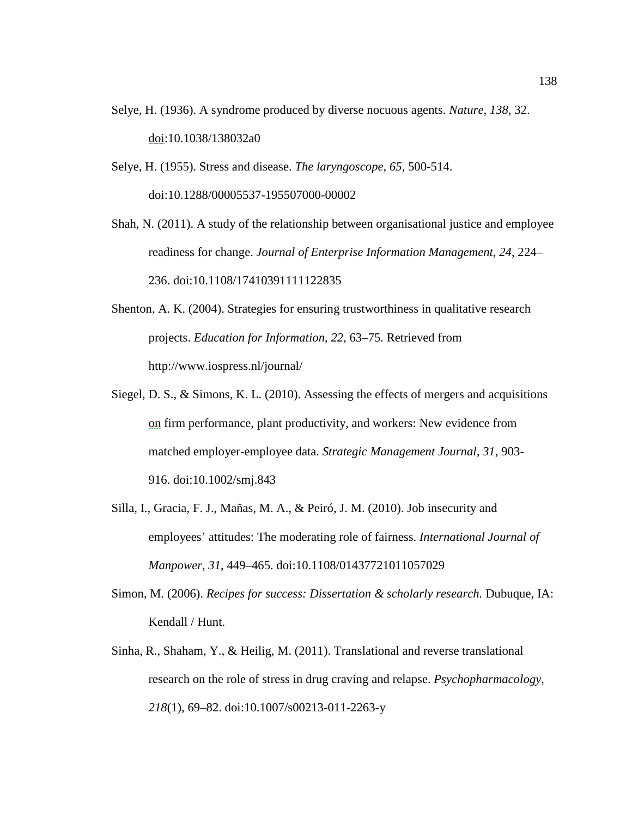- Selye, H. (1936). A syndrome produced by diverse nocuous agents. *Nature*, *138*, 32. doi:10.1038/138032a0
- Selye, H. (1955). Stress and disease. *The laryngoscope, 65,* 500-514. doi:10.1288/00005537-195507000-00002
- Shah, N. (2011). A study of the relationship between organisational justice and employee readiness for change. *Journal of Enterprise Information Management*, *24*, 224– 236. doi:10.1108/17410391111122835
- Shenton, A. K. (2004). Strategies for ensuring trustworthiness in qualitative research projects. *Education for Information*, *22*, 63–75. Retrieved from http://www.iospress.nl/journal/
- Siegel, D. S., & Simons, K. L. (2010). Assessing the effects of mergers and acquisitions on firm performance, plant productivity, and workers: New evidence from matched employer-employee data. *Strategic Management Journal, 31*, 903- 916. doi:10.1002/smj.843
- Silla, I., Gracia, F. J., Mañas, M. A., & Peiró, J. M. (2010). Job insecurity and employees' attitudes: The moderating role of fairness. *International Journal of Manpower*, *31*, 449–465. doi:10.1108/01437721011057029
- Simon, M. (2006). *Recipes for success: Dissertation & scholarly research.* Dubuque, IA: Kendall / Hunt.
- Sinha, R., Shaham, Y., & Heilig, M. (2011). Translational and reverse translational research on the role of stress in drug craving and relapse. *Psychopharmacology*, *218*(1), 69–82. doi:10.1007/s00213-011-2263-y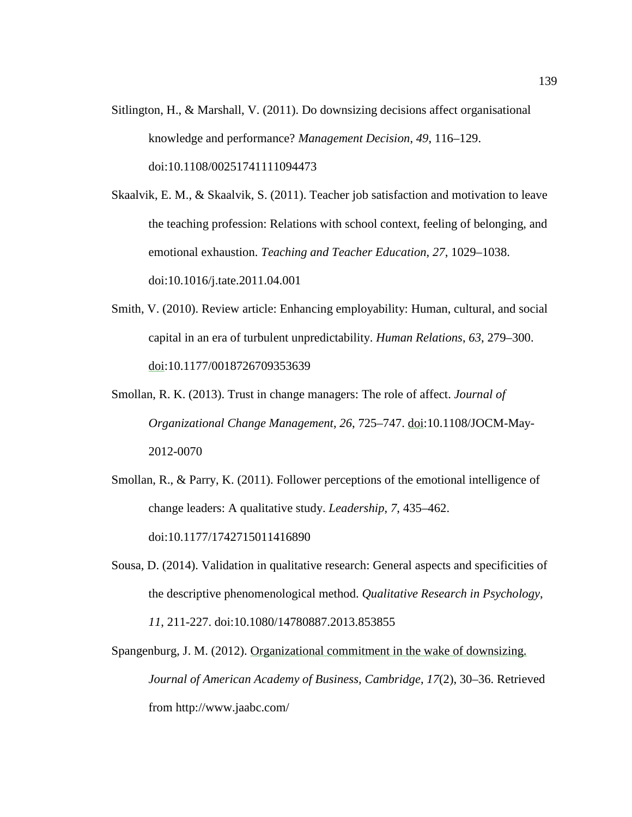Sitlington, H., & Marshall, V. (2011). Do downsizing decisions affect organisational knowledge and performance? *Management Decision*, *49*, 116–129. doi:10.1108/00251741111094473

Skaalvik, E. M., & Skaalvik, S. (2011). Teacher job satisfaction and motivation to leave the teaching profession: Relations with school context, feeling of belonging, and emotional exhaustion. *Teaching and Teacher Education*, *27*, 1029–1038. doi:10.1016/j.tate.2011.04.001

- Smith, V. (2010). Review article: Enhancing employability: Human, cultural, and social capital in an era of turbulent unpredictability. *Human Relations*, *63*, 279–300. doi:10.1177/0018726709353639
- Smollan, R. K. (2013). Trust in change managers: The role of affect. *Journal of Organizational Change Management*, *26*, 725–747. doi:10.1108/JOCM-May-2012-0070
- Smollan, R., & Parry, K. (2011). Follower perceptions of the emotional intelligence of change leaders: A qualitative study. *Leadership*, *7*, 435–462. doi:10.1177/1742715011416890
- Sousa, D. (2014). Validation in qualitative research: General aspects and specificities of the descriptive phenomenological method. *Qualitative Research in Psychology*, *11*, 211-227. doi:10.1080/14780887.2013.853855
- Spangenburg, J. M. (2012). Organizational commitment in the wake of downsizing. *Journal of American Academy of Business, Cambridge*, *17*(2), 30–36. Retrieved from http://www.jaabc.com/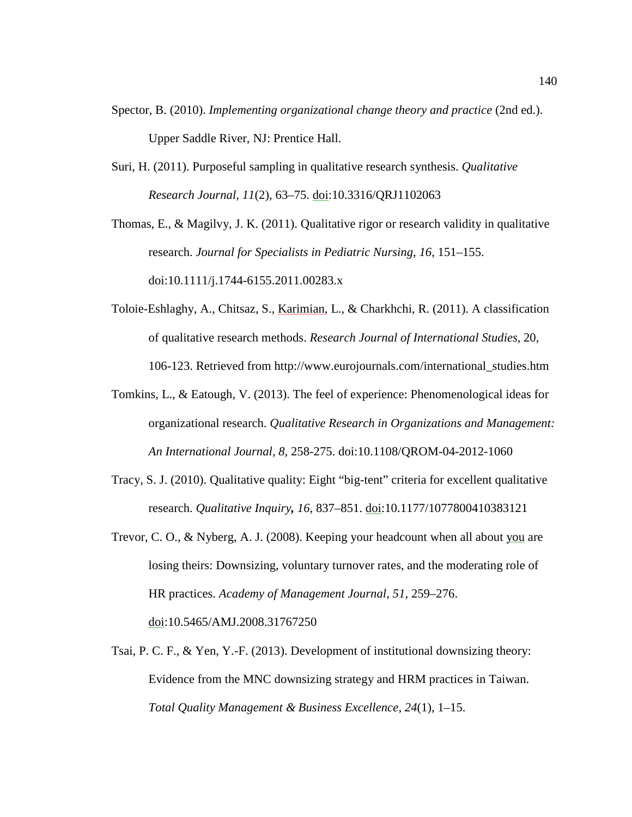- Spector, B. (2010). *Implementing organizational change theory and practice* (2nd ed.). Upper Saddle River, NJ: Prentice Hall.
- Suri, H. (2011). Purposeful sampling in qualitative research synthesis. *Qualitative Research Journal*, *11*(2), 63–75. doi:10.3316/QRJ1102063

Thomas, E., & Magilvy, J. K. (2011). Qualitative rigor or research validity in qualitative research. *Journal for Specialists in Pediatric Nursing*, *16*, 151–155. doi:10.1111/j.1744-6155.2011.00283.x

- Toloie-Eshlaghy, A., Chitsaz, S., Karimian, L., & Charkhchi, R. (2011). A classification of qualitative research methods. *Research Journal of International Studies*, 20, 106-123. Retrieved from http://www.eurojournals.com/international\_studies.htm
- Tomkins, L., & Eatough, V. (2013). The feel of experience: Phenomenological ideas for organizational research. *Qualitative Research in Organizations and Management: An International Journal, 8*, 258-275. doi:10.1108/QROM-04-2012-1060
- Tracy, S. J. (2010). Qualitative quality: Eight "big-tent" criteria for excellent qualitative research. *Qualitative Inquiry, 16*, 837–851. doi:10.1177/1077800410383121
- Trevor, C. O., & Nyberg, A. J. (2008). Keeping your headcount when all about you are losing theirs: Downsizing, voluntary turnover rates, and the moderating role of HR practices. *Academy of Management Journal*, *51*, 259–276. doi:10.5465/AMJ.2008.31767250
- Tsai, P. C. F., & Yen, Y.-F. (2013). Development of institutional downsizing theory: Evidence from the MNC downsizing strategy and HRM practices in Taiwan. *Total Quality Management & Business Excellence*, *24*(1), 1–15.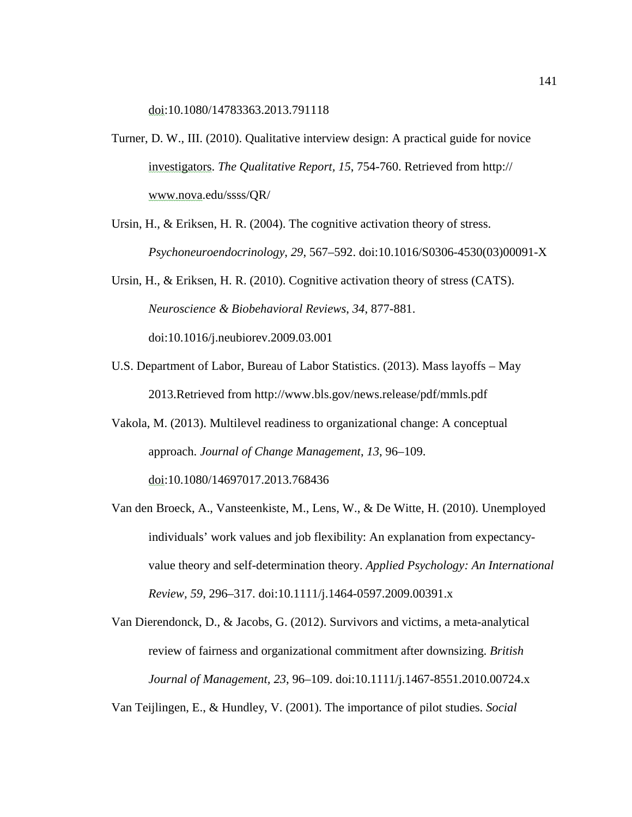doi:10.1080/14783363.2013.791118

- Turner, D. W., III. (2010). Qualitative interview design: A practical guide for novice investigators. *The Qualitative Report, 15*, 754-760. Retrieved from http:// www.nova.edu/ssss/QR/
- Ursin, H., & Eriksen, H. R. (2004). The cognitive activation theory of stress. *Psychoneuroendocrinology*, *29*, 567–592. doi:10.1016/S0306-4530(03)00091-X

Ursin, H., & Eriksen, H. R. (2010). Cognitive activation theory of stress (CATS). *Neuroscience & Biobehavioral Reviews*, *34*, 877-881. doi:10.1016/j.neubiorev.2009.03.001

- U.S. Department of Labor, Bureau of Labor Statistics. (2013). Mass layoffs May 2013.Retrieved from http://www.bls.gov/news.release/pdf/mmls.pdf
- Vakola, M. (2013). Multilevel readiness to organizational change: A conceptual approach. *Journal of Change Management*, *13*, 96–109. doi:10.1080/14697017.2013.768436
- Van den Broeck, A., Vansteenkiste, M., Lens, W., & De Witte, H. (2010). Unemployed individuals' work values and job flexibility: An explanation from expectancyvalue theory and self-determination theory. *Applied Psychology: An International Review, 59*, 296–317. doi:10.1111/j.1464-0597.2009.00391.x

Van Dierendonck, D., & Jacobs, G. (2012). Survivors and victims, a meta-analytical review of fairness and organizational commitment after downsizing. *British Journal of Management, 23*, 96–109. doi:10.1111/j.1467-8551.2010.00724.x

Van Teijlingen, E., & Hundley, V. (2001). The importance of pilot studies. *Social*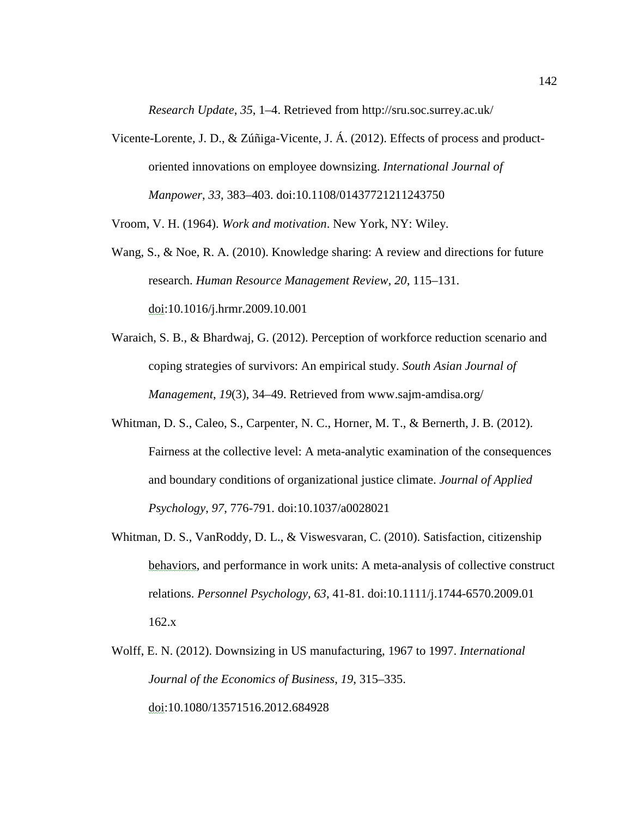*Research Update*, *35*, 1–4. Retrieved from http://sru.soc.surrey.ac.uk/

Vicente-Lorente, J. D., & Zúñiga-Vicente, J. Á. (2012). Effects of process and productoriented innovations on employee downsizing. *International Journal of Manpower*, *33*, 383–403. doi:10.1108/01437721211243750

Vroom, V. H. (1964). *Work and motivation*. New York, NY: Wiley.

- Wang, S., & Noe, R. A. (2010). Knowledge sharing: A review and directions for future research. *Human Resource Management Review*, *20*, 115–131. doi:10.1016/j.hrmr.2009.10.001
- Waraich, S. B., & Bhardwaj, G. (2012). Perception of workforce reduction scenario and coping strategies of survivors: An empirical study. *South Asian Journal of Management*, *19*(3), 34–49. Retrieved from www.sajm-amdisa.org/
- Whitman, D. S., Caleo, S., Carpenter, N. C., Horner, M. T., & Bernerth, J. B. (2012). Fairness at the collective level: A meta-analytic examination of the consequences and boundary conditions of organizational justice climate. *Journal of Applied Psychology*, *97*, 776-791. doi:10.1037/a0028021
- Whitman, D. S., VanRoddy, D. L., & Viswesvaran, C. (2010). Satisfaction, citizenship behaviors, and performance in work units: A meta-analysis of collective construct relations. *Personnel Psychology, 63*, 41-81. doi:10.1111/j.1744-6570.2009.01 162.x
- Wolff, E. N. (2012). Downsizing in US manufacturing, 1967 to 1997. *International Journal of the Economics of Business*, *19*, 315–335. doi:10.1080/13571516.2012.684928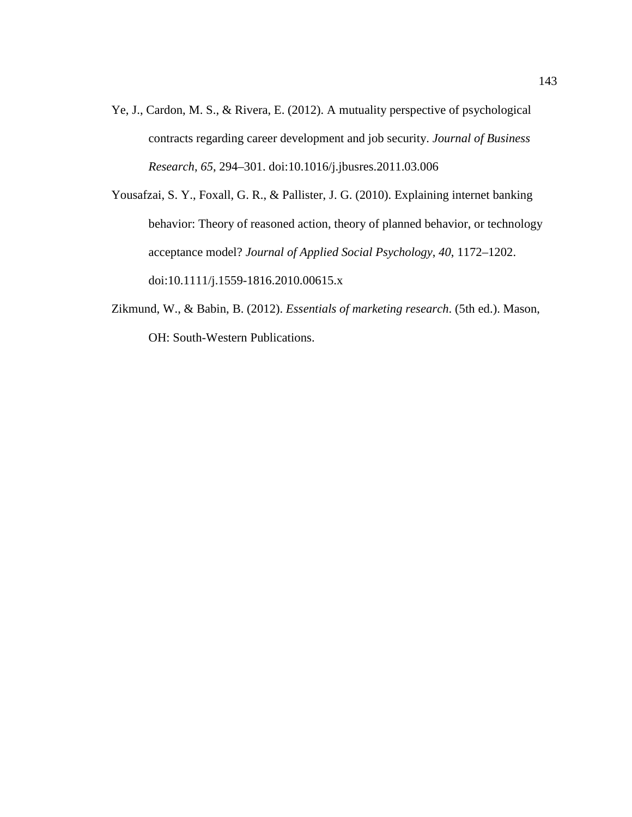- Ye, J., Cardon, M. S., & Rivera, E. (2012). A mutuality perspective of psychological contracts regarding career development and job security. *Journal of Business Research*, *65*, 294–301. doi:10.1016/j.jbusres.2011.03.006
- Yousafzai, S. Y., Foxall, G. R., & Pallister, J. G. (2010). Explaining internet banking behavior: Theory of reasoned action, theory of planned behavior, or technology acceptance model? *Journal of Applied Social Psychology*, *40*, 1172–1202. doi:10.1111/j.1559-1816.2010.00615.x
- Zikmund, W., & Babin, B. (2012). *Essentials of marketing research*. (5th ed.). Mason, OH: South-Western Publications.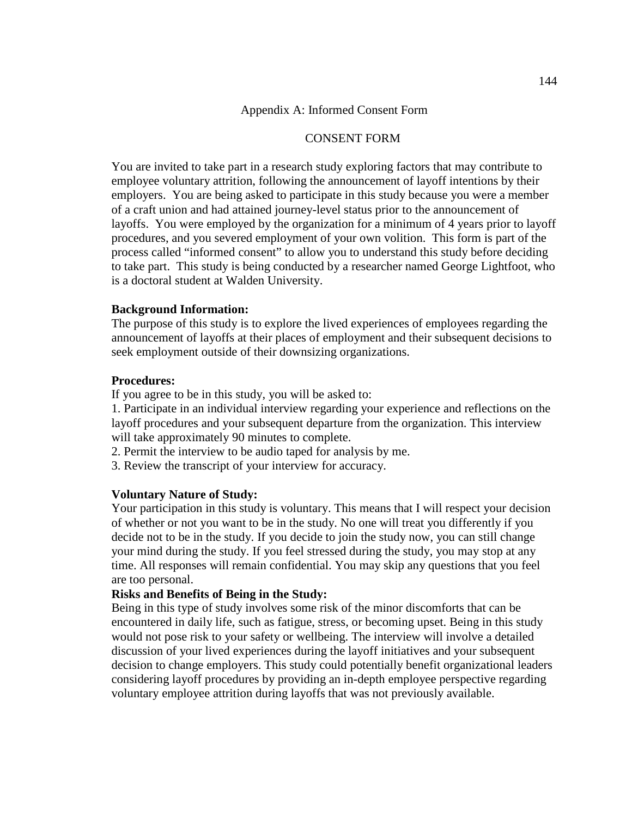#### CONSENT FORM

You are invited to take part in a research study exploring factors that may contribute to employee voluntary attrition, following the announcement of layoff intentions by their employers. You are being asked to participate in this study because you were a member of a craft union and had attained journey-level status prior to the announcement of layoffs. You were employed by the organization for a minimum of 4 years prior to layoff procedures, and you severed employment of your own volition. This form is part of the process called "informed consent" to allow you to understand this study before deciding to take part. This study is being conducted by a researcher named George Lightfoot, who is a doctoral student at Walden University.

#### **Background Information:**

The purpose of this study is to explore the lived experiences of employees regarding the announcement of layoffs at their places of employment and their subsequent decisions to seek employment outside of their downsizing organizations.

### **Procedures:**

If you agree to be in this study, you will be asked to:

1. Participate in an individual interview regarding your experience and reflections on the layoff procedures and your subsequent departure from the organization. This interview will take approximately 90 minutes to complete.

- 2. Permit the interview to be audio taped for analysis by me.
- 3. Review the transcript of your interview for accuracy.

#### **Voluntary Nature of Study:**

Your participation in this study is voluntary. This means that I will respect your decision of whether or not you want to be in the study. No one will treat you differently if you decide not to be in the study. If you decide to join the study now, you can still change your mind during the study. If you feel stressed during the study, you may stop at any time. All responses will remain confidential. You may skip any questions that you feel are too personal.

# **Risks and Benefits of Being in the Study:**

Being in this type of study involves some risk of the minor discomforts that can be encountered in daily life, such as fatigue, stress, or becoming upset. Being in this study would not pose risk to your safety or wellbeing. The interview will involve a detailed discussion of your lived experiences during the layoff initiatives and your subsequent decision to change employers. This study could potentially benefit organizational leaders considering layoff procedures by providing an in-depth employee perspective regarding voluntary employee attrition during layoffs that was not previously available.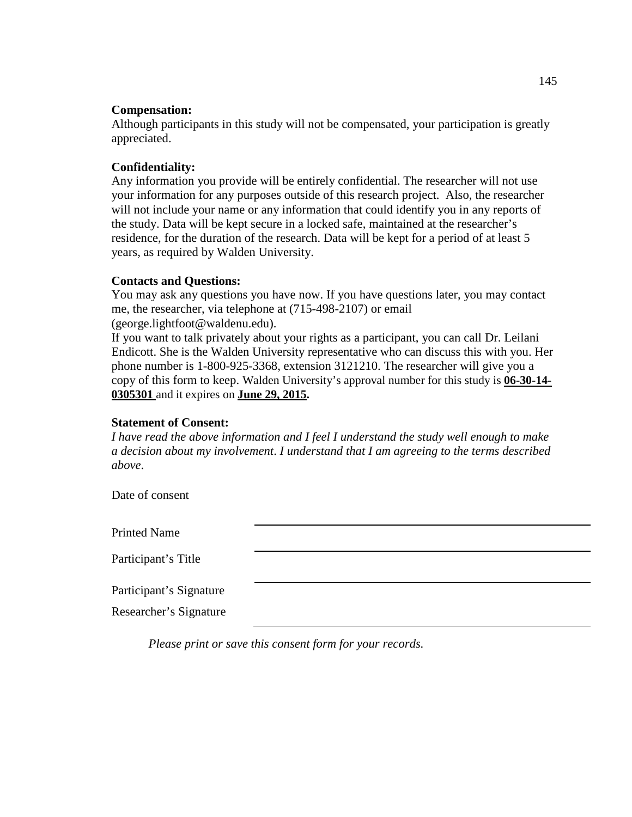### **Compensation:**

Although participants in this study will not be compensated, your participation is greatly appreciated.

# **Confidentiality:**

Any information you provide will be entirely confidential. The researcher will not use your information for any purposes outside of this research project. Also, the researcher will not include your name or any information that could identify you in any reports of the study. Data will be kept secure in a locked safe, maintained at the researcher's residence, for the duration of the research. Data will be kept for a period of at least 5 years, as required by Walden University.

#### **Contacts and Questions:**

You may ask any questions you have now. If you have questions later, you may contact me, the researcher, via telephone at (715-498-2107) or email (george.lightfoot@waldenu.edu).

If you want to talk privately about your rights as a participant, you can call Dr. Leilani Endicott. She is the Walden University representative who can discuss this with you. Her phone number is 1-800-925-3368, extension 3121210. The researcher will give you a copy of this form to keep. Walden University's approval number for this study is **06-30-14- 0305301** and it expires on **June 29, 2015.**

# **Statement of Consent:**

*I have read the above information and I feel I understand the study well enough to make a decision about my involvement*. *I understand that I am agreeing to the terms described above*.

Date of consent

Printed Name

Participant's Title

Participant's Signature

Researcher's Signature

*Please print or save this consent form for your records.*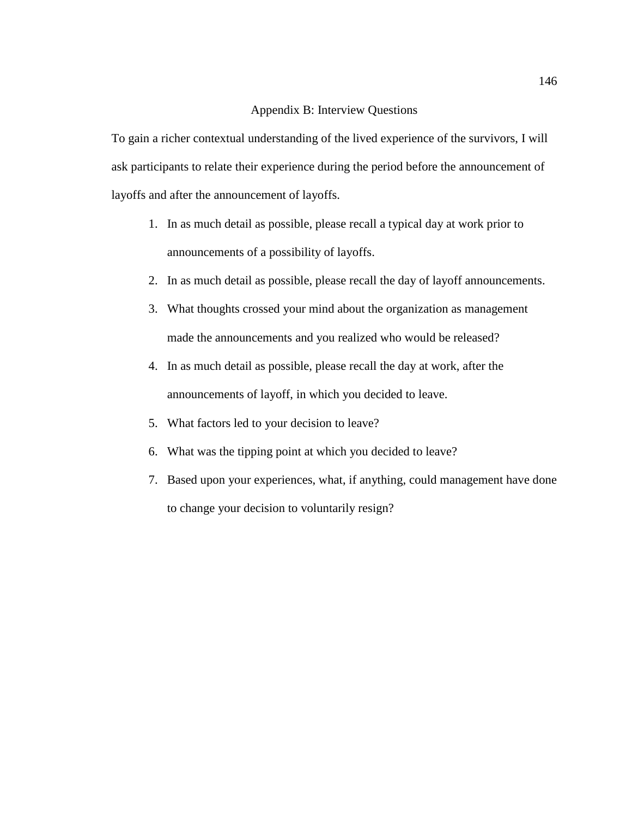#### Appendix B: Interview Questions

To gain a richer contextual understanding of the lived experience of the survivors, I will ask participants to relate their experience during the period before the announcement of layoffs and after the announcement of layoffs.

- 1. In as much detail as possible, please recall a typical day at work prior to announcements of a possibility of layoffs.
- 2. In as much detail as possible, please recall the day of layoff announcements.
- 3. What thoughts crossed your mind about the organization as management made the announcements and you realized who would be released?
- 4. In as much detail as possible, please recall the day at work, after the announcements of layoff, in which you decided to leave.
- 5. What factors led to your decision to leave?
- 6. What was the tipping point at which you decided to leave?
- 7. Based upon your experiences, what, if anything, could management have done to change your decision to voluntarily resign?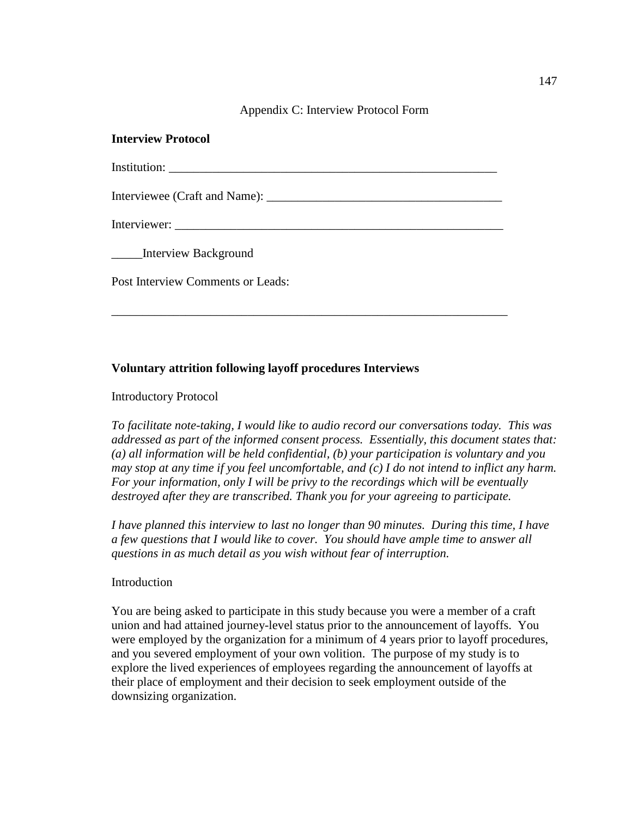Appendix C: Interview Protocol Form

# **Interview Protocol**

Institution: \_\_\_\_\_\_\_\_\_\_\_\_\_\_\_\_\_\_\_\_\_\_\_\_\_\_\_\_\_\_\_\_\_\_\_\_\_\_\_\_\_\_\_\_\_\_\_\_\_\_\_\_\_

\_\_\_\_\_\_\_\_\_\_\_\_\_\_\_\_\_\_\_\_\_\_\_\_\_\_\_\_\_\_\_\_\_\_\_\_\_\_\_\_\_\_\_\_\_\_\_\_\_\_\_\_\_\_\_\_\_\_\_\_\_\_\_\_

Interviewee (Craft and Name): \_\_\_\_\_\_\_\_\_\_\_\_\_\_\_\_\_\_\_\_\_\_\_\_\_\_\_\_\_\_\_\_\_\_\_\_\_\_

Interviewer:

\_\_\_\_\_Interview Background

Post Interview Comments or Leads:

# **Voluntary attrition following layoff procedures Interviews**

#### Introductory Protocol

*To facilitate note-taking, I would like to audio record our conversations today. This was addressed as part of the informed consent process. Essentially, this document states that: (a) all information will be held confidential, (b) your participation is voluntary and you may stop at any time if you feel uncomfortable, and (c) I do not intend to inflict any harm. For your information, only I will be privy to the recordings which will be eventually destroyed after they are transcribed. Thank you for your agreeing to participate.*

*I have planned this interview to last no longer than 90 minutes. During this time, I have a few questions that I would like to cover. You should have ample time to answer all questions in as much detail as you wish without fear of interruption.* 

#### **Introduction**

You are being asked to participate in this study because you were a member of a craft union and had attained journey-level status prior to the announcement of layoffs. You were employed by the organization for a minimum of 4 years prior to layoff procedures, and you severed employment of your own volition. The purpose of my study is to explore the lived experiences of employees regarding the announcement of layoffs at their place of employment and their decision to seek employment outside of the downsizing organization.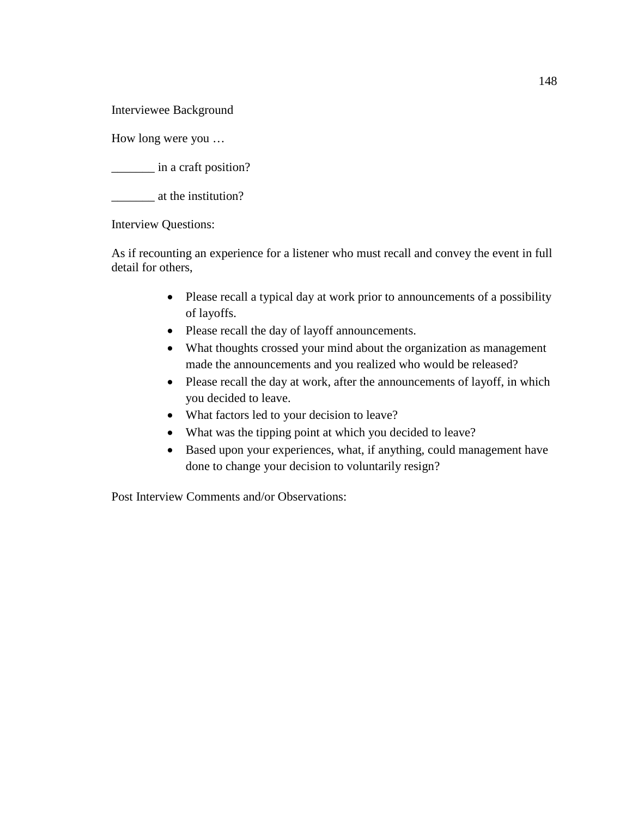Interviewee Background

How long were you …

\_\_\_\_\_\_\_ in a craft position?

\_\_\_\_\_\_\_ at the institution?

Interview Questions:

As if recounting an experience for a listener who must recall and convey the event in full detail for others,

- Please recall a typical day at work prior to announcements of a possibility of layoffs.
- Please recall the day of layoff announcements.
- What thoughts crossed your mind about the organization as management made the announcements and you realized who would be released?
- Please recall the day at work, after the announcements of layoff, in which you decided to leave.
- What factors led to your decision to leave?
- What was the tipping point at which you decided to leave?
- Based upon your experiences, what, if anything, could management have done to change your decision to voluntarily resign?

Post Interview Comments and/or Observations: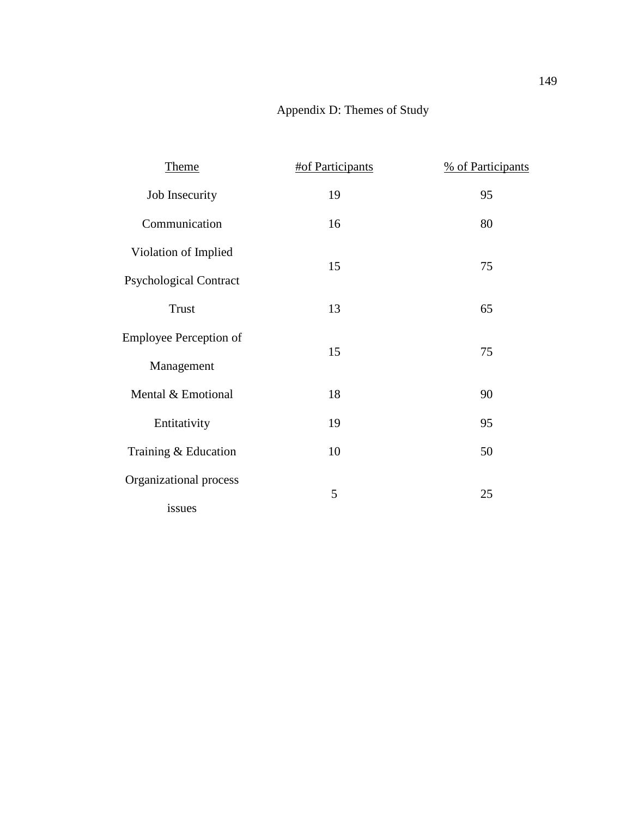# Appendix D: Themes of Study

| <b>Theme</b>                  | #of Participants | % of Participants |
|-------------------------------|------------------|-------------------|
| Job Insecurity                | 19               | 95                |
| Communication                 | 16               | 80                |
| Violation of Implied          | 15               | 75                |
| <b>Psychological Contract</b> |                  |                   |
| <b>Trust</b>                  | 13               | 65                |
| <b>Employee Perception of</b> | 15               | 75                |
| Management                    |                  |                   |
| Mental & Emotional            | 18               | 90                |
| Entitativity                  | 19               | 95                |
| Training & Education          | 10               | 50                |
| Organizational process        | 5                | 25                |
| issues                        |                  |                   |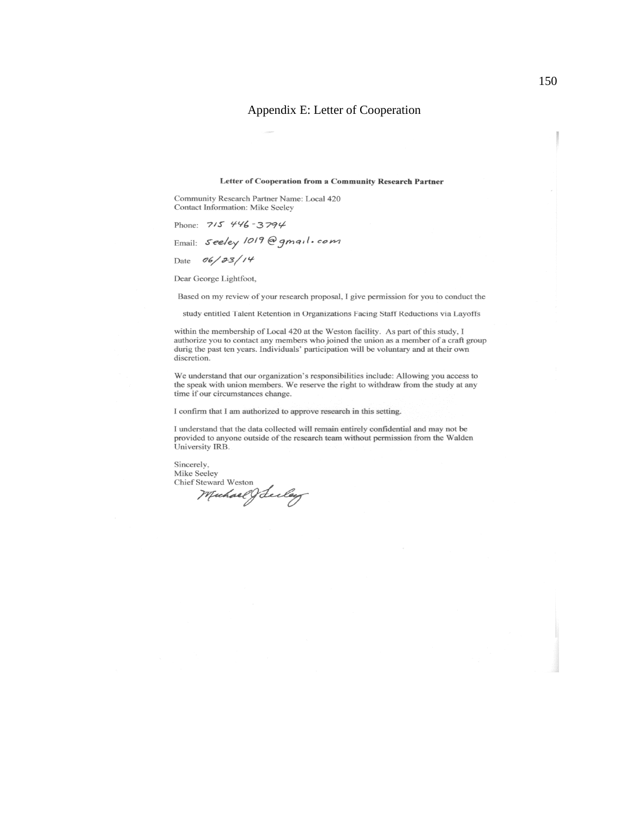#### Appendix E: Letter of Cooperation

#### Letter of Cooperation from a Community Research Partner

Community Research Partner Name: Local 420 Contact Information: Mike Seeley

Phone: 715 446-3794

Email: Seeley 1019@gmail.com

Date  $06/33/14$ 

Dear George Lightfoot,

Based on my review of your research proposal, I give permission for you to conduct the

study entitled Talent Retention in Organizations Facing Staff Reductions via Layoffs

within the membership of Local 420 at the Weston facility. As part of this study, I authorize you to contact any members who joined the union as a member of a craft group durig the past ten years. Individuals' participation will be voluntary and at their own discretion.

We understand that our organization's responsibilities include: Allowing you access to the speak with union members. We reserve the right to withdraw from the study at any time if our circumstances change.

I confirm that I am authorized to approve research in this setting.

I understand that the data collected will remain entirely confidential and may not be provided to anyone outside of the research team without permission from the Walden University IRB.

Sincerely, Mike Seeley Mike Seeley<br>Chief Steward Weston<br>*Muchael (Jacoley*